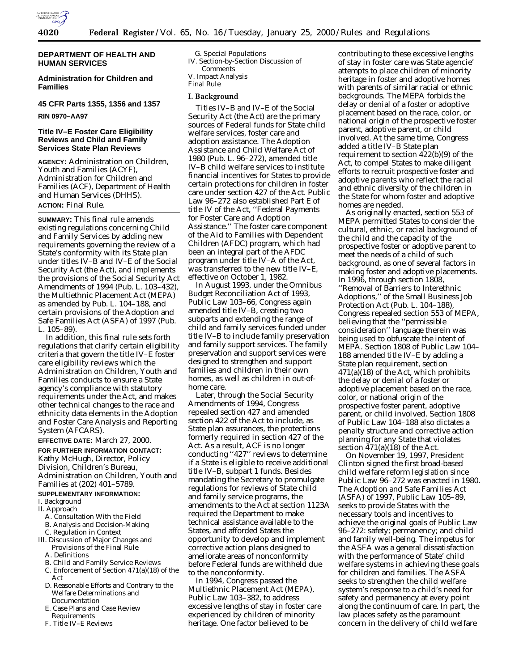

# **DEPARTMENT OF HEALTH AND HUMAN SERVICES**

**Administration for Children and Families**

#### **45 CFR Parts 1355, 1356 and 1357**

**RIN 0970–AA97**

## **Title IV–E Foster Care Eligibility Reviews and Child and Family Services State Plan Reviews**

**AGENCY:** Administration on Children, Youth and Families (ACYF), Administration for Children and Families (ACF), Department of Health and Human Services (DHHS). **ACTION:** Final Rule.

**SUMMARY:** This final rule amends existing regulations concerning Child and Family Services by adding new requirements governing the review of a State's conformity with its State plan under titles IV–B and IV–E of the Social Security Act (the Act), and implements the provisions of the Social Security Act Amendments of 1994 (Pub. L. 103–432), the Multiethnic Placement Act (MEPA) as amended by Pub. L. 104–188, and certain provisions of the Adoption and Safe Families Act (ASFA) of 1997 (Pub. L. 105–89).

In addition, this final rule sets forth regulations that clarify certain eligibility criteria that govern the title IV–E foster care eligibility reviews which the Administration on Children, Youth and Families conducts to ensure a State agency's compliance with statutory requirements under the Act, and makes other technical changes to the race and ethnicity data elements in the Adoption and Foster Care Analysis and Reporting System (AFCARS).

#### **EFFECTIVE DATE:** March 27, 2000.

**FOR FURTHER INFORMATION CONTACT:** Kathy McHugh, Director, Policy Division, Children's Bureau, Administration on Children, Youth and Families at (202) 401–5789.

#### **SUPPLEMENTARY INFORMATION:**

- I. Background
- II. Approach
	- A. Consultation With the Field
	- B. Analysis and Decision-Making
- C. Regulation in Context
- III. Discussion of Major Changes and Provisions of the Final Rule
	- A. Definitions
	- B. Child and Family Service Reviews
	- C. Enforcement of Section 471(a)(18) of the Act
	- D. Reasonable Efforts and Contrary to the Welfare Determinations and Documentation
	- E. Case Plans and Case Review Requirements
	- F. Title IV–E Reviews
- G. Special Populations IV. Section-by-Section Discussion of Comments
- V. Impact Analysis
- Final Rule

### **I. Background**

Titles IV–B and IV–E of the Social Security Act (the Act) are the primary sources of Federal funds for State child welfare services, foster care and adoption assistance. The Adoption Assistance and Child Welfare Act of 1980 (Pub. L. 96–272), amended title IV–B child welfare services to institute financial incentives for States to provide certain protections for children in foster care under section 427 of the Act. Public Law 96–272 also established Part E of title IV of the Act, ''Federal Payments for Foster Care and Adoption Assistance.'' The foster care component of the Aid to Families with Dependent Children (AFDC) program, which had been an integral part of the AFDC program under title IV–A of the Act, was transferred to the new title IV–E, effective on October 1, 1982.

In August 1993, under the Omnibus Budget Reconciliation Act of 1993, Public Law 103–66, Congress again amended title IV–B, creating two subparts and extending the range of child and family services funded under title IV–B to include family preservation and family support services. The family preservation and support services were designed to strengthen and support families and children in their own homes, as well as children in out-ofhome care.

Later, through the Social Security Amendments of 1994, Congress repealed section 427 and amended section 422 of the Act to include, as State plan assurances, the protections formerly required in section 427 of the Act. As a result, ACF is no longer conducting ''427'' reviews to determine if a State is eligible to receive additional title IV–B, subpart 1 funds. Besides mandating the Secretary to promulgate regulations for reviews of State child and family service programs, the amendments to the Act at section 1123A required the Department to make technical assistance available to the States, and afforded States the opportunity to develop and implement corrective action plans designed to ameliorate areas of nonconformity before Federal funds are withheld due to the nonconformity.

In 1994, Congress passed the Multiethnic Placement Act (MEPA), Public Law 103–382, to address excessive lengths of stay in foster care experienced by children of minority heritage. One factor believed to be

contributing to these excessive lengths of stay in foster care was State agencie' attempts to place children of minority heritage in foster and adoptive homes with parents of similar racial or ethnic backgrounds. The MEPA forbids the delay or denial of a foster or adoptive placement based on the race, color, or national origin of the prospective foster parent, adoptive parent, or child involved. At the same time, Congress added a title IV–B State plan requirement to section 422(b)(9) of the Act, to compel States to make diligent efforts to recruit prospective foster and adoptive parents who reflect the racial and ethnic diversity of the children in the State for whom foster and adoptive homes are needed.

As originally enacted, section 553 of MEPA permitted States to consider the cultural, ethnic, or racial background of the child and the capacity of the prospective foster or adoptive parent to meet the needs of a child of such background, as one of several factors in making foster and adoptive placements. In 1996, through section 1808, ''Removal of Barriers to Interethnic Adoptions,'' of the Small Business Job Protection Act (Pub. L. 104–188), Congress repealed section 553 of MEPA, believing that the ''permissible consideration'' language therein was being used to obfuscate the intent of MEPA. Section 1808 of Public Law 104– 188 amended title IV–E by adding a State plan requirement, section 471(a)(18) of the Act, which prohibits the delay or denial of a foster or adoptive placement based on the race, color, or national origin of the prospective foster parent, adoptive parent, or child involved. Section 1808 of Public Law 104–188 also dictates a penalty structure and corrective action planning for any State that violates section  $471(a)(18)$  of the Act.

On November 19, 1997, President Clinton signed the first broad-based child welfare reform legislation since Public Law 96–272 was enacted in 1980. The Adoption and Safe Families Act (ASFA) of 1997, Public Law 105–89, seeks to provide States with the necessary tools and incentives to achieve the original goals of Public Law 96–272: safety; permanency; and child and family well-being. The impetus for the ASFA was a general dissatisfaction with the performance of State' child welfare systems in achieving these goals for children and families. The ASFA seeks to strengthen the child welfare system's response to a child's need for safety and permanency at every point along the continuum of care. In part, the law places safety as the paramount concern in the delivery of child welfare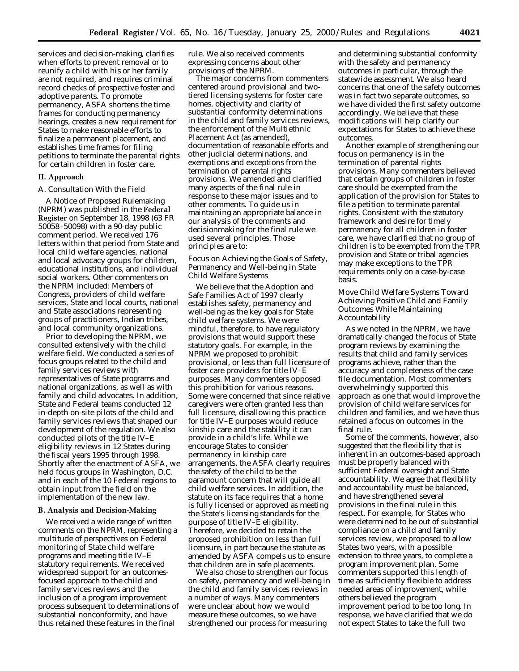services and decision-making, clarifies when efforts to prevent removal or to reunify a child with his or her family are not required, and requires criminal record checks of prospective foster and adoptive parents. To promote permanency, ASFA shortens the time frames for conducting permanency hearings, creates a new requirement for States to make reasonable efforts to finalize a permanent placement, and establishes time frames for filing petitions to terminate the parental rights for certain children in foster care.

#### **II. Approach**

#### *A. Consultation With the Field*

A Notice of Proposed Rulemaking (NPRM) was published in the **Federal Register** on September 18, 1998 (63 FR 50058–50098) with a 90-day public comment period. We received 176 letters within that period from State and local child welfare agencies, national and local advocacy groups for children, educational institutions, and individual social workers. Other commenters on the NPRM included: Members of Congress, providers of child welfare services, State and local courts, national and State associations representing groups of practitioners, Indian tribes, and local community organizations.

Prior to developing the NPRM, we consulted extensively with the child welfare field. We conducted a series of focus groups related to the child and family services reviews with representatives of State programs and national organizations, as well as with family and child advocates. In addition, State and Federal teams conducted 12 in-depth on-site pilots of the child and family services reviews that shaped our development of the regulation. We also conducted pilots of the title IV–E eligibility reviews in 12 States during the fiscal years 1995 through 1998. Shortly after the enactment of ASFA, we held focus groups in Washington, D.C. and in each of the 10 Federal regions to obtain input from the field on the implementation of the new law.

#### **B. Analysis and Decision-Making**

We received a wide range of written comments on the NPRM, representing a multitude of perspectives on Federal monitoring of State child welfare programs and meeting title IV–E statutory requirements. We received widespread support for an outcomesfocused approach to the child and family services reviews and the inclusion of a program improvement process subsequent to determinations of substantial nonconformity, and have thus retained these features in the final

rule. We also received comments expressing concerns about other provisions of the NPRM.

The major concerns from commenters centered around provisional and twotiered licensing systems for foster care homes, objectivity and clarity of substantial conformity determinations in the child and family services reviews, the enforcement of the Multiethnic Placement Act (as amended), documentation of reasonable efforts and other judicial determinations, and exemptions and exceptions from the termination of parental rights provisions. We amended and clarified many aspects of the final rule in response to these major issues and to other comments. To guide us in maintaining an appropriate balance in our analysis of the comments and decisionmaking for the final rule we used several principles. Those principles are to:

Focus on Achieving the Goals of Safety, Permanency and Well-being in State Child Welfare Systems

We believe that the Adoption and Safe Families Act of 1997 clearly establishes safety, permanency and well-being as the key goals for State child welfare systems. We were mindful, therefore, to have regulatory provisions that would support these statutory goals. For example, in the NPRM we proposed to prohibit provisional, or less than full licensure of foster care providers for title IV–E purposes. Many commenters opposed this prohibition for various reasons. Some were concerned that since relative caregivers were often granted less than full licensure, disallowing this practice for title IV–E purposes would reduce kinship care and the stability it can provide in a child's life. While we encourage States to consider permanency in kinship care arrangements, the ASFA clearly requires the safety of the child to be the paramount concern that will guide all child welfare services. In addition, the statute on its face requires that a home is fully licensed or approved as meeting the State's licensing standards for the purpose of title IV–E eligibility. Therefore, we decided to retain the proposed prohibition on less than full licensure, in part because the statute as amended by ASFA compels us to ensure that children are in safe placements.

We also chose to strengthen our focus on safety, permanency and well-being in the child and family services reviews in a number of ways. Many commenters were unclear about how we would measure these outcomes, so we have strengthened our process for measuring

and determining substantial conformity with the safety and permanency outcomes in particular, through the statewide assessment. We also heard concerns that one of the safety outcomes was in fact two separate outcomes, so we have divided the first safety outcome accordingly. We believe that these modifications will help clarify our expectations for States to achieve these outcomes.

Another example of strengthening our focus on permanency is in the termination of parental rights provisions. Many commenters believed that certain groups of children in foster care should be exempted from the application of the provision for States to file a petition to terminate parental rights. Consistent with the statutory framework and desire for timely permanency for all children in foster care, we have clarified that no group of children is to be exempted from the TPR provision and State or tribal agencies may make exceptions to the TPR requirements only on a case-by-case basis.

Move Child Welfare Systems Toward Achieving Positive Child and Family Outcomes While Maintaining Accountability

As we noted in the NPRM, we have dramatically changed the focus of State program reviews by examining the results that child and family services programs achieve, rather than the accuracy and completeness of the case file documentation. Most commenters overwhelmingly supported this approach as one that would improve the provision of child welfare services for children and families, and we have thus retained a focus on outcomes in the final rule.

Some of the comments, however, also suggested that the flexibility that is inherent in an outcomes-based approach must be properly balanced with sufficient Federal oversight and State accountability. We agree that flexibility and accountability must be balanced, and have strengthened several provisions in the final rule in this respect. For example, for States who were determined to be out of substantial compliance on a child and family services review, we proposed to allow States two years, with a possible extension to three years, to complete a program improvement plan. Some commenters supported this length of time as sufficiently flexible to address needed areas of improvement, while others believed the program improvement period to be too long. In response, we have clarified that we do not expect States to take the full two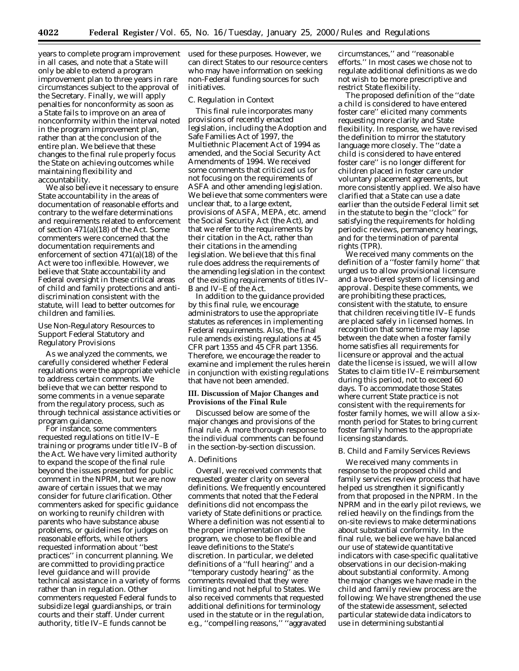years to complete program improvement used for these purposes. However, we in all cases, and note that a State will only be able to extend a program improvement plan to three years in rare circumstances subject to the approval of the Secretary. Finally, we will apply penalties for nonconformity as soon as a State fails to improve on an area of nonconformity within the interval noted in the program improvement plan, rather than at the conclusion of the entire plan. We believe that these changes to the final rule properly focus the State on achieving outcomes while maintaining flexibility and accountability.

We also believe it necessary to ensure State accountability in the areas of documentation of reasonable efforts and contrary to the welfare determinations and requirements related to enforcement of section 471(a)(18) of the Act. Some commenters were concerned that the documentation requirements and enforcement of section 471(a)(18) of the Act were too inflexible. However, we believe that State accountability and Federal oversight in these critical areas of child and family protections and antidiscrimination consistent with the statute, will lead to better outcomes for children and families.

Use Non-Regulatory Resources to Support Federal Statutory and Regulatory Provisions

As we analyzed the comments, we carefully considered whether Federal regulations were the appropriate vehicle to address certain comments. We believe that we can better respond to some comments in a venue separate from the regulatory process, such as through technical assistance activities or program guidance.

For instance, some commenters requested regulations on title IV–E training or programs under title IV–B of the Act. We have very limited authority to expand the scope of the final rule beyond the issues presented for public comment in the NPRM, but we are now aware of certain issues that we may consider for future clarification. Other commenters asked for specific guidance on working to reunify children with parents who have substance abuse problems, or guidelines for judges on reasonable efforts, while others requested information about ''best practices'' in concurrent planning. We are committed to providing practice level guidance and will provide technical assistance in a variety of forms rather than in regulation. Other commenters requested Federal funds to subsidize legal guardianships, or train courts and their staff. Under current authority, title IV–E funds cannot be

can direct States to our resource centers who may have information on seeking non-Federal funding sources for such initiatives.

#### *C. Regulation in Context*

This final rule incorporates many provisions of recently enacted legislation, including the Adoption and Safe Families Act of 1997, the Multiethnic Placement Act of 1994 as amended, and the Social Security Act Amendments of 1994. We received some comments that criticized us for not focusing on the requirements of ASFA and other amending legislation. We believe that some commenters were unclear that, to a large extent, provisions of ASFA, MEPA, etc. amend the Social Security Act (the Act), and that we refer to the requirements by their citation in the Act, rather than their citations in the amending legislation. We believe that this final rule does address the requirements of the amending legislation in the context of the existing requirements of titles IV– B and IV–E of the Act.

In addition to the guidance provided by this final rule, we encourage administrators to use the appropriate statutes as references in implementing Federal requirements. Also, the final rule amends existing regulations at 45 CFR part 1355 and 45 CFR part 1356. Therefore, we encourage the reader to examine and implement the rules herein in conjunction with existing regulations that have not been amended.

#### **III. Discussion of Major Changes and Provisions of the Final Rule**

Discussed below are some of the major changes and provisions of the final rule. A more thorough response to the individual comments can be found in the section-by-section discussion.

#### *A. Definitions*

Overall, we received comments that requested greater clarity on several definitions. We frequently encountered comments that noted that the Federal definitions did not encompass the variety of State definitions or practice. Where a definition was not essential to the proper implementation of the program, we chose to be flexible and leave definitions to the State's discretion. In particular, we deleted definitions of a ''full hearing'' and a ''temporary custody hearing'' as the comments revealed that they were limiting and not helpful to States. We also received comments that requested additional definitions for terminology used in the statute or in the regulation, e.g., "compelling reasons," "aggravated

circumstances,'' and ''reasonable efforts.'' In most cases we chose not to regulate additional definitions as we do not wish to be more prescriptive and restrict State flexibility.

The proposed definition of the ''date a child is considered to have entered foster care'' elicited many comments requesting more clarity and State flexibility. In response, we have revised the definition to mirror the statutory language more closely. The ''date a child is considered to have entered foster care'' is no longer different for children placed in foster care under voluntary placement agreements, but more consistently applied. We also have clarified that a State can use a date earlier than the outside Federal limit set in the statute to begin the ''clock'' for satisfying the requirements for holding periodic reviews, permanency hearings, and for the termination of parental rights (TPR).

We received many comments on the definition of a ''foster family home'' that urged us to allow provisional licensure and a two-tiered system of licensing and approval. Despite these comments, we are prohibiting these practices, consistent with the statute, to ensure that children receiving title IV–E funds are placed safely in licensed homes. In recognition that some time may lapse between the date when a foster family home satisfies all requirements for licensure or approval and the actual date the license is issued, we will allow States to claim title IV–E reimbursement during this period, not to exceed 60 days. To accommodate those States where current State practice is not consistent with the requirements for foster family homes, we will allow a sixmonth period for States to bring current foster family homes to the appropriate licensing standards.

#### *B. Child and Family Services Reviews*

We received many comments in response to the proposed child and family services review process that have helped us strengthen it significantly from that proposed in the NPRM. In the NPRM and in the early pilot reviews, we relied heavily on the findings from the on-site reviews to make determinations about substantial conformity. In the final rule, we believe we have balanced our use of statewide quantitative indicators with case-specific qualitative observations in our decision-making about substantial conformity. Among the major changes we have made in the child and family review process are the following: We have strengthened the use of the statewide assessment, selected particular statewide data indicators to use in determining substantial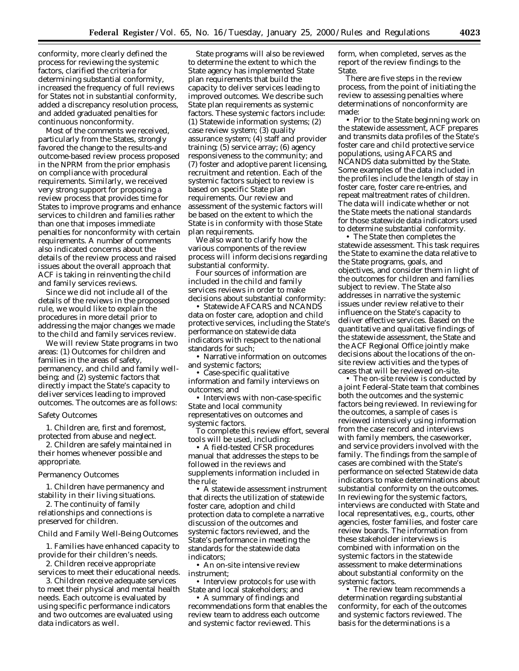conformity, more clearly defined the process for reviewing the systemic factors, clarified the criteria for determining substantial conformity, increased the frequency of full reviews for States not in substantial conformity, added a discrepancy resolution process, and added graduated penalties for continuous nonconformity.

Most of the comments we received, particularly from the States, strongly favored the change to the results-and outcome-based review process proposed in the NPRM from the prior emphasis on compliance with procedural requirements. Similarly, we received very strong support for proposing a review process that provides time for States to improve programs and enhance services to children and families rather than one that imposes immediate penalties for nonconformity with certain requirements. A number of comments also indicated concerns about the details of the review process and raised issues about the overall approach that ACF is taking in reinventing the child and family services reviews.

Since we did not include all of the details of the reviews in the proposed rule, we would like to explain the procedures in more detail prior to addressing the major changes we made to the child and family services review.

We will review State programs in two areas: (1) Outcomes for children and families in the areas of safety, permanency, and child and family wellbeing; and (2) systemic factors that directly impact the State's capacity to deliver services leading to improved outcomes. The outcomes are as follows:

#### Safety Outcomes

1. Children are, first and foremost, protected from abuse and neglect.

2. Children are safely maintained in their homes whenever possible and appropriate.

#### Permanency Outcomes

1. Children have permanency and stability in their living situations.

2. The continuity of family relationships and connections is preserved for children.

#### Child and Family Well-Being Outcomes

1. Families have enhanced capacity to provide for their children's needs.

2. Children receive appropriate services to meet their educational needs.

3. Children receive adequate services to meet their physical and mental health needs. Each outcome is evaluated by using specific performance indicators and two outcomes are evaluated using data indicators as well.

State programs will also be reviewed to determine the extent to which the State agency has implemented State plan requirements that build the capacity to deliver services leading to improved outcomes. We describe such State plan requirements as systemic factors. These systemic factors include: (1) Statewide information systems; (2) case review system; (3) quality assurance system; (4) staff and provider training; (5) service array; (6) agency responsiveness to the community; and (7) foster and adoptive parent licensing, recruitment and retention. Each of the systemic factors subject to review is based on specific State plan requirements. Our review and assessment of the systemic factors will be based on the extent to which the State is in conformity with those State plan requirements.

We also want to clarify how the various components of the review process will inform decisions regarding substantial conformity.

Four sources of information are included in the child and family services reviews in order to make decisions about substantial conformity:

• Statewide AFCARS and NCANDS data on foster care, adoption and child protective services, including the State's performance on statewide data indicators with respect to the national standards for such;

• Narrative information on outcomes and systemic factors;

• Case-specific qualitative information and family interviews on outcomes; and

• Interviews with non-case-specific State and local community representatives on outcomes and systemic factors.

To complete this review effort, several tools will be used, including:

• A field-tested CFSR procedures manual that addresses the steps to be followed in the reviews and supplements information included in the rule;

• A statewide assessment instrument that directs the utilization of statewide foster care, adoption and child protection data to complete a narrative discussion of the outcomes and systemic factors reviewed, and the State's performance in meeting the standards for the statewide data indicators;

• An on-site intensive review instrument;

• Interview protocols for use with State and local stakeholders; and

• A summary of findings and recommendations form that enables the review team to address each outcome and systemic factor reviewed. This

form, when completed, serves as the report of the review findings to the State.

There are five steps in the review process, from the point of initiating the review to assessing penalties where determinations of nonconformity are made:

• Prior to the State beginning work on the statewide assessment, ACF prepares and transmits data profiles of the State's foster care and child protective service populations, using AFCARS and NCANDS data submitted by the State. Some examples of the data included in the profiles include the length of stay in foster care, foster care re-entries, and repeat maltreatment rates of children. The data will indicate whether or not the State meets the national standards for those statewide data indicators used to determine substantial conformity.

• The State then completes the statewide assessment. This task requires the State to examine the data relative to the State programs, goals, and objectives, and consider them in light of the outcomes for children and families subject to review. The State also addresses in narrative the systemic issues under review relative to their influence on the State's capacity to deliver effective services. Based on the quantitative and qualitative findings of the statewide assessment, the State and the ACF Regional Office jointly make decisions about the locations of the onsite review activities and the types of cases that will be reviewed on-site.

• The on-site review is conducted by a joint Federal-State team that combines both the outcomes and the systemic factors being reviewed. In reviewing for the outcomes, a sample of cases is reviewed intensively using information from the case record and interviews with family members, the caseworker, and service providers involved with the family. The findings from the sample of cases are combined with the State's performance on selected Statewide data indicators to make determinations about substantial conformity on the outcomes. In reviewing for the systemic factors, interviews are conducted with State and local representatives, *e.g.,* courts, other agencies, foster families, and foster care review boards. The information from these stakeholder interviews is combined with information on the systemic factors in the statewide assessment to make determinations about substantial conformity on the systemic factors.

• The review team recommends a determination regarding substantial conformity, for each of the outcomes and systemic factors reviewed. The basis for the determinations is a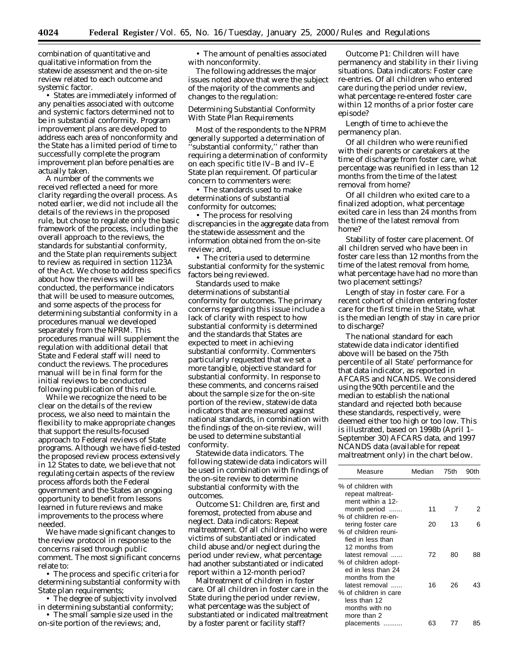combination of quantitative and qualitative information from the statewide assessment and the on-site review related to each outcome and systemic factor.

• States are immediately informed of any penalties associated with outcome and systemic factors determined not to be in substantial conformity. Program improvement plans are developed to address each area of nonconformity and the State has a limited period of time to successfully complete the program improvement plan before penalties are actually taken.

A number of the comments we received reflected a need for more clarity regarding the overall process. As noted earlier, we did not include all the details of the reviews in the proposed rule, but chose to regulate only the basic framework of the process, including the overall approach to the reviews, the standards for substantial conformity, and the State plan requirements subject to review as required in section 1123A of the Act. We chose to address specifics about how the reviews will be conducted, the performance indicators that will be used to measure outcomes, and some aspects of the process for determining substantial conformity in a procedures manual we developed separately from the NPRM. This procedures manual will supplement the regulation with additional detail that State and Federal staff will need to conduct the reviews. The procedures manual will be in final form for the initial reviews to be conducted following publication of this rule.

While we recognize the need to be clear on the details of the review process, we also need to maintain the flexibility to make appropriate changes that support the results-focused approach to Federal reviews of State programs. Although we have field-tested the proposed review process extensively in 12 States to date, we believe that not regulating certain aspects of the review process affords both the Federal government and the States an ongoing opportunity to benefit from lessons learned in future reviews and make improvements to the process where needed.

We have made significant changes to the review protocol in response to the concerns raised through public comment. The most significant concerns relate to:

• The process and specific criteria for determining substantial conformity with State plan requirements;

• The degree of subjectivity involved in determining substantial conformity;

• The small sample size used in the on-site portion of the reviews; and,

• The amount of penalties associated with nonconformity.

The following addresses the major issues noted above that were the subject of the majority of the comments and changes to the regulation:

Determining Substantial Conformity With State Plan Requirements

Most of the respondents to the NPRM generally supported a determination of 'substantial conformity,'' rather than requiring a determination of conformity on each specific title IV–B and IV–E State plan requirement. Of particular concern to commenters were:

• The standards used to make determinations of substantial conformity for outcomes;

• The process for resolving discrepancies in the aggregate data from the statewide assessment and the information obtained from the on-site review; and,

• The criteria used to determine substantial conformity for the systemic factors being reviewed.

Standards used to make determinations of substantial conformity for outcomes. The primary concerns regarding this issue include a lack of clarity with respect to how substantial conformity is determined and the standards that States are expected to meet in achieving substantial conformity. Commenters particularly requested that we set a more tangible, objective standard for substantial conformity. In response to these comments, and concerns raised about the sample size for the on-site portion of the review, statewide data indicators that are measured against national standards, in combination with the findings of the on-site review, will be used to determine substantial conformity.

*Statewide data indicators.* The following statewide data indicators will be used in combination with findings of the on-site review to determine substantial conformity with the outcomes.

Outcome S1: Children are, first and foremost, protected from abuse and neglect. Data indicators: Repeat maltreatment. Of all children who were victims of substantiated or indicated child abuse and/or neglect during the period under review, what percentage had another substantiated or indicated report within a 12-month period?

Maltreatment of children in foster care. Of all children in foster care in the State during the period under review, what percentage was the subject of substantiated or indicated maltreatment by a foster parent or facility staff?

Outcome P1: Children will have permanency and stability in their living situations. Data indicators: Foster care re-entries. Of all children who entered care during the period under review, what percentage re-entered foster care within 12 months of a prior foster care episode?

Length of time to achieve the permanency plan.

Of all children who were reunified with their parents or caretakers at the time of discharge from foster care, what percentage was reunified in less than 12 months from the time of the latest removal from home?

Of all children who exited care to a finalized adoption, what percentage exited care in less than 24 months from the time of the latest removal from home?

Stability of foster care placement. Of all children served who have been in foster care less than 12 months from the time of the latest removal from home, what percentage have had no more than two placement settings?

Length of stay in foster care. For a recent cohort of children entering foster care for the first time in the State, what is the median length of stay in care prior to discharge?

The national standard for each statewide data indicator identified above will be based on the 75th percentile of all State' performance for that data indicator, as reported in AFCARS and NCANDS. We considered using the 90th percentile and the median to establish the national standard and rejected both because these standards, respectively, were deemed either too high or too low. This is illustrated, based on 1998b (April 1– September 30) AFCARS data, and 1997 NCANDS data (available for repeat maltreatment only) in the chart below.

| Measure               | Median | 75th | 90th |
|-----------------------|--------|------|------|
| % of children with    |        |      |      |
| repeat maltreat-      |        |      |      |
| ment within a 12-     |        |      |      |
| month period          | 11     | 7    | ン    |
| % of children re-en-  |        |      |      |
| tering foster care    | 20     | 13   | 6    |
| % of children reuni-  |        |      |      |
| fied in less than     |        |      |      |
| 12 months from        |        |      |      |
| latest removal        | 72     | 80   | 88   |
| % of children adopt-  |        |      |      |
| ed in less than 24    |        |      |      |
| months from the       |        |      |      |
| latest removal        | 16     | 26   | 43   |
| % of children in care |        |      |      |
| less than 12          |        |      |      |
| months with no        |        |      |      |
| more than 2           |        |      |      |
| placements            | h.     |      | 85   |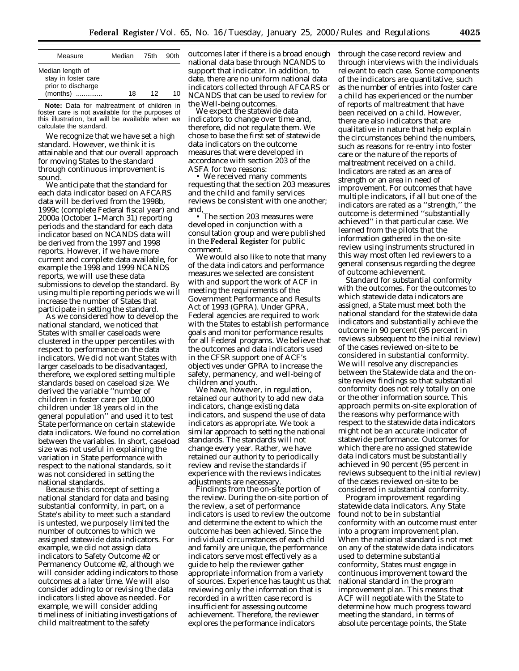| Measure                                                                   | Median | 75th | 90th |
|---------------------------------------------------------------------------|--------|------|------|
| Median length of<br>stay in foster care<br>prior to discharge<br>(months) | 18     | 12   | 10   |

**Note:** Data for maltreatment of children in foster care is not available for the purposes of this illustration, but will be available when we calculate the standard.

We recognize that we have set a high standard. However, we think it is attainable and that our overall approach for moving States to the standard through continuous improvement is sound.

We anticipate that the standard for each data indicator based on AFCARS data will be derived from the 1998b, 1999c (complete Federal fiscal year) and 2000a (October 1–March 31) reporting periods and the standard for each data indicator based on NCANDS data will be derived from the 1997 and 1998 reports. However, if we have more current and complete data available, for example the 1998 and 1999 NCANDS reports, we will use these data submissions to develop the standard. By using multiple reporting periods we will increase the number of States that participate in setting the standard. As we considered how to develop the

national standard, we noticed that States with smaller caseloads were clustered in the upper percentiles with respect to performance on the data indicators. We did not want States with larger caseloads to be disadvantaged, therefore, we explored setting multiple standards based on caseload size. We derived the variable ''number of children in foster care per 10,000 children under 18 years old in the general population'' and used it to test State performance on certain statewide data indicators. We found no correlation between the variables. In short, caseload size was not useful in explaining the variation in State performance with respect to the national standards, so it was not considered in setting the national standards.

Because this concept of setting a national standard for data and basing substantial conformity, in part, on a State's ability to meet such a standard is untested, we purposely limited the number of outcomes to which we assigned statewide data indicators. For example, we did not assign data indicators to Safety Outcome #2 or Permanency Outcome #2, although we will consider adding indicators to those outcomes at a later time. We will also consider adding to or revising the data indicators listed above as needed. For example, we will consider adding timeliness of initiating investigations of child maltreatment to the safety

outcomes later if there is a broad enough national data base through NCANDS to support that indicator. In addition, to date, there are no uniform national data indicators collected through AFCARS or NCANDS that can be used to review for the Well-being outcomes. We expect the statewide data

indicators to change over time and, therefore, did not regulate them. We chose to base the first set of statewide data indicators on the outcome measures that were developed in accordance with section 203 of the ASFA for two reasons:<br>• We received many comments

requesting that the section 203 measures and the child and family services reviews be consistent with one another;

and, • The section 203 measures were developed in conjunction with a consultation group and were published in the **Federal Register** for public comment.

We would also like to note that many of the data indicators and performance measures we selected are consistent with and support the work of ACF in meeting the requirements of the Government Performance and Results Act of 1993 (GPRA). Under GPRA, Federal agencies are required to work with the States to establish performance goals and monitor performance results for all Federal programs. We believe that the outcomes and data indicators used in the CFSR support one of ACF's objectives under GPRA to increase the safety, permanency, and well-being of

children and youth. We have, however, in regulation, retained our authority to add new data indicators, change existing data indicators, and suspend the use of data indicators as appropriate. We took a similar approach to setting the national standards. The standards will not change every year. Rather, we have retained our authority to periodically review and revise the standards if experience with the reviews indicates adjustments are necessary. *Findings from the on-site portion of*

*the review.* During the on-site portion of the review, a set of performance indicators is used to review the outcome and determine the extent to which the outcome has been achieved. Since the individual circumstances of each child and family are unique, the performance indicators serve most effectively as a guide to help the reviewer gather appropriate information from a variety of sources. Experience has taught us that reviewing only the information that is recorded in a written case record is insufficient for assessing outcome achievement. Therefore, the reviewer explores the performance indicators

through the case record review and through interviews with the individuals relevant to each case. Some components of the indicators are quantitative, such as the number of entries into foster care a child has experienced or the number of reports of maltreatment that have been received on a child. However, there are also indicators that are qualitative in nature that help explain the circumstances behind the numbers, such as reasons for re-entry into foster care or the nature of the reports of maltreatment received on a child. Indicators are rated as an area of strength or an area in need of improvement. For outcomes that have multiple indicators, if all but one of the indicators are rated as a ''strength,'' the outcome is determined ''substantially achieved'' in that particular case. We learned from the pilots that the information gathered in the on-site review using instruments structured in this way most often led reviewers to a general consensus regarding the degree of outcome achievement.

*Standard for substantial conformity with the outcomes.* For the outcomes to which statewide data indicators are assigned, a State must meet both the national standard for the statewide data indicators and substantially achieve the outcome in 90 percent (95 percent in reviews subsequent to the initial review) of the cases reviewed on-site to be considered in substantial conformity. We will resolve any discrepancies between the Statewide data and the onsite review findings so that substantial conformity does not rely totally on one or the other information source. This approach permits on-site exploration of the reasons why performance with respect to the statewide data indicators might not be an accurate indicator of statewide performance. Outcomes for which there are no assigned statewide data indicators must be substantially achieved in 90 percent (95 percent in reviews subsequent to the initial review) of the cases reviewed on-site to be considered in substantial conformity.

*Program improvement regarding statewide data indicators.* Any State found not to be in substantial conformity with an outcome must enter into a program improvement plan. When the national standard is not met on any of the statewide data indicators used to determine substantial conformity, States must engage in continuous improvement toward the national standard in the program improvement plan. This means that ACF will negotiate with the State to determine how much progress toward meeting the standard, in terms of absolute percentage points, the State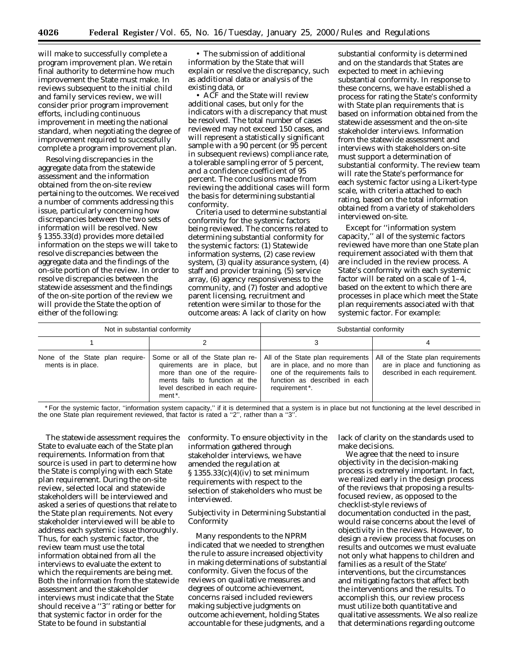will make to successfully complete a program improvement plan. We retain final authority to determine how much improvement the State must make. In reviews subsequent to the initial child and family services review, we will consider prior program improvement efforts, including continuous improvement in meeting the national standard, when negotiating the degree of improvement required to successfully complete a program improvement plan.

Resolving discrepancies in the aggregate data from the statewide assessment and the information obtained from the on-site review pertaining to the outcomes. We received a number of comments addressing this issue, particularly concerning how discrepancies between the two sets of information will be resolved. New § 1355.33(d) provides more detailed information on the steps we will take to resolve discrepancies between the aggregate data and the findings of the on-site portion of the review. In order to resolve discrepancies between the statewide assessment and the findings of the on-site portion of the review we will provide the State the option of either of the following:

• The submission of additional information by the State that will explain or resolve the discrepancy, such as additional data or analysis of the existing data, or

• ACF and the State will review additional cases, but only for the indicators with a discrepancy that must be resolved. The total number of cases reviewed may not exceed 150 cases, and will represent a statistically significant sample with a 90 percent (or 95 percent in subsequent reviews) compliance rate, a tolerable sampling error of 5 percent, and a confidence coefficient of 95 percent. The conclusions made from reviewing the additional cases will form the basis for determining substantial conformity.

Criteria used to determine substantial conformity for the systemic factors being reviewed. The concerns related to determining substantial conformity for the systemic factors: (1) Statewide information systems, (2) case review system, (3) quality assurance system, (4) staff and provider training, (5) service array, (6) agency responsiveness to the community, and (7) foster and adoptive parent licensing, recruitment and retention were similar to those for the outcome areas: A lack of clarity on how

substantial conformity is determined and on the standards that States are expected to meet in achieving substantial conformity. In response to these concerns, we have established a process for rating the State's conformity with State plan requirements that is based on information obtained from the statewide assessment and the on-site stakeholder interviews. Information from the statewide assessment and interviews with stakeholders on-site must support a determination of substantial conformity. The review team will rate the State's performance for each systemic factor using a Likert-type scale, with criteria attached to each rating, based on the total information obtained from a variety of stakeholders interviewed on-site.

Except for ''information system capacity,'' all of the systemic factors reviewed have more than one State plan requirement associated with them that are included in the review process. A State's conformity with each systemic factor will be rated on a scale of 1–4, based on the extent to which there are processes in place which meet the State plan requirements associated with that systemic factor. For example:

| Not in substantial conformity                         |                                                                                                                                                                                                 | Substantial conformity                                                                                                                                     |                                                                                                         |  |
|-------------------------------------------------------|-------------------------------------------------------------------------------------------------------------------------------------------------------------------------------------------------|------------------------------------------------------------------------------------------------------------------------------------------------------------|---------------------------------------------------------------------------------------------------------|--|
|                                                       |                                                                                                                                                                                                 |                                                                                                                                                            |                                                                                                         |  |
| None of the State plan require-<br>ments is in place. | Some or all of the State plan re-<br>quirements are in place, but<br>more than one of the require-<br>ments fails to function at the<br>level described in each require-<br>ment <sup>*</sup> . | All of the State plan requirements<br>are in place, and no more than<br>one of the requirements fails to<br>function as described in each<br>requirement*. | All of the State plan requirements<br>are in place and functioning as<br>described in each requirement. |  |

\* For the systemic factor, ''information system capacity,'' if it is determined that a system is in place but not functioning at the level described in the one State plan requirement reviewed, that factor is rated a "2", rather than a "3"

The statewide assessment requires the State to evaluate each of the State plan requirements. Information from that source is used in part to determine how the State is complying with each State plan requirement. During the on-site review, selected local and statewide stakeholders will be interviewed and asked a series of questions that relate to the State plan requirements. Not every stakeholder interviewed will be able to address each systemic issue thoroughly. Thus, for each systemic factor, the review team must use the total information obtained from all the interviews to evaluate the extent to which the requirements are being met. Both the information from the statewide assessment and the stakeholder interviews must indicate that the State should receive a ''3'' rating or better for that systemic factor in order for the State to be found in substantial

conformity. To ensure objectivity in the information gathered through stakeholder interviews, we have amended the regulation at  $\S 1355.33(c)(4)(iv)$  to set minimum requirements with respect to the selection of stakeholders who must be interviewed.

Subjectivity in Determining Substantial Conformity

Many respondents to the NPRM indicated that we needed to strengthen the rule to assure increased objectivity in making determinations of substantial conformity. Given the focus of the reviews on qualitative measures and degrees of outcome achievement, concerns raised included reviewers making subjective judgments on outcome achievement, holding States accountable for these judgments, and a

lack of clarity on the standards used to make decisions.

We agree that the need to insure objectivity in the decision-making process is extremely important. In fact, we realized early in the design process of the reviews that proposing a resultsfocused review, as opposed to the checklist-style reviews of documentation conducted in the past, would raise concerns about the level of objectivity in the reviews. However, to design a review process that focuses on results and outcomes we must evaluate not only what happens to children and families as a result of the State' interventions, but the circumstances and mitigating factors that affect both the interventions and the results. To accomplish this, our review process must utilize both quantitative and qualitative assessments. We also realize that determinations regarding outcome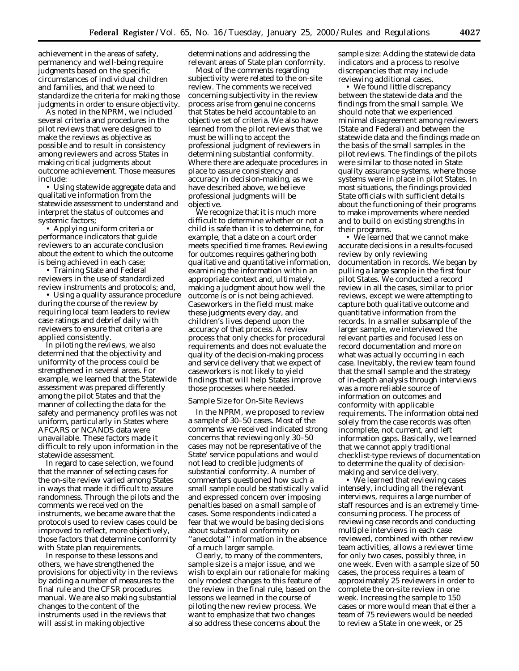achievement in the areas of safety, permanency and well-being require judgments based on the specific circumstances of individual children and families, and that we need to standardize the criteria for making those judgments in order to ensure objectivity.

As noted in the NPRM, we included several criteria and procedures in the pilot reviews that were designed to make the reviews as objective as possible and to result in consistency among reviewers and across States in making critical judgments about outcome achievement. Those measures include:

• Using statewide aggregate data and qualitative information from the statewide assessment to understand and interpret the status of outcomes and systemic factors;

• Applying uniform criteria or performance indicators that guide reviewers to an accurate conclusion about the extent to which the outcome is being achieved in each case;

• Training State and Federal reviewers in the use of standardized review instruments and protocols; and,

• Using a quality assurance procedure during the course of the review by requiring local team leaders to review case ratings and debrief daily with reviewers to ensure that criteria are applied consistently.

In piloting the reviews, we also determined that the objectivity and uniformity of the process could be strengthened in several areas. For example, we learned that the Statewide assessment was prepared differently among the pilot States and that the manner of collecting the data for the safety and permanency profiles was not uniform, particularly in States where AFCARS or NCANDS data were unavailable. These factors made it difficult to rely upon information in the statewide assessment.

In regard to case selection, we found that the manner of selecting cases for the on-site review varied among States in ways that made it difficult to assure randomness. Through the pilots and the comments we received on the instruments, we became aware that the protocols used to review cases could be improved to reflect, more objectively, those factors that determine conformity with State plan requirements.

In response to these lessons and others, we have strengthened the provisions for objectivity in the reviews by adding a number of measures to the final rule and the CFSR procedures manual. We are also making substantial changes to the content of the instruments used in the reviews that will assist in making objective

determinations and addressing the relevant areas of State plan conformity.

Most of the comments regarding subjectivity were related to the on-site review. The comments we received concerning subjectivity in the review process arise from genuine concerns that States be held accountable to an objective set of criteria. We also have learned from the pilot reviews that we must be willing to accept the professional judgment of reviewers in determining substantial conformity. Where there are adequate procedures in place to assure consistency and accuracy in decision-making, as we have described above, we believe professional judgments will be objective.

We recognize that it is much more difficult to determine whether or not a child is safe than it is to determine, for example, that a date on a court order meets specified time frames. Reviewing for outcomes requires gathering both qualitative and quantitative information, examining the information within an appropriate context and, ultimately, making a judgment about how well the outcome is or is not being achieved. Caseworkers in the field must make these judgments every day, and children's lives depend upon the accuracy of that process. A review process that only checks for procedural requirements and does not evaluate the quality of the decision-making process and service delivery that we expect of caseworkers is not likely to yield findings that will help States improve those processes where needed.

#### Sample Size for On-Site Reviews

In the NPRM, we proposed to review a sample of 30–50 cases. Most of the comments we received indicated strong concerns that reviewing only 30–50 cases may not be representative of the State' service populations and would not lead to credible judgments of substantial conformity. A number of commenters questioned how such a small sample could be statistically valid and expressed concern over imposing penalties based on a small sample of cases. Some respondents indicated a fear that we would be basing decisions about substantial conformity on ''anecdotal'' information in the absence of a much larger sample.

Clearly, to many of the commenters, sample size is a major issue, and we wish to explain our rationale for making only modest changes to this feature of the review in the final rule, based on the lessons we learned in the course of piloting the new review process. We want to emphasize that two changes also address these concerns about the

sample size: Adding the statewide data indicators and a process to resolve discrepancies that may include reviewing additional cases.

• We found little discrepancy between the statewide data and the findings from the small sample. We should note that we experienced minimal disagreement among reviewers (State and Federal) and between the statewide data and the findings made on the basis of the small samples in the pilot reviews. The findings of the pilots were similar to those noted in State quality assurance systems, where those systems were in place in pilot States. In most situations, the findings provided State officials with sufficient details about the functioning of their programs to make improvements where needed and to build on existing strengths in their programs.

• We learned that we cannot make accurate decisions in a results-focused review by only reviewing documentation in records. We began by pulling a large sample in the first four pilot States. We conducted a record review in all the cases, similar to prior reviews, except we were attempting to capture both qualitative outcome and quantitative information from the records. In a smaller subsample of the larger sample, we interviewed the relevant parties and focused less on record documentation and more on what was actually occurring in each case. Inevitably, the review team found that the small sample and the strategy of in-depth analysis through interviews was a more reliable source of information on outcomes and conformity with applicable requirements. The information obtained solely from the case records was often incomplete, not current, and left information gaps. Basically, we learned that we cannot apply traditional checklist-type reviews of documentation to determine the quality of decisionmaking and service delivery.

• We learned that reviewing cases intensely, including all the relevant interviews, requires a large number of staff resources and is an extremely timeconsuming process. The process of reviewing case records and conducting multiple interviews in each case reviewed, combined with other review team activities, allows a reviewer time for only two cases, possibly three, in one week. Even with a sample size of 50 cases, the process requires a team of approximately 25 reviewers in order to complete the on-site review in one week. Increasing the sample to 150 cases or more would mean that either a team of 75 reviewers would be needed to review a State in one week, or 25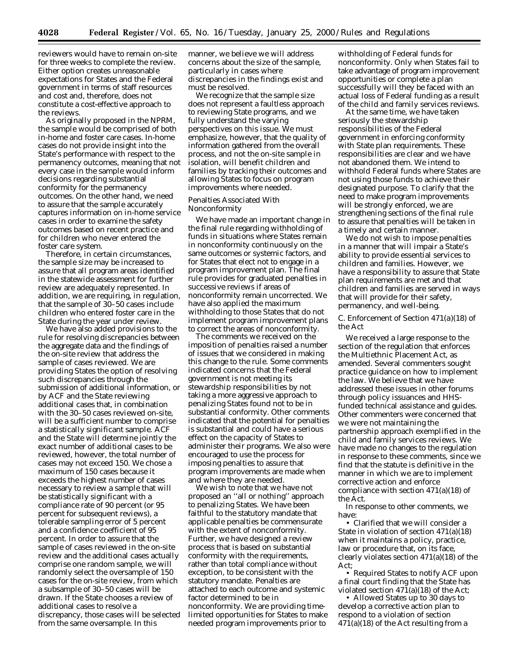reviewers would have to remain on-site for three weeks to complete the review. Either option creates unreasonable expectations for States and the Federal government in terms of staff resources and cost and, therefore, does not constitute a cost-effective approach to the reviews.

As originally proposed in the NPRM, the sample would be comprised of both in-home and foster care cases. In-home cases do not provide insight into the State's performance with respect to the permanency outcomes, meaning that not every case in the sample would inform decisions regarding substantial conformity for the permanency outcomes. On the other hand, we need to assure that the sample accurately captures information on in-home service cases in order to examine the safety outcomes based on recent practice and for children who never entered the foster care system.

Therefore, in certain circumstances, the sample size may be increased to assure that all program areas identified in the statewide assessment for further review are adequately represented. In addition, we are requiring, in regulation, that the sample of 30–50 cases include children who entered foster care in the State during the year under review.

We have also added provisions to the rule for resolving discrepancies between the aggregate data and the findings of the on-site review that address the sample of cases reviewed. We are providing States the option of resolving such discrepancies through the submission of additional information, or by ACF and the State reviewing additional cases that, in combination with the 30–50 cases reviewed on-site, will be a sufficient number to comprise a statistically significant sample. ACF and the State will determine jointly the exact number of additional cases to be reviewed, however, the total number of cases may not exceed 150. We chose a maximum of 150 cases because it exceeds the highest number of cases necessary to review a sample that will be statistically significant with a compliance rate of 90 percent (or 95 percent for subsequent reviews), a tolerable sampling error of 5 percent and a confidence coefficient of 95 percent. In order to assure that the sample of cases reviewed in the on-site review and the additional cases actually comprise one random sample, we will randomly select the oversample of 150 cases for the on-site review, from which a subsample of 30–50 cases will be drawn. If the State chooses a review of additional cases to resolve a discrepancy, those cases will be selected from the same oversample. In this

manner, we believe we will address concerns about the size of the sample, particularly in cases where discrepancies in the findings exist and must be resolved.

We recognize that the sample size does not represent a faultless approach to reviewing State programs, and we fully understand the varying perspectives on this issue. We must emphasize, however, that the quality of information gathered from the overall process, and not the on-site sample in isolation, will benefit children and families by tracking their outcomes and allowing States to focus on program improvements where needed.

### Penalties Associated With Nonconformity

We have made an important change in the final rule regarding withholding of funds in situations where States remain in nonconformity continuously on the same outcomes or systemic factors, and for States that elect not to engage in a program improvement plan. The final rule provides for graduated penalties in successive reviews if areas of nonconformity remain uncorrected. We have also applied the maximum withholding to those States that do not implement program improvement plans to correct the areas of nonconformity.

The comments we received on the imposition of penalties raised a number of issues that we considered in making this change to the rule. Some comments indicated concerns that the Federal government is not meeting its stewardship responsibilities by not taking a more aggressive approach to penalizing States found not to be in substantial conformity. Other comments indicated that the potential for penalties is substantial and could have a serious effect on the capacity of States to administer their programs. We also were encouraged to use the process for imposing penalties to assure that program improvements are made when and where they are needed.

We wish to note that we have not proposed an ''all or nothing'' approach to penalizing States. We have been faithful to the statutory mandate that applicable penalties be commensurate with the extent of nonconformity. Further, we have designed a review process that is based on substantial conformity with the requirements, rather than total compliance without exception, to be consistent with the statutory mandate. Penalties are attached to each outcome and systemic factor determined to be in nonconformity. We are providing timelimited opportunities for States to make needed program improvements prior to

withholding of Federal funds for nonconformity. Only when States fail to take advantage of program improvement opportunities or complete a plan successfully will they be faced with an actual loss of Federal funding as a result of the child and family services reviews.

At the same time, we have taken seriously the stewardship responsibilities of the Federal government in enforcing conformity with State plan requirements. These responsibilities are clear and we have not abandoned them. We intend to withhold Federal funds where States are not using those funds to achieve their designated purpose. To clarify that the need to make program improvements will be strongly enforced, we are strengthening sections of the final rule to assure that penalties will be taken in a timely and certain manner.

We do not wish to impose penalties in a manner that will impair a State's ability to provide essential services to children and families. However, we have a responsibility to assure that State plan requirements are met and that children and families are served in ways that will provide for their safety, permanency, and well-being.

### *C. Enforcement of Section 471(a)(18) of the Act*

We received a large response to the section of the regulation that enforces the Multiethnic Placement Act, as amended. Several commenters sought practice guidance on how to implement the law. We believe that we have addressed these issues in other forums through policy issuances and HHSfunded technical assistance and guides. Other commenters were concerned that we were not maintaining the partnership approach exemplified in the child and family services reviews. We have made no changes to the regulation in response to these comments, since we find that the statute is definitive in the manner in which we are to implement corrective action and enforce compliance with section 471(a)(18) of the Act.

In response to other comments, we have:

• Clarified that we will consider a State in violation of section 471(a)(18) when it maintains a policy, practice, law or procedure that, on its face, clearly violates section 471(a)(18) of the Act;

• Required States to notify ACF upon a final court finding that the State has violated section 471(a)(18) of the Act;

• Allowed States up to 30 days to develop a corrective action plan to respond to a violation of section 471(a)(18) of the Act resulting from a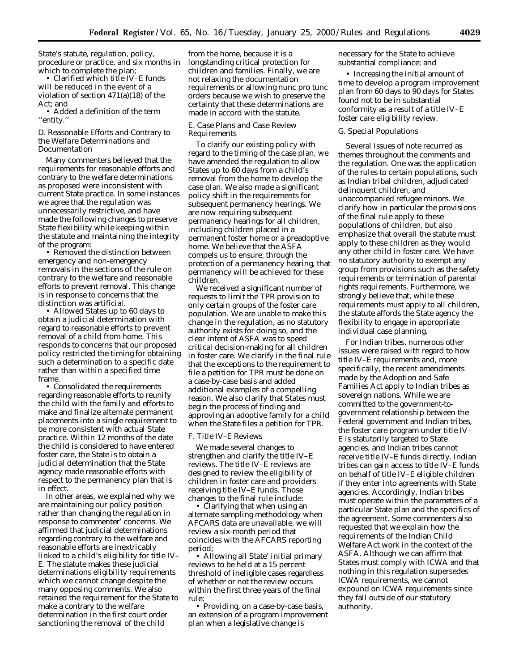State's statute, regulation, policy, procedure or practice, and six months in which to complete the plan;

• Clarified which title IV–E funds will be reduced in the event of a violation of section 471(a)(18) of the Act; and

• Added a definition of the term ''entity.''

### *D. Reasonable Efforts and Contrary to the Welfare Determinations and Documentation*

Many commenters believed that the requirements for reasonable efforts and contrary to the welfare determinations as proposed were inconsistent with current State practice. In some instances we agree that the regulation was unnecessarily restrictive, and have made the following changes to preserve State flexibility while keeping within the statute and maintaining the integrity of the program:

• Removed the distinction between emergency and non-emergency removals in the sections of the rule on contrary to the welfare and reasonable efforts to prevent removal. This change is in response to concerns that the distinction was artificial.

• Allowed States up to 60 days to obtain a judicial determination with regard to reasonable efforts to prevent removal of a child from home. This responds to concerns that our proposed policy restricted the timing for obtaining such a determination to a specific date rather than within a specified time frame.

• Consolidated the requirements regarding reasonable efforts to reunify the child with the family and efforts to make and finalize alternate permanent placements into a single requirement to be more consistent with actual State practice. Within 12 months of the date the child is considered to have entered foster care, the State is to obtain a judicial determination that the State agency made reasonable efforts with respect to the permanency plan that is in effect.

In other areas, we explained why we are maintaining our policy position rather than changing the regulation in response to commenter' concerns. We affirmed that judicial determinations regarding contrary to the welfare and reasonable efforts are inextricably linked to a child's eligibility for title IV– E. The statute makes these judicial determinations eligibility requirements which we cannot change despite the many opposing comments. We also retained the requirement for the State to make a contrary to the welfare determination in the first court order sanctioning the removal of the child

from the home, because it is a longstanding critical protection for children and families. Finally, we are not relaxing the documentation requirements or allowing *nunc pro tunc* orders because we wish to preserve the certainty that these determinations are made in accord with the statute.

# *E. Case Plans and Case Review Requirements*

To clarify our existing policy with regard to the timing of the case plan, we have amended the regulation to allow States up to 60 days from a child's removal from the home to develop the case plan. We also made a significant policy shift in the requirements for subsequent permanency hearings. We are now requiring subsequent permanency hearings for all children, including children placed in a permanent foster home or a preadoptive home. We believe that the ASFA compels us to ensure, through the protection of a permanency hearing, that permanency will be achieved for these children.

We received a significant number of requests to limit the TPR provision to only certain groups of the foster care population. We are unable to make this change in the regulation, as no statutory authority exists for doing so, and the clear intent of ASFA was to speed critical decision-making for all children in foster care. We clarify in the final rule that the exceptions to the requirement to file a petition for TPR must be done on a case-by-case basis and added additional examples of a compelling reason. We also clarify that States must begin the process of finding and approving an adoptive family for a child when the State files a petition for TPR.

#### *F. Title IV–E Reviews*

We made several changes to strengthen and clarify the title IV–E reviews. The title IV–E reviews are designed to review the eligibility of children in foster care and providers receiving title IV–E funds. Those changes to the final rule include:

• Clarifying that when using an alternate sampling methodology when AFCARS data are unavailable, we will review a six-month period that coincides with the AFCARS reporting period;

• Allowing all State' initial primary reviews to be held at a 15 percent threshold of ineligible cases regardless of whether or not the review occurs within the first three years of the final rule;

• Providing, on a case-by-case basis, an extension of a program improvement plan when a legislative change is

necessary for the State to achieve substantial compliance; and

• Increasing the initial amount of time to develop a program improvement plan from 60 days to 90 days for States found not to be in substantial conformity as a result of a title IV–E foster care eligibility review.

## *G. Special Populations*

Several issues of note recurred as themes throughout the comments and the regulation. One was the application of the rules to certain populations, such as Indian tribal children, adjudicated delinquent children, and unaccompanied refugee minors. We clarify how in particular the provisions of the final rule apply to these populations of children, but also emphasize that overall the statute must apply to these children as they would any other child in foster care. We have no statutory authority to exempt any group from provisions such as the safety requirements or termination of parental rights requirements. Furthermore, we strongly believe that, while these requirements must apply to all children, the statute affords the State agency the flexibility to engage in appropriate individual case planning.

For Indian tribes, numerous other issues were raised with regard to how title IV–E requirements and, more specifically, the recent amendments made by the Adoption and Safe Families Act apply to Indian tribes as sovereign nations. While we are committed to the government-togovernment relationship between the Federal government and Indian tribes, the foster care program under title IV– E is statutorily targeted to State agencies, and Indian tribes cannot receive title IV–E funds directly. Indian tribes can gain access to title IV–E funds on behalf of title IV–E eligible children if they enter into agreements with State agencies. Accordingly, Indian tribes must operate within the parameters of a particular State plan and the specifics of the agreement. Some commenters also requested that we explain how the requirements of the Indian Child Welfare Act work in the context of the ASFA. Although we can affirm that States must comply with ICWA and that nothing in this regulation supersedes ICWA requirements, we cannot expound on ICWA requirements since they fall outside of our statutory authority.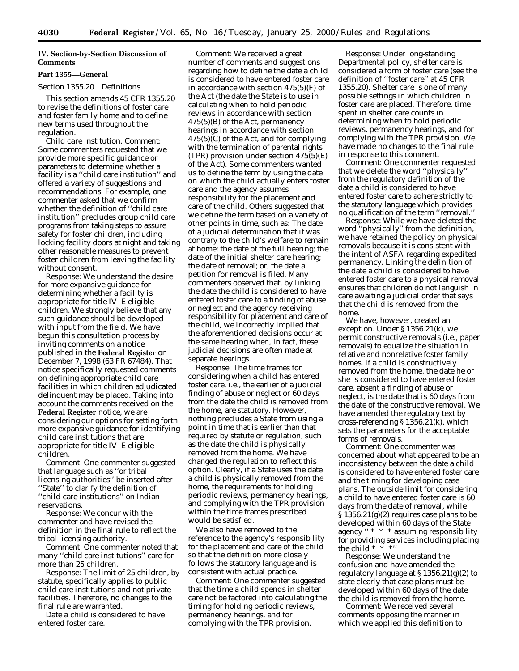## **IV. Section-by-Section Discussion of Comments**

# **Part 1355—General**

#### *Section 1355.20 Definitions*

This section amends 45 CFR 1355.20 to revise the definitions of foster care and foster family home and to define new terms used throughout the regulation.

*Child care institution. Comment:* Some commenters requested that we provide more specific guidance or parameters to determine whether a facility is a ''child care institution'' and offered a variety of suggestions and recommendations. For example, one commenter asked that we confirm whether the definition of ''child care institution'' precludes group child care programs from taking steps to assure safety for foster children, including locking facility doors at night and taking other reasonable measures to prevent foster children from leaving the facility without consent.

*Response:* We understand the desire for more expansive guidance for determining whether a facility is appropriate for title IV–E eligible children. We strongly believe that any such guidance should be developed with input from the field. We have begun this consultation process by inviting comments on a notice published in the **Federal Register** on December 7, 1998 (63 FR 67484). That notice specifically requested comments on defining appropriate child care facilities in which children adjudicated delinquent may be placed. Taking into account the comments received on the **Federal Register** notice, we are considering our options for setting forth more expansive guidance for identifying child care institutions that are appropriate for title IV–E eligible children.

*Comment:* One commenter suggested that language such as ''or tribal licensing authorities'' be inserted after ''State'' to clarify the definition of ''child care institutions'' on Indian reservations.

*Response:* We concur with the commenter and have revised the definition in the final rule to reflect the tribal licensing authority.

*Comment:* One commenter noted that many ''child care institutions'' care for more than 25 children.

*Response:* The limit of 25 children, by statute, specifically applies to public child care institutions and not private facilities. Therefore, no changes to the final rule are warranted.

*Date a child is considered to have entered foster care.* 

*Comment:* We received a great number of comments and suggestions regarding how to define the date a child is considered to have entered foster care in accordance with section 475(5)(F) of the Act (the date the State is to use in calculating when to hold periodic reviews in accordance with section 475(5)(B) of the Act, permanency hearings in accordance with section  $475(5)(C)$  of the Act, and for complying with the termination of parental rights (TPR) provision under section 475(5)(E) of the Act). Some commenters wanted us to define the term by using the date on which the child actually enters foster care and the agency assumes responsibility for the placement and care of the child. Others suggested that we define the term based on a variety of other points in time, such as: The date of a judicial determination that it was contrary to the child's welfare to remain at home; the date of the full hearing; the date of the initial shelter care hearing; the date of removal; or, the date a petition for removal is filed. Many commenters observed that, by linking the date the child is considered to have entered foster care to a finding of abuse or neglect and the agency receiving responsibility for placement and care of the child, we incorrectly implied that the aforementioned decisions occur at the same hearing when, in fact, these judicial decisions are often made at separate hearings.

*Response:* The time frames for considering when a child has entered foster care, *i.e.,* the earlier of a judicial finding of abuse or neglect or 60 days from the date the child is removed from the home, are statutory. However, nothing precludes a State from using a point in time that is earlier than that required by statute or regulation, such as the date the child is physically removed from the home. We have changed the regulation to reflect this option. Clearly, if a State uses the date a child is physically removed from the home, the requirements for holding periodic reviews, permanency hearings, and complying with the TPR provision within the time frames prescribed would be satisfied.

We also have removed to the reference to the agency's responsibility for the placement and care of the child so that the definition more closely follows the statutory language and is consistent with actual practice.

*Comment:* One commenter suggested that the time a child spends in shelter care not be factored into calculating the timing for holding periodic reviews, permanency hearings, and for complying with the TPR provision.

*Response:* Under long-standing Departmental policy, shelter care is considered a form of foster care (see the definition of ''foster care'' at 45 CFR 1355.20). Shelter care is one of many possible settings in which children in foster care are placed. Therefore, time spent in shelter care counts in determining when to hold periodic reviews, permanency hearings, and for complying with the TPR provision. We have made no changes to the final rule in response to this comment.

*Comment:* One commenter requested that we delete the word ''physically'' from the regulatory definition of the date a child is considered to have entered foster care to adhere strictly to the statutory language which provides no qualification of the term ''removal.''

*Response:* While we have deleted the word ''physically'' from the definition, we have retained the policy on physical removals because it is consistent with the intent of ASFA regarding expedited permanency. Linking the definition of the date a child is considered to have entered foster care to a physical removal ensures that children do not languish in care awaiting a judicial order that says that the child is removed from the home.

We have, however, created an exception. Under § 1356.21(k), we permit constructive removals (*i.e.,* paper removals) to equalize the situation in relative and nonrelative foster family homes. If a child is constructively removed from the home, the date he or she is considered to have entered foster care, absent a finding of abuse or neglect, is the date that is 60 days from the date of the constructive removal. We have amended the regulatory text by cross-referencing § 1356.21(k), which sets the parameters for the acceptable forms of removals.

*Comment:* One commenter was concerned about what appeared to be an inconsistency between the date a child is considered to have entered foster care and the timing for developing case plans. The outside limit for considering a child to have entered foster care is 60 days from the date of removal, while § 1356.21(g)(2) requires case plans to be developed within 60 days of the State agency " $* * *$  assuming responsibility for providing services including placing the child  $*$   $*$   $*$ "

*Response:* We understand the confusion and have amended the regulatory language at § 1356.21(g)(2) to state clearly that case plans must be developed within 60 days of the date the child is removed from the home.

*Comment:* We received several comments opposing the manner in which we applied this definition to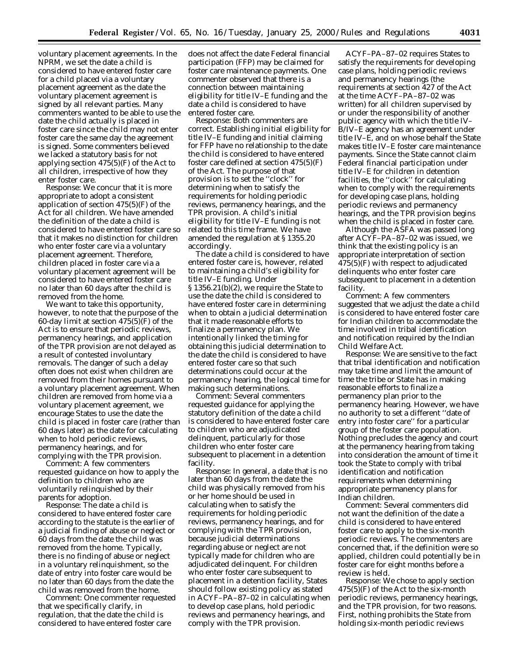voluntary placement agreements. In the NPRM, we set the date a child is considered to have entered foster care for a child placed via a voluntary placement agreement as the date the voluntary placement agreement is signed by all relevant parties. Many commenters wanted to be able to use the date the child actually is placed in foster care since the child may not enter foster care the same day the agreement is signed. Some commenters believed we lacked a statutory basis for not applying section  $475(5)(F)$  of the Act to all children, irrespective of how they enter foster care.

*Response:* We concur that it is more appropriate to adopt a consistent application of section 475(5)(F) of the Act for all children. We have amended the definition of the date a child is considered to have entered foster care so that it makes no distinction for children who enter foster care via a voluntary placement agreement. Therefore, children placed in foster care via a voluntary placement agreement will be considered to have entered foster care no later than 60 days after the child is removed from the home.

We want to take this opportunity, however, to note that the purpose of the 60-day limit at section 475(5)(F) of the Act is to ensure that periodic reviews, permanency hearings, and application of the TPR provision are not delayed as a result of contested involuntary removals. The danger of such a delay often does not exist when children are removed from their homes pursuant to a voluntary placement agreement. When children are removed from home via a voluntary placement agreement, we encourage States to use the date the child is placed in foster care (rather than 60 days later) as the date for calculating when to hold periodic reviews, permanency hearings, and for complying with the TPR provision.

*Comment:* A few commenters requested guidance on how to apply the definition to children who are voluntarily relinquished by their parents for adoption.

*Response:* The date a child is considered to have entered foster care according to the statute is the earlier of a judicial finding of abuse or neglect or 60 days from the date the child was removed from the home. Typically, there is no finding of abuse or neglect in a voluntary relinquishment, so the date of entry into foster care would be no later than 60 days from the date the child was removed from the home.

*Comment:* One commenter requested that we specifically clarify, in regulation, that the date the child is considered to have entered foster care

does not affect the date Federal financial participation (FFP) may be claimed for foster care maintenance payments. One commenter observed that there is a connection between maintaining eligibility for title IV–E funding and the date a child is considered to have entered foster care.

*Response:* Both commenters are correct. Establishing initial eligibility for title IV–E funding and initial claiming for FFP have no relationship to the date the child is considered to have entered foster care defined at section 475(5)(F) of the Act. The purpose of that provision is to set the ''clock'' for determining when to satisfy the requirements for holding periodic reviews, permanency hearings, and the TPR provision. A child's initial eligibility for title IV–E funding is not related to this time frame. We have amended the regulation at § 1355.20 accordingly.

The date a child is considered to have entered foster care is, however, related to maintaining a child's eligibility for title IV–E funding. Under § 1356.21(b)(2), we require the State to use the date the child is considered to have entered foster care in determining when to obtain a judicial determination that it made reasonable efforts to finalize a permanency plan. We intentionally linked the timing for obtaining this judicial determination to the date the child is considered to have entered foster care so that such determinations could occur at the permanency hearing, the logical time for making such determinations.

*Comment:* Several commenters requested guidance for applying the statutory definition of the date a child is considered to have entered foster care to children who are adjudicated delinquent, particularly for those children who enter foster care subsequent to placement in a detention facility.

*Response:* In general, a date that is no later than 60 days from the date the child was physically removed from his or her home should be used in calculating when to satisfy the requirements for holding periodic reviews, permanency hearings, and for complying with the TPR provision, because judicial determinations regarding abuse or neglect are not typically made for children who are adjudicated delinquent. For children who enter foster care subsequent to placement in a detention facility, States should follow existing policy as stated in ACYF–PA–87–02 in calculating when to develop case plans, hold periodic reviews and permanency hearings, and comply with the TPR provision.

ACYF–PA–87–02 requires States to satisfy the requirements for developing case plans, holding periodic reviews and permanency hearings (the requirements at section 427 of the Act at the time ACYF–PA–87–02 was written) for all children supervised by or under the responsibility of another public agency with which the title IV– B/IV–E agency has an agreement under title IV–E, and on whose behalf the State makes title IV–E foster care maintenance payments. Since the State cannot claim Federal financial participation under title IV–E for children in detention facilities, the ''clock'' for calculating when to comply with the requirements for developing case plans, holding periodic reviews and permanency hearings, and the TPR provision begins when the child is placed in foster care.

Although the ASFA was passed long after ACYF–PA–87–02 was issued, we think that the existing policy is an appropriate interpretation of section 475(5)(F) with respect to adjudicated delinquents who enter foster care subsequent to placement in a detention facility.

*Comment:* A few commenters suggested that we adjust the date a child is considered to have entered foster care for Indian children to accommodate the time involved in tribal identification and notification required by the Indian Child Welfare Act.

*Response:* We are sensitive to the fact that tribal identification and notification may take time and limit the amount of time the tribe or State has in making reasonable efforts to finalize a permanency plan prior to the permanency hearing. However, we have no authority to set a different ''date of entry into foster care'' for a particular group of the foster care population. Nothing precludes the agency and court at the permanency hearing from taking into consideration the amount of time it took the State to comply with tribal identification and notification requirements when determining appropriate permanency plans for Indian children.

*Comment:* Several commenters did not want the definition of the date a child is considered to have entered foster care to apply to the six-month periodic reviews. The commenters are concerned that, if the definition were so applied, children could potentially be in foster care for eight months before a review is held.

*Response:* We chose to apply section 475(5)(F) of the Act to the six-month periodic reviews, permanency hearings, and the TPR provision, for two reasons. First, nothing prohibits the State from holding six-month periodic reviews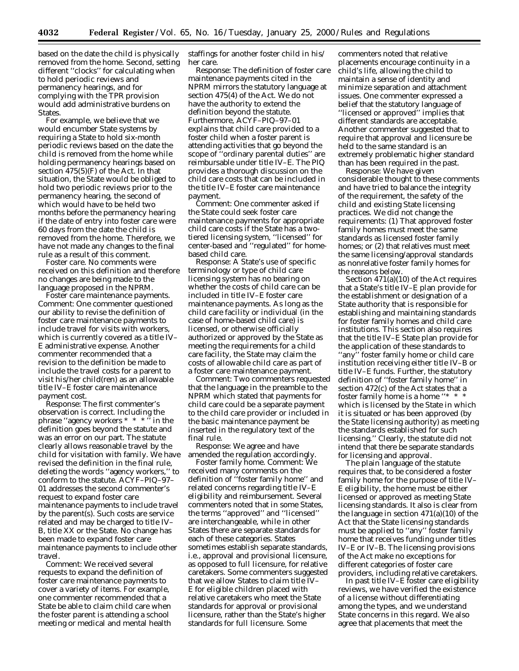based on the date the child is physically removed from the home. Second, setting different ''clocks'' for calculating when to hold periodic reviews and permanency hearings, and for complying with the TPR provision would add administrative burdens on States.

For example, we believe that we would encumber State systems by requiring a State to hold six-month periodic reviews based on the date the child is removed from the home while holding permanency hearings based on section 475(5)(F) of the Act. In that situation, the State would be obliged to hold two periodic reviews prior to the permanency hearing, the second of which would have to be held two months before the permanency hearing if the date of entry into foster care were 60 days from the date the child is removed from the home. Therefore, we have not made any changes to the final rule as a result of this comment.

*Foster care.* No comments were received on this definition and therefore no changes are being made to the language proposed in the NPRM.

*Foster care maintenance payments. Comment:* One commenter questioned our ability to revise the definition of foster care maintenance payments to include travel for visits with workers, which is currently covered as a title IV– E administrative expense. Another commenter recommended that a revision to the definition be made to include the travel costs for a parent to visit his/her child(ren) as an allowable title IV–E foster care maintenance payment cost.

*Response:* The first commenter's observation is correct. Including the phrase ''agency workers \* \* \* '' in the definition goes beyond the statute and was an error on our part. The statute clearly allows reasonable travel by the child for visitation with family. We have revised the definition in the final rule, deleting the words ''agency workers,'' to conform to the statute. ACYF–PIQ–97– 01 addresses the second commenter's request to expand foster care maintenance payments to include travel by the parent(s). Such costs are service related and may be charged to title IV– B, title XX or the State. No change has been made to expand foster care maintenance payments to include other travel.

*Comment:* We received several requests to expand the definition of foster care maintenance payments to cover a variety of items. For example, one commenter recommended that a State be able to claim child care when the foster parent is attending a school meeting or medical and mental health staffings for another foster child in his/ her care.

*Response:* The definition of foster care maintenance payments cited in the NPRM mirrors the statutory language at section 475(4) of the Act. We do not have the authority to extend the definition beyond the statute. Furthermore, ACYF–PIQ–97–01 explains that child care provided to a foster child when a foster parent is attending activities that go beyond the scope of ''ordinary parental duties'' are reimbursable under title IV–E. The PIQ provides a thorough discussion on the child care costs that can be included in the title IV–E foster care maintenance payment.

*Comment:* One commenter asked if the State could seek foster care maintenance payments for appropriate child care costs if the State has a twotiered licensing system, ''licensed'' for center-based and ''regulated'' for homebased child care.

*Response:* A State's use of specific terminology or type of child care licensing system has no bearing on whether the costs of child care can be included in title IV–E foster care maintenance payments. As long as the child care facility or individual (in the case of home-based child care) is licensed, or otherwise officially authorized or approved by the State as meeting the requirements for a child care facility, the State may claim the costs of allowable child care as part of a foster care maintenance payment.

*Comment:* Two commenters requested that the language in the preamble to the NPRM which stated that payments for child care could be a separate payment to the child care provider or included in the basic maintenance payment be inserted in the regulatory text of the final rule.

*Response:* We agree and have amended the regulation accordingly.

*Foster family home. Comment:* We received many comments on the definition of ''foster family home'' and related concerns regarding title IV–E eligibility and reimbursement. Several commenters noted that in some States, the terms ''approved'' and ''licensed'' are interchangeable, while in other States there are separate standards for each of these categories. States sometimes establish separate standards, *i.e.,* approval and provisional licensure, as opposed to full licensure, for relative caretakers. Some commenters suggested that we allow States to claim title IV– E for eligible children placed with relative caretakers who meet the State standards for approval or provisional licensure, rather than the State's higher standards for full licensure. Some

commenters noted that relative placements encourage continuity in a child's life, allowing the child to maintain a sense of identity and minimize separation and attachment issues. One commenter expressed a belief that the statutory language of ''licensed or approved'' implies that different standards are acceptable. Another commenter suggested that to require that approval and licensure be held to the same standard is an extremely problematic higher standard than has been required in the past.

*Response:* We have given considerable thought to these comments and have tried to balance the integrity of the requirement, the safety of the child and existing State licensing practices. We did not change the requirements: (1) That approved foster family homes must meet the same standards as licensed foster family homes; or (2) that relatives must meet the same licensing/approval standards as nonrelative foster family homes for the reasons below.

Section 471(a)(10) of the Act requires that a State's title IV–E plan provide for the establishment or designation of a State authority that is responsible for establishing and maintaining standards for foster family homes and child care institutions. This section also requires that the title IV–E State plan provide for the application of these standards to ''any'' foster family home or child care institution receiving either title IV–B or title IV–E funds. Further, the statutory definition of ''foster family home'' in section 472(c) of the Act states that a foster family home is a home "\* \* \* which is licensed by the State in which it is situated or has been approved (by the State licensing authority) as meeting the standards established for such licensing.'' Clearly, the statute did not intend that there be separate standards for licensing and approval.

The plain language of the statute requires that, to be considered a foster family home for the purpose of title IV– E eligibility, the home must be either licensed or approved as meeting State licensing standards. It also is clear from the language in section  $471(a)(10)$  of the Act that the State licensing standards must be applied to ''any'' foster family home that receives funding under titles IV–E or IV–B. The licensing provisions of the Act make no exceptions for different categories of foster care providers, including relative caretakers.

In past title IV–E foster care eligibility reviews, we have verified the existence of a license without differentiating among the types, and we understand State concerns in this regard. We also agree that placements that meet the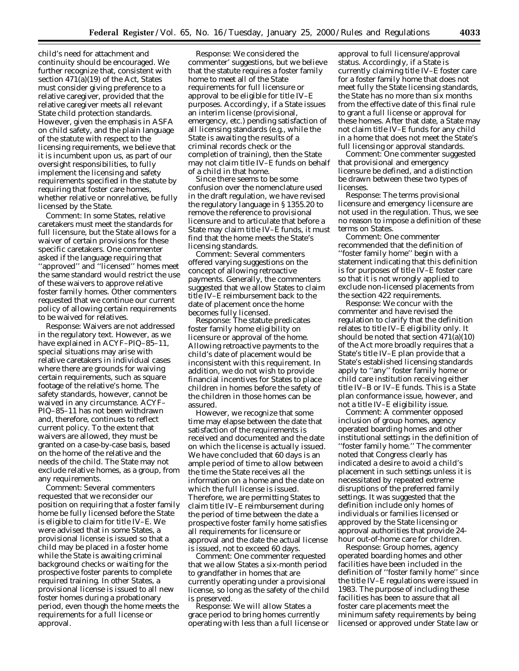child's need for attachment and continuity should be encouraged. We further recognize that, consistent with section 471(a)(19) of the Act, States must consider giving preference to a relative caregiver, provided that the relative caregiver meets all relevant State child protection standards. However, given the emphasis in ASFA on child safety, and the plain language of the statute with respect to the licensing requirements, we believe that it is incumbent upon us, as part of our oversight responsibilities, to fully implement the licensing and safety requirements specified in the statute by requiring that foster care homes, whether relative or nonrelative, be fully licensed by the State.

*Comment:* In some States, relative caretakers must meet the standards for full licensure, but the State allows for a waiver of certain provisions for these specific caretakers. One commenter asked if the language requiring that ''approved'' and ''licensed'' homes meet the same standard would restrict the use of these waivers to approve relative foster family homes. Other commenters requested that we continue our current policy of allowing certain requirements to be waived for relatives.

*Response:* Waivers are not addressed in the regulatory text. However, as we have explained in ACYF–PIQ–85–11, special situations may arise with relative caretakers in individual cases where there are grounds for waiving certain requirements, such as square footage of the relative's home. The safety standards, however, cannot be waived in any circumstance. ACYF– PIQ–85–11 has not been withdrawn and, therefore, continues to reflect current policy. To the extent that waivers are allowed, they must be granted on a case-by-case basis, based on the home of the relative and the needs of the child. The State may not exclude relative homes, as a group, from any requirements.

*Comment:* Several commenters requested that we reconsider our position on requiring that a foster family home be fully licensed before the State is eligible to claim for title IV–E. We were advised that in some States, a provisional license is issued so that a child may be placed in a foster home while the State is awaiting criminal background checks or waiting for the prospective foster parents to complete required training. In other States, a provisional license is issued to all new foster homes during a probationary period, even though the home meets the requirements for a full license or approval.

*Response:* We considered the commenter' suggestions, but we believe that the statute requires a foster family home to meet all of the State requirements for full licensure or approval to be eligible for title IV–E purposes. Accordingly, if a State issues an interim license (provisional, emergency, etc.) pending satisfaction of all licensing standards (*e.g.,* while the State is awaiting the results of a criminal records check or the completion of training), then the State may not claim title IV–E funds on behalf of a child in that home.

Since there seems to be some confusion over the nomenclature used in the draft regulation, we have revised the regulatory language in § 1355.20 to remove the reference to provisional licensure and to articulate that before a State may claim title IV–E funds, it must find that the home meets the State's licensing standards.

*Comment:* Several commenters offered varying suggestions on the concept of allowing retroactive payments. Generally, the commenters suggested that we allow States to claim title IV–E reimbursement back to the date of placement once the home becomes fully licensed.

*Response:* The statute predicates foster family home eligibility on licensure or approval of the home. Allowing retroactive payments to the child's date of placement would be inconsistent with this requirement. In addition, we do not wish to provide financial incentives for States to place children in homes before the safety of the children in those homes can be assured.

However, we recognize that some time may elapse between the date that satisfaction of the requirements is received and documented and the date on which the license is actually issued. We have concluded that 60 days is an ample period of time to allow between the time the State receives all the information on a home and the date on which the full license is issued. Therefore, we are permitting States to claim title IV–E reimbursement during the period of time between the date a prospective foster family home satisfies all requirements for licensure or approval and the date the actual license is issued, not to exceed 60 days.

*Comment:* One commenter requested that we allow States a six-month period to grandfather in homes that are currently operating under a provisional license, so long as the safety of the child is preserved.

*Response:* We will allow States a grace period to bring homes currently operating with less than a full license or approval to full licensure/approval status. Accordingly, if a State is currently claiming title IV–E foster care for a foster family home that does not meet fully the State licensing standards, the State has no more than six months from the effective date of this final rule to grant a full license or approval for these homes. After that date, a State may not claim title IV–E funds for any child in a home that does not meet the State's full licensing or approval standards.

*Comment:* One commenter suggested that provisional and emergency licensure be defined, and a distinction be drawn between these two types of licenses.

*Response:* The terms provisional licensure and emergency licensure are not used in the regulation. Thus, we see no reason to impose a definition of these terms on States.

*Comment:* One commenter recommended that the definition of ''foster family home'' begin with a statement indicating that this definition is for purposes of title IV–E foster care so that it is not wrongly applied to exclude non-licensed placements from the section 422 requirements.

*Response:* We concur with the commenter and have revised the regulation to clarify that the definition relates to title IV–E eligibility only. It should be noted that section 471(a)(10) of the Act more broadly requires that a State's title IV–E plan provide that a State's established licensing standards apply to ''any'' foster family home or child care institution receiving either title IV–B or IV–E funds. This is a State plan conformance issue, however, and not a title IV–E eligibility issue.

*Comment:* A commenter opposed inclusion of group homes, agency operated boarding homes and other institutional settings in the definition of ''foster family home.'' The commenter noted that Congress clearly has indicated a desire to avoid a child's placement in such settings unless it is necessitated by repeated extreme disruptions of the preferred family settings. It was suggested that the definition include only homes of individuals or families licensed or approved by the State licensing or approval authorities that provide 24 hour out-of-home care for children.

*Response:* Group homes, agency operated boarding homes and other facilities have been included in the definition of ''foster family home'' since the title IV–E regulations were issued in 1983. The purpose of including these facilities has been to assure that all foster care placements meet the minimum safety requirements by being licensed or approved under State law or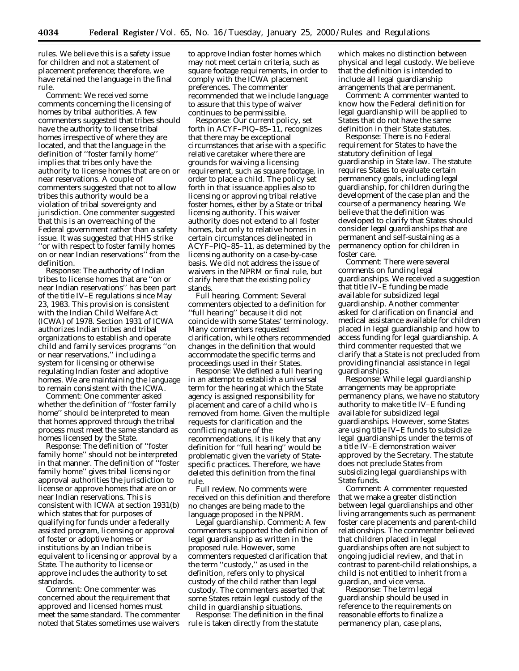rules. We believe this is a safety issue for children and not a statement of placement preference; therefore, we have retained the language in the final rule.

*Comment:* We received some comments concerning the licensing of homes by tribal authorities. A few commenters suggested that tribes should have the authority to license tribal homes irrespective of where they are located, and that the language in the definition of ''foster family home'' implies that tribes only have the authority to license homes that are on or near reservations. A couple of commenters suggested that not to allow tribes this authority would be a violation of tribal sovereignty and jurisdiction. One commenter suggested that this is an overreaching of the Federal government rather than a safety issue. It was suggested that HHS strike ''or with respect to foster family homes on or near Indian reservations'' from the definition.

*Response:* The authority of Indian tribes to license homes that are ''on or near Indian reservations'' has been part of the title IV–E regulations since May 23, 1983. This provision is consistent with the Indian Child Welfare Act (ICWA) of 1978. Section 1931 of ICWA authorizes Indian tribes and tribal organizations to establish and operate child and family services programs ''on or near reservations,'' including a system for licensing or otherwise regulating Indian foster and adoptive homes. We are maintaining the language to remain consistent with the ICWA.

*Comment:* One commenter asked whether the definition of ''foster family home'' should be interpreted to mean that homes approved through the tribal process must meet the same standard as homes licensed by the State.

*Response:* The definition of ''foster family home'' should not be interpreted in that manner. The definition of ''foster family home'' gives tribal licensing or approval authorities the jurisdiction to license or approve homes that are on or near Indian reservations. This is consistent with ICWA at section 1931(b) which states that for purposes of qualifying for funds under a federally assisted program, licensing or approval of foster or adoptive homes or institutions by an Indian tribe is equivalent to licensing or approval by a State. The authority to license or approve includes the authority to set standards.

*Comment:* One commenter was concerned about the requirement that approved and licensed homes must meet the same standard. The commenter noted that States sometimes use waivers

to approve Indian foster homes which may not meet certain criteria, such as square footage requirements, in order to comply with the ICWA placement preferences. The commenter recommended that we include language to assure that this type of waiver continues to be permissible.

*Response:* Our current policy, set forth in ACYF–PIQ–85–11, recognizes that there may be exceptional circumstances that arise with a specific relative caretaker where there are grounds for waiving a licensing requirement, such as square footage, in order to place a child. The policy set forth in that issuance applies also to licensing or approving tribal relative foster homes, either by a State or tribal licensing authority. This waiver authority does not extend to all foster homes, but only to relative homes in certain circumstances delineated in ACYF–PIQ–85–11, as determined by the licensing authority on a case-by-case basis. We did not address the issue of waivers in the NPRM or final rule, but clarify here that the existing policy stands.

*Full hearing. Comment:* Several commenters objected to a definition for ''full hearing'' because it did not coincide with some States' terminology. Many commenters requested clarification, while others recommended changes in the definition that would accommodate the specific terms and proceedings used in their States.

*Response:* We defined a full hearing in an attempt to establish a universal term for the hearing at which the State agency is assigned responsibility for placement and care of a child who is removed from home. Given the multiple requests for clarification and the conflicting nature of the recommendations, it is likely that any definition for ''full hearing'' would be problematic given the variety of Statespecific practices. Therefore, we have deleted this definition from the final rule.

*Full review.* No comments were received on this definition and therefore no changes are being made to the language proposed in the NPRM.

*Legal guardianship. Comment:* A few commenters supported the definition of legal guardianship as written in the proposed rule. However, some commenters requested clarification that the term ''custody,'' as used in the definition, refers only to physical custody of the child rather than legal custody. The commenters asserted that some States retain legal custody of the child in guardianship situations.

*Response:* The definition in the final rule is taken directly from the statute

which makes no distinction between physical and legal custody. We believe that the definition is intended to include all legal guardianship arrangements that are permanent.

*Comment:* A commenter wanted to know how the Federal definition for legal guardianship will be applied to States that do not have the same definition in their State statutes.

*Response:* There is no Federal requirement for States to have the statutory definition of legal guardianship in State law. The statute requires States to evaluate certain permanency goals, including legal guardianship, for children during the development of the case plan and the course of a permanency hearing. We believe that the definition was developed to clarify that States should consider legal guardianships that are permanent and self-sustaining as a permanency option for children in foster care.

*Comment:* There were several comments on funding legal guardianships. We received a suggestion that title IV–E funding be made available for subsidized legal guardianship. Another commenter asked for clarification on financial and medical assistance available for children placed in legal guardianship and how to access funding for legal guardianship. A third commenter requested that we clarify that a State is not precluded from providing financial assistance in legal guardianships.

*Response:* While legal guardianship arrangements may be appropriate permanency plans, we have no statutory authority to make title IV–E funding available for subsidized legal guardianships. However, some States are using title IV–E funds to subsidize legal guardianships under the terms of a title IV–E demonstration waiver approved by the Secretary. The statute does not preclude States from subsidizing legal guardianships with State funds.

*Comment:* A commenter requested that we make a greater distinction between legal guardianships and other living arrangements such as permanent foster care placements and parent-child relationships. The commenter believed that children placed in legal guardianships often are not subject to ongoing judicial review, and that in contrast to parent-child relationships, a child is not entitled to inherit from a guardian, and vice versa.

*Response:* The term legal guardianship should be used in reference to the requirements on reasonable efforts to finalize a permanency plan, case plans,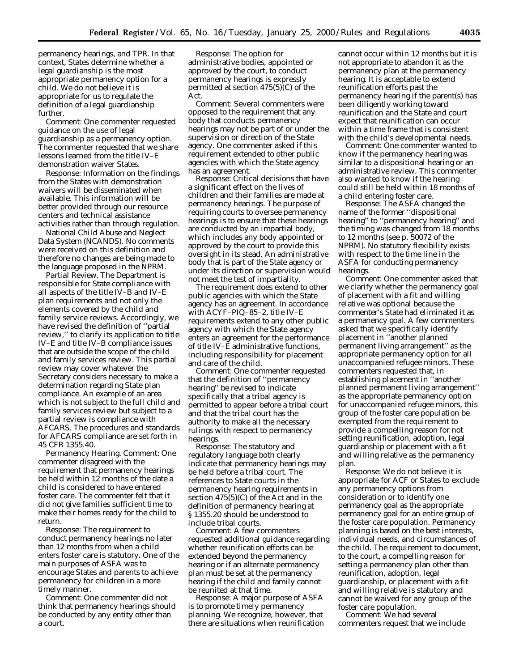permanency hearings, and TPR. In that context, States determine whether a legal guardianship is the most appropriate permanency option for a child. We do not believe it is appropriate for us to regulate the definition of a legal guardianship further.

*Comment:* One commenter requested guidance on the use of legal guardianship as a permanency option. The commenter requested that we share lessons learned from the title IV–E demonstration waiver States.

*Response:* Information on the findings from the States with demonstration waivers will be disseminated when available. This information will be better provided through our resource centers and technical assistance activities rather than through regulation.

National Child Abuse and Neglect Data System (NCANDS). No comments were received on this definition and therefore no changes are being made to the language proposed in the NPRM.

*Partial Review.* The Department is responsible for State compliance with all aspects of the title IV–B and IV–E plan requirements and not only the elements covered by the child and family service reviews. Accordingly, we have revised the definition of ''partial review,'' to clarify its application to title IV–E and title IV–B compliance issues that are outside the scope of the child and family services review. This partial review may cover whatever the Secretary considers necessary to make a determination regarding State plan compliance. An example of an area which is not subject to the full child and family services review but subject to a partial review is compliance with AFCARS. The procedures and standards for AFCARS compliance are set forth in 45 CFR 1355.40.

*Permanency Hearing. Comment:* One commenter disagreed with the requirement that permanency hearings be held within 12 months of the date a child is considered to have entered foster care. The commenter felt that it did not give families sufficient time to make their homes ready for the child to return.

*Response:* The requirement to conduct permanency hearings no later than 12 months from when a child enters foster care is statutory. One of the main purposes of ASFA was to encourage States and parents to achieve permanency for children in a more timely manner.

*Comment:* One commenter did not think that permanency hearings should be conducted by any entity other than a court.

*Response:* The option for administrative bodies, appointed or approved by the court, to conduct permanency hearings is expressly permitted at section  $475(5)(C)$  of the Act.

*Comment:* Several commenters were opposed to the requirement that any body that conducts permanency hearings may not be part of or under the supervision or direction of the State agency. One commenter asked if this requirement extended to other public agencies with which the State agency has an agreement.

*Response:* Critical decisions that have a significant effect on the lives of children and their families are made at permanency hearings. The purpose of requiring courts to oversee permanency hearings is to ensure that these hearings are conducted by an impartial body, which includes any body appointed or approved by the court to provide this oversight in its stead. An administrative body that is part of the State agency or under its direction or supervision would not meet the test of impartiality.

The requirement does extend to other public agencies with which the State agency has an agreement. In accordance with ACYF–PIQ–85–2, title IV–E requirements extend to any other public agency with which the State agency enters an agreement for the performance of title IV–E administrative functions, including responsibility for placement and care of the child.

*Comment:* One commenter requested that the definition of ''permanency hearing'' be revised to indicate specifically that a tribal agency is permitted to appear before a tribal court and that the tribal court has the authority to make all the necessary rulings with respect to permanency hearings.

*Response:* The statutory and regulatory language both clearly indicate that permanency hearings may be held before a tribal court. The references to State courts in the permanency hearing requirements in section 475(5)(C) of the Act and in the definition of permanency hearing at § 1355.20 should be understood to include tribal courts.

*Comment:* A few commenters requested additional guidance regarding whether reunification efforts can be extended beyond the permanency hearing or if an alternate permanency plan must be set at the permanency hearing if the child and family cannot be reunited at that time.

*Response:* A major purpose of ASFA is to promote timely permanency planning. We recognize, however, that there are situations when reunification

cannot occur within 12 months but it is not appropriate to abandon it as the permanency plan at the permanency hearing. It is acceptable to extend reunification efforts past the permanency hearing if the parent(s) has been diligently working toward reunification and the State and court expect that reunification can occur within a time frame that is consistent with the child's developmental needs.

*Comment:* One commenter wanted to know if the permanency hearing was similar to a dispositional hearing or an administrative review. This commenter also wanted to know if the hearing could still be held within 18 months of a child entering foster care.

*Response:* The ASFA changed the name of the former ''dispositional hearing'' to ''permanency hearing'' and the timing was changed from 18 months to 12 months (see p. 50072 of the NPRM). No statutory flexibility exists with respect to the time line in the ASFA for conducting permanency hearings.

*Comment:* One commenter asked that we clarify whether the permanency goal of placement with a fit and willing relative was optional because the commenter's State had eliminated it as a permanency goal. A few commenters asked that we specifically identify placement in ''another planned permanent living arrangement'' as the appropriate permanency option for all unaccompanied refugee minors. These commenters requested that, in establishing placement in ''another planned permanent living arrangement'' as the appropriate permanency option for unaccompanied refugee minors, this group of the foster care population be exempted from the requirement to provide a compelling reason for not setting reunification, adoption, legal guardianship or placement with a fit and willing relative as the permanency plan.

*Response:* We do not believe it is appropriate for ACF or States to exclude any permanency options from consideration or to identify one permanency goal as the appropriate permanency goal for an entire group of the foster care population. Permanency planning is based on the best interests, individual needs, and circumstances of the child. The requirement to document, to the court, a compelling reason for setting a permanency plan other than reunification, adoption, legal guardianship, or placement with a fit and willing relative is statutory and cannot be waived for any group of the foster care population.

*Comment:* We had several commenters request that we include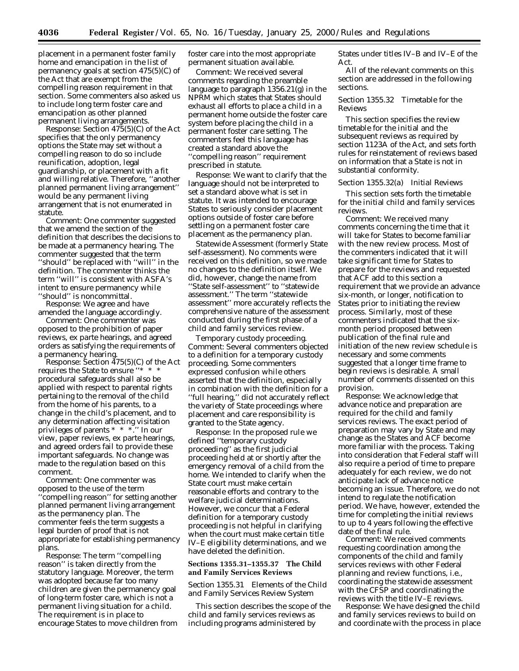placement in a permanent foster family home and emancipation in the list of permanency goals at section 475(5)(C) of the Act that are exempt from the compelling reason requirement in that section. Some commenters also asked us to include long term foster care and emancipation as other planned permanent living arrangements.

*Response:* Section 475(5)(C) of the Act specifies that the only permanency options the State may set without a compelling reason to do so include reunification, adoption, legal guardianship, or placement with a fit and willing relative. Therefore, ''another planned permanent living arrangement'' would be any permanent living arrangement that is not enumerated in statute.

*Comment:* One commenter suggested that we amend the section of the definition that describes the decisions to be made at a permanency hearing. The commenter suggested that the term ''should'' be replaced with ''will'' in the definition. The commenter thinks the term ''will'' is consistent with ASFA's intent to ensure permanency while ''should'' is noncommittal.

*Response:* We agree and have amended the language accordingly.

*Comment:* One commenter was opposed to the prohibition of paper reviews, *ex parte* hearings, and agreed orders as satisfying the requirements of a permanency hearing.

*Response:* Section 475(5)(C) of the Act requires the State to ensure ''\* \* \* procedural safeguards shall also be applied with respect to parental rights pertaining to the removal of the child from the home of his parents, to a change in the child's placement, and to any determination affecting visitation privileges of parents \* \* \*.'' In our view, paper reviews, *ex parte* hearings, and agreed orders fail to provide these important safeguards. No change was made to the regulation based on this comment.

*Comment:* One commenter was opposed to the use of the term ''compelling reason'' for setting another planned permanent living arrangement as the permanency plan. The commenter feels the term suggests a legal burden of proof that is not appropriate for establishing permanency plans.

*Response:* The term ''compelling reason'' is taken directly from the statutory language. Moreover, the term was adopted because far too many children are given the permanency goal of long-term foster care, which is not a permanent living situation for a child. The requirement is in place to encourage States to move children from foster care into the most appropriate permanent situation available.

*Comment:* We received several comments regarding the preamble language to paragraph 1356.21(g) in the NPRM which states that States should exhaust all efforts to place a child in a permanent home outside the foster care system before placing the child in a permanent foster care setting. The commenters feel this language has created a standard above the ''compelling reason'' requirement prescribed in statute.

*Response:* We want to clarify that the language should not be interpreted to set a standard above what is set in statute. It was intended to encourage States to seriously consider placement options outside of foster care before settling on a permanent foster care placement as the permanency plan.

*Statewide Assessment* (formerly State self-assessment). No comments were received on this definition, so we made no changes to the definition itself. We did, however, change the name from ''State self-assessment'' to ''statewide assessment.'' The term ''statewide assessment'' more accurately reflects the comprehensive nature of the assessment conducted during the first phase of a child and family services review.

*Temporary custody proceeding. Comment:* Several commenters objected to a definition for a temporary custody proceeding. Some commenters expressed confusion while others asserted that the definition, especially in combination with the definition for a ''full hearing,'' did not accurately reflect the variety of State proceedings where placement and care responsibility is granted to the State agency.

*Response:* In the proposed rule we defined ''temporary custody proceeding'' as the first judicial proceeding held at or shortly after the emergency removal of a child from the home. We intended to clarify when the State court must make certain reasonable efforts and contrary to the welfare judicial determinations. However, we concur that a Federal definition for a temporary custody proceeding is not helpful in clarifying when the court must make certain title IV–E eligibility determinations, and we have deleted the definition.

#### **Sections 1355.31–1355.37 The Child and Family Services Reviews**

# *Section 1355.31 Elements of the Child and Family Services Review System*

This section describes the scope of the child and family services reviews as including programs administered by

States under titles IV–B and IV–E of the Act.

All of the relevant comments on this section are addressed in the following sections.

*Section 1355.32 Timetable for the Reviews*

This section specifies the review timetable for the initial and the subsequent reviews as required by section 1123A of the Act, and sets forth rules for reinstatement of reviews based on information that a State is not in substantial conformity.

#### *Section 1355.32(a) Initial Reviews*

This section sets forth the timetable for the initial child and family services reviews.

*Comment:* We received many comments concerning the time that it will take for States to become familiar with the new review process. Most of the commenters indicated that it will take significant time for States to prepare for the reviews and requested that ACF add to this section a requirement that we provide an advance six-month, or longer, notification to States prior to initiating the review process. Similarly, most of these commenters indicated that the sixmonth period proposed between publication of the final rule and initiation of the new review schedule is necessary and some comments suggested that a longer time frame to begin reviews is desirable. A small number of comments dissented on this provision.

*Response:* We acknowledge that advance notice and preparation are required for the child and family services reviews. The exact period of preparation may vary by State and may change as the States and ACF become more familiar with the process. Taking into consideration that Federal staff will also require a period of time to prepare adequately for each review, we do not anticipate lack of advance notice becoming an issue. Therefore, we do not intend to regulate the notification period. We have, however, extended the time for completing the initial reviews to up to 4 years following the effective date of the final rule.

*Comment:* We received comments requesting coordination among the components of the child and family services reviews with other Federal planning and review functions, *i.e.*, coordinating the statewide assessment with the CFSP and coordinating the reviews with the title IV–E reviews.

*Response:* We have designed the child and family services reviews to build on and coordinate with the process in place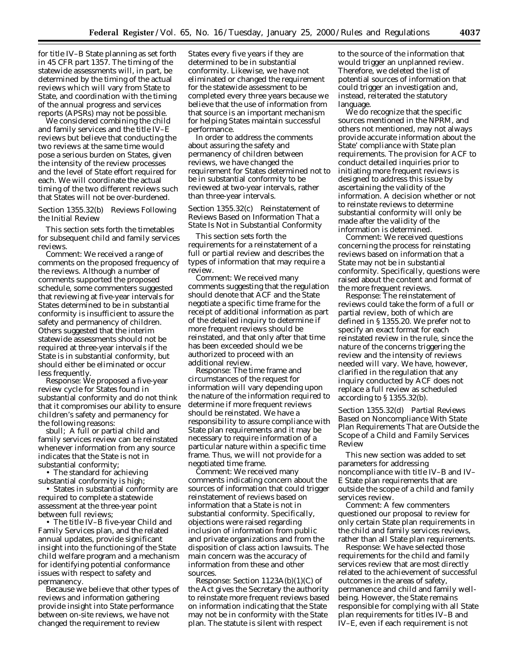for title IV–B State planning as set forth in 45 CFR part 1357. The timing of the statewide assessments will, in part, be determined by the timing of the actual reviews which will vary from State to State, and coordination with the timing of the annual progress and services reports (APSRs) may not be possible.

We considered combining the child and family services and the title IV–E reviews but believe that conducting the two reviews at the same time would pose a serious burden on States, given the intensity of the review processes and the level of State effort required for each. We will coordinate the actual timing of the two different reviews such that States will not be over-burdened.

### *Section 1355.32(b) Reviews Following the Initial Review*

This section sets forth the timetables for subsequent child and family services reviews.

*Comment:* We received a range of comments on the proposed frequency of the reviews. Although a number of comments supported the proposed schedule, some commenters suggested that reviewing at five-year intervals for States determined to be in substantial conformity is insufficient to assure the safety and permanency of children. Others suggested that the interim statewide assessments should not be required at three-year intervals if the State is in substantial conformity, but should either be eliminated or occur less frequently.

*Response:* We proposed a five-year review cycle for States found in substantial conformity and do not think that it compromises our ability to ensure children's safety and permanency for the following reasons:

sbull; A full or partial child and family services review can be reinstated whenever information from any source indicates that the State is not in substantial conformity;

• The standard for achieving substantial conformity is high;

• States in substantial conformity are required to complete a statewide assessment at the three-year point between full reviews;

• The title IV–B five-year Child and Family Services plan, and the related annual updates, provide significant insight into the functioning of the State child welfare program and a mechanism for identifying potential conformance issues with respect to safety and permanency.

Because we believe that other types of reviews and information gathering provide insight into State performance between on-site reviews, we have not changed the requirement to review

States every five years if they are determined to be in substantial conformity. Likewise, we have not eliminated or changed the requirement for the statewide assessment to be completed every three years because we believe that the use of information from that source is an important mechanism for helping States maintain successful performance.

In order to address the comments about assuring the safety and permanency of children between reviews, we have changed the requirement for States determined not to be in substantial conformity to be reviewed at two-year intervals, rather than three-year intervals.

### *Section 1355.32(c) Reinstatement of Reviews Based on Information That a State Is Not in Substantial Conformity*

This section sets forth the requirements for a reinstatement of a full or partial review and describes the types of information that may require a review.

*Comment:* We received many comments suggesting that the regulation should denote that ACF and the State negotiate a specific time frame for the receipt of additional information as part of the detailed inquiry to determine if more frequent reviews should be reinstated, and that only after that time has been exceeded should we be authorized to proceed with an additional review.

*Response:* The time frame and circumstances of the request for information will vary depending upon the nature of the information required to determine if more frequent reviews should be reinstated. We have a responsibility to assure compliance with State plan requirements and it may be necessary to require information of a particular nature within a specific time frame. Thus, we will not provide for a negotiated time frame.

*Comment:* We received many comments indicating concern about the sources of information that could trigger reinstatement of reviews based on information that a State is not in substantial conformity. Specifically, objections were raised regarding inclusion of information from public and private organizations and from the disposition of class action lawsuits. The main concern was the accuracy of information from these and other sources.

*Response:* Section 1123A(b)(1)(C) of the Act gives the Secretary the authority to reinstate more frequent reviews based on information indicating that the State may not be in conformity with the State plan. The statute is silent with respect

to the source of the information that would trigger an unplanned review. Therefore, we deleted the list of potential sources of information that could trigger an investigation and, instead, reiterated the statutory language.

We do recognize that the specific sources mentioned in the NPRM, and others not mentioned, may not always provide accurate information about the State' compliance with State plan requirements. The provision for ACF to conduct detailed inquiries prior to initiating more frequent reviews is designed to address this issue by ascertaining the validity of the information. A decision whether or not to reinstate reviews to determine substantial conformity will only be made after the validity of the information is determined.

*Comment:* We received questions concerning the process for reinstating reviews based on information that a State may not be in substantial conformity. Specifically, questions were raised about the content and format of the more frequent reviews.

*Response:* The reinstatement of reviews could take the form of a full or partial review, both of which are defined in § 1355.20. We prefer not to specify an exact format for each reinstated review in the rule, since the nature of the concerns triggering the review and the intensity of reviews needed will vary. We have, however, clarified in the regulation that any inquiry conducted by ACF does not replace a full review as scheduled according to § 1355.32(b).

## *Section 1355.32(d) Partial Reviews Based on Noncompliance With State Plan Requirements That are Outside the Scope of a Child and Family Services Review*

This new section was added to set parameters for addressing noncompliance with title IV–B and IV– E State plan requirements that are outside the scope of a child and family services review.

*Comment:* A few commenters questioned our proposal to review for only certain State plan requirements in the child and family services reviews, rather than all State plan requirements.

*Response:* We have selected those requirements for the child and family services review that are most directly related to the achievement of successful outcomes in the areas of safety, permanence and child and family wellbeing. However, the State remains responsible for complying with all State plan requirements for titles IV–B and IV–E, even if each requirement is not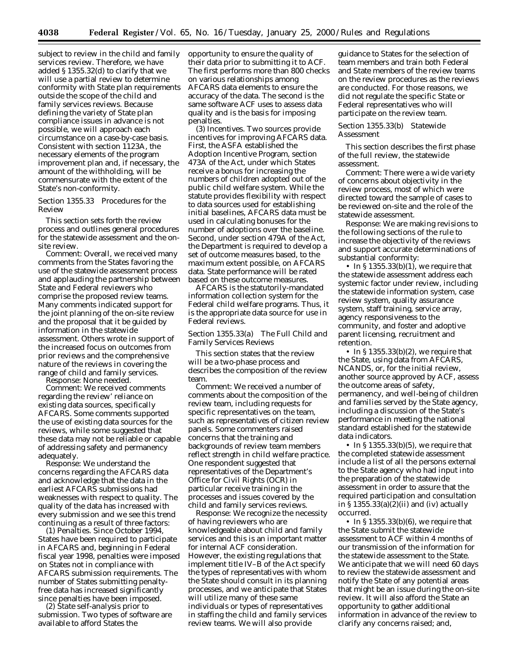subject to review in the child and family services review. Therefore, we have added § 1355.32(d) to clarify that we will use a partial review to determine conformity with State plan requirements outside the scope of the child and family services reviews. Because defining the variety of State plan compliance issues in advance is not possible, we will approach each circumstance on a case-by-case basis. Consistent with section 1123A, the necessary elements of the program improvement plan and, if necessary, the amount of the withholding, will be commensurate with the extent of the State's non-conformity.

### *Section 1355.33 Procedures for the Review*

This section sets forth the review process and outlines general procedures for the statewide assessment and the onsite review.

*Comment:* Overall, we received many comments from the States favoring the use of the statewide assessment process and applauding the partnership between State and Federal reviewers who comprise the proposed review teams. Many comments indicated support for the joint planning of the on-site review and the proposal that it be guided by information in the statewide assessment. Others wrote in support of the increased focus on outcomes from prior reviews and the comprehensive nature of the reviews in covering the range of child and family services.

*Response:* None needed.

*Comment:* We received comments regarding the review' reliance on existing data sources, specifically AFCARS. Some comments supported the use of existing data sources for the reviews, while some suggested that these data may not be reliable or capable of addressing safety and permanency adequately.

*Response:* We understand the concerns regarding the AFCARS data and acknowledge that the data in the earliest AFCARS submissions had weaknesses with respect to quality. The quality of the data has increased with every submission and we see this trend continuing as a result of three factors:

(1) *Penalties.* Since October 1994, States have been required to participate in AFCARS and, beginning in Federal fiscal year 1998, penalties were imposed on States not in compliance with AFCARS submission requirements. The number of States submitting penaltyfree data has increased significantly since penalties have been imposed.

(2) *State self-analysis prior to submission.* Two types of software are available to afford States the

opportunity to ensure the quality of their data prior to submitting it to ACF. The first performs more than 800 checks on various relationships among AFCARS data elements to ensure the accuracy of the data. The second is the same software ACF uses to assess data quality and is the basis for imposing penalties.

(3) *Incentives.* Two sources provide incentives for improving AFCARS data. First, the ASFA established the Adoption Incentive Program, section 473A of the Act, under which States receive a bonus for increasing the numbers of children adopted out of the public child welfare system. While the statute provides flexibility with respect to data sources used for establishing initial baselines, AFCARS data must be used in calculating bonuses for the number of adoptions over the baseline. Second, under section 479A of the Act, the Department is required to develop a set of outcome measures based, to the maximum extent possible, on AFCARS data. State performance will be rated based on these outcome measures.

AFCARS is the statutorily-mandated information collection system for the Federal child welfare programs. Thus, it is the appropriate data source for use in Federal reviews.

## *Section 1355.33(a) The Full Child and Family Services Reviews*

This section states that the review will be a two-phase process and describes the composition of the review team.

*Comment:* We received a number of comments about the composition of the review team, including requests for specific representatives on the team, such as representatives of citizen review panels. Some commenters raised concerns that the training and backgrounds of review team members reflect strength in child welfare practice. One respondent suggested that representatives of the Department's Office for Civil Rights (OCR) in particular receive training in the processes and issues covered by the child and family services reviews.

*Response:* We recognize the necessity of having reviewers who are knowledgeable about child and family services and this is an important matter for internal ACF consideration. However, the existing regulations that implement title IV–B of the Act specify the types of representatives with whom the State should consult in its planning processes, and we anticipate that States will utilize many of these same individuals or types of representatives in staffing the child and family services review teams. We will also provide

guidance to States for the selection of team members and train both Federal and State members of the review teams on the review procedures as the reviews are conducted. For those reasons, we did not regulate the specific State or Federal representatives who will participate on the review team.

#### *Section 1355.33(b) Statewide Assessment*

This section describes the first phase of the full review, the statewide assessment.

*Comment:* There were a wide variety of concerns about objectivity in the review process, most of which were directed toward the sample of cases to be reviewed on-site and the role of the statewide assessment.

*Response:* We are making revisions to the following sections of the rule to increase the objectivity of the reviews and support accurate determinations of substantial conformity:

• In  $\S 1355.33(b)(1)$ , we require that the statewide assessment address each systemic factor under review, including the statewide information system, case review system, quality assurance system, staff training, service array, agency responsiveness to the community, and foster and adoptive parent licensing, recruitment and retention.

• In  $\S 1355.33(b)(2)$ , we require that the State, using data from AFCARS, NCANDS, or, for the initial review, another source approved by ACF, assess the outcome areas of safety, permanency, and well-being of children and families served by the State agency, including a discussion of the State's performance in meeting the national standard established for the statewide data indicators.

• In  $\S$  1355.33(b)(5), we require that the completed statewide assessment include a list of all the persons external to the State agency who had input into the preparation of the statewide assessment in order to assure that the required participation and consultation in §  $1355.33(a)(2)(ii)$  and (iv) actually occurred.

• In § 1355.33(b)(6), we require that the State submit the statewide assessment to ACF within 4 months of our transmission of the information for the statewide assessment to the State. We anticipate that we will need 60 days to review the statewide assessment and notify the State of any potential areas that might be an issue during the on-site review. It will also afford the State an opportunity to gather additional information in advance of the review to clarify any concerns raised; and,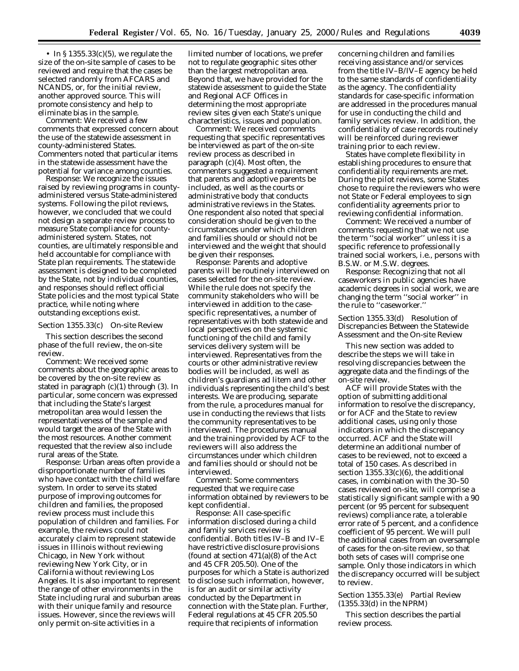• In § 1355.33 $(c)(5)$ , we regulate the size of the on-site sample of cases to be reviewed and require that the cases be selected randomly from AFCARS and NCANDS, or, for the initial review, another approved source. This will promote consistency and help to eliminate bias in the sample.

*Comment:* We received a few comments that expressed concern about the use of the statewide assessment in county-administered States. Commenters noted that particular items in the statewide assessment have the potential for variance among counties.

*Response:* We recognize the issues raised by reviewing programs in countyadministered versus State-administered systems. Following the pilot reviews, however, we concluded that we could not design a separate review process to measure State compliance for countyadministered system. States, not counties, are ultimately responsible and held accountable for compliance with State plan requirements. The statewide assessment is designed to be completed by the State, not by individual counties, and responses should reflect official State policies and the most typical State practice, while noting where outstanding exceptions exist.

#### *Section 1355.33(c) On-site Review*

This section describes the second phase of the full review, the on-site review.

*Comment:* We received some comments about the geographic areas to be covered by the on-site review as stated in paragraph (c)(1) through (3). In particular, some concern was expressed that including the State's largest metropolitan area would lessen the representativeness of the sample and would target the area of the State with the most resources. Another comment requested that the review also include rural areas of the State.

*Response:* Urban areas often provide a disproportionate number of families who have contact with the child welfare system. In order to serve its stated purpose of improving outcomes for children and families, the proposed review process must include this population of children and families. For example, the reviews could not accurately claim to represent statewide issues in Illinois without reviewing Chicago, in New York without reviewing New York City, or in California without reviewing Los Angeles. It is also important to represent the range of other environments in the State including rural and suburban areas with their unique family and resource issues. However, since the reviews will only permit on-site activities in a

limited number of locations, we prefer not to regulate geographic sites other than the largest metropolitan area. Beyond that, we have provided for the statewide assessment to guide the State and Regional ACF Offices in determining the most appropriate review sites given each State's unique characteristics, issues and population.

*Comment:* We received comments requesting that specific representatives be interviewed as part of the on-site review process as described in paragraph (c)(4). Most often, the commenters suggested a requirement that parents and adoptive parents be included, as well as the courts or administrative body that conducts administrative reviews in the States. One respondent also noted that special consideration should be given to the circumstances under which children and families should or should not be interviewed and the weight that should be given their responses.

*Response:* Parents and adoptive parents will be routinely interviewed on cases selected for the on-site review. While the rule does not specify the community stakeholders who will be interviewed in addition to the casespecific representatives, a number of representatives with both statewide and local perspectives on the systemic functioning of the child and family services delivery system will be interviewed. Representatives from the courts or other administrative review bodies will be included, as well as children's guardians ad litem and other individuals representing the child's best interests. We are producing, separate from the rule, a procedures manual for use in conducting the reviews that lists the community representatives to be interviewed. The procedures manual and the training provided by ACF to the reviewers will also address the circumstances under which children and families should or should not be interviewed.

*Comment:* Some commenters requested that we require case information obtained by reviewers to be kept confidential.

*Response:* All case-specific information disclosed during a child and family services review is confidential. Both titles IV–B and IV–E have restrictive disclosure provisions (found at section 471(a)(8) of the Act and 45 CFR 205.50). One of the purposes for which a State is authorized to disclose such information, however, is for an audit or similar activity conducted by the Department in connection with the State plan. Further, Federal regulations at 45 CFR 205.50 require that recipients of information

concerning children and families receiving assistance and/or services from the title IV–B/IV–E agency be held to the same standards of confidentiality as the agency. The confidentiality standards for case-specific information are addressed in the procedures manual for use in conducting the child and family services review. In addition, the confidentiality of case records routinely will be reinforced during reviewer training prior to each review.

States have complete flexibility in establishing procedures to ensure that confidentiality requirements are met. During the pilot reviews, some States chose to require the reviewers who were not State or Federal employees to sign confidentiality agreements prior to reviewing confidential information.

*Comment:* We received a number of comments requesting that we not use the term ''social worker'' unless it is a specific reference to professionally trained social workers, *i.e.,* persons with B.S.W. or M.S.W. degrees.

*Response:* Recognizing that not all caseworkers in public agencies have academic degrees in social work, we are changing the term ''social worker'' in the rule to ''caseworker.''

#### *Section 1355.33(d) Resolution of Discrepancies Between the Statewide Assessment and the On-site Review*

This new section was added to describe the steps we will take in resolving discrepancies between the aggregate data and the findings of the on-site review.

ACF will provide States with the option of submitting additional information to resolve the discrepancy, or for ACF and the State to review additional cases, using only those indicators in which the discrepancy occurred. ACF and the State will determine an additional number of cases to be reviewed, not to exceed a total of 150 cases. As described in section 1355.33(c)(6), the additional cases, in combination with the 30–50 cases reviewed on-site, will comprise a statistically significant sample with a 90 percent (or 95 percent for subsequent reviews) compliance rate, a tolerable error rate of 5 percent, and a confidence coefficient of 95 percent. We will pull the additional cases from an oversample of cases for the on-site review, so that both sets of cases will comprise one sample. Only those indicators in which the discrepancy occurred will be subject to review.

## *Section 1355.33(e) Partial Review (1355.33(d) in the NPRM)*

This section describes the partial review process.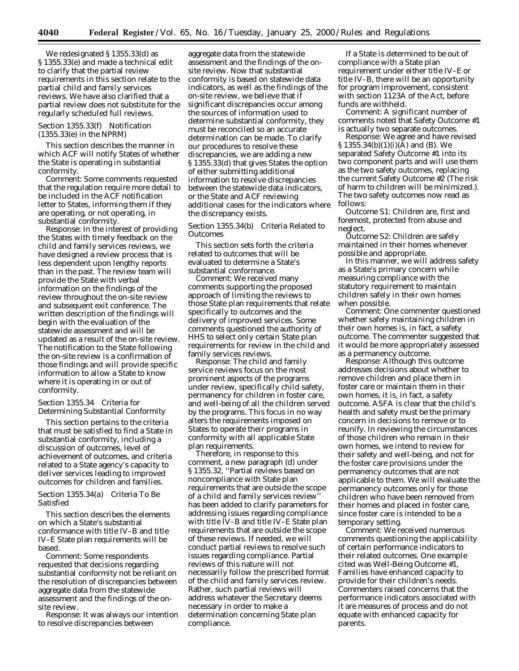We redesignated § 1355.33(d) as § 1355.33(e) and made a technical edit to clarify that the partial review requirements in this section relate to the partial child and family services reviews. We have also clarified that a partial review does not substitute for the regularly scheduled full reviews.

## *Section 1355.33(f) Notification (1355.33(e) in the NPRM)*

This section describes the manner in which ACF will notify States of whether the State is operating in substantial conformity.

*Comment:* Some comments requested that the regulation require more detail to be included in the ACF notification letter to States, informing them if they are operating, or not operating, in substantial conformity.

*Response:* In the interest of providing the States with timely feedback on the child and family services reviews, we have designed a review process that is less dependent upon lengthy reports than in the past. The review team will provide the State with verbal information on the findings of the review throughout the on-site review and subsequent exit conference. The written description of the findings will begin with the evaluation of the statewide assessment and will be updated as a result of the on-site review. The notification to the State following the on-site review is a confirmation of those findings and will provide specific information to allow a State to know where it is operating in or out of conformity.

#### *Section 1355.34 Criteria for Determining Substantial Conformity*

This section pertains to the criteria that must be satisfied to find a State in substantial conformity, including a discussion of outcomes, level of achievement of outcomes, and criteria related to a State agency's capacity to deliver services leading to improved outcomes for children and families.

## *Section 1355.34(a) Criteria To Be Satisfied*

This section describes the elements on which a State's substantial conformance with title IV–B and title IV–E State plan requirements will be based.

*Comment:* Some respondents requested that decisions regarding substantial conformity not be reliant on the resolution of discrepancies between aggregate data from the statewide assessment and the findings of the onsite review.

*Response:* It was always our intention to resolve discrepancies between

aggregate data from the statewide assessment and the findings of the onsite review. Now that substantial conformity is based on statewide data indicators, as well as the findings of the on-site review, we believe that if significant discrepancies occur among the sources of information used to determine substantial conformity, they must be reconciled so an accurate determination can be made. To clarify our procedures to resolve these discrepancies, we are adding a new § 1355.33(d) that gives States the option of either submitting additional information to resolve discrepancies between the statewide data indicators, or the State and ACF reviewing additional cases for the indicators where the discrepancy exists.

## *Section 1355.34(b) Criteria Related to Outcomes*

This section sets forth the criteria related to outcomes that will be evaluated to determine a State's substantial conformance.

*Comment:* We received many comments supporting the proposed approach of limiting the reviews to those State plan requirements that relate specifically to outcomes and the delivery of improved services. Some comments questioned the authority of HHS to select only certain State plan requirements for review in the child and family services reviews.

*Response:* The child and family service reviews focus on the most prominent aspects of the programs under review, specifically child safety, permanency for children in foster care, and well-being of all the children served by the programs. This focus in no way alters the requirements imposed on States to operate their programs in conformity with all applicable State plan requirements.

Therefore, in response to this comment, a new paragraph (d) under § 1355.32, ''Partial reviews based on noncompliance with State plan requirements that are outside the scope of a child and family services review'' has been added to clarify parameters for addressing issues regarding compliance with title IV–B and title IV–E State plan requirements that are outside the scope of these reviews. If needed, we will conduct partial reviews to resolve such issues regarding compliance. Partial reviews of this nature will not necessarily follow the prescribed format of the child and family services review. Rather, such partial reviews will address whatever the Secretary deems necessary in order to make a determination concerning State plan compliance.

If a State is determined to be out of compliance with a State plan requirement under either title IV–E or title IV–B, there will be an opportunity for program improvement, consistent with section 1123A of the Act, before funds are withheld.

*Comment:* A significant number of comments noted that Safety Outcome #1 is actually two separate outcomes.

*Response:* We agree and have revised § 1355.34(b)(1)(i)(A) and (B). We separated Safety Outcome #1 into its two component parts and will use them as the two safety outcomes, replacing the current Safety Outcome #2 (The risk of harm to children will be minimized.). The two safety outcomes now read as follows:

Outcome S1: Children are, first and foremost, protected from abuse and neglect.

Outcome S2: Children are safely maintained in their homes whenever possible and appropriate.

In this manner, we will address safety as a State's primary concern while measuring compliance with the statutory requirement to maintain children safely in their own homes when possible.

*Comment:* One commenter questioned whether safely maintaining children in their own homes is, in fact, a safety outcome. The commenter suggested that it would be more appropriately assessed as a permanency outcome.

*Response:* Although this outcome addresses decisions about whether to remove children and place them in foster care or maintain them in their own homes, it is, in fact, a safety outcome. ASFA is clear that the child's health and safety must be the primary concern in decisions to remove or to reunify. In reviewing the circumstances of those children who remain in their own homes, we intend to review for their safety and well-being, and not for the foster care provisions under the permanency outcomes that are not applicable to them. We will evaluate the permanency outcomes only for those children who have been removed from their homes and placed in foster care, since foster care is intended to be a temporary setting.

*Comment:* We received numerous comments questioning the applicability of certain performance indicators to their related outcomes. One example cited was Well-Being Outcome #1, Families have enhanced capacity to provide for their children's needs. Commenters raised concerns that the performance indicators associated with it are measures of process and do not equate with enhanced capacity for parents.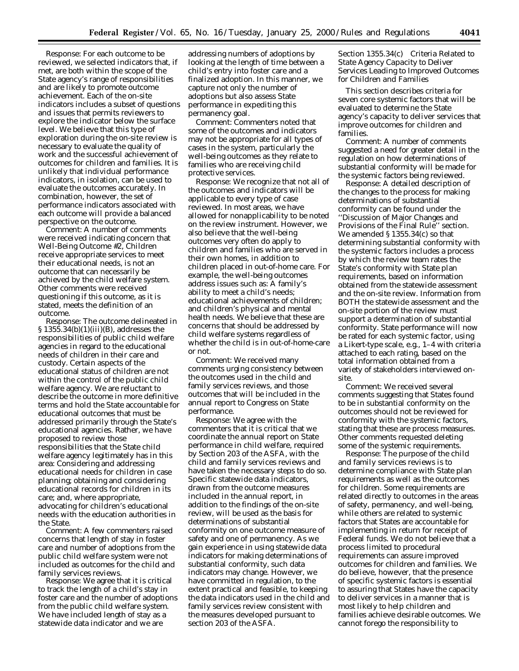*Response:* For each outcome to be reviewed, we selected indicators that, if met, are both within the scope of the State agency's range of responsibilities and are likely to promote outcome achievement. Each of the on-site indicators includes a subset of questions and issues that permits reviewers to explore the indicator below the surface level. We believe that this type of exploration during the on-site review is necessary to evaluate the quality of work and the successful achievement of outcomes for children and families. It is unlikely that individual performance indicators, in isolation, can be used to evaluate the outcomes accurately. In combination, however, the set of performance indicators associated with each outcome will provide a balanced perspective on the outcome.

*Comment:* A number of comments were received indicating concern that Well-Being Outcome #2, Children receive appropriate services to meet their educational needs, is not an outcome that can necessarily be achieved by the child welfare system. Other comments were received questioning if this outcome, as it is stated, meets the definition of an outcome.

*Response:* The outcome delineated in § 1355.34(b)(1)(iii)(B), addresses the responsibilities of public child welfare agencies in regard to the educational needs of children in their care and custody. Certain aspects of the educational status of children are not within the control of the public child welfare agency. We are reluctant to describe the outcome in more definitive terms and hold the State accountable for educational outcomes that must be addressed primarily through the State's educational agencies. Rather, we have proposed to review those responsibilities that the State child welfare agency legitimately has in this area: Considering and addressing educational needs for children in case planning; obtaining and considering educational records for children in its care; and, where appropriate, advocating for children's educational needs with the education authorities in the State.

*Comment:* A few commenters raised concerns that length of stay in foster care and number of adoptions from the public child welfare system were not included as outcomes for the child and family services reviews.

*Response:* We agree that it is critical to track the length of a child's stay in foster care and the number of adoptions from the public child welfare system. We have included length of stay as a statewide data indicator and we are

addressing numbers of adoptions by looking at the length of time between a child's entry into foster care and a finalized adoption. In this manner, we capture not only the number of adoptions but also assess State performance in expediting this permanency goal.

*Comment:* Commenters noted that some of the outcomes and indicators may not be appropriate for all types of cases in the system, particularly the well-being outcomes as they relate to families who are receiving child protective services.

*Response:* We recognize that not all of the outcomes and indicators will be applicable to every type of case reviewed. In most areas, we have allowed for nonapplicability to be noted on the review instrument. However, we also believe that the well-being outcomes very often do apply to children and families who are served in their own homes, in addition to children placed in out-of-home care. For example, the well-being outcomes address issues such as: A family's ability to meet a child's needs; educational achievements of children; and children's physical and mental health needs. We believe that these are concerns that should be addressed by child welfare systems regardless of whether the child is in out-of-home-care or not.

*Comment:* We received many comments urging consistency between the outcomes used in the child and family services reviews, and those outcomes that will be included in the annual report to Congress on State performance.

*Response:* We agree with the commenters that it is critical that we coordinate the annual report on State performance in child welfare, required by Section 203 of the ASFA, with the child and family services reviews and have taken the necessary steps to do so. Specific statewide data indicators, drawn from the outcome measures included in the annual report, in addition to the findings of the on-site review, will be used as the basis for determinations of substantial conformity on one outcome measure of safety and one of permanency. As we gain experience in using statewide data indicators for making determinations of substantial conformity, such data indicators may change. However, we have committed in regulation, to the extent practical and feasible, to keeping the data indicators used in the child and family services review consistent with the measures developed pursuant to section 203 of the ASFA.

## *Section 1355.34(c) Criteria Related to State Agency Capacity to Deliver Services Leading to Improved Outcomes for Children and Families*

This section describes criteria for seven core systemic factors that will be evaluated to determine the State agency's capacity to deliver services that improve outcomes for children and families.

*Comment:* A number of comments suggested a need for greater detail in the regulation on how determinations of substantial conformity will be made for the systemic factors being reviewed.

*Response:* A detailed description of the changes to the process for making determinations of substantial conformity can be found under the ''Discussion of Major Changes and Provisions of the Final Rule'' section. We amended § 1355.34(c) so that determining substantial conformity with the systemic factors includes a process by which the review team rates the State's conformity with State plan requirements, based on information obtained from the statewide assessment and the on-site review. Information from BOTH the statewide assessment and the on-site portion of the review must support a determination of substantial conformity. State performance will now be rated for each systemic factor, using a Likert-type scale, *e.g.,* 1–4 with criteria attached to each rating, based on the total information obtained from a variety of stakeholders interviewed onsite.

*Comment:* We received several comments suggesting that States found to be in substantial conformity on the outcomes should not be reviewed for conformity with the systemic factors, stating that these are process measures. Other comments requested deleting some of the systemic requirements.

*Response:* The purpose of the child and family services reviews is to determine compliance with State plan requirements as well as the outcomes for children. Some requirements are related directly to outcomes in the areas of safety, permanency, and well-being, while others are related to systemic factors that States are accountable for implementing in return for receipt of Federal funds. We do not believe that a process limited to procedural requirements can assure improved outcomes for children and families. We do believe, however, that the presence of specific systemic factors is essential to assuring that States have the capacity to deliver services in a manner that is most likely to help children and families achieve desirable outcomes. We cannot forego the responsibility to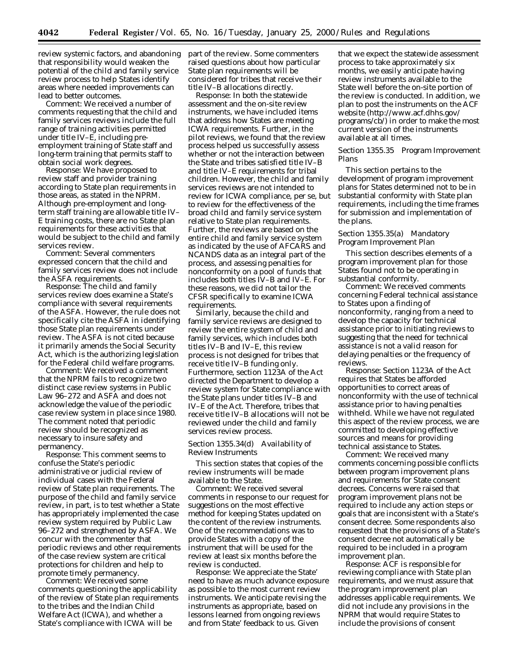review systemic factors, and abandoning that responsibility would weaken the potential of the child and family service review process to help States identify areas where needed improvements can lead to better outcomes.

*Comment:* We received a number of comments requesting that the child and family services reviews include the full range of training activities permitted under title IV–E, including preemployment training of State staff and long-term training that permits staff to obtain social work degrees.

*Response:* We have proposed to review staff and provider training according to State plan requirements in those areas, as stated in the NPRM. Although pre-employment and longterm staff training are allowable title IV– E training costs, there are no State plan requirements for these activities that would be subject to the child and family services review.

*Comment:* Several commenters expressed concern that the child and family services review does not include the ASFA requirements.

*Response:* The child and family services review does examine a State's compliance with several requirements of the ASFA. However, the rule does not specifically cite the ASFA in identifying those State plan requirements under review. The ASFA is not cited because it primarily amends the Social Security Act, which is the authorizing legislation for the Federal child welfare programs.

*Comment:* We received a comment that the NPRM fails to recognize two distinct case review systems in Public Law 96–272 and ASFA and does not acknowledge the value of the periodic case review system in place since 1980. The comment noted that periodic review should be recognized as necessary to insure safety and permanency.

*Response:* This comment seems to confuse the State's periodic administrative or judicial review of individual cases with the Federal review of State plan requirements. The purpose of the child and family service review, in part, is to test whether a State has appropriately implemented the case review system required by Public Law 96–272 and strengthened by ASFA. We concur with the commenter that periodic reviews and other requirements of the case review system are critical protections for children and help to promote timely permanency.

*Comment:* We received some comments questioning the applicability of the review of State plan requirements to the tribes and the Indian Child Welfare Act (ICWA), and whether a State's compliance with ICWA will be

part of the review. Some commenters raised questions about how particular State plan requirements will be considered for tribes that receive their title IV–B allocations directly.

*Response:* In both the statewide assessment and the on-site review instruments, we have included items that address how States are meeting ICWA requirements. Further, in the pilot reviews, we found that the review process helped us successfully assess whether or not the interaction between the State and tribes satisfied title IV–B and title IV–E requirements for tribal children. However, the child and family services reviews are not intended to review for ICWA compliance, per se, but to review for the effectiveness of the broad child and family service system relative to State plan requirements. Further, the reviews are based on the entire child and family service system as indicated by the use of AFCARS and NCANDS data as an integral part of the process, and assessing penalties for nonconformity on a pool of funds that includes both titles IV–B and IV–E. For these reasons, we did not tailor the CFSR specifically to examine ICWA requirements.

Similarly, because the child and family service reviews are designed to review the entire system of child and family services, which includes both titles IV–B and IV–E, this review process is not designed for tribes that receive title IV–B funding only. Furthermore, section 1123A of the Act directed the Department to develop a review system for State compliance with the State plans under titles IV–B and IV–E of the Act. Therefore, tribes that receive title IV–B allocations will not be reviewed under the child and family services review process.

#### *Section 1355.34(d) Availability of Review Instruments*

This section states that copies of the review instruments will be made available to the State.

*Comment:* We received several comments in response to our request for suggestions on the most effective method for keeping States updated on the content of the review instruments. One of the recommendations was to provide States with a copy of the instrument that will be used for the review at least six months before the review is conducted.

*Response:* We appreciate the State' need to have as much advance exposure as possible to the most current review instruments. We anticipate revising the instruments as appropriate, based on lessons learned from ongoing reviews and from State' feedback to us. Given

that we expect the statewide assessment process to take approximately six months, we easily anticipate having review instruments available to the State well before the on-site portion of the review is conducted. In addition, we plan to post the instruments on the ACF website (http://www.acf.dhhs.gov/ programs/cb/) in order to make the most current version of the instruments available at all times.

## *Section 1355.35 Program Improvement Plans*

This section pertains to the development of program improvement plans for States determined not to be in substantial conformity with State plan requirements, including the time frames for submission and implementation of the plans.

### *Section 1355.35(a) Mandatory Program Improvement Plan*

This section describes elements of a program improvement plan for those States found not to be operating in substantial conformity.

*Comment:* We received comments concerning Federal technical assistance to States upon a finding of nonconformity, ranging from a need to develop the capacity for technical assistance prior to initiating reviews to suggesting that the need for technical assistance is not a valid reason for delaying penalties or the frequency of reviews.

*Response:* Section 1123A of the Act requires that States be afforded opportunities to correct areas of nonconformity with the use of technical assistance prior to having penalties withheld. While we have not regulated this aspect of the review process, we are committed to developing effective sources and means for providing technical assistance to States.

*Comment:* We received many comments concerning possible conflicts between program improvement plans and requirements for State consent decrees. Concerns were raised that program improvement plans not be required to include any action steps or goals that are inconsistent with a State's consent decree. Some respondents also requested that the provisions of a State's consent decree not automatically be required to be included in a program improvement plan.

*Response:* ACF is responsible for reviewing compliance with State plan requirements, and we must assure that the program improvement plan addresses applicable requirements. We did not include any provisions in the NPRM that would require States to include the provisions of consent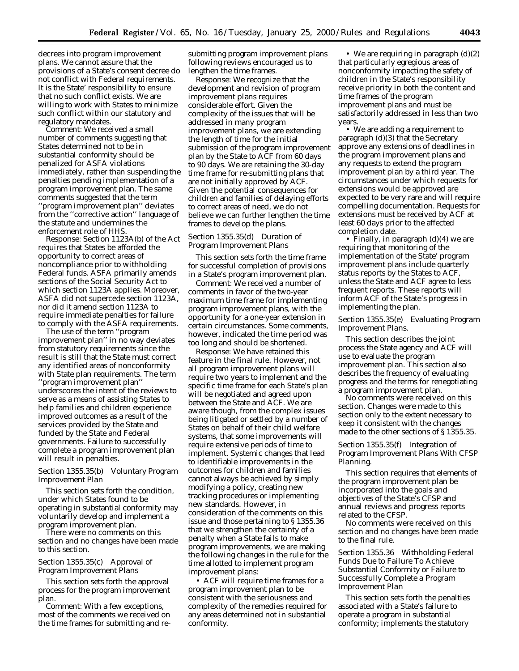decrees into program improvement plans. We cannot assure that the provisions of a State's consent decree do not conflict with Federal requirements. It is the State' responsibility to ensure that no such conflict exists. We are willing to work with States to minimize such conflict within our statutory and regulatory mandates.

*Comment:* We received a small number of comments suggesting that States determined not to be in substantial conformity should be penalized for ASFA violations immediately, rather than suspending the penalties pending implementation of a program improvement plan. The same comments suggested that the term ''program improvement plan'' deviates from the ''corrective action'' language of the statute and undermines the enforcement role of HHS.

*Response:* Section 1123A(b) of the Act requires that States be afforded the opportunity to correct areas of noncompliance prior to withholding Federal funds. ASFA primarily amends sections of the Social Security Act to which section 1123A applies. Moreover, ASFA did not supercede section 1123A, nor did it amend section 1123A to require immediate penalties for failure to comply with the ASFA requirements.

The use of the term ''program improvement plan'' in no way deviates from statutory requirements since the result is still that the State must correct any identified areas of nonconformity with State plan requirements. The term ''program improvement plan'' underscores the intent of the reviews to serve as a means of assisting States to help families and children experience improved outcomes as a result of the services provided by the State and funded by the State and Federal governments. Failure to successfully complete a program improvement plan will result in penalties.

## *Section 1355.35(b) Voluntary Program Improvement Plan*

This section sets forth the condition, under which States found to be operating in substantial conformity may voluntarily develop and implement a program improvement plan.

There were no comments on this section and no changes have been made to this section.

### *Section 1355.35(c) Approval of Program Improvement Plans*

This section sets forth the approval process for the program improvement plan.

*Comment:* With a few exceptions, most of the comments we received on the time frames for submitting and resubmitting program improvement plans following reviews encouraged us to lengthen the time frames.

*Response:* We recognize that the development and revision of program improvement plans requires considerable effort. Given the complexity of the issues that will be addressed in many program improvement plans, we are extending the length of time for the initial submission of the program improvement plan by the State to ACF from 60 days to 90 days. We are retaining the 30-day time frame for re-submitting plans that are not initially approved by ACF. Given the potential consequences for children and families of delaying efforts to correct areas of need, we do not believe we can further lengthen the time frames to develop the plans.

## *Section 1355.35(d) Duration of Program Improvement Plans*

This section sets forth the time frame for successful completion of provisions in a State's program improvement plan.

*Comment:* We received a number of comments in favor of the two-year maximum time frame for implementing program improvement plans, with the opportunity for a one-year extension in certain circumstances. Some comments, however, indicated the time period was too long and should be shortened.

*Response:* We have retained this feature in the final rule. However, not all program improvement plans will require two years to implement and the specific time frame for each State's plan will be negotiated and agreed upon between the State and ACF. We are aware though, from the complex issues being litigated or settled by a number of States on behalf of their child welfare systems, that some improvements will require extensive periods of time to implement. Systemic changes that lead to identifiable improvements in the outcomes for children and families cannot always be achieved by simply modifying a policy, creating new tracking procedures or implementing new standards. However, in consideration of the comments on this issue and those pertaining to § 1355.36 that we strengthen the certainty of a penalty when a State fails to make program improvements, we are making the following changes in the rule for the time allotted to implement program improvement plans:

• ACF will require time frames for a program improvement plan to be consistent with the seriousness and complexity of the remedies required for any areas determined not in substantial conformity.

• We are requiring in paragraph (d)(2) that particularly egregious areas of nonconformity impacting the safety of children in the State's responsibility receive priority in both the content and time frames of the program improvement plans and must be satisfactorily addressed in less than two years.

• We are adding a requirement to paragraph (d)(3) that the Secretary approve any extensions of deadlines in the program improvement plans and any requests to extend the program improvement plan by a third year. The circumstances under which requests for extensions would be approved are expected to be very rare and will require compelling documentation. Requests for extensions must be received by ACF at least 60 days prior to the affected completion date.

• Finally, in paragraph (d)(4) we are requiring that monitoring of the implementation of the State' program improvement plans include quarterly status reports by the States to ACF, unless the State and ACF agree to less frequent reports. These reports will inform ACF of the State's progress in implementing the plan.

### *Section 1355.35(e) Evaluating Program Improvement Plans.*

This section describes the joint process the State agency and ACF will use to evaluate the program improvement plan. This section also describes the frequency of evaluating progress and the terms for renegotiating a program improvement plan.

No comments were received on this section. Changes were made to this section only to the extent necessary to keep it consistent with the changes made to the other sections of § 1355.35.

## *Section 1355.35(f) Integration of Program Improvement Plans With CFSP Planning.*

This section requires that elements of the program improvement plan be incorporated into the goals and objectives of the State's CFSP and annual reviews and progress reports related to the CFSP.

No comments were received on this section and no changes have been made to the final rule.

## *Section 1355.36 Withholding Federal Funds Due to Failure To Achieve Substantial Conformity or Failure to Successfully Complete a Program Improvement Plan*

This section sets forth the penalties associated with a State's failure to operate a program in substantial conformity; implements the statutory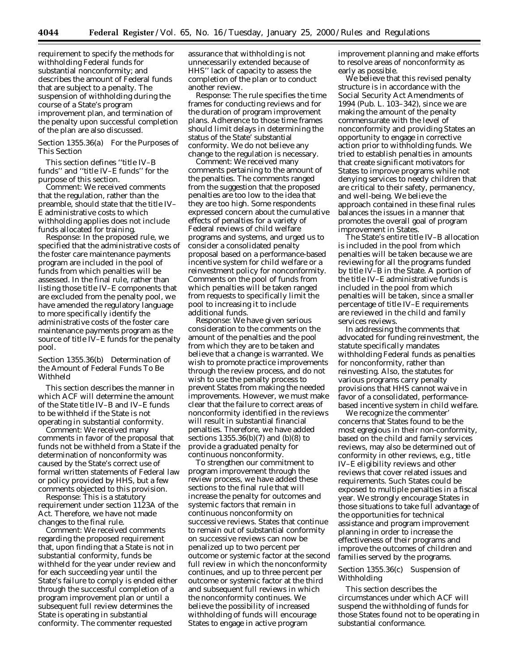requirement to specify the methods for withholding Federal funds for substantial nonconformity; and describes the amount of Federal funds that are subject to a penalty. The suspension of withholding during the course of a State's program improvement plan, and termination of the penalty upon successful completion of the plan are also discussed.

# *Section 1355.36(a) For the Purposes of This Section*

This section defines ''title IV–B funds'' and ''title IV–E funds'' for the purpose of this section.

*Comment:* We received comments that the regulation, rather than the preamble, should state that the title IV– E administrative costs to which withholding applies does not include funds allocated for training.

*Response:* In the proposed rule, we specified that the administrative costs of the foster care maintenance payments program are included in the pool of funds from which penalties will be assessed. In the final rule, rather than listing those title IV–E components that are excluded from the penalty pool, we have amended the regulatory language to more specifically identify the administrative costs of the foster care maintenance payments program as the source of title IV–E funds for the penalty pool.

### *Section 1355.36(b) Determination of the Amount of Federal Funds To Be Withheld*

This section describes the manner in which ACF will determine the amount of the State title IV–B and IV–E funds to be withheld if the State is not operating in substantial conformity.

*Comment:* We received many comments in favor of the proposal that funds not be withheld from a State if the determination of nonconformity was caused by the State's correct use of formal written statements of Federal law or policy provided by HHS, but a few comments objected to this provision.

*Response:* This is a statutory requirement under section 1123A of the Act. Therefore, we have not made changes to the final rule.

*Comment:* We received comments regarding the proposed requirement that, upon finding that a State is not in substantial conformity, funds be withheld for the year under review and for each succeeding year until the State's failure to comply is ended either through the successful completion of a program improvement plan or until a subsequent full review determines the State is operating in substantial conformity. The commenter requested

assurance that withholding is not unnecessarily extended because of HHS'' lack of capacity to assess the completion of the plan or to conduct another review.

*Response:* The rule specifies the time frames for conducting reviews and for the duration of program improvement plans. Adherence to those time frames should limit delays in determining the status of the State' substantial conformity. We do not believe any change to the regulation is necessary.

*Comment:* We received many comments pertaining to the amount of the penalties. The comments ranged from the suggestion that the proposed penalties are too low to the idea that they are too high. Some respondents expressed concern about the cumulative effects of penalties for a variety of Federal reviews of child welfare programs and systems, and urged us to consider a consolidated penalty proposal based on a performance-based incentive system for child welfare or a reinvestment policy for nonconformity. Comments on the pool of funds from which penalties will be taken ranged from requests to specifically limit the pool to increasing it to include additional funds.

*Response:* We have given serious consideration to the comments on the amount of the penalties and the pool from which they are to be taken and believe that a change is warranted. We wish to promote practice improvements through the review process, and do not wish to use the penalty process to prevent States from making the needed improvements. However, we must make clear that the failure to correct areas of nonconformity identified in the reviews will result in substantial financial penalties. Therefore, we have added sections 1355.36(b)(7) and (b)(8) to provide a graduated penalty for continuous nonconformity.

To strengthen our commitment to program improvement through the review process, we have added these sections to the final rule that will increase the penalty for outcomes and systemic factors that remain in continuous nonconformity on successive reviews. States that continue to remain out of substantial conformity on successive reviews can now be penalized up to two percent per outcome or systemic factor at the second full review in which the nonconformity continues, and up to three percent per outcome or systemic factor at the third and subsequent full reviews in which the nonconformity continues. We believe the possibility of increased withholding of funds will encourage States to engage in active program

improvement planning and make efforts to resolve areas of nonconformity as early as possible.

We believe that this revised penalty structure is in accordance with the Social Security Act Amendments of 1994 (Pub. L. 103–342), since we are making the amount of the penalty commensurate with the level of nonconformity and providing States an opportunity to engage in corrective action prior to withholding funds. We tried to establish penalties in amounts that create significant motivators for States to improve programs while not denying services to needy children that are critical to their safety, permanency, and well-being. We believe the approach contained in these final rules balances the issues in a manner that promotes the overall goal of program improvement in States.

The State's entire title IV–B allocation is included in the pool from which penalties will be taken because we are reviewing for all the programs funded by title IV–B in the State. A portion of the title IV–E administrative funds is included in the pool from which penalties will be taken, since a smaller percentage of title IV–E requirements are reviewed in the child and family services reviews.

In addressing the comments that advocated for funding reinvestment, the statute specifically mandates withholding Federal funds as penalties for nonconformity, rather than reinvesting. Also, the statutes for various programs carry penalty provisions that HHS cannot waive in favor of a consolidated, performancebased incentive system in child welfare.

We recognize the commenter' concerns that States found to be the most egregious in their non-conformity, based on the child and family services reviews, may also be determined out of conformity in other reviews, *e.g.,* title IV–E eligibility reviews and other reviews that cover related issues and requirements. Such States could be exposed to multiple penalties in a fiscal year. We strongly encourage States in those situations to take full advantage of the opportunities for technical assistance and program improvement planning in order to increase the effectiveness of their programs and improve the outcomes of children and families served by the programs.

### *Section 1355.36(c) Suspension of Withholding*

This section describes the circumstances under which ACF will suspend the withholding of funds for those States found not to be operating in substantial conformance.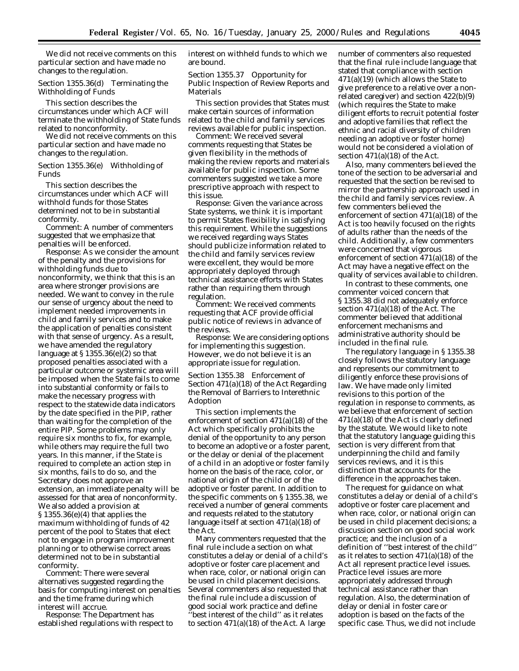We did not receive comments on this particular section and have made no changes to the regulation.

## *Section 1355.36(d) Terminating the Withholding of Funds*

This section describes the circumstances under which ACF will terminate the withholding of State funds related to nonconformity.

We did not receive comments on this particular section and have made no changes to the regulation.

### *Section 1355.36(e) Withholding of Funds*

This section describes the circumstances under which ACF will withhold funds for those States determined not to be in substantial conformity.

*Comment:* A number of commenters suggested that we emphasize that penalties will be enforced.

*Response:* As we consider the amount of the penalty and the provisions for withholding funds due to nonconformity, we think that this is an area where stronger provisions are needed. We want to convey in the rule our sense of urgency about the need to implement needed improvements in child and family services and to make the application of penalties consistent with that sense of urgency. As a result, we have amended the regulatory language at  $\S 1355.36(e)(2)$  so that proposed penalties associated with a particular outcome or systemic area will be imposed when the State fails to come into substantial conformity or fails to make the necessary progress with respect to the statewide data indicators by the date specified in the PIP, rather than waiting for the completion of the entire PIP. Some problems may only require six months to fix, for example, while others may require the full two years. In this manner, if the State is required to complete an action step in six months, fails to do so, and the Secretary does not approve an extension, an immediate penalty will be assessed for that area of nonconformity. We also added a provision at § 1355.36(e)(4) that applies the maximum withholding of funds of 42 percent of the pool to States that elect not to engage in program improvement planning or to otherwise correct areas determined not to be in substantial conformity.

*Comment:* There were several alternatives suggested regarding the basis for computing interest on penalties and the time frame during which interest will accrue.

*Response:* The Department has established regulations with respect to interest on withheld funds to which we are bound.

# *Section 1355.37 Opportunity for Public Inspection of Review Reports and Materials*

This section provides that States must make certain sources of information related to the child and family services reviews available for public inspection.

*Comment:* We received several comments requesting that States be given flexibility in the methods of making the review reports and materials available for public inspection. Some commenters suggested we take a more prescriptive approach with respect to this issue.

*Response:* Given the variance across State systems, we think it is important to permit States flexibility in satisfying this requirement. While the suggestions we received regarding ways States should publicize information related to the child and family services review were excellent, they would be more appropriately deployed through technical assistance efforts with States rather than requiring them through regulation.

*Comment:* We received comments requesting that ACF provide official public notice of reviews in advance of the reviews.

*Response:* We are considering options for implementing this suggestion. However, we do not believe it is an appropriate issue for regulation.

## *Section 1355.38 Enforcement of Section 471(a)(18) of the Act Regarding the Removal of Barriers to Interethnic Adoption*

This section implements the enforcement of section 471(a)(18) of the Act which specifically prohibits the denial of the opportunity to any person to become an adoptive or a foster parent, or the delay or denial of the placement of a child in an adoptive or foster family home on the basis of the race, color, or national origin of the child or of the adoptive or foster parent. In addition to the specific comments on § 1355.38, we received a number of general comments and requests related to the statutory language itself at section 471(a)(18) of the Act.

Many commenters requested that the final rule include a section on what constitutes a delay or denial of a child's adoptive or foster care placement and when race, color, or national origin can be used in child placement decisions. Several commenters also requested that the final rule include a discussion of good social work practice and define 'best interest of the child" as it relates to section 471(a)(18) of the Act. A large

number of commenters also requested that the final rule include language that stated that compliance with section 471(a)(19) (which allows the State to give preference to a relative over a nonrelated caregiver) and section 422(b)(9) (which requires the State to make diligent efforts to recruit potential foster and adoptive families that reflect the ethnic and racial diversity of children needing an adoptive or foster home) would not be considered a violation of section  $471(a)(18)$  of the Act.

Also, many commenters believed the tone of the section to be adversarial and requested that the section be revised to mirror the partnership approach used in the child and family services review. A few commenters believed the enforcement of section 471(a)(18) of the Act is too heavily focused on the rights of adults rather than the needs of the child. Additionally, a few commenters were concerned that vigorous enforcement of section 471(a)(18) of the Act may have a negative effect on the quality of services available to children.

In contrast to these comments, one commenter voiced concern that § 1355.38 did not adequately enforce section 471(a)(18) of the Act. The commenter believed that additional enforcement mechanisms and administrative authority should be included in the final rule.

The regulatory language in § 1355.38 closely follows the statutory language and represents our commitment to diligently enforce these provisions of law. We have made only limited revisions to this portion of the regulation in response to comments, as we believe that enforcement of section 471(a)(18) of the Act is clearly defined by the statute. We would like to note that the statutory language guiding this section is very different from that underpinning the child and family services reviews, and it is this distinction that accounts for the difference in the approaches taken.

The request for guidance on what constitutes a delay or denial of a child's adoptive or foster care placement and when race, color, or national origin can be used in child placement decisions; a discussion section on good social work practice; and the inclusion of a definition of ''best interest of the child'' as it relates to section 471(a)(18) of the Act all represent practice level issues. Practice level issues are more appropriately addressed through technical assistance rather than regulation. Also, the determination of delay or denial in foster care or adoption is based on the facts of the specific case. Thus, we did not include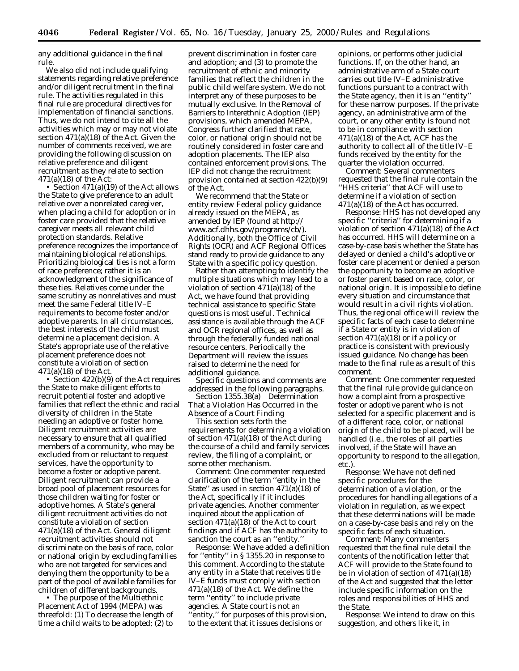any additional guidance in the final rule.

We also did not include qualifying statements regarding relative preference and/or diligent recruitment in the final rule. The activities regulated in this final rule are procedural directives for implementation of financial sanctions. Thus, we do not intend to cite all the activities which may or may not violate section 471(a)(18) of the Act. Given the number of comments received, we are providing the following discussion on relative preference and diligent recruitment as they relate to section 471(a)(18) of the Act:

• Section 471(a)(19) of the Act allows the State to give preference to an adult relative over a nonrelated caregiver, when placing a child for adoption or in foster care provided that the relative caregiver meets all relevant child protection standards. Relative preference recognizes the importance of maintaining biological relationships. Prioritizing biological ties is not a form of race preference; rather it is an acknowledgment of the significance of these ties. Relatives come under the same scrutiny as nonrelatives and must meet the same Federal title IV–E requirements to become foster and/or adoptive parents. In all circumstances, the best interests of the child must determine a placement decision. A State's appropriate use of the relative placement preference does not constitute a violation of section 471(a)(18) of the Act.

• Section 422(b)(9) of the Act requires the State to make diligent efforts to recruit potential foster and adoptive families that reflect the ethnic and racial diversity of children in the State needing an adoptive or foster home. Diligent recruitment activities are necessary to ensure that all qualified members of a community, who may be excluded from or reluctant to request services, have the opportunity to become a foster or adoptive parent. Diligent recruitment can provide a broad pool of placement resources for those children waiting for foster or adoptive homes. A State's general diligent recruitment activities do not constitute a violation of section 471(a)(18) of the Act. General diligent recruitment activities should not discriminate on the basis of race, color or national origin by excluding families who are not targeted for services and denying them the opportunity to be a part of the pool of available families for children of different backgrounds.

• The purpose of the Multiethnic Placement Act of 1994 (MEPA) was threefold: (1) To decrease the length of time a child waits to be adopted; (2) to

prevent discrimination in foster care and adoption; and (3) to promote the recruitment of ethnic and minority families that reflect the children in the public child welfare system. We do not interpret any of these purposes to be mutually exclusive. In the Removal of Barriers to Interethnic Adoption (IEP) provisions, which amended MEPA, Congress further clarified that race, color, or national origin should not be routinely considered in foster care and adoption placements. The IEP also contained enforcement provisions. The IEP did not change the recruitment provision contained at section 422(b)(9) of the Act.

We recommend that the State or entity review Federal policy guidance already issued on the MEPA, as amended by IEP (found at *http:// www.acf.dhhs.gov/programs/cb/).* Additionally, both the Office of Civil Rights (OCR) and ACF Regional Offices stand ready to provide guidance to any State with a specific policy question.

Rather than attempting to identify the multiple situations which may lead to a violation of section 471(a)(18) of the Act, we have found that providing technical assistance to specific State questions is most useful. Technical assistance is available through the ACF and OCR regional offices, as well as through the federally funded national resource centers. Periodically the Department will review the issues raised to determine the need for additional guidance.

Specific questions and comments are addressed in the following paragraphs.

Section 1355.38(a) Determination That a Violation Has Occurred in the Absence of a Court Finding

This section sets forth the requirements for determining a violation of section 471(a)(18) of the Act during the course of a child and family services review, the filing of a complaint, or some other mechanism.

*Comment:* One commenter requested clarification of the term ''entity in the State'' as used in section 471(a)(18) of the Act, specifically if it includes private agencies. Another commenter inquired about the application of section 471(a)(18) of the Act to court findings and if ACF has the authority to sanction the court as an "entity.

*Response:* We have added a definition for ''entity'' in § 1355.20 in response to this comment. According to the statute any entity in a State that receives title IV–E funds must comply with section 471(a)(18) of the Act. We define the term ''entity'' to include private agencies. A State court is not an ''entity,'' for purposes of this provision, to the extent that it issues decisions or

opinions, or performs other judicial functions. If, on the other hand, an administrative arm of a State court carries out title IV–E administrative functions pursuant to a contract with the State agency, then it is an ''entity'' for these narrow purposes. If the private agency, an administrative arm of the court, or any other entity is found not to be in compliance with section 471(a)(18) of the Act, ACF has the authority to collect all of the title IV–E funds received by the entity for the quarter the violation occurred.

*Comment:* Several commenters requested that the final rule contain the ''HHS criteria'' that ACF will use to determine if a violation of section 471(a)(18) of the Act has occurred.

*Response:* HHS has not developed any specific "criteria" for determining if a violation of section 471(a)(18) of the Act has occurred. HHS will determine on a case-by-case basis whether the State has delayed or denied a child's adoptive or foster care placement or denied a person the opportunity to become an adoptive or foster parent based on race, color, or national origin. It is impossible to define every situation and circumstance that would result in a civil rights violation. Thus, the regional office will review the specific facts of each case to determine if a State or entity is in violation of section  $471(a)(18)$  or if a policy or practice is consistent with previously issued guidance. No change has been made to the final rule as a result of this comment.

*Comment:* One commenter requested that the final rule provide guidance on how a complaint from a prospective foster or adoptive parent who is not selected for a specific placement and is of a different race, color, or national origin of the child to be placed, will be handled (*i.e.,* the roles of all parties involved, if the State will have an opportunity to respond to the allegation, etc.).

*Response:* We have not defined specific procedures for the determination of a violation, or the procedures for handling allegations of a violation in regulation, as we expect that these determinations will be made on a case-by-case basis and rely on the specific facts of each situation.

*Comment:* Many commenters requested that the final rule detail the contents of the notification letter that ACF will provide to the State found to be in violation of section of 471(a)(18) of the Act and suggested that the letter include specific information on the roles and responsibilities of HHS and the State.

*Response:* We intend to draw on this suggestion, and others like it, in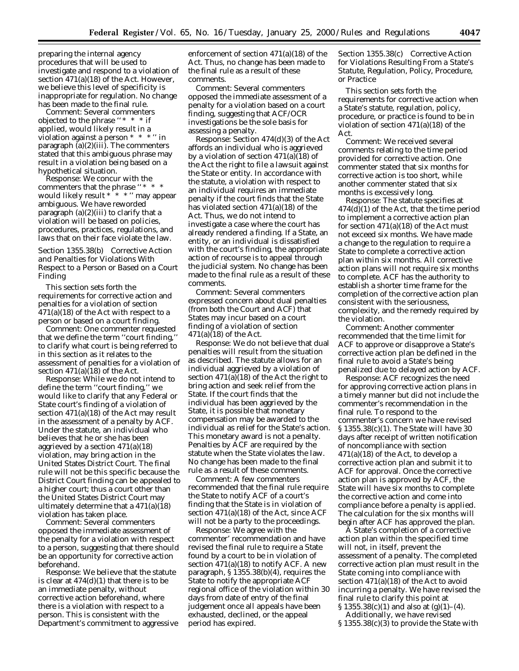preparing the internal agency procedures that will be used to investigate and respond to a violation of section 471(a)(18) of the Act. However, we believe this level of specificity is inappropriate for regulation. No change has been made to the final rule.

*Comment:* Several commenters objected to the phrase "\* \* \* if applied, would likely result in a violation against a person \* \* \* '' in paragraph  $\bar{a}$ )(2)(iii). The commenters stated that this ambiguous phrase may result in a violation being based on a hypothetical situation.

*Response:* We concur with the commenters that the phrase ''  $\ast\quad\ast$ would likely result \* \* \* '' may appear ambiguous. We have reworded paragraph  $(a)(2)(iii)$  to clarify that a violation will be based on policies, procedures, practices, regulations, and laws that on their face violate the law.

## *Section 1355.38(b) Corrective Action and Penalties for Violations With Respect to a Person or Based on a Court Finding*

This section sets forth the requirements for corrective action and penalties for a violation of section  $471(a)(18)$  of the Act with respect to a person or based on a court finding.

*Comment:* One commenter requested that we define the term ''court finding,'' to clarify what court is being referred to in this section as it relates to the assessment of penalties for a violation of section  $471(a)(18)$  of the Act.

*Response:* While we do not intend to define the term ''court finding,'' we would like to clarify that any Federal or State court's finding of a violation of section 471(a)(18) of the Act may result in the assessment of a penalty by ACF. Under the statute, an individual who believes that he or she has been aggrieved by a section 471(a)(18) violation, may bring action in the United States District Court. The final rule will not be this specific because the District Court finding can be appealed to a higher court; thus a court other than the United States District Court may ultimately determine that a 471(a)(18) violation has taken place.

*Comment:* Several commenters opposed the immediate assessment of the penalty for a violation with respect to a person, suggesting that there should be an opportunity for corrective action beforehand.

*Response:* We believe that the statute is clear at  $474(d)(1)$  that there is to be an immediate penalty, without corrective action beforehand, where there is a violation with respect to a person. This is consistent with the Department's commitment to aggressive

enforcement of section 471(a)(18) of the Act. Thus, no change has been made to the final rule as a result of these comments.

*Comment:* Several commenters opposed the immediate assessment of a penalty for a violation based on a court finding, suggesting that ACF/OCR investigations be the sole basis for assessing a penalty.

*Response:* Section 474(d)(3) of the Act affords an individual who is aggrieved by a violation of section 471(a)(18) of the Act the right to file a lawsuit against the State or entity. In accordance with the statute, a violation with respect to an individual requires an immediate penalty if the court finds that the State has violated section 471(a)(18) of the Act. Thus, we do not intend to investigate a case where the court has already rendered a finding. If a State, an entity, or an individual is dissatisfied with the court's finding, the appropriate action of recourse is to appeal through the judicial system. No change has been made to the final rule as a result of these comments.

*Comment:* Several commenters expressed concern about dual penalties (from both the Court and ACF) that States may incur based on a court finding of a violation of section 471(a)(18) of the Act.

*Response:* We do not believe that dual penalties will result from the situation as described. The statute allows for an individual aggrieved by a violation of section  $471(a)(18)$  of the Act the right to bring action and seek relief from the State. If the court finds that the individual has been aggrieved by the State, it is possible that monetary compensation may be awarded to the individual as relief for the State's action. This monetary award is not a penalty. Penalties by ACF are required by the statute when the State violates the law. No change has been made to the final rule as a result of these comments.

*Comment:* A few commenters recommended that the final rule require the State to notify ACF of a court's finding that the State is in violation of section 471(a)(18) of the Act, since ACF will not be a party to the proceedings.

*Response:* We agree with the commenter' recommendation and have revised the final rule to require a State found by a court to be in violation of section 471(a)(18) to notify ACF. A new paragraph, § 1355.38(b)(4), requires the State to notify the appropriate ACF regional office of the violation within 30 days from date of entry of the final judgement once all appeals have been exhausted, declined, or the appeal period has expired.

*Section 1355.38(c) Corrective Action for Violations Resulting From a State's Statute, Regulation, Policy, Procedure, or Practice*

This section sets forth the requirements for corrective action when a State's statute, regulation, policy, procedure, or practice is found to be in violation of section 471(a)(18) of the Act.

*Comment:* We received several comments relating to the time period provided for corrective action. One commenter stated that six months for corrective action is too short, while another commenter stated that six months is excessively long.

*Response:* The statute specifies at 474(d)(1) of the Act, that the time period to implement a corrective action plan for section  $471(a)(18)$  of the Act must not exceed six months. We have made a change to the regulation to require a State to complete a corrective action plan within six months. All corrective action plans will not require six months to complete. ACF has the authority to establish a shorter time frame for the completion of the corrective action plan consistent with the seriousness, complexity, and the remedy required by the violation.

*Comment:* Another commenter recommended that the time limit for ACF to approve or disapprove a State's corrective action plan be defined in the final rule to avoid a State's being penalized due to delayed action by ACF.

*Response:* ACF recognizes the need for approving corrective action plans in a timely manner but did not include the commenter's recommendation in the final rule. To respond to the commenter's concern we have revised § 1355.38(c)(1). The State will have 30 days after receipt of written notification of noncompliance with section 471(a)(18) of the Act, to develop a corrective action plan and submit it to ACF for approval. Once the corrective action plan is approved by ACF, the State will have six months to complete the corrective action and come into compliance before a penalty is applied. The calculation for the six months will begin after ACF has approved the plan.

A State's completion of a corrective action plan within the specified time will not, in itself, prevent the assessment of a penalty. The completed corrective action plan must result in the State coming into compliance with section 471(a)(18) of the Act to avoid incurring a penalty. We have revised the final rule to clarify this point at  $\S 1355.38(c)(1)$  and also at (g)(1)–(4).

Additionally, we have revised § 1355.38(c)(3) to provide the State with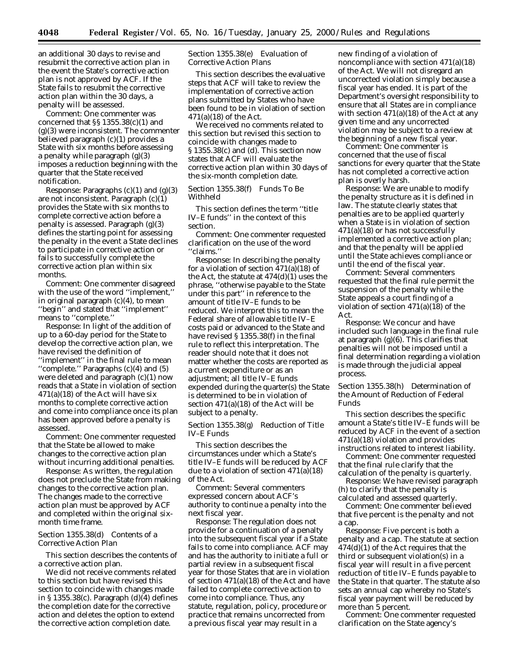an additional 30 days to revise and resubmit the corrective action plan in the event the State's corrective action plan is not approved by ACF. If the State fails to resubmit the corrective action plan within the 30 days, a penalty will be assessed.

*Comment:* One commenter was concerned that §§ 1355.38(c)(1) and (g)(3) were inconsistent. The commenter believed paragraph (c)(1) provides a State with six months before assessing a penalty while paragraph (g)(3) imposes a reduction beginning with the quarter that the State received notification.

*Response:* Paragraphs (c)(1) and (g)(3) are not inconsistent. Paragraph (c)(1) provides the State with six months to complete corrective action before a penalty is assessed. Paragraph (g)(3) defines the starting point for assessing the penalty in the event a State declines to participate in corrective action or fails to successfully complete the corrective action plan within six months.

*Comment:* One commenter disagreed with the use of the word ''implement,'' in original paragraph (c)(4), to mean ''begin'' and stated that ''implement'' means to ''complete.''

*Response:* In light of the addition of up to a 60-day period for the State to develop the corrective action plan, we have revised the definition of ''implement'' in the final rule to mean ''complete.'' Paragraphs (c)(4) and (5) were deleted and paragraph (c)(1) now reads that a State in violation of section  $471(a)(18)$  of the Act will have six months to complete corrective action and come into compliance once its plan has been approved before a penalty is assessed.

*Comment:* One commenter requested that the State be allowed to make changes to the corrective action plan without incurring additional penalties.

*Response:* As written, the regulation does not preclude the State from making changes to the corrective action plan. The changes made to the corrective action plan must be approved by ACF and completed within the original sixmonth time frame.

# *Section 1355.38(d) Contents of a Corrective Action Plan*

This section describes the contents of a corrective action plan.

We did not receive comments related to this section but have revised this section to coincide with changes made in § 1355.38(c). Paragraph (d)(4) defines the completion date for the corrective action and deletes the option to extend the corrective action completion date.

### *Section 1355.38(e) Evaluation of Corrective Action Plans*

This section describes the evaluative steps that ACF will take to review the implementation of corrective action plans submitted by States who have been found to be in violation of section 471(a)(18) of the Act.

We received no comments related to this section but revised this section to coincide with changes made to § 1355.38(c) and (d). This section now states that ACF will evaluate the corrective action plan within 30 days of the six-month completion date.

## *Section 1355.38(f) Funds To Be Withheld*

This section defines the term ''title IV–E funds'' in the context of this section.

*Comment:* One commenter requested clarification on the use of the word ''claims.''

*Response:* In describing the penalty for a violation of section 471(a)(18) of the Act, the statute at 474(d)(1) uses the phrase, ''otherwise payable to the State under this part'' in reference to the amount of title IV–E funds to be reduced. We interpret this to mean the Federal share of allowable title IV–E costs paid or advanced to the State and have revised § 1355.38(f) in the final rule to reflect this interpretation. The reader should note that it does not matter whether the costs are reported as a current expenditure or as an adjustment; all title IV–E funds expended during the quarter(s) the State is determined to be in violation of section 471(a)(18) of the Act will be subject to a penalty.

## *Section 1355.38(g) Reduction of Title IV–E Funds*

This section describes the circumstances under which a State's title IV–E funds will be reduced by ACF due to a violation of section 471(a)(18) of the Act.

*Comment:* Several commenters expressed concern about ACF's authority to continue a penalty into the next fiscal year.

*Response:* The regulation does not provide for a continuation of a penalty into the subsequent fiscal year if a State fails to come into compliance. ACF may and has the authority to initiate a full or partial review in a subsequent fiscal year for those States that are in violation of section 471(a)(18) of the Act and have failed to complete corrective action to come into compliance. Thus, any statute, regulation, policy, procedure or practice that remains uncorrected from a previous fiscal year may result in a

new finding of a violation of noncompliance with section 471(a)(18) of the Act. We will not disregard an uncorrected violation simply because a fiscal year has ended. It is part of the Department's oversight responsibility to ensure that all States are in compliance with section  $471(a)(18)$  of the Act at any given time and any uncorrected violation may be subject to a review at the beginning of a new fiscal year.

*Comment:* One commenter is concerned that the use of fiscal sanctions for every quarter that the State has not completed a corrective action plan is overly harsh.

*Response:* We are unable to modify the penalty structure as it is defined in law. The statute clearly states that penalties are to be applied quarterly when a State is in violation of section 471(a)(18) or has not successfully implemented a corrective action plan; and that the penalty will be applied until the State achieves compliance or until the end of the fiscal year.

*Comment:* Several commenters requested that the final rule permit the suspension of the penalty while the State appeals a court finding of a violation of section 471(a)(18) of the Act.

*Response:* We concur and have included such language in the final rule at paragraph (g)(6). This clarifies that penalties will not be imposed until a final determination regarding a violation is made through the judicial appeal process.

*Section 1355.38(h) Determination of the Amount of Reduction of Federal Funds*

This section describes the specific amount a State's title IV–E funds will be reduced by ACF in the event of a section 471(a)(18) violation and provides instructions related to interest liability.

*Comment:* One commenter requested that the final rule clarify that the calculation of the penalty is quarterly.

*Response:* We have revised paragraph (h) to clarify that the penalty is

calculated and assessed quarterly. *Comment:* One commenter believed

that five percent is the penalty and not a cap.

*Response:* Five percent is both a penalty and a cap. The statute at section 474(d)(1) of the Act requires that the third or subsequent violation(s) in a fiscal year will result in a five percent reduction of title IV–E funds payable to the State in that quarter. The statute also sets an annual cap whereby no State's fiscal year payment will be reduced by more than 5 percent.

*Comment:* One commenter requested clarification on the State agency's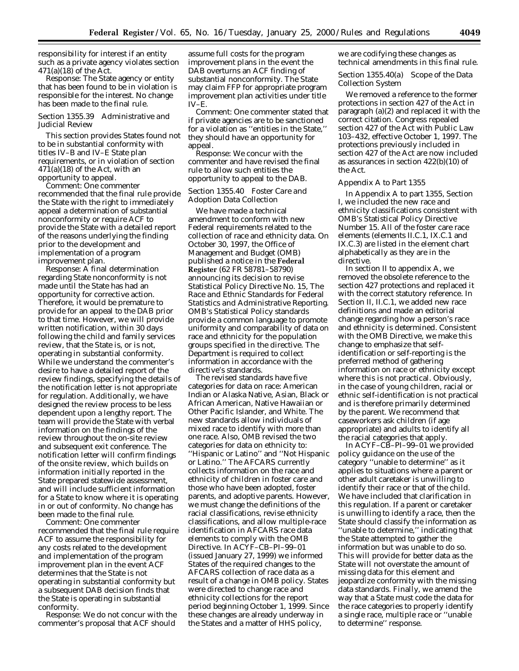responsibility for interest if an entity such as a private agency violates section 471(a)(18) of the Act.

*Response:* The State agency or entity that has been found to be in violation is responsible for the interest. No change has been made to the final rule.

## *Section 1355.39 Administrative and Judicial Review*

This section provides States found not to be in substantial conformity with titles IV–B and IV–E State plan requirements, or in violation of section  $471(a)(18)$  of the Act, with an opportunity to appeal.

*Comment:* One commenter recommended that the final rule provide the State with the right to immediately appeal a determination of substantial nonconformity or require ACF to provide the State with a detailed report of the reasons underlying the finding prior to the development and implementation of a program improvement plan.

*Response:* A final determination regarding State nonconformity is not made until the State has had an opportunity for corrective action. Therefore, it would be premature to provide for an appeal to the DAB prior to that time. However, we will provide written notification, within 30 days following the child and family services review, that the State is, or is not, operating in substantial conformity. While we understand the commenter's desire to have a detailed report of the review findings, specifying the details of the notification letter is not appropriate for regulation. Additionally, we have designed the review process to be less dependent upon a lengthy report. The team will provide the State with verbal information on the findings of the review throughout the on-site review and subsequent exit conference. The notification letter will confirm findings of the onsite review, which builds on information initially reported in the State prepared statewide assessment, and will include sufficient information for a State to know where it is operating in or out of conformity. No change has been made to the final rule.

*Comment:* One commenter recommended that the final rule require ACF to assume the responsibility for any costs related to the development and implementation of the program improvement plan in the event ACF determines that the State is not operating in substantial conformity but a subsequent DAB decision finds that the State is operating in substantial conformity.

*Response:* We do not concur with the commenter's proposal that ACF should

assume full costs for the program improvement plans in the event the DAB overturns an ACF finding of substantial nonconformity. The State may claim FFP for appropriate program improvement plan activities under title IV–E.

*Comment:* One commenter stated that if private agencies are to be sanctioned for a violation as ''entities in the State,'' they should have an opportunity for appeal.

*Response:* We concur with the commenter and have revised the final rule to allow such entities the opportunity to appeal to the DAB.

# *Section 1355.40 Foster Care and Adoption Data Collection*

We have made a technical amendment to conform with new Federal requirements related to the collection of race and ethnicity data. On October 30, 1997, the Office of Management and Budget (OMB) published a notice in the **Federal Register** (62 FR 58781–58790) announcing its decision to revise Statistical Policy Directive No. 15, *The Race and Ethnic Standards for Federal Statistics and Administrative Reporting.* OMB's Statistical Policy standards provide a common language to promote uniformity and comparability of data on race and ethnicity for the population groups specified in the directive. The Department is required to collect information in accordance with the directive's standards.

The revised standards have five categories for data on race: American Indian or Alaska Native, Asian, Black or African American, Native Hawaiian or Other Pacific Islander, and White. The new standards allow individuals of mixed race to identify with more than one race. Also, OMB revised the two categories for data on ethnicity to: ''Hispanic or Latino'' and ''Not Hispanic or Latino.'' The AFCARS currently collects information on the race and ethnicity of children in foster care and those who have been adopted, foster parents, and adoptive parents. However, we must change the definitions of the racial classifications, revise ethnicity classifications, and allow multiple-race identification in AFCARS race data elements to comply with the OMB Directive. In ACYF–CB–PI–99–01 (issued January 27, 1999) we informed States of the required changes to the AFCARS collection of race data as a result of a change in OMB policy. States were directed to change race and ethnicity collections for the report period beginning October 1, 1999. Since these changes are already underway in the States and a matter of HHS policy,

we are codifying these changes as technical amendments in this final rule.

#### *Section 1355.40(a) Scope of the Data Collection System*

We removed a reference to the former protections in section 427 of the Act in paragraph (a)(2) and replaced it with the correct citation. Congress repealed section 427 of the Act with Public Law 103–432, effective October 1, 1997. The protections previously included in section 427 of the Act are now included as assurances in section 422(b)(10) of the Act.

### *Appendix A to Part 1355*

In Appendix A to part 1355, Section I, we included the new race and ethnicity classifications consistent with OMB's Statistical Policy Directive Number 15. All of the foster care race elements (elements II.C.1, IX.C.1 and IX.C.3) are listed in the element chart alphabetically as they are in the directive.

In section II to appendix A, we removed the obsolete reference to the section 427 protections and replaced it with the correct statutory reference. In Section II, II.C.1, we added new race definitions and made an editorial change regarding how a person's race and ethnicity is determined. Consistent with the OMB Directive, we make this change to emphasize that selfidentification or self-reporting is the preferred method of gathering information on race or ethnicity except where this is not practical. Obviously, in the case of young children, racial or ethnic self-identification is not practical and is therefore primarily determined by the parent. We recommend that caseworkers ask children (if age appropriate) and adults to identify all the racial categories that apply.

In ACYF–CB–PI–99–01 we provided policy guidance on the use of the category ''unable to determine'' as it applies to situations where a parent or other adult caretaker is unwilling to identify their race or that of the child. We have included that clarification in this regulation. If a parent or caretaker is unwilling to identify a race, then the State should classify the information as ''unable to determine,'' indicating that the State attempted to gather the information but was unable to do so. This will provide for better data as the State will not overstate the amount of missing data for this element and jeopardize conformity with the missing data standards. Finally, we amend the way that a State must code the data for the race categories to properly identify a single race, multiple race or ''unable to determine'' response.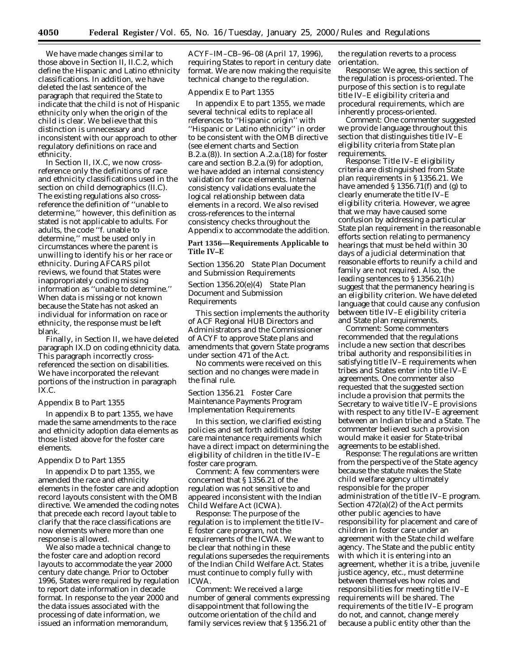We have made changes similar to those above in Section II, II.C.2, which define the Hispanic and Latino ethnicity classifications. In addition, we have deleted the last sentence of the paragraph that required the State to indicate that the child is not of Hispanic ethnicity only when the origin of the child is clear. We believe that this distinction is unnecessary and inconsistent with our approach to other regulatory definitions on race and ethnicity.

In Section II, IX.C, we now crossreference only the definitions of race and ethnicity classifications used in the section on child demographics (II.C). The existing regulations also crossreference the definition of ''unable to determine,'' however, this definition as stated is not applicable to adults. For adults, the code ''f. unable to determine,'' must be used only in circumstances where the parent is unwilling to identify his or her race or ethnicity. During AFCARS pilot reviews, we found that States were inappropriately coding missing information as ''unable to determine.'' When data is missing or not known because the State has not asked an individual for information on race or ethnicity, the response must be left blank.

Finally, in Section II, we have deleted paragraph IX.D on coding ethnicity data. This paragraph incorrectly crossreferenced the section on disabilities. We have incorporated the relevant portions of the instruction in paragraph IX.C.

#### *Appendix B to Part 1355*

In appendix B to part 1355, we have made the same amendments to the race and ethnicity adoption data elements as those listed above for the foster care elements.

# *Appendix D to Part 1355*

In appendix D to part 1355, we amended the race and ethnicity elements in the foster care and adoption record layouts consistent with the OMB directive. We amended the coding notes that precede each record layout table to clarify that the race classifications are now elements where more than one response is allowed.

We also made a technical change to the foster care and adoption record layouts to accommodate the year 2000 century date change. Prior to October 1996, States were required by regulation to report date information in decade format. In response to the year 2000 and the data issues associated with the processing of date information, we issued an information memorandum,

ACYF–IM–CB–96–08 (April 17, 1996), requiring States to report in century date format. We are now making the requisite technical change to the regulation.

#### Appendix E to Part 1355

In appendix E to part 1355, we made several technical edits to replace all references to ''Hispanic origin'' with ''Hispanic or Latino ethnicity'' in order to be consistent with the OMB directive (see element charts and Section B.2.a.(8)). In section A.2.a.(18) for foster care and section B.2.a.(9) for adoption, we have added an internal consistency validation for race elements. Internal consistency validations evaluate the logical relationship between data elements in a record. We also revised cross-references to the internal consistency checks throughout the Appendix to accommodate the addition.

### **Part 1356—Requirements Applicable to Title IV–E**

*Section 1356.20 State Plan Document and Submission Requirements*

#### *Section 1356.20(e)(4) State Plan Document and Submission Requirements*

This section implements the authority of ACF Regional HUB Directors and Administrators and the Commissioner of ACYF to approve State plans and amendments that govern State programs under section 471 of the Act.

No comments were received on this section and no changes were made in the final rule.

## *Section 1356.21 Foster Care Maintenance Payments Program Implementation Requirements*

In this section, we clarified existing policies and set forth additional foster care maintenance requirements which have a direct impact on determining the eligibility of children in the title IV–E foster care program.

*Comment:* A few commenters were concerned that § 1356.21 of the regulation was not sensitive to and appeared inconsistent with the Indian Child Welfare Act (ICWA).

*Response:* The purpose of the regulation is to implement the title IV– E foster care program, not the requirements of the ICWA. We want to be clear that nothing in these regulations supersedes the requirements of the Indian Child Welfare Act. States must continue to comply fully with ICWA.

*Comment:* We received a large number of general comments expressing disappointment that following the outcome orientation of the child and family services review that § 1356.21 of

the regulation reverts to a process orientation.

*Response:* We agree, this section of the regulation is process-oriented. The purpose of this section is to regulate title IV–E eligibility criteria and procedural requirements, which are inherently process-oriented.

*Comment:* One commenter suggested we provide language throughout this section that distinguishes title IV–E eligibility criteria from State plan requirements.

*Response:* Title IV–E eligibility criteria are distinguished from State plan requirements in § 1356.21. We have amended § 1356.71(f) and (g) to clearly enumerate the title IV–E eligibility criteria. However, we agree that we may have caused some confusion by addressing a particular State plan requirement in the reasonable efforts section relating to permanency hearings that must be held within 30 days of a judicial determination that reasonable efforts to reunify a child and family are not required. Also, the leading sentences to § 1356.21(h) suggest that the permanency hearing is an eligibility criterion. We have deleted language that could cause any confusion between title IV–E eligibility criteria and State plan requirements.

*Comment:* Some commenters recommended that the regulations include a new section that describes tribal authority and responsibilities in satisfying title IV–E requirements when tribes and States enter into title IV–E agreements. One commenter also requested that the suggested section include a provision that permits the Secretary to waive title IV–E provisions with respect to any title IV–E agreement between an Indian tribe and a State. The commenter believed such a provision would make it easier for State-tribal agreements to be established.

*Response:* The regulations are written from the perspective of the State agency because the statute makes the State child welfare agency ultimately responsible for the proper administration of the title IV–E program. Section 472(a)(2) of the Act permits other public agencies to have responsibility for placement and care of children in foster care under an agreement with the State child welfare agency. The State and the public entity with which it is entering into an agreement, whether it is a tribe, juvenile justice agency, etc., must determine between themselves how roles and responsibilities for meeting title IV–E requirements will be shared. The requirements of the title IV–E program do not, and cannot, change merely because a public entity other than the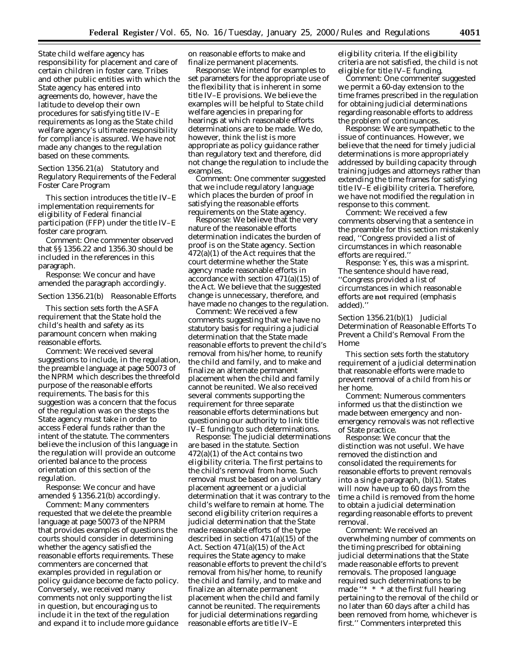State child welfare agency has responsibility for placement and care of certain children in foster care. Tribes and other public entities with which the State agency has entered into agreements do, however, have the latitude to develop their own procedures for satisfying title IV–E requirements as long as the State child welfare agency's ultimate responsibility for compliance is assured. We have not made any changes to the regulation based on these comments.

## *Section 1356.21(a) Statutory and Regulatory Requirements of the Federal Foster Care Program*

This section introduces the title IV–E implementation requirements for eligibility of Federal financial participation (FFP) under the title IV–E foster care program.

*Comment:* One commenter observed that §§ 1356.22 and 1356.30 should be included in the references in this paragraph.

*Response:* We concur and have amended the paragraph accordingly.

#### *Section 1356.21(b) Reasonable Efforts*

This section sets forth the ASFA requirement that the State hold the child's health and safety as its paramount concern when making reasonable efforts.

*Comment:* We received several suggestions to include, in the regulation, the preamble language at page 50073 of the NPRM which describes the threefold purpose of the reasonable efforts requirements. The basis for this suggestion was a concern that the focus of the regulation was on the steps the State agency must take in order to access Federal funds rather than the intent of the statute. The commenters believe the inclusion of this language in the regulation will provide an outcome oriented balance to the process orientation of this section of the regulation.

*Response:* We concur and have amended § 1356.21(b) accordingly.

*Comment:* Many commenters requested that we delete the preamble language at page 50073 of the NPRM that provides examples of questions the courts should consider in determining whether the agency satisfied the reasonable efforts requirements. These commenters are concerned that examples provided in regulation or policy guidance become de facto policy. Conversely, we received many comments not only supporting the list in question, but encouraging us to include it in the text of the regulation and expand it to include more guidance

on reasonable efforts to make and finalize permanent placements.

*Response:* We intend for examples to set parameters for the appropriate use of the flexibility that is inherent in some title IV–E provisions. We believe the examples will be helpful to State child welfare agencies in preparing for hearings at which reasonable efforts determinations are to be made. We do, however, think the list is more appropriate as policy guidance rather than regulatory text and therefore, did not change the regulation to include the examples.

*Comment:* One commenter suggested that we include regulatory language which places the burden of proof in satisfying the reasonable efforts requirements on the State agency.

*Response:* We believe that the very nature of the reasonable efforts determination indicates the burden of proof is on the State agency. Section 472(a)(1) of the Act requires that the court determine whether the State agency made reasonable efforts in accordance with section 471(a)(15) of the Act. We believe that the suggested change is unnecessary, therefore, and have made no changes to the regulation.

*Comment:* We received a few comments suggesting that we have no statutory basis for requiring a judicial determination that the State made reasonable efforts to prevent the child's removal from his/her home, to reunify the child and family, and to make and finalize an alternate permanent placement when the child and family cannot be reunited. We also received several comments supporting the requirement for three separate reasonable efforts determinations but questioning our authority to link title IV–E funding to such determinations.

*Response:* The judicial determinations are based in the statute. Section 472(a)(1) of the Act contains two eligibility criteria. The first pertains to the child's removal from home. Such removal must be based on a voluntary placement agreement or a judicial determination that it was contrary to the child's welfare to remain at home. The second eligibility criterion requires a judicial determination that the State made reasonable efforts of the type described in section 471(a)(15) of the Act. Section 471(a)(15) of the Act requires the State agency to make reasonable efforts to prevent the child's removal from his/her home, to reunify the child and family, and to make and finalize an alternate permanent placement when the child and family cannot be reunited. The requirements for judicial determinations regarding reasonable efforts are title IV–E

eligibility criteria. If the eligibility criteria are not satisfied, the child is not eligible for title IV–E funding.

*Comment:* One commenter suggested we permit a 60-day extension to the time frames prescribed in the regulation for obtaining judicial determinations regarding reasonable efforts to address the problem of continuances.

*Response:* We are sympathetic to the issue of continuances. However, we believe that the need for timely judicial determinations is more appropriately addressed by building capacity through training judges and attorneys rather than extending the time frames for satisfying title IV–E eligibility criteria. Therefore, we have not modified the regulation in response to this comment.

*Comment:* We received a few comments observing that a sentence in the preamble for this section mistakenly read, ''Congress provided a list of circumstances in which reasonable efforts are required.''

*Response:* Yes, this was a misprint. The sentence should have read, ''Congress provided a list of circumstances in which reasonable efforts are **not** required (emphasis added).''

## *Section 1356.21(b)(1) Judicial Determination of Reasonable Efforts To Prevent a Child's Removal From the Home*

This section sets forth the statutory requirement of a judicial determination that reasonable efforts were made to prevent removal of a child from his or her home.

*Comment:* Numerous commenters informed us that the distinction we made between emergency and nonemergency removals was not reflective of State practice.

*Response:* We concur that the distinction was not useful. We have removed the distinction and consolidated the requirements for reasonable efforts to prevent removals into a single paragraph, (b)(1). States will now have up to 60 days from the time a child is removed from the home to obtain a judicial determination regarding reasonable efforts to prevent removal.

*Comment:* We received an overwhelming number of comments on the timing prescribed for obtaining judicial determinations that the State made reasonable efforts to prevent removals. The proposed language required such determinations to be made ''\* \* \* at the first full hearing pertaining to the removal of the child or no later than 60 days after a child has been removed from home, whichever is first.'' Commenters interpreted this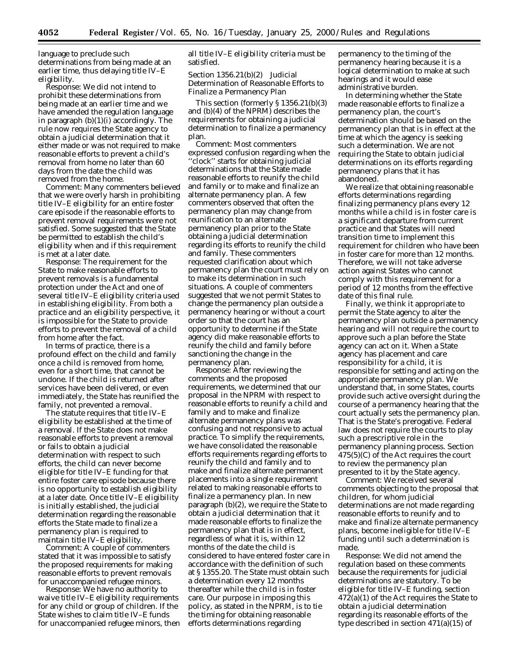language to preclude such determinations from being made at an earlier time, thus delaying title IV–E eligibility.

*Response:* We did not intend to prohibit these determinations from being made at an earlier time and we have amended the regulation language in paragraph  $(b)(1)(i)$  accordingly. The rule now requires the State agency to obtain a judicial determination that it either made or was not required to make reasonable efforts to prevent a child's removal from home no later than 60 days from the date the child was removed from the home.

*Comment:* Many commenters believed that we were overly harsh in prohibiting title IV–E eligibility for an entire foster care episode if the reasonable efforts to prevent removal requirements were not satisfied. Some suggested that the State be permitted to establish the child's eligibility when and if this requirement is met at a later date.

*Response:* The requirement for the State to make reasonable efforts to prevent removals is a fundamental protection under the Act and one of several title IV–E eligibility criteria used in establishing eligibility. From both a practice and an eligibility perspective, it is impossible for the State to provide efforts to prevent the removal of a child from home after the fact.

In terms of practice, there is a profound effect on the child and family once a child is removed from home, even for a short time, that cannot be undone. If the child is returned after services have been delivered, or even immediately, the State has reunified the family, not prevented a removal.

The statute requires that title IV–E eligibility be established at the time of a removal. If the State does not make reasonable efforts to prevent a removal or fails to obtain a judicial determination with respect to such efforts, the child can never become eligible for title IV–E funding for that entire foster care episode because there is no opportunity to establish eligibility at a later date. Once title IV–E eligibility is initially established, the judicial determination regarding the reasonable efforts the State made to finalize a permanency plan is required to maintain title IV–E eligibility.

*Comment:* A couple of commenters stated that it was impossible to satisfy the proposed requirements for making reasonable efforts to prevent removals for unaccompanied refugee minors.

*Response:* We have no authority to waive title IV–E eligibility requirements for any child or group of children. If the State wishes to claim title IV–E funds for unaccompanied refugee minors, then all title IV–E eligibility criteria must be satisfied.

## *Section 1356.21(b)(2) Judicial Determination of Reasonable Efforts to Finalize a Permanency Plan*

This section (formerly § 1356.21(b)(3) and (b)(4) of the NPRM) describes the requirements for obtaining a judicial determination to finalize a permanency plan.

*Comment:* Most commenters expressed confusion regarding when the 'clock'' starts for obtaining judicial determinations that the State made reasonable efforts to reunify the child and family or to make and finalize an alternate permanency plan. A few commenters observed that often the permanency plan may change from reunification to an alternate permanency plan prior to the State obtaining a judicial determination regarding its efforts to reunify the child and family. These commenters requested clarification about which permanency plan the court must rely on to make its determination in such situations. A couple of commenters suggested that we not permit States to change the permanency plan outside a permanency hearing or without a court order so that the court has an opportunity to determine if the State agency did make reasonable efforts to reunify the child and family before sanctioning the change in the permanency plan.

*Response:* After reviewing the comments and the proposed requirements, we determined that our proposal in the NPRM with respect to reasonable efforts to reunify a child and family and to make and finalize alternate permanency plans was confusing and not responsive to actual practice. To simplify the requirements, we have consolidated the reasonable efforts requirements regarding efforts to reunify the child and family and to make and finalize alternate permanent placements into a single requirement related to making reasonable efforts to finalize a permanency plan. In new paragraph (b)(2), we require the State to obtain a judicial determination that it made reasonable efforts to finalize the permanency plan that is in effect, regardless of what it is, within 12 months of the date the child is considered to have entered foster care in accordance with the definition of such at § 1355.20. The State must obtain such a determination every 12 months thereafter while the child is in foster care. Our purpose in imposing this policy, as stated in the NPRM, is to tie the timing for obtaining reasonable efforts determinations regarding

permanency to the timing of the permanency hearing because it is a logical determination to make at such hearings and it would ease administrative burden.

In determining whether the State made reasonable efforts to finalize a permanency plan, the court's determination should be based on the permanency plan that is in effect at the time at which the agency is seeking such a determination. We are not requiring the State to obtain judicial determinations on its efforts regarding permanency plans that it has abandoned.

We realize that obtaining reasonable efforts determinations regarding finalizing permanency plans every 12 months while a child is in foster care is a significant departure from current practice and that States will need transition time to implement this requirement for children who have been in foster care for more than 12 months. Therefore, we will not take adverse action against States who cannot comply with this requirement for a period of 12 months from the effective date of this final rule.

Finally, we think it appropriate to permit the State agency to alter the permanency plan outside a permanency hearing and will not require the court to approve such a plan before the State agency can act on it. When a State agency has placement and care responsibility for a child, it is responsible for setting and acting on the appropriate permanency plan. We understand that, in some States, courts provide such active oversight during the course of a permanency hearing that the court actually sets the permanency plan. That is the State's prerogative. Federal law does not require the courts to play such a prescriptive role in the permanency planning process. Section 475(5)(C) of the Act requires the court to review the permanency plan presented to it by the State agency.

*Comment:* We received several comments objecting to the proposal that children, for whom judicial determinations are not made regarding reasonable efforts to reunify and to make and finalize alternate permanency plans, become ineligible for title IV–E funding until such a determination is made.

*Response:* We did not amend the regulation based on these comments because the requirements for judicial determinations are statutory. To be eligible for title IV–E funding, section 472(a)(1) of the Act requires the State to obtain a judicial determination regarding its reasonable efforts of the type described in section 471(a)(15) of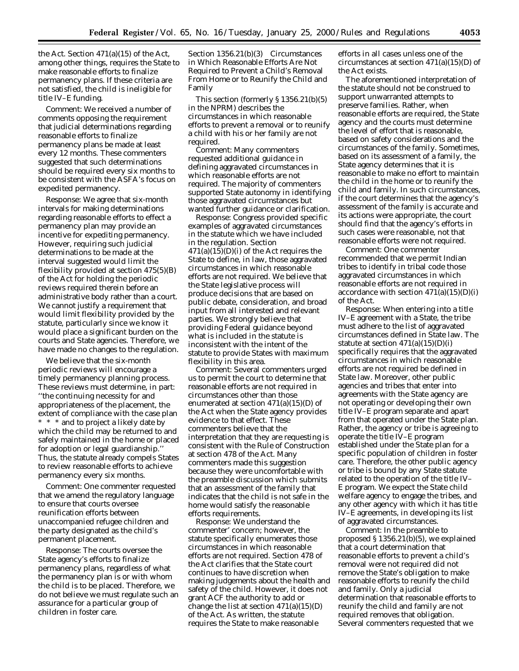the Act. Section 471(a)(15) of the Act, among other things, requires the State to make reasonable efforts to finalize permanency plans. If these criteria are not satisfied, the child is ineligible for title IV–E funding.

*Comment:* We received a number of comments opposing the requirement that judicial determinations regarding reasonable efforts to finalize permanency plans be made at least every 12 months. These commenters suggested that such determinations should be required every six months to be consistent with the ASFA's focus on expedited permanency.

*Response:* We agree that six-month intervals for making determinations regarding reasonable efforts to effect a permanency plan may provide an incentive for expediting permanency. However, requiring such judicial determinations to be made at the interval suggested would limit the flexibility provided at section 475(5)(B) of the Act for holding the periodic reviews required therein before an administrative body rather than a court. We cannot justify a requirement that would limit flexibility provided by the statute, particularly since we know it would place a significant burden on the courts and State agencies. Therefore, we have made no changes to the regulation.

We believe that the six-month periodic reviews will encourage a timely permanency planning process. These reviews must determine, in part: ''the continuing necessity for and appropriateness of the placement, the extent of compliance with the case plan \* \* \* and to project a likely date by which the child may be returned to and safely maintained in the home or placed for adoption or legal guardianship.'' Thus, the statute already compels States to review reasonable efforts to achieve permanency every six months.

*Comment:* One commenter requested that we amend the regulatory language to ensure that courts oversee reunification efforts between unaccompanied refugee children and the party designated as the child's permanent placement.

*Response:* The courts oversee the State agency's efforts to finalize permanency plans, regardless of what the permanency plan is or with whom the child is to be placed. Therefore, we do not believe we must regulate such an assurance for a particular group of children in foster care.

Section 1356.21(b)(3) Circumstances in Which Reasonable Efforts Are Not Required to Prevent a Child's Removal From Home or to Reunify the Child and Family

This section (formerly § 1356.21(b)(5) in the NPRM) describes the circumstances in which reasonable efforts to prevent a removal or to reunify a child with his or her family are not required.

*Comment:* Many commenters requested additional guidance in defining aggravated circumstances in which reasonable efforts are not required. The majority of commenters supported State autonomy in identifying those aggravated circumstances but wanted further guidance or clarification.

*Response:* Congress provided specific examples of aggravated circumstances in the statute which we have included in the regulation. Section  $471(a)(15)(D)(i)$  of the Act requires the State to define, in law, those aggravated circumstances in which reasonable efforts are not required. We believe that the State legislative process will produce decisions that are based on public debate, consideration, and broad input from all interested and relevant parties. We strongly believe that providing Federal guidance beyond what is included in the statute is inconsistent with the intent of the statute to provide States with maximum flexibility in this area.

*Comment:* Several commenters urged us to permit the court to determine that reasonable efforts are not required in circumstances other than those enumerated at section  $471(a)(15)(D)$  of the Act when the State agency provides evidence to that effect. These commenters believe that the interpretation that they are requesting is consistent with the Rule of Construction at section 478 of the Act. Many commenters made this suggestion because they were uncomfortable with the preamble discussion which submits that an assessment of the family that indicates that the child is not safe in the home would satisfy the reasonable efforts requirements.

*Response:* We understand the commenter' concern; however, the statute specifically enumerates those circumstances in which reasonable efforts are not required. Section 478 of the Act clarifies that the State court continues to have discretion when making judgements about the health and safety of the child. However, it does not grant ACF the authority to add or change the list at section  $471(a)(15)(D)$ of the Act. As written, the statute requires the State to make reasonable

efforts in all cases unless one of the circumstances at section 471(a)(15)(D) of the Act exists.

The aforementioned interpretation of the statute should not be construed to support unwarranted attempts to preserve families. Rather, when reasonable efforts are required, the State agency and the courts must determine the level of effort that is reasonable, based on safety considerations and the circumstances of the family. Sometimes, based on its assessment of a family, the State agency determines that it is reasonable to make no effort to maintain the child in the home or to reunify the child and family. In such circumstances, if the court determines that the agency's assessment of the family is accurate and its actions were appropriate, the court should find that the agency's efforts in such cases were reasonable, not that reasonable efforts were not required.

*Comment:* One commenter recommended that we permit Indian tribes to identify in tribal code those aggravated circumstances in which reasonable efforts are not required in accordance with section  $471(a)(15)(D)(i)$ of the Act.

*Response:* When entering into a title IV–E agreement with a State, the tribe must adhere to the list of aggravated circumstances defined in State law. The statute at section  $471(a)(15)(D)(i)$ specifically requires that the aggravated circumstances in which reasonable efforts are not required be defined in State law. Moreover, other public agencies and tribes that enter into agreements with the State agency are not operating or developing their own title IV–E program separate and apart from that operated under the State plan. Rather, the agency or tribe is agreeing to operate the title IV–E program established under the State plan for a specific population of children in foster care. Therefore, the other public agency or tribe is bound by any State statute related to the operation of the title IV– E program. We expect the State child welfare agency to engage the tribes, and any other agency with which it has title IV–E agreements, in developing its list of aggravated circumstances.

*Comment:* In the preamble to proposed § 1356.21(b)(5), we explained that a court determination that reasonable efforts to prevent a child's removal were not required did not remove the State's obligation to make reasonable efforts to reunify the child and family. Only a judicial determination that reasonable efforts to reunify the child and family are not required removes that obligation. Several commenters requested that we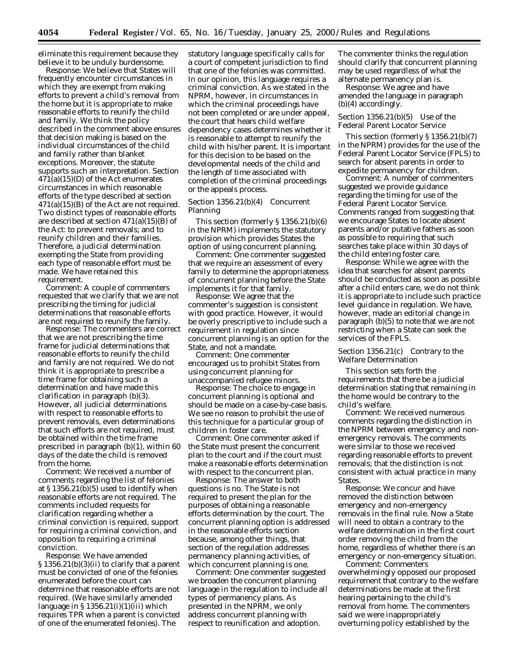eliminate this requirement because they believe it to be unduly burdensome.

*Response:* We believe that States will frequently encounter circumstances in which they are exempt from making efforts to prevent a child's removal from the home but it is appropriate to make reasonable efforts to reunify the child and family. We think the policy described in the comment above ensures that decision making is based on the individual circumstances of the child and family rather than blanket exceptions. Moreover, the statute supports such an interpretation. Section 471(a)(15)(D) of the Act enumerates circumstances in which reasonable efforts of the type described at section 471(a)(15)(B) of the Act are not required. Two distinct types of reasonable efforts are described at section 471(a)(15)(B) of the Act: to prevent removals; and to reunify children and their families. Therefore, a judicial determination exempting the State from providing each type of reasonable effort must be made. We have retained this requirement.

*Comment:* A couple of commenters requested that we clarify that we are not prescribing the timing for judicial determinations that reasonable efforts are not required to reunify the family.

*Response:* The commenters are correct that we are not prescribing the time frame for judicial determinations that reasonable efforts to reunify the child and family are not required. We do not think it is appropriate to prescribe a time frame for obtaining such a determination and have made this clarification in paragraph (b)(3). However, all judicial determinations with respect to reasonable efforts to prevent removals, even determinations that such efforts are not required, must be obtained within the time frame prescribed in paragraph (b)(1), within 60 days of the date the child is removed from the home.

*Comment:* We received a number of comments regarding the list of felonies at § 1356.21(b)(5) used to identify when reasonable efforts are not required. The comments included requests for clarification regarding whether a criminal conviction is required, support for requiring a criminal conviction, and opposition to requiring a criminal conviction.

*Response:* We have amended § 1356.21(b)(3)(ii) to clarify that a parent must be convicted of one of the felonies enumerated before the court can determine that reasonable efforts are not required. (We have similarly amended language in  $\S 1356.21(i)(1)(iii)$  which requires TPR when a parent is convicted of one of the enumerated felonies). The

statutory language specifically calls for a court of competent jurisdiction to find that one of the felonies was committed. In our opinion, this language requires a criminal conviction. As we stated in the NPRM, however, in circumstances in which the criminal proceedings have not been completed or are under appeal, the court that hears child welfare dependency cases determines whether it is reasonable to attempt to reunify the child with his/her parent. It is important for this decision to be based on the developmental needs of the child and the length of time associated with completion of the criminal proceedings or the appeals process.

## *Section 1356.21(b)(4) Concurrent Planning*

This section (formerly § 1356.21(b)(6) in the NPRM) implements the statutory provision which provides States the option of using concurrent planning.

*Comment:* One commenter suggested that we require an assessment of every family to determine the appropriateness of concurrent planning before the State implements it for that family.

*Response:* We agree that the commenter's suggestion is consistent with good practice. However, it would be overly prescriptive to include such a requirement in regulation since concurrent planning is an option for the State, and not a mandate.

*Comment:* One commenter encouraged us to prohibit States from using concurrent planning for unaccompanied refugee minors.

*Response:* The choice to engage in concurrent planning is optional and should be made on a case-by-case basis. We see no reason to prohibit the use of this technique for a particular group of children in foster care.

*Comment:* One commenter asked if the State must present the concurrent plan to the court and if the court must make a reasonable efforts determination with respect to the concurrent plan.

*Response:* The answer to both questions is no. The State is not required to present the plan for the purposes of obtaining a reasonable efforts determination by the court. The concurrent planning option is addressed in the reasonable efforts section because, among other things, that section of the regulation addresses permanency planning activities, of which concurrent planning is one.

*Comment:* One commenter suggested we broaden the concurrent planning language in the regulation to include all types of permanency plans. As presented in the NPRM, we only address concurrent planning with respect to reunification and adoption.

The commenter thinks the regulation should clarify that concurrent planning may be used regardless of what the alternate permanency plan is.

*Response:* We agree and have amended the language in paragraph (b)(4) accordingly.

# *Section 1356.21(b)(5) Use of the Federal Parent Locator Service*

This section (formerly § 1356.21(b)(7) in the NPRM) provides for the use of the Federal Parent Locator Service (FPLS) to search for absent parents in order to expedite permanency for children.

*Comment:* A number of commenters suggested we provide guidance regarding the timing for use of the Federal Parent Locator Service. Comments ranged from suggesting that we encourage States to locate absent parents and/or putative fathers as soon as possible to requiring that such searches take place within 30 days of the child entering foster care.

*Response:* While we agree with the idea that searches for absent parents should be conducted as soon as possible after a child enters care, we do not think it is appropriate to include such practice level guidance in regulation. We have, however, made an editorial change in paragraph (b)(5) to note that we are not restricting when a State can seek the services of the FPLS.

## *Section 1356.21(c) Contrary to the Welfare Determination*

This section sets forth the requirements that there be a judicial determination stating that remaining in the home would be contrary to the child's welfare.

*Comment:* We received numerous comments regarding the distinction in the NPRM between emergency and nonemergency removals. The comments were similar to those we received regarding reasonable efforts to prevent removals; that the distinction is not consistent with actual practice in many States.

*Response:* We concur and have removed the distinction between emergency and non-emergency removals in the final rule. Now a State will need to obtain a contrary to the welfare determination in the first court order removing the child from the home, regardless of whether there is an emergency or non-emergency situation.

*Comment:* Commenters overwhelmingly opposed our proposed requirement that contrary to the welfare determinations be made at the first hearing pertaining to the child's removal from home. The commenters said we were inappropriately overturning policy established by the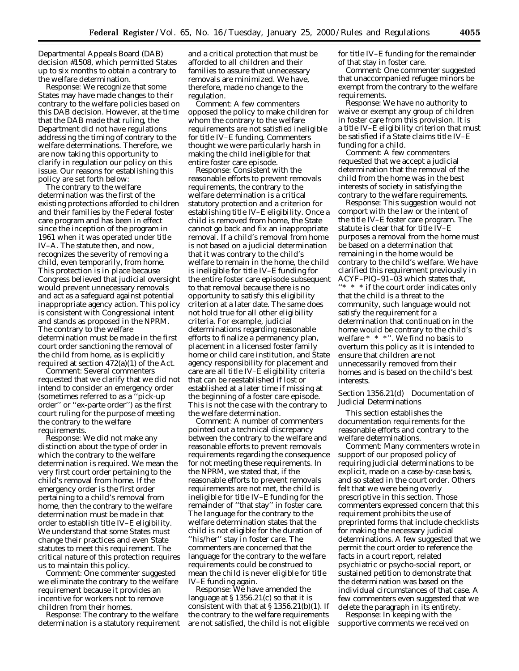Departmental Appeals Board (DAB) decision #1508, which permitted States up to six months to obtain a contrary to the welfare determination.

*Response:* We recognize that some States may have made changes to their contrary to the welfare policies based on this DAB decision. However, at the time that the DAB made that ruling, the Department did not have regulations addressing the timing of contrary to the welfare determinations. Therefore, we are now taking this opportunity to clarify in regulation our policy on this issue. Our reasons for establishing this policy are set forth below:

The contrary to the welfare determination was the first of the existing protections afforded to children and their families by the Federal foster care program and has been in effect since the inception of the program in 1961 when it was operated under title IV–A. The statute then, and now, recognizes the severity of removing a child, even temporarily, from home. This protection is in place because Congress believed that judicial oversight would prevent unnecessary removals and act as a safeguard against potential inappropriate agency action. This policy is consistent with Congressional intent and stands as proposed in the NPRM. The contrary to the welfare determination must be made in the first court order sanctioning the removal of the child from home, as is explicitly required at section 472(a)(1) of the Act.

*Comment:* Several commenters requested that we clarify that we did not intend to consider an emergency order (sometimes referred to as a ''pick-up order'' or ''ex-parte order'') as the first court ruling for the purpose of meeting the contrary to the welfare requirements.

*Response:* We did not make any distinction about the type of order in which the contrary to the welfare determination is required. We mean the very first court order pertaining to the child's removal from home. If the emergency order is the first order pertaining to a child's removal from home, then the contrary to the welfare determination must be made in that order to establish title IV–E eligibility. We understand that some States must change their practices and even State statutes to meet this requirement. The critical nature of this protection requires us to maintain this policy.

*Comment:* One commenter suggested we eliminate the contrary to the welfare requirement because it provides an incentive for workers not to remove children from their homes.

*Response:* The contrary to the welfare determination is a statutory requirement

and a critical protection that must be afforded to all children and their families to assure that unnecessary removals are minimized. We have, therefore, made no change to the regulation.

*Comment:* A few commenters opposed the policy to make children for whom the contrary to the welfare requirements are not satisfied ineligible for title IV–E funding. Commenters thought we were particularly harsh in making the child ineligible for that entire foster care episode.

*Response:* Consistent with the reasonable efforts to prevent removals requirements, the contrary to the welfare determination is a critical statutory protection and a criterion for establishing title IV–E eligibility. Once a child is removed from home, the State cannot go back and fix an inappropriate removal. If a child's removal from home is not based on a judicial determination that it was contrary to the child's welfare to remain in the home, the child is ineligible for title IV–E funding for the entire foster care episode subsequent to that removal because there is no opportunity to satisfy this eligibility criterion at a later date. The same does not hold true for all other eligibility criteria. For example, judicial determinations regarding reasonable efforts to finalize a permanency plan, placement in a licensed foster family home or child care institution, and State agency responsibility for placement and care are all title IV–E eligibility criteria that can be reestablished if lost or established at a later time if missing at the beginning of a foster care episode. This is not the case with the contrary to the welfare determination.

*Comment:* A number of commenters pointed out a technical discrepancy between the contrary to the welfare and reasonable efforts to prevent removals requirements regarding the consequence for not meeting these requirements. In the NPRM, we stated that, if the reasonable efforts to prevent removals requirements are not met, the child is ineligible for title IV–E funding for the remainder of ''that stay'' in foster care. The language for the contrary to the welfare determination states that the child is not eligible for the duration of "his/her" stay in foster care. The commenters are concerned that the language for the contrary to the welfare requirements could be construed to mean the child is never eligible for title IV–E funding again.

*Response:* We have amended the language at  $\S 1356.21(c)$  so that it is consistent with that at  $\S 1356.21(b)(1)$ . If the contrary to the welfare requirements are not satisfied, the child is not eligible

for title IV–E funding for the remainder of that stay in foster care.

*Comment:* One commenter suggested that unaccompanied refugee minors be exempt from the contrary to the welfare requirements.

*Response:* We have no authority to waive or exempt any group of children in foster care from this provision. It is a title IV–E eligibility criterion that must be satisfied if a State claims title IV–E funding for a child.

*Comment:* A few commenters requested that we accept a judicial determination that the removal of the child from the home was in the best interests of society in satisfying the contrary to the welfare requirements.

*Response:* This suggestion would not comport with the law or the intent of the title IV–E foster care program. The statute is clear that for title IV–E purposes a removal from the home must be based on a determination that remaining in the home would be contrary to the child's welfare. We have clarified this requirement previously in ACYF–PIQ–91–03 which states that, "\* \* \* if the court order indicates only that the child is a threat to the community, such language would not satisfy the requirement for a determination that continuation in the home would be contrary to the child's welfare \* \* \*''. We find no basis to overturn this policy as it is intended to ensure that children are not unnecessarily removed from their homes and is based on the child's best interests.

Section 1356.21(d) Documentation of Judicial Determinations

This section establishes the documentation requirements for the reasonable efforts and contrary to the welfare determinations.

*Comment:* Many commenters wrote in support of our proposed policy of requiring judicial determinations to be explicit, made on a case-by-case basis, and so stated in the court order. Others felt that we were being overly prescriptive in this section. Those commenters expressed concern that this requirement prohibits the use of preprinted forms that include checklists for making the necessary judicial determinations. A few suggested that we permit the court order to reference the facts in a court report, related psychiatric or psycho-social report, or sustained petition to demonstrate that the determination was based on the individual circumstances of that case. A few commenters even suggested that we delete the paragraph in its entirety.

*Response:* In keeping with the supportive comments we received on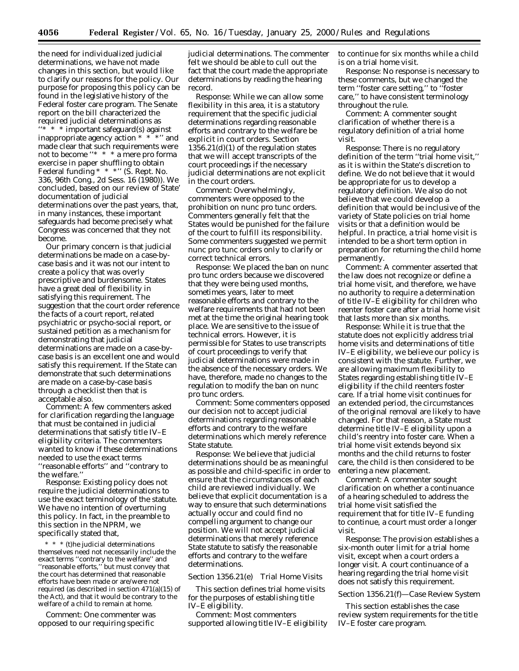the need for individualized judicial determinations, we have not made changes in this section, but would like to clarify our reasons for the policy. Our purpose for proposing this policy can be found in the legislative history of the Federal foster care program. The Senate report on the bill characterized the required judicial determinations as ''\* \* \* important safeguard(s) against inappropriate agency action \* \* \*'' and made clear that such requirements were not to become ''\* \* \* a mere *pro forma* exercise in paper shuffling to obtain Federal funding \* \* \*'' (S. Rept. No. 336, 96th Cong., 2d Sess. 16 (1980)). We concluded, based on our review of State' documentation of judicial determinations over the past years, that, in many instances, these important safeguards had become precisely what Congress was concerned that they not become.

Our primary concern is that judicial determinations be made on a case-bycase basis and it was not our intent to create a policy that was overly prescriptive and burdensome. States have a great deal of flexibility in satisfying this requirement. The suggestion that the court order reference the facts of a court report, related psychiatric or psycho-social report, or sustained petition as a mechanism for demonstrating that judicial determinations are made on a case-bycase basis is an excellent one and would satisfy this requirement. If the State can demonstrate that such determinations are made on a case-by-case basis through a checklist then that is acceptable also.

*Comment:* A few commenters asked for clarification regarding the language that must be contained in judicial determinations that satisfy title IV–E eligibility criteria. The commenters wanted to know if these determinations needed to use the exact terms ''reasonable efforts'' and ''contrary to the welfare.''

*Response:* Existing policy does not require the judicial determinations to use the exact terminology of the statute. We have no intention of overturning this policy. In fact, in the preamble to this section in the NPRM, we specifically stated that,

 $\hspace{0.1mm}^*$   $\hspace{0.1mm}^*$   $\hspace{0.1mm}^*$  (t)<br>he judicial determinations themselves need not necessarily include the exact terms ''contrary to the welfare'' and ''reasonable efforts,'' but must convey that the court has determined that reasonable efforts have been made or are/were not required (as described in section 471(a)(15) of the Act), and that it would be contrary to the welfare of a child to remain at home.

*Comment:* One commenter was opposed to our requiring specific judicial determinations. The commenter felt we should be able to cull out the fact that the court made the appropriate determinations by reading the hearing record.

*Response:* While we can allow some flexibility in this area, it is a statutory requirement that the specific judicial determinations regarding reasonable efforts and contrary to the welfare be explicit in court orders. Section 1356.21(d)(1) of the regulation states that we will accept transcripts of the court proceedings if the necessary judicial determinations are not explicit in the court orders.

*Comment:* Overwhelmingly, commenters were opposed to the prohibition on nunc pro tunc orders. Commenters generally felt that the States would be punished for the failure of the court to fulfill its responsibility. Some commenters suggested we permit nunc pro tunc orders only to clarify or correct technical errors.

*Response:* We placed the ban on nunc pro tunc orders because we discovered that they were being used months, sometimes years, later to meet reasonable efforts and contrary to the welfare requirements that had not been met at the time the original hearing took place. We are sensitive to the issue of technical errors. However, it is permissible for States to use transcripts of court proceedings to verify that judicial determinations were made in the absence of the necessary orders. We have, therefore, made no changes to the regulation to modify the ban on nunc pro tunc orders.

*Comment:* Some commenters opposed our decision not to accept judicial determinations regarding reasonable efforts and contrary to the welfare determinations which merely reference State statute.

*Response:* We believe that judicial determinations should be as meaningful as possible and child-specific in order to ensure that the circumstances of each child are reviewed individually. We believe that explicit documentation is a way to ensure that such determinations actually occur and could find no compelling argument to change our position. We will not accept judicial determinations that merely reference State statute to satisfy the reasonable efforts and contrary to the welfare determinations.

### *Section 1356.21(e) Trial Home Visits*

This section defines trial home visits for the purposes of establishing title IV–E eligibility.

*Comment:* Most commenters supported allowing title IV–E eligibility to continue for six months while a child is on a trial home visit.

*Response:* No response is necessary to these comments, but we changed the term ''foster care setting,'' to ''foster care,'' to have consistent terminology throughout the rule.

*Comment:* A commenter sought clarification of whether there is a regulatory definition of a trial home visit.

*Response:* There is no regulatory definition of the term ''trial home visit,'' as it is within the State's discretion to define. We do not believe that it would be appropriate for us to develop a regulatory definition. We also do not believe that we could develop a definition that would be inclusive of the variety of State policies on trial home visits or that a definition would be helpful. In practice, a trial home visit is intended to be a short term option in preparation for returning the child home permanently.

*Comment:* A commenter asserted that the law does not recognize or define a trial home visit, and therefore, we have no authority to require a determination of title IV–E eligibility for children who reenter foster care after a trial home visit that lasts more than six months.

*Response:* While it is true that the statute does not explicitly address trial home visits and determinations of title IV–E eligibility, we believe our policy is consistent with the statute. Further, we are allowing maximum flexibility to States regarding establishing title IV–E eligibility if the child reenters foster care. If a trial home visit continues for an extended period, the circumstances of the original removal are likely to have changed. For that reason, a State must determine title IV–E eligibility upon a child's reentry into foster care. When a trial home visit extends beyond six months and the child returns to foster care, the child is then considered to be entering a new placement.

*Comment:* A commenter sought clarification on whether a continuance of a hearing scheduled to address the trial home visit satisfied the requirement that for title IV–E funding to continue, a court must order a longer visit.

*Response:* The provision establishes a six-month outer limit for a trial home visit, except when a court orders a longer visit. A court continuance of a hearing regarding the trial home visit does not satisfy this requirement.

#### *Section 1356.21(f)—Case Review System*

This section establishes the case review system requirements for the title IV–E foster care program.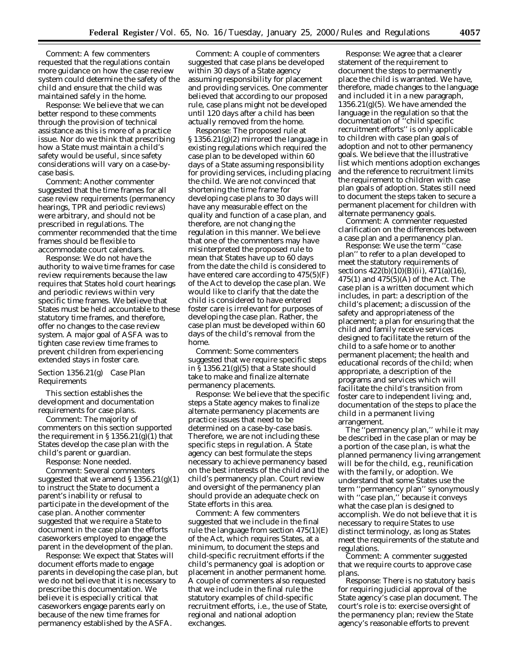*Comment:* A few commenters requested that the regulations contain more guidance on how the case review system could determine the safety of the child and ensure that the child was maintained safely in the home.

*Response:* We believe that we can better respond to these comments through the provision of technical assistance as this is more of a practice issue. Nor do we think that prescribing how a State must maintain a child's safety would be useful, since safety considerations will vary on a case-bycase basis.

*Comment:* Another commenter suggested that the time frames for all case review requirements (permanency hearings, TPR and periodic reviews) were arbitrary, and should not be prescribed in regulations. The commenter recommended that the time frames should be flexible to accommodate court calendars.

*Response:* We do not have the authority to waive time frames for case review requirements because the law requires that States hold court hearings and periodic reviews within very specific time frames. We believe that States must be held accountable to these statutory time frames, and therefore, offer no changes to the case review system. A major goal of ASFA was to tighten case review time frames to prevent children from experiencing extended stays in foster care.

### *Section 1356.21(g) Case Plan Requirements*

This section establishes the development and documentation requirements for case plans.

*Comment:* The majority of commenters on this section supported the requirement in  $\S 1356.21(g)(1)$  that States develop the case plan with the child's parent or guardian.

*Response:* None needed.

*Comment:* Several commenters suggested that we amend  $\S 1356.21(g)(1)$ to instruct the State to document a parent's inability or refusal to participate in the development of the case plan. Another commenter suggested that we require a State to document in the case plan the efforts caseworkers employed to engage the parent in the development of the plan.

*Response:* We expect that States will document efforts made to engage parents in developing the case plan, but we do not believe that it is necessary to prescribe this documentation. We believe it is especially critical that caseworkers engage parents early on because of the new time frames for permanency established by the ASFA.

*Comment:* A couple of commenters suggested that case plans be developed within 30 days of a State agency assuming responsibility for placement and providing services. One commenter believed that according to our proposed rule, case plans might not be developed until 120 days after a child has been actually removed from the home.

*Response:* The proposed rule at § 1356.21(g)(2) mirrored the language in existing regulations which required the case plan to be developed within 60 days of a State assuming responsibility for providing services, including placing the child. We are not convinced that shortening the time frame for developing case plans to 30 days will have any measurable effect on the quality and function of a case plan, and therefore, are not changing the regulation in this manner. We believe that one of the commenters may have misinterpreted the proposed rule to mean that States have up to 60 days from the date the child is considered to have entered care according to 475(5)(F) of the Act to develop the case plan. We would like to clarify that the date the child is considered to have entered foster care is irrelevant for purposes of developing the case plan. Rather, the case plan must be developed within 60 days of the child's removal from the home.

*Comment:* Some commenters suggested that we require specific steps in  $\S 1356.21(g)(5)$  that a State should take to make and finalize alternate permanency placements.

*Response:* We believe that the specific steps a State agency makes to finalize alternate permanency placements are practice issues that need to be determined on a case-by-case basis. Therefore, we are not including these specific steps in regulation. A State agency can best formulate the steps necessary to achieve permanency based on the best interests of the child and the child's permanency plan. Court review and oversight of the permanency plan should provide an adequate check on State efforts in this area.

*Comment:* A few commenters suggested that we include in the final rule the language from section 475(1)(E) of the Act, which requires States, at a minimum, to document the steps and child-specific recruitment efforts if the child's permanency goal is adoption or placement in another permanent home. A couple of commenters also requested that we include in the final rule the statutory examples of child-specific recruitment efforts, *i.e.,* the use of State, regional and national adoption exchanges.

*Response:* We agree that a clearer statement of the requirement to document the steps to permanently place the child is warranted. We have, therefore, made changes to the language and included it in a new paragraph,  $1356.21(g)(5)$ . We have amended the language in the regulation so that the documentation of ''child specific recruitment efforts'' is only applicable to children with case plan goals of adoption and not to other permanency goals. We believe that the illustrative list which mentions adoption exchanges and the reference to recruitment limits the requirement to children with case plan goals of adoption. States still need to document the steps taken to secure a permanent placement for children with alternate permanency goals.

*Comment:* A commenter requested clarification on the differences between a case plan and a permanency plan.

*Response:* We use the term ''case plan'' to refer to a plan developed to meet the statutory requirements of sections  $422(b)(10)(B)(ii)$ ,  $471(a)(16)$ , 475(1) and 475(5)(A) of the Act. The case plan is a written document which includes, in part: a description of the child's placement; a discussion of the safety and appropriateness of the placement; a plan for ensuring that the child and family receive services designed to facilitate the return of the child to a safe home or to another permanent placement; the health and educational records of the child; when appropriate, a description of the programs and services which will facilitate the child's transition from foster care to independent living; and, documentation of the steps to place the child in a permanent living arrangement.

The ''permanency plan,'' while it may be described in the case plan or may be a portion of the case plan, is what the planned permanency living arrangement will be for the child, *e.g.,* reunification with the family, or adoption. We understand that some States use the term ''permanency plan'' synonymously with "case plan," because it conveys what the case plan is designed to accomplish. We do not believe that it is necessary to require States to use distinct terminology, as long as States meet the requirements of the statute and regulations.

*Comment:* A commenter suggested that we require courts to approve case plans.

*Response:* There is no statutory basis for requiring judicial approval of the State agency's case plan document. The court's role is to: exercise oversight of the permanency plan; review the State agency's reasonable efforts to prevent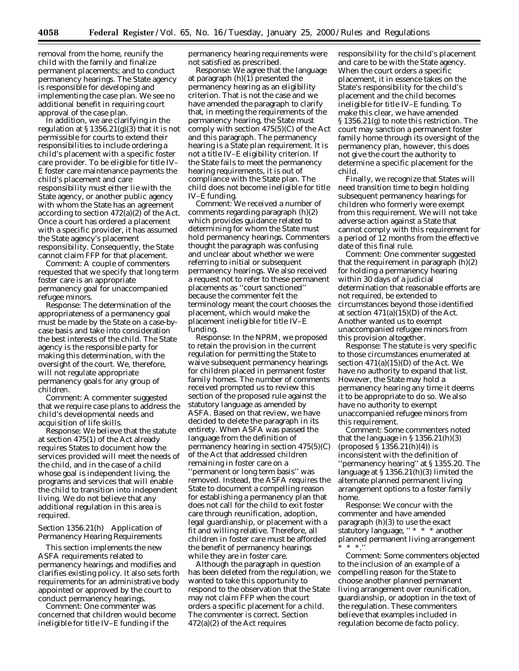removal from the home, reunify the child with the family and finalize permanent placements; and to conduct permanency hearings. The State agency is responsible for developing and implementing the case plan. We see no additional benefit in requiring court approval of the case plan.

In addition, we are clarifying in the regulation at  $\S 1356.21(g)(3)$  that it is not permissible for courts to extend their responsibilities to include ordering a child's placement with a specific foster care provider. To be eligible for title IV– E foster care maintenance payments the child's placement and care responsibility must either lie with the State agency, or another public agency with whom the State has an agreement according to section 472(a)(2) of the Act. Once a court has ordered a placement with a specific provider, it has assumed the State agency's placement responsibility. Consequently, the State cannot claim FFP for that placement.

*Comment:* A couple of commenters requested that we specify that long term foster care is an appropriate permanency goal for unaccompanied refugee minors.

*Response:* The determination of the appropriateness of a permanency goal must be made by the State on a case-bycase basis and take into consideration the best interests of the child. The State agency is the responsible party for making this determination, with the oversight of the court. We, therefore, will not regulate appropriate permanency goals for any group of children.

*Comment:* A commenter suggested that we require case plans to address the child's developmental needs and acquisition of life skills.

*Response:* We believe that the statute at section 475(1) of the Act already requires States to document how the services provided will meet the needs of the child, and in the case of a child whose goal is independent living, the programs and services that will enable the child to transition into independent living. We do not believe that any additional regulation in this area is required.

### *Section 1356.21(h) Application of Permanency Hearing Requirements*

This section implements the new ASFA requirements related to permanency hearings and modifies and clarifies existing policy. It also sets forth requirements for an administrative body appointed or approved by the court to conduct permanency hearings.

*Comment:* One commenter was concerned that children would become ineligible for title IV–E funding if the

permanency hearing requirements were not satisfied as prescribed.

*Response:* We agree that the language at paragraph (h)(1) presented the permanency hearing as an eligibility criterion. That is not the case and we have amended the paragraph to clarify that, in meeting the requirements of the permanency hearing, the State must comply with section 475(5)(C) of the Act and this paragraph. The permanency hearing is a State plan requirement. It is not a title IV–E eligibility criterion. If the State fails to meet the permanency hearing requirements, it is out of compliance with the State plan. The child does not become ineligible for title IV–E funding.

*Comment:* We received a number of comments regarding paragraph (h)(2) which provides guidance related to determining for whom the State must hold permanency hearings. Commenters thought the paragraph was confusing and unclear about whether we were referring to initial or subsequent permanency hearings. We also received a request not to refer to these permanent placements as ''court sanctioned'' because the commenter felt the terminology meant the court chooses the placement, which would make the placement ineligible for title IV–E funding.

*Response:* In the NPRM, we proposed to retain the provision in the current regulation for permitting the State to waive subsequent permanency hearings for children placed in permanent foster family homes. The number of comments received prompted us to review this section of the proposed rule against the statutory language as amended by ASFA. Based on that review, we have decided to delete the paragraph in its entirety. When ASFA was passed the language from the definition of permanency hearing in section 475(5)(C) of the Act that addressed children remaining in foster care on a ''permanent or long term basis'' was removed. Instead, the ASFA requires the State to document a compelling reason for establishing a permanency plan that does not call for the child to exit foster care through reunification, adoption, legal guardianship, or placement with a fit and willing relative. Therefore, all children in foster care must be afforded the benefit of permanency hearings while they are in foster care.

Although the paragraph in question has been deleted from the regulation, we wanted to take this opportunity to respond to the observation that the State may not claim FFP when the court orders a specific placement for a child. The commenter is correct. Section 472(a)(2) of the Act requires

responsibility for the child's placement and care to be with the State agency. When the court orders a specific placement, it in essence takes on the State's responsibility for the child's placement and the child becomes ineligible for title IV–E funding. To make this clear, we have amended § 1356.21(g) to note this restriction. The court may sanction a permanent foster family home through its oversight of the permanency plan, however, this does not give the court the authority to determine a specific placement for the child.

Finally, we recognize that States will need transition time to begin holding subsequent permanency hearings for children who formerly were exempt from this requirement. We will not take adverse action against a State that cannot comply with this requirement for a period of 12 months from the effective date of this final rule.

*Comment:* One commenter suggested that the requirement in paragraph (h)(2) for holding a permanency hearing within 30 days of a judicial determination that reasonable efforts are not required, be extended to circumstances beyond those identified at section  $471(a)(15)(D)$  of the Act. Another wanted us to exempt unaccompanied refugee minors from this provision altogether.

*Response:* The statute is very specific to those circumstances enumerated at section  $471(a)(15)(D)$  of the Act. We have no authority to expand that list. However, the State may hold a permanency hearing any time it deems it to be appropriate to do so. We also have no authority to exempt unaccompanied refugee minors from this requirement.

*Comment:* Some commenters noted that the language in  $\S$  1356.21(h)(3) (proposed  $\S$  1356.21(h)(4)) is inconsistent with the definition of ''permanency hearing'' at § 1355.20. The language at  $\frac{8}{3}$  1356.21(h)(3) limited the alternate planned permanent living arrangement options to a foster family home.

*Response:* We concur with the commenter and have amended paragraph (h)(3) to use the exact statutory language, '' \* \* \* another planned permanent living arrangement \* \* \*.''

*Comment:* Some commenters objected to the inclusion of an example of a compelling reason for the State to choose another planned permanent living arrangement over reunification, guardianship, or adoption in the text of the regulation. These commenters believe that examples included in regulation become *de facto* policy.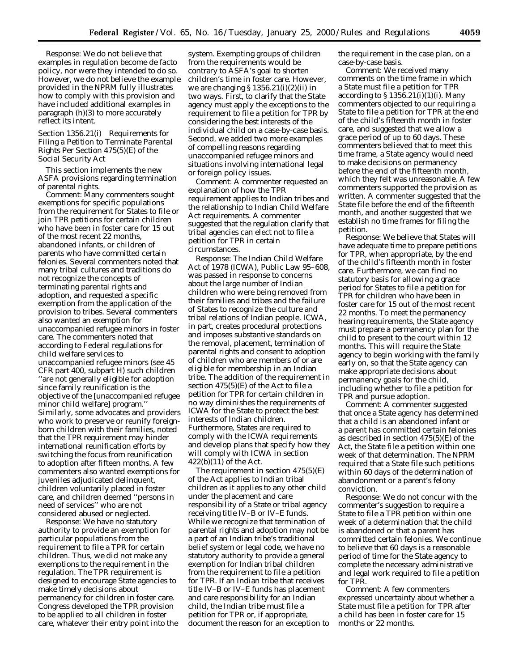*Response:* We do not believe that examples in regulation become *de facto* policy, nor were they intended to do so. However, we do not believe the example provided in the NPRM fully illustrates how to comply with this provision and have included additional examples in paragraph (h)(3) to more accurately reflect its intent.

### *Section 1356.21(i) Requirements for Filing a Petition to Terminate Parental Rights Per Section 475(5)(E) of the Social Security Act*

This section implements the new ASFA provisions regarding termination of parental rights.

*Comment:* Many commenters sought exemptions for specific populations from the requirement for States to file or join TPR petitions for certain children who have been in foster care for 15 out of the most recent 22 months, abandoned infants, or children of parents who have committed certain felonies. Several commenters noted that many tribal cultures and traditions do not recognize the concepts of terminating parental rights and adoption, and requested a specific exemption from the application of the provision to tribes. Several commenters also wanted an exemption for unaccompanied refugee minors in foster care. The commenters noted that according to Federal regulations for child welfare services to unaccompanied refugee minors (see 45 CFR part 400, subpart H) such children ''are not generally eligible for adoption since family reunification is the objective of the [unaccompanied refugee minor child welfare] program.'' Similarly, some advocates and providers who work to preserve or reunify foreignborn children with their families, noted that the TPR requirement may hinder international reunification efforts by switching the focus from reunification to adoption after fifteen months. A few commenters also wanted exemptions for juveniles adjudicated delinquent, children voluntarily placed in foster care, and children deemed ''persons in need of services'' who are not considered abused or neglected.

*Response:* We have no statutory authority to provide an exemption for particular populations from the requirement to file a TPR for certain children. Thus, we did not make any exemptions to the requirement in the regulation. The TPR requirement is designed to encourage State agencies to make timely decisions about permanency for children in foster care. Congress developed the TPR provision to be applied to all children in foster care, whatever their entry point into the

system. Exempting groups of children from the requirements would be contrary to ASFA's goal to shorten children's time in foster care. However, we are changing  $\S 1356.21(i)(2)(ii)$  in two ways. First, to clarify that the State agency must apply the exceptions to the requirement to file a petition for TPR by considering the best interests of the individual child on a case-by-case basis. Second, we added two more examples of compelling reasons regarding unaccompanied refugee minors and situations involving international legal or foreign policy issues.

*Comment:* A commenter requested an explanation of how the TPR requirement applies to Indian tribes and the relationship to Indian Child Welfare Act requirements. A commenter suggested that the regulation clarify that tribal agencies can elect not to file a petition for TPR in certain circumstances.

*Response:* The Indian Child Welfare Act of 1978 (ICWA), Public Law 95–608, was passed in response to concerns about the large number of Indian children who were being removed from their families and tribes and the failure of States to recognize the culture and tribal relations of Indian people. ICWA, in part, creates procedural protections and imposes substantive standards on the removal, placement, termination of parental rights and consent to adoption of children who are members of or are eligible for membership in an Indian tribe. The addition of the requirement in section 475(5)(E) of the Act to file a petition for TPR for certain children in no way diminishes the requirements of ICWA for the State to protect the best interests of Indian children. Furthermore, States are required to comply with the ICWA requirements and develop plans that specify how they will comply with ICWA in section  $422(b)(11)$  of the Act.

The requirement in section 475(5)(E) of the Act applies to Indian tribal children as it applies to any other child under the placement and care responsibility of a State or tribal agency receiving title IV–B or IV–E funds. While we recognize that termination of parental rights and adoption may not be a part of an Indian tribe's traditional belief system or legal code, we have no statutory authority to provide a general exemption for Indian tribal children from the requirement to file a petition for TPR. If an Indian tribe that receives title IV–B or IV–E funds has placement and care responsibility for an Indian child, the Indian tribe must file a petition for TPR or, if appropriate, document the reason for an exception to the requirement in the case plan, on a case-by-case basis.

*Comment:* We received many comments on the time frame in which a State must file a petition for TPR according to  $\S 1356.21(i)(1)(i)$ . Many commenters objected to our requiring a State to file a petition for TPR at the end of the child's fifteenth month in foster care, and suggested that we allow a grace period of up to 60 days. These commenters believed that to meet this time frame, a State agency would need to make decisions on permanency before the end of the fifteenth month, which they felt was unreasonable. A few commenters supported the provision as written. A commenter suggested that the State file before the end of the fifteenth month, and another suggested that we establish no time frames for filing the petition.

*Response:* We believe that States will have adequate time to prepare petitions for TPR, when appropriate, by the end of the child's fifteenth month in foster care. Furthermore, we can find no statutory basis for allowing a grace period for States to file a petition for TPR for children who have been in foster care for 15 out of the most recent 22 months. To meet the permanency hearing requirements, the State agency must prepare a permanency plan for the child to present to the court within 12 months. This will require the State agency to begin working with the family early on, so that the State agency can make appropriate decisions about permanency goals for the child, including whether to file a petition for TPR and pursue adoption.

*Comment:* A commenter suggested that once a State agency has determined that a child is an abandoned infant or a parent has committed certain felonies as described in section 475(5)(E) of the Act, the State file a petition within one week of that determination. The NPRM required that a State file such petitions within 60 days of the determination of abandonment or a parent's felony conviction.

*Response:* We do not concur with the commenter's suggestion to require a State to file a TPR petition within one week of a determination that the child is abandoned or that a parent has committed certain felonies. We continue to believe that 60 days is a reasonable period of time for the State agency to complete the necessary administrative and legal work required to file a petition for TPR.

*Comment:* A few commenters expressed uncertainty about whether a State must file a petition for TPR after a child has been in foster care for 15 months or 22 months.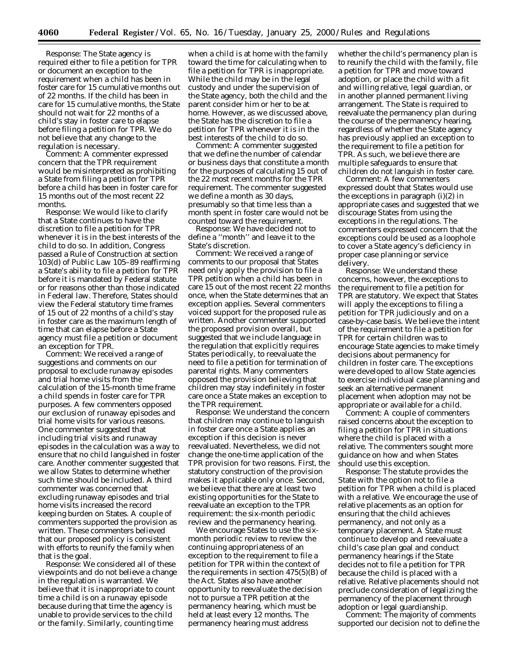*Response:* The State agency is required either to file a petition for TPR or document an exception to the requirement when a child has been in foster care for 15 cumulative months out of 22 months. If the child has been in care for 15 cumulative months, the State should not wait for 22 months of a child's stay in foster care to elapse before filing a petition for TPR. We do not believe that any change to the regulation is necessary.

*Comment:* A commenter expressed concern that the TPR requirement would be misinterpreted as prohibiting a State from filing a petition for TPR before a child has been in foster care for 15 months out of the most recent 22 months.

*Response:* We would like to clarify that a State continues to have the discretion to file a petition for TPR whenever it is in the best interests of the child to do so. In addition, Congress passed a Rule of Construction at section 103(d) of Public Law 105–89 reaffirming a State's ability to file a petition for TPR before it is mandated by Federal statute or for reasons other than those indicated in Federal law. Therefore, States should view the Federal statutory time frames of 15 out of 22 months of a child's stay in foster care as the maximum length of time that can elapse before a State agency must file a petition or document an exception for TPR.

*Comment:* We received a range of suggestions and comments on our proposal to exclude runaway episodes and trial home visits from the calculation of the 15-month time frame a child spends in foster care for TPR purposes. A few commenters opposed our exclusion of runaway episodes and trial home visits for various reasons. One commenter suggested that including trial visits and runaway episodes in the calculation was a way to ensure that no child languished in foster care. Another commenter suggested that we allow States to determine whether such time should be included. A third commenter was concerned that excluding runaway episodes and trial home visits increased the record keeping burden on States. A couple of commenters supported the provision as written. These commenters believed that our proposed policy is consistent with efforts to reunify the family when that is the goal.

*Response:* We considered all of these viewpoints and do not believe a change in the regulation is warranted. We believe that it is inappropriate to count time a child is on a runaway episode because during that time the agency is unable to provide services to the child or the family. Similarly, counting time

when a child is at home with the family toward the time for calculating when to file a petition for TPR is inappropriate. While the child may be in the legal custody and under the supervision of the State agency, both the child and the parent consider him or her to be at home. However, as we discussed above, the State has the discretion to file a petition for TPR whenever it is in the best interests of the child to do so.

*Comment:* A commenter suggested that we define the number of calendar or business days that constitute a month for the purposes of calculating 15 out of the 22 most recent months for the TPR requirement. The commenter suggested we define a month as 30 days, presumably so that time less than a month spent in foster care would not be counted toward the requirement.

*Response:* We have decided not to define a ''month'' and leave it to the State's discretion.

*Comment:* We received a range of comments to our proposal that States need only apply the provision to file a TPR petition when a child has been in care 15 out of the most recent 22 months once, when the State determines that an exception applies. Several commenters voiced support for the proposed rule as written. Another commenter supported the proposed provision overall, but suggested that we include language in the regulation that explicitly requires States periodically, to reevaluate the need to file a petition for termination of parental rights. Many commenters opposed the provision believing that children may stay indefinitely in foster care once a State makes an exception to the TPR requirement.

*Response:* We understand the concern that children may continue to languish in foster care once a State applies an exception if this decision is never reevaluated. Nevertheless, we did not change the one-time application of the TPR provision for two reasons. First, the statutory construction of the provision makes it applicable only once. Second, we believe that there are at least two existing opportunities for the State to reevaluate an exception to the TPR requirement: the six-month periodic review and the permanency hearing.

We encourage States to use the sixmonth periodic review to review the continuing appropriateness of an exception to the requirement to file a petition for TPR within the context of the requirements in section 475(5)(B) of the Act. States also have another opportunity to reevaluate the decision not to pursue a TPR petition at the permanency hearing, which must be held at least every 12 months. The permanency hearing must address

whether the child's permanency plan is to reunify the child with the family, file a petition for TPR and move toward adoption, or place the child with a fit and willing relative, legal guardian, or in another planned permanent living arrangement. The State is required to reevaluate the permanency plan during the course of the permanency hearing, regardless of whether the State agency has previously applied an exception to the requirement to file a petition for TPR. As such, we believe there are multiple safeguards to ensure that children do not languish in foster care.

*Comment:* A few commenters expressed doubt that States would use the exceptions in paragraph (i)(2) in appropriate cases and suggested that we discourage States from using the exceptions in the regulations. The commenters expressed concern that the exceptions could be used as a loophole to cover a State agency's deficiency in proper case planning or service delivery.

*Response:* We understand these concerns, however, the exceptions to the requirement to file a petition for TPR are statutory. We expect that States will apply the exceptions to filing a petition for TPR judiciously and on a case-by-case basis. We believe the intent of the requirement to file a petition for TPR for certain children was to encourage State agencies to make timely decisions about permanency for children in foster care. The exceptions were developed to allow State agencies to exercise individual case planning and seek an alternative permanent placement when adoption may not be appropriate or available for a child.

*Comment:* A couple of commenters raised concerns about the exception to filing a petition for TPR in situations where the child is placed with a relative. The commenters sought more guidance on how and when States should use this exception.

*Response:* The statute provides the State with the option not to file a petition for TPR when a child is placed with a relative. We encourage the use of relative placements as an option for ensuring that the child achieves permanency, and not only as a temporary placement. A State must continue to develop and reevaluate a child's case plan goal and conduct permanency hearings if the State decides not to file a petition for TPR because the child is placed with a relative. Relative placements should not preclude consideration of legalizing the permanency of the placement through adoption or legal guardianship.

*Comment:* The majority of comments supported our decision not to define the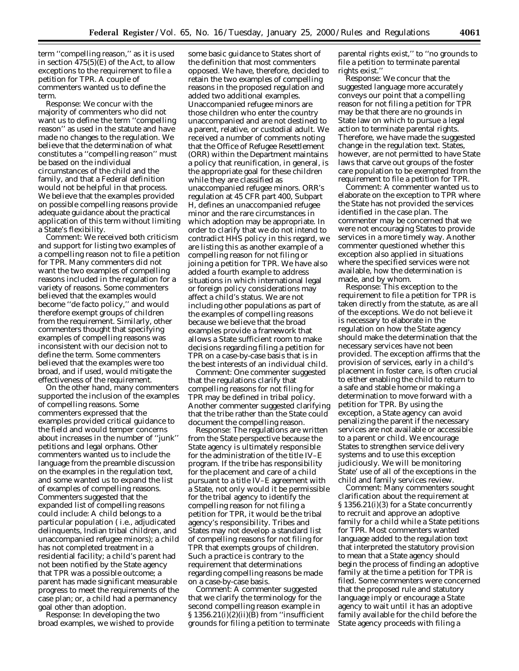term ''compelling reason,'' as it is used in section  $475(5)(E)$  of the Act, to allow exceptions to the requirement to file a petition for TPR. A couple of commenters wanted us to define the term.

*Response:* We concur with the majority of commenters who did not want us to define the term ''compelling reason'' as used in the statute and have made no changes to the regulation. We believe that the determination of what constitutes a ''compelling reason'' must be based on the individual circumstances of the child and the family, and that a Federal definition would not be helpful in that process. We believe that the examples provided on possible compelling reasons provide adequate guidance about the practical application of this term without limiting a State's flexibility.

*Comment:* We received both criticism and support for listing two examples of a compelling reason not to file a petition for TPR. Many commenters did not want the two examples of compelling reasons included in the regulation for a variety of reasons. Some commenters believed that the examples would become ''de facto policy,'' and would therefore exempt groups of children from the requirement. Similarly, other commenters thought that specifying examples of compelling reasons was inconsistent with our decision not to define the term. Some commenters believed that the examples were too broad, and if used, would mitigate the effectiveness of the requirement.

On the other hand, many commenters supported the inclusion of the examples of compelling reasons. Some commenters expressed that the examples provided critical guidance to the field and would temper concerns about increases in the number of ''junk'' petitions and legal orphans. Other commenters wanted us to include the language from the preamble discussion on the examples in the regulation text, and some wanted us to expand the list of examples of compelling reasons. Commenters suggested that the expanded list of compelling reasons could include: A child belongs to a particular population ( *i.e.,* adjudicated delinquents, Indian tribal children, and unaccompanied refugee minors); a child has not completed treatment in a residential facility; a child's parent had not been notified by the State agency that TPR was a possible outcome; a parent has made significant measurable progress to meet the requirements of the case plan; or, a child had a permanency goal other than adoption.

*Response:* In developing the two broad examples, we wished to provide

some basic guidance to States short of the definition that most commenters opposed. We have, therefore, decided to retain the two examples of compelling reasons in the proposed regulation and added two additional examples. Unaccompanied refugee minors are those children who enter the country unaccompanied and are not destined to a parent, relative, or custodial adult. We received a number of comments noting that the Office of Refugee Resettlement (ORR) within the Department maintains a policy that reunification, in general, is the appropriate goal for these children while they are classified as unaccompanied refugee minors. ORR's regulation at 45 CFR part 400, Subpart H, defines an unaccompanied refugee minor and the rare circumstances in which adoption may be appropriate. In order to clarify that we do not intend to contradict HHS policy in this regard, we are listing this as another example of a compelling reason for not filing or joining a petition for TPR. We have also added a fourth example to address situations in which international legal or foreign policy considerations may affect a child's status. We are not including other populations as part of the examples of compelling reasons because we believe that the broad examples provide a framework that allows a State sufficient room to make decisions regarding filing a petition for TPR on a case-by-case basis that is in the best interests of an individual child.

*Comment:* One commenter suggested that the regulations clarify that compelling reasons for not filing for TPR may be defined in tribal policy. Another commenter suggested clarifying that the tribe rather than the State could document the compelling reason.

*Response:* The regulations are written from the State perspective because the State agency is ultimately responsible for the administration of the title IV–E program. If the tribe has responsibility for the placement and care of a child pursuant to a title IV–E agreement with a State, not only would it be permissible for the tribal agency to identify the compelling reason for not filing a petition for TPR, it would be the tribal agency's responsibility. Tribes and States may not develop a standard list of compelling reasons for not filing for TPR that exempts groups of children. Such a practice is contrary to the requirement that determinations regarding compelling reasons be made on a case-by-case basis.

*Comment:* A commenter suggested that we clarify the terminology for the second compelling reason example in  $\S 1356.21(i)(2)(ii)(B)$  from "insufficient" grounds for filing a petition to terminate

parental rights exist,'' to ''no grounds to file a petition to terminate parental rights exist.''

*Response:* We concur that the suggested language more accurately conveys our point that a compelling reason for not filing a petition for TPR may be that there are no grounds in State law on which to pursue a legal action to terminate parental rights. Therefore, we have made the suggested change in the regulation text. States, however, are not permitted to have State laws that carve out groups of the foster care population to be exempted from the requirement to file a petition for TPR.

*Comment:* A commenter wanted us to elaborate on the exception to TPR where the State has not provided the services identified in the case plan. The commenter may be concerned that we were not encouraging States to provide services in a more timely way. Another commenter questioned whether this exception also applied in situations where the specified services were not available, how the determination is made, and by whom.

*Response:* This exception to the requirement to file a petition for TPR is taken directly from the statute, as are all of the exceptions. We do not believe it is necessary to elaborate in the regulation on how the State agency should make the determination that the necessary services have not been provided. The exception affirms that the provision of services, early in a child's placement in foster care, is often crucial to either enabling the child to return to a safe and stable home or making a determination to move forward with a petition for TPR. By using the exception, a State agency can avoid penalizing the parent if the necessary services are not available or accessible to a parent or child. We encourage States to strengthen service delivery systems and to use this exception judiciously. We will be monitoring State' use of all of the exceptions in the child and family services review.

*Comment:* Many commenters sought clarification about the requirement at § 1356.21(i)(3) for a State concurrently to recruit and approve an adoptive family for a child while a State petitions for TPR. Most commenters wanted language added to the regulation text that interpreted the statutory provision to mean that a State agency should begin the process of finding an adoptive family at the time a petition for TPR is filed. Some commenters were concerned that the proposed rule and statutory language imply or encourage a State agency to wait until it has an adoptive family available for the child before the State agency proceeds with filing a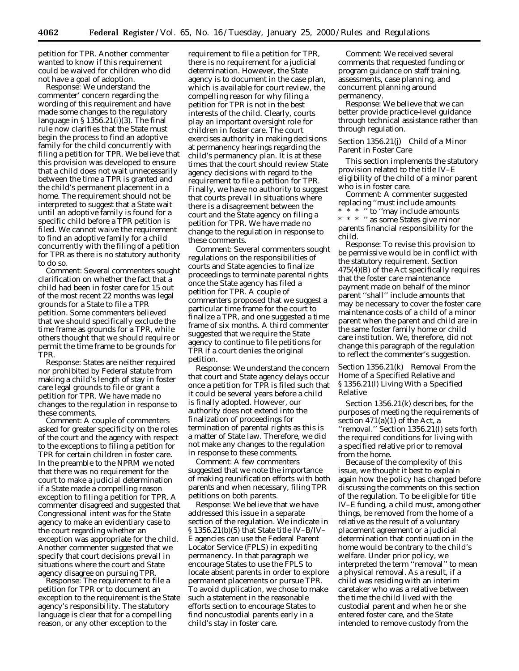petition for TPR. Another commenter wanted to know if this requirement could be waived for children who did not have a goal of adoption.

*Response:* We understand the commenter' concern regarding the wording of this requirement and have made some changes to the regulatory language in  $\S 1356.21(i)(3)$ . The final rule now clarifies that the State must begin the process to find an adoptive family for the child concurrently with filing a petition for TPR. We believe that this provision was developed to ensure that a child does not wait unnecessarily between the time a TPR is granted and the child's permanent placement in a home. The requirement should not be interpreted to suggest that a State wait until an adoptive family is found for a specific child before a TPR petition is filed. We cannot waive the requirement to find an adoptive family for a child concurrently with the filing of a petition for TPR as there is no statutory authority to do so.

*Comment:* Several commenters sought clarification on whether the fact that a child had been in foster care for 15 out of the most recent 22 months was legal grounds for a State to file a TPR petition. Some commenters believed that we should specifically exclude the time frame as grounds for a TPR, while others thought that we should require or permit the time frame to be grounds for TPR.

*Response:* States are neither required nor prohibited by Federal statute from making a child's length of stay in foster care legal grounds to file or grant a petition for TPR. We have made no changes to the regulation in response to these comments.

*Comment:* A couple of commenters asked for greater specificity on the roles of the court and the agency with respect to the exceptions to filing a petition for TPR for certain children in foster care. In the preamble to the NPRM we noted that there was no requirement for the court to make a judicial determination if a State made a compelling reason exception to filing a petition for TPR. A commenter disagreed and suggested that Congressional intent was for the State agency to make an evidentiary case to the court regarding whether an exception was appropriate for the child. Another commenter suggested that we specify that court decisions prevail in situations where the court and State agency disagree on pursuing TPR.

*Response:* The requirement to file a petition for TPR or to document an exception to the requirement is the State agency's responsibility. The statutory language is clear that for a compelling reason, or any other exception to the

requirement to file a petition for TPR, there is no requirement for a judicial determination. However, the State agency is to document in the case plan, which is available for court review, the compelling reason for why filing a petition for TPR is not in the best interests of the child. Clearly, courts play an important oversight role for children in foster care. The court exercises authority in making decisions at permanency hearings regarding the child's permanency plan. It is at these times that the court should review State agency decisions with regard to the requirement to file a petition for TPR. Finally, we have no authority to suggest that courts prevail in situations where there is a disagreement between the court and the State agency on filing a petition for TPR. We have made no change to the regulation in response to these comments.

*Comment:* Several commenters sought regulations on the responsibilities of courts and State agencies to finalize proceedings to terminate parental rights once the State agency has filed a petition for TPR. A couple of commenters proposed that we suggest a particular time frame for the court to finalize a TPR, and one suggested a time frame of six months. A third commenter suggested that we require the State agency to continue to file petitions for TPR if a court denies the original petition.

*Response:* We understand the concern that court and State agency delays occur once a petition for TPR is filed such that it could be several years before a child is finally adopted. However, our authority does not extend into the finalization of proceedings for termination of parental rights as this is a matter of State law. Therefore, we did not make any changes to the regulation in response to these comments.

*Comment:* A few commenters suggested that we note the importance of making reunification efforts with both parents and when necessary, filing TPR petitions on both parents.

*Response:* We believe that we have addressed this issue in a separate section of the regulation. We indicate in § 1356.21(b)(5) that State title IV–B/IV– E agencies can use the Federal Parent Locator Service (FPLS) in expediting permanency. In that paragraph we encourage States to use the FPLS to locate absent parents in order to explore permanent placements or pursue TPR. To avoid duplication, we chose to make such a statement in the reasonable efforts section to encourage States to find noncustodial parents early in a child's stay in foster care.

*Comment:* We received several comments that requested funding or program guidance on staff training, assessments, case planning, and concurrent planning around permanency.

*Response:* We believe that we can better provide practice-level guidance through technical assistance rather than through regulation.

# *Section 1356.21(j) Child of a Minor Parent in Foster Care*

This section implements the statutory provision related to the title IV–E eligibility of the child of a minor parent who is in foster care.

*Comment:* A commenter suggested replacing ''must include amounts \* \* \* '' to ''may include amounts \* \* \* '' as some States give minor parents financial responsibility for the child.

*Response:* To revise this provision to be permissive would be in conflict with the statutory requirement. Section 475(4)(B) of the Act specifically requires that the foster care maintenance payment made on behalf of the minor parent ''shall'' include amounts that may be necessary to cover the foster care maintenance costs of a child of a minor parent when the parent and child are in the same foster family home or child care institution. We, therefore, did not change this paragraph of the regulation to reflect the commenter's suggestion.

*Section 1356.21(k) Removal From the Home of a Specified Relative and § 1356.21(l) Living With a Specified Relative*

Section 1356.21(k) describes, for the purposes of meeting the requirements of section 471(a)(1) of the Act, a ''removal.'' Section 1356.21(l) sets forth the required conditions for living with a specified relative prior to removal from the home.

Because of the complexity of this issue, we thought it best to explain again how the policy has changed before discussing the comments on this section of the regulation. To be eligible for title IV–E funding, a child must, among other things, be removed from the home of a relative as the result of a voluntary placement agreement or a judicial determination that continuation in the home would be contrary to the child's welfare. Under prior policy, we interpreted the term ''removal'' to mean a physical removal. As a result, if a child was residing with an interim caretaker who was a relative between the time the child lived with the custodial parent and when he or she entered foster care, and the State intended to remove custody from the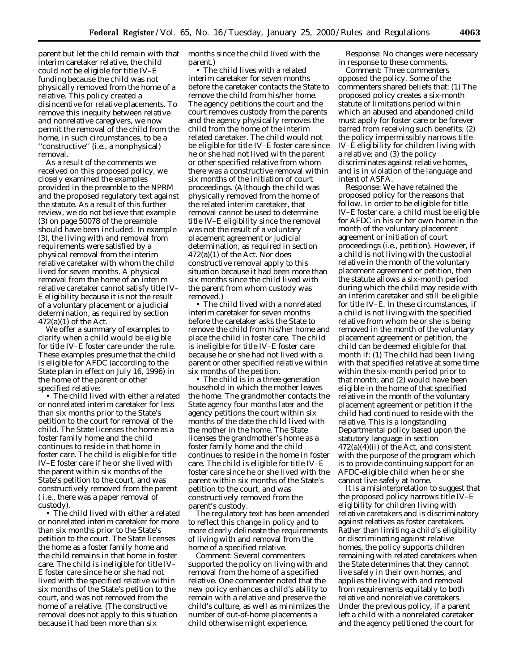parent but let the child remain with that interim caretaker relative, the child could not be eligible for title IV–E funding because the child was not physically removed from the home of a relative. This policy created a disincentive for relative placements. To remove this inequity between relative and nonrelative caregivers, we now permit the removal of the child from the home, in such circumstances, to be a ''constructive'' (*i.e.,* a nonphysical) removal.

As a result of the comments we received on this proposed policy, we closely examined the examples provided in the preamble to the NPRM and the proposed regulatory text against the statute. As a result of this further review, we do not believe that example (3) on page 50078 of the preamble should have been included. In example (3), the living with and removal from requirements were satisfied by a *physical* removal from the interim relative caretaker with whom the child lived for seven months. A physical removal from the home of an interim relative caretaker cannot satisfy title IV– E eligibility because it is not the result of a voluntary placement or a judicial determination, as required by section 472(a)(1) of the Act.

We offer a summary of examples to clarify when a child would be eligible for title IV–E foster care under the rule. These examples presume that the child is eligible for AFDC (according to the State plan in effect on July 16, 1996) in the home of the parent or other specified relative:

• The child lived with either a related or nonrelated interim caretaker for less than six months prior to the State's petition to the court for removal of the child. The State licenses the home as a foster family home and the child continues to reside in that home in foster care. The child is eligible for title IV–E foster care if he or she lived with the parent within six months of the State's petition to the court, and was constructively removed from the parent ( *i.e.,* there was a paper removal of custody).

• The child lived with either a related or nonrelated interim caretaker for more than six months prior to the State's petition to the court. The State licenses the home as a foster family home and the child remains in that home in foster care. The child is ineligible for title IV– E foster care since he or she had not lived with the specified relative within six months of the State's petition to the court, and was not removed from the home of a relative. (The constructive removal does not apply to this situation because it had been more than six

months since the child lived with the parent.)

• The child lives with a related interim caretaker for seven months before the caretaker contacts the State to remove the child from his/her home. The agency petitions the court and the court removes custody from the parents and the agency physically removes the child from the home of the interim related caretaker. The child would not be eligible for title IV–E foster care since he or she had not lived with the parent or other specified relative from whom there was a constructive removal within six months of the initiation of court proceedings. (Although the child was physically removed from the home of the related interim caretaker, that removal cannot be used to determine title IV–E eligibility since the removal was not the result of a voluntary placement agreement or judicial determination, as required in section 472(a)(1) of the Act. Nor does constructive removal apply to this situation because it had been more than six months since the child lived with the parent from whom custody was removed.)

• The child lived with a nonrelated interim caretaker for seven months before the caretaker asks the State to remove the child from his/her home and place the child in foster care. The child is ineligible for title IV–E foster care because he or she had not lived with a parent or other specified relative within six months of the petition.

• The child is in a three-generation household in which the mother leaves the home. The grandmother contacts the State agency four months later and the agency petitions the court within six months of the date the child lived with the mother in the home. The State licenses the grandmother's home as a foster family home and the child continues to reside in the home in foster care. The child is eligible for title IV–E foster care since he or she lived with the parent within six months of the State's petition to the court, and was constructively removed from the parent's custody.

The regulatory text has been amended to reflect this change in policy and to more clearly delineate the requirements of living with and removal from the home of a specified relative.

*Comment:* Several commenters supported the policy on living with and removal from the home of a specified relative. One commenter noted that the new policy enhances a child's ability to remain with a relative and preserve the child's culture, as well as minimizes the number of out-of-home placements a child otherwise might experience.

*Response:* No changes were necessary in response to these comments.

*Comment:* Three commenters opposed the policy. Some of the commenters shared beliefs that: (1) The proposed policy creates a six-month statute of limitations period within which an abused and abandoned child must apply for foster care or be forever barred from receiving such benefits; (2) the policy impermissibly narrows title IV–E eligibility for children living with a relative; and (3) the policy discriminates against relative homes, and is in violation of the language and intent of ASFA.

*Response:* We have retained the proposed policy for the reasons that follow. In order to be eligible for title IV–E foster care, a child must be eligible for AFDC in his or her own home in the month of the voluntary placement agreement or initiation of court proceedings (*i.e.*, petition). However, if a child is not living with the custodial relative in the month of the voluntary placement agreement or petition, then the statute allows a six-month period during which the child may reside with an interim caretaker and still be eligible for title IV–E. In these circumstances, if a child is not living with the specified relative from whom he or she is being removed in the month of the voluntary placement agreement or petition, the child can be deemed eligible for that month if: (1) The child had been living with that specified relative at some time within the six-month period prior to that month; and (2) would have been eligible in the home of that specified relative in the month of the voluntary placement agreement or petition if the child had continued to reside with the relative. This is a longstanding Departmental policy based upon the statutory language in section  $472(a)(4)(ii)$  of the Act, and consistent with the purpose of the program which is to provide continuing support for an AFDC-eligible child when he or she cannot live safely at home.

It is a misinterpretation to suggest that the proposed policy narrows title IV–E eligibility for children living with relative caretakers and is discriminatory against relatives as foster caretakers. Rather than limiting a child's eligibility or discriminating against relative homes, the policy supports children remaining with related caretakers when the State determines that they cannot live safely in their own homes, and applies the living with and removal from requirements equitably to both relative and nonrelative caretakers. Under the previous policy, if a parent left a child with a nonrelated caretaker and the agency petitioned the court for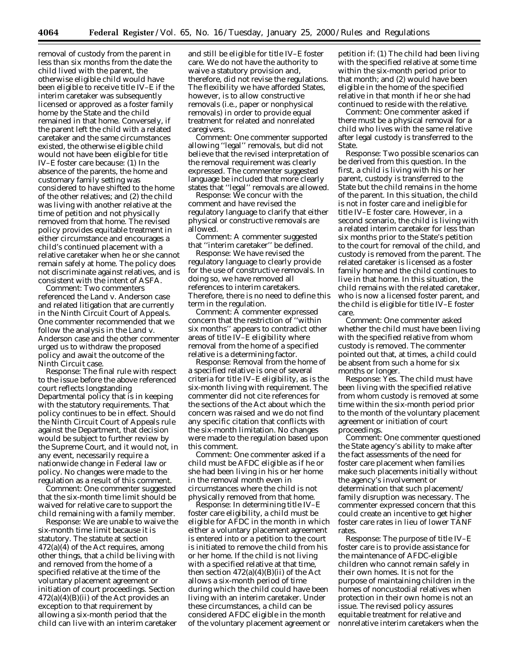removal of custody from the parent in less than six months from the date the child lived with the parent, the otherwise eligible child would have been eligible to receive title IV–E if the interim caretaker was subsequently licensed or approved as a foster family home by the State and the child remained in that home. Conversely, if the parent left the child with a related caretaker and the same circumstances existed, the otherwise eligible child would not have been eligible for title IV–E foster care because: (1) In the absence of the parents, the home and customary family setting was considered to have shifted to the home of the other relatives; and (2) the child was living with another relative at the time of petition and not physically removed from that home. The revised policy provides equitable treatment in either circumstance and encourages a child's continued placement with a relative caretaker when he or she cannot remain safely at home. The policy does not discriminate against relatives, and is consistent with the intent of ASFA.

*Comment:* Two commenters referenced the *Land* v. *Anderson* case and related litigation that are currently in the Ninth Circuit Court of Appeals. One commenter recommended that we follow the analysis in the *Land* v. *Anderson* case and the other commenter urged us to withdraw the proposed policy and await the outcome of the Ninth Circuit case.

*Response:* The final rule with respect to the issue before the above referenced court reflects longstanding Departmental policy that is in keeping with the statutory requirements. That policy continues to be in effect. Should the Ninth Circuit Court of Appeals rule against the Department, that decision would be subject to further review by the Supreme Court, and it would not, in any event, necessarily require a nationwide change in Federal law or policy. No changes were made to the regulation as a result of this comment.

*Comment:* One commenter suggested that the six-month time limit should be waived for relative care to support the child remaining with a family member.

*Response:* We are unable to waive the six-month time limit because it is statutory. The statute at section 472(a)(4) of the Act requires, among other things, that a child be living with and removed from the home of a specified relative at the time of the voluntary placement agreement or initiation of court proceedings. Section  $472(a)(4)(B)(ii)$  of the Act provides an exception to that requirement by allowing a six-month period that the child can live with an interim caretaker

and still be eligible for title IV–E foster care. We do not have the authority to waive a statutory provision and, therefore, did not revise the regulations. The flexibility we have afforded States, however, is to allow constructive removals (*i.e.,* paper or nonphysical removals) in order to provide equal treatment for related and nonrelated caregivers.

*Comment:* One commenter supported allowing ''legal'' removals, but did not believe that the revised interpretation of the removal requirement was clearly expressed. The commenter suggested language be included that more clearly states that ''legal'' removals are allowed.

*Response:* We concur with the comment and have revised the regulatory language to clarify that either physical or constructive removals are allowed.

*Comment:* A commenter suggested that ''interim caretaker'' be defined.

*Response:* We have revised the regulatory language to clearly provide for the use of constructive removals. In doing so, we have removed all references to interim caretakers. Therefore, there is no need to define this term in the regulation.

*Comment:* A commenter expressed concern that the restriction of ''within six months'' appears to contradict other areas of title IV–E eligibility where removal from the home of a specified relative is a determining factor.

*Response:* Removal from the home of a specified relative is one of several criteria for title IV–E eligibility, as is the six-month living with requirement. The commenter did not cite references for the sections of the Act about which the concern was raised and we do not find any specific citation that conflicts with the six-month limitation. No changes were made to the regulation based upon this comment.

*Comment:* One commenter asked if a child must be AFDC eligible as if he or she had been living in his or her home in the removal month even in circumstances where the child is not physically removed from that home.

*Response:* In determining title IV–E foster care eligibility, a child must be eligible for AFDC in the month in which either a voluntary placement agreement is entered into or a petition to the court is initiated to remove the child from his or her home. If the child is not living with a specified relative at that time, then section  $472(a)(4)(B)(ii)$  of the Act allows a six-month period of time during which the child could have been living with an interim caretaker. Under these circumstances, a child can be considered AFDC eligible in the month of the voluntary placement agreement or

petition if: (1) The child had been living with the specified relative at some time within the six-month period prior to that month; and (2) would have been eligible in the home of the specified relative in that month if he or she had continued to reside with the relative.

*Comment:* One commenter asked if there must be a physical removal for a child who lives with the same relative after legal custody is transferred to the State.

*Response:* Two possible scenarios can be derived from this question. In the first, a child is living with his or her parent, custody is transferred to the State but the child remains in the home of the parent. In this situation, the child is not in foster care and ineligible for title IV–E foster care. However, in a second scenario, the child is living with a related interim caretaker for less than six months prior to the State's petition to the court for removal of the child, and custody is removed from the parent. The related caretaker is licensed as a foster family home and the child continues to live in that home. In this situation, the child remains with the related caretaker, who is now a licensed foster parent, and the child is eligible for title IV–E foster care.

*Comment:* One commenter asked whether the child must have been living with the specified relative from whom custody is removed. The commenter pointed out that, at times, a child could be absent from such a home for six months or longer.

*Response:* Yes. The child must have been living with the specified relative from whom custody is removed at some time within the six-month period prior to the month of the voluntary placement agreement or initiation of court proceedings.

*Comment:* One commenter questioned the State agency's ability to make after the fact assessments of the need for foster care placement when families make such placements initially without the agency's involvement or determination that such placement/ family disruption was necessary. The commenter expressed concern that this could create an incentive to get higher foster care rates in lieu of lower TANF rates

*Response:* The purpose of title IV–E foster care is to provide assistance for the maintenance of AFDC-eligible children who cannot remain safely in their own homes. It is not for the purpose of maintaining children in the homes of noncustodial relatives when protection in their own home is not an issue. The revised policy assures equitable treatment for relative and nonrelative interim caretakers when the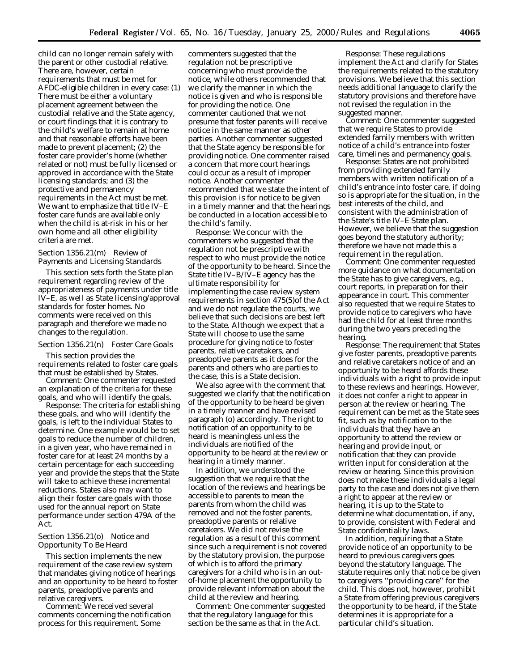child can no longer remain safely with the parent or other custodial relative. There are, however, certain requirements that must be met for AFDC-eligible children in every case: (1) There must be either a voluntary placement agreement between the custodial relative and the State agency, or court findings that it is contrary to the child's welfare to remain at home and that reasonable efforts have been made to prevent placement; (2) the foster care provider's home (whether related or not) must be fully licensed or approved in accordance with the State licensing standards; and (3) the protective and permanency requirements in the Act must be met. We want to emphasize that title IV–E foster care funds are available only when the child is at-risk in his or her own home and all other eligibility criteria are met.

### *Section 1356.21(m) Review of Payments and Licensing Standards*

This section sets forth the State plan requirement regarding review of the appropriateness of payments under title IV–E, as well as State licensing/approval standards for foster homes. No comments were received on this paragraph and therefore we made no changes to the regulation.

#### *Section 1356.21(n) Foster Care Goals*

This section provides the requirements related to foster care goals that must be established by States.

*Comment:* One commenter requested an explanation of the criteria for these goals, and who will identify the goals.

*Response:* The criteria for establishing these goals, and who will identify the goals, is left to the individual States to determine. One example would be to set goals to reduce the number of children, in a given year, who have remained in foster care for at least 24 months by a certain percentage for each succeeding year and provide the steps that the State will take to achieve these incremental reductions. States also may want to align their foster care goals with those used for the annual report on State performance under section 479A of the Act.

### *Section 1356.21(o) Notice and Opportunity To Be Heard*

This section implements the new requirement of the case review system that mandates giving notice of hearings and an opportunity to be heard to foster parents, preadoptive parents and relative caregivers.

*Comment:* We received several comments concerning the notification process for this requirement. Some

commenters suggested that the regulation not be prescriptive concerning who must provide the notice, while others recommended that we clarify the manner in which the notice is given and who is responsible for providing the notice. One commenter cautioned that we not presume that foster parents will receive notice in the same manner as other parties. Another commenter suggested that the State agency be responsible for providing notice. One commenter raised a concern that more court hearings could occur as a result of improper notice. Another commenter recommended that we state the intent of this provision is for notice to be given in a timely manner and that the hearings be conducted in a location accessible to the child's family.

*Response:* We concur with the commenters who suggested that the regulation not be prescriptive with respect to who must provide the notice of the opportunity to be heard. Since the State title IV–B/IV–E agency has the ultimate responsibility for implementing the case review system requirements in section 475(5)of the Act and we do not regulate the courts, we believe that such decisions are best left to the State. Although we expect that a State will choose to use the same procedure for giving notice to foster parents, relative caretakers, and preadoptive parents as it does for the parents and others who are parties to the case, this is a State decision.

We also agree with the comment that suggested we clarify that the notification of the opportunity to be heard be given in a timely manner and have revised paragraph (o) accordingly. The right to notification of an opportunity to be heard is meaningless unless the individuals are notified of the opportunity to be heard at the review or hearing in a timely manner.

In addition, we understood the suggestion that we require that the location of the reviews and hearings be accessible to parents to mean the parents from whom the child was removed and not the foster parents, preadoptive parents or relative caretakers. We did not revise the regulation as a result of this comment since such a requirement is not covered by the statutory provision, the purpose of which is to afford the primary caregivers for a child who is in an outof-home placement the opportunity to provide relevant information about the child at the review and hearing.

*Comment:* One commenter suggested that the regulatory language for this section be the same as that in the Act.

*Response:* These regulations implement the Act and clarify for States the requirements related to the statutory provisions. We believe that this section needs additional language to clarify the statutory provisions and therefore have not revised the regulation in the suggested manner.

*Comment:* One commenter suggested that we require States to provide extended family members with written notice of a child's entrance into foster care, timelines and permanency goals.

*Response:* States are not prohibited from providing extended family members with written notification of a child's entrance into foster care, if doing so is appropriate for the situation, in the best interests of the child, and consistent with the administration of the State's title IV–E State plan. However, we believe that the suggestion goes beyond the statutory authority; therefore we have not made this a requirement in the regulation.

*Comment:* One commenter requested more guidance on what documentation the State has to give caregivers, e.g., court reports, in preparation for their appearance in court. This commenter also requested that we require States to provide notice to caregivers who have had the child for at least three months during the two years preceding the hearing.

*Response:* The requirement that States give foster parents, preadoptive parents and relative caretakers notice of and an opportunity to be heard affords these individuals with a right to provide input to these reviews and hearings. However, it does not confer a right to appear in person at the review or hearing. The requirement can be met as the State sees fit, such as by notification to the individuals that they have an opportunity to attend the review or hearing and provide input, or notification that they can provide written input for consideration at the review or hearing. Since this provision does not make these individuals a legal party to the case and does not give them a right to appear at the review or hearing, it is up to the State to determine what documentation, if any, to provide, consistent with Federal and State confidentiality laws.

In addition, requiring that a State provide notice of an opportunity to be heard to previous caregivers goes beyond the statutory language. The statute requires only that notice be given to caregivers ''providing care'' for the child. This does not, however, prohibit a State from offering previous caregivers the opportunity to be heard, if the State determines it is appropriate for a particular child's situation.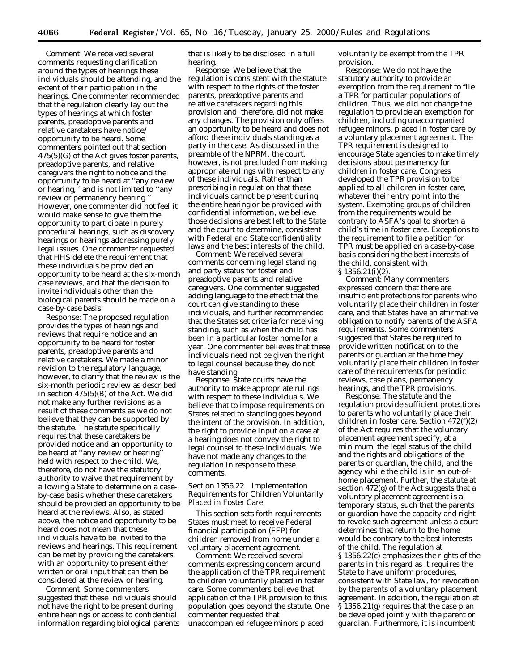*Comment:* We received several comments requesting clarification around the types of hearings these individuals should be attending, and the extent of their participation in the hearings. One commenter recommended that the regulation clearly lay out the types of hearings at which foster parents, preadoptive parents and relative caretakers have notice/ opportunity to be heard. Some commenters pointed out that section 475(5)(G) of the Act gives foster parents, preadoptive parents, and relative caregivers the right to notice and the opportunity to be heard at ''any review or hearing,'' and is not limited to ''any review or permanency hearing.'' However, one commenter did not feel it would make sense to give them the opportunity to participate in purely procedural hearings, such as discovery hearings or hearings addressing purely legal issues. One commenter requested that HHS delete the requirement that these individuals be provided an opportunity to be heard at the six-month case reviews, and that the decision to invite individuals other than the biological parents should be made on a case-by-case basis.

*Response:* The proposed regulation provides the types of hearings and reviews that require notice and an opportunity to be heard for foster parents, preadoptive parents and relative caretakers. We made a minor revision to the regulatory language, however, to clarify that the review is the six-month periodic review as described in section 475(5)(B) of the Act. We did not make any further revisions as a result of these comments as we do not believe that they can be supported by the statute. The statute specifically requires that these caretakers be provided notice and an opportunity to be heard at ''any review or hearing'' held with respect to the child. We, therefore, do not have the statutory authority to waive that requirement by allowing a State to determine on a caseby-case basis whether these caretakers should be provided an opportunity to be heard at the reviews. Also, as stated above, the notice and opportunity to be heard does not mean that these individuals have to be invited to the reviews and hearings. This requirement can be met by providing the caretakers with an opportunity to present either written or oral input that can then be considered at the review or hearing.

*Comment:* Some commenters suggested that these individuals should not have the right to be present during entire hearings or access to confidential information regarding biological parents that is likely to be disclosed in a full hearing.

*Response:* We believe that the regulation is consistent with the statute with respect to the rights of the foster parents, preadoptive parents and relative caretakers regarding this provision and, therefore, did not make any changes. The provision only offers an opportunity to be heard and does not afford these individuals standing as a party in the case. As discussed in the preamble of the NPRM, the court, however, is not precluded from making appropriate rulings with respect to any of these individuals. Rather than prescribing in regulation that these individuals cannot be present during the entire hearing or be provided with confidential information, we believe those decisions are best left to the State and the court to determine, consistent with Federal and State confidentiality laws and the best interests of the child.

*Comment:* We received several comments concerning legal standing and party status for foster and preadoptive parents and relative caregivers. One commenter suggested adding language to the effect that the court can give standing to these individuals, and further recommended that the States set criteria for receiving standing, such as when the child has been in a particular foster home for a year. One commenter believes that these individuals need not be given the right to legal counsel because they do not have standing.

*Response:* State courts have the authority to make appropriate rulings with respect to these individuals. We believe that to impose requirements on States related to standing goes beyond the intent of the provision. In addition, the right to provide input on a case at a hearing does not convey the right to legal counsel to these individuals. We have not made any changes to the regulation in response to these comments.

### *Section 1356.22 Implementation Requirements for Children Voluntarily Placed in Foster Care*

This section sets forth requirements States must meet to receive Federal financial participation (FFP) for children removed from home under a voluntary placement agreement.

*Comment:* We received several comments expressing concern around the application of the TPR requirement to children voluntarily placed in foster care. Some commenters believe that application of the TPR provision to this population goes beyond the statute. One commenter requested that unaccompanied refugee minors placed

voluntarily be exempt from the TPR provision.

*Response:* We do not have the statutory authority to provide an exemption from the requirement to file a TPR for particular populations of children. Thus, we did not change the regulation to provide an exemption for children, including unaccompanied refugee minors, placed in foster care by a voluntary placement agreement. The TPR requirement is designed to encourage State agencies to make timely decisions about permanency for children in foster care. Congress developed the TPR provision to be applied to all children in foster care, whatever their entry point into the system. Exempting groups of children from the requirements would be contrary to ASFA's goal to shorten a child's time in foster care. Exceptions to the requirement to file a petition for TPR must be applied on a case-by-case basis considering the best interests of the child, consistent with § 1356.21(i)(2).

*Comment:* Many commenters expressed concern that there are insufficient protections for parents who voluntarily place their children in foster care, and that States have an affirmative obligation to notify parents of the ASFA requirements. Some commenters suggested that States be required to provide written notification to the parents or guardian at the time they voluntarily place their children in foster care of the requirements for periodic reviews, case plans, permanency hearings, and the TPR provisions.

*Response:* The statute and the regulation provide sufficient protections to parents who voluntarily place their children in foster care. Section 472(f)(2) of the Act requires that the voluntary placement agreement specify, at a minimum, the legal status of the child and the rights and obligations of the parents or guardian, the child, and the agency while the child is in an out-ofhome placement. Further, the statute at section 472(g) of the Act suggests that a voluntary placement agreement is a temporary status, such that the parents or guardian have the capacity and right to revoke such agreement unless a court determines that return to the home would be contrary to the best interests of the child. The regulation at § 1356.22(c) emphasizes the rights of the parents in this regard as it requires the State to have uniform procedures, consistent with State law, for revocation by the parents of a voluntary placement agreement. In addition, the regulation at § 1356.21(g) requires that the case plan be developed jointly with the parent or guardian. Furthermore, it is incumbent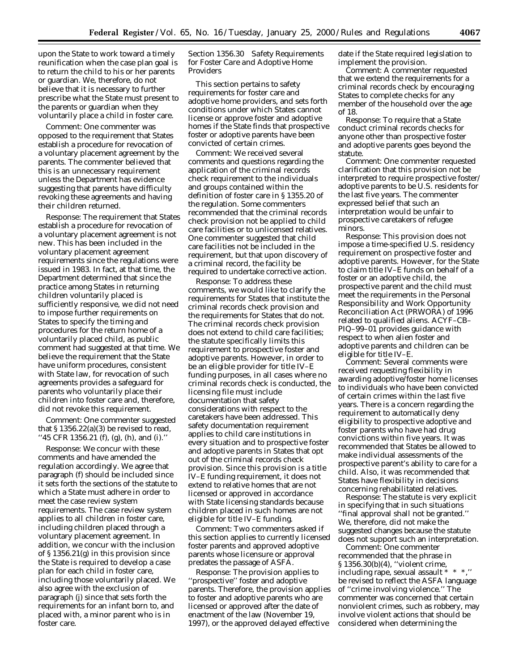upon the State to work toward a timely reunification when the case plan goal is to return the child to his or her parents or guardian. We, therefore, do not believe that it is necessary to further prescribe what the State must present to the parents or guardian when they voluntarily place a child in foster care.

*Comment:* One commenter was opposed to the requirement that States establish a procedure for revocation of a voluntary placement agreement by the parents. The commenter believed that this is an unnecessary requirement unless the Department has evidence suggesting that parents have difficulty revoking these agreements and having their children returned.

*Response:* The requirement that States establish a procedure for revocation of a voluntary placement agreement is not new. This has been included in the voluntary placement agreement requirements since the regulations were issued in 1983. In fact, at that time, the Department determined that since the practice among States in returning children voluntarily placed is sufficiently responsive, we did not need to impose further requirements on States to specify the timing and procedures for the return home of a voluntarily placed child, as public comment had suggested at that time. We believe the requirement that the State have uniform procedures, consistent with State law, for revocation of such agreements provides a safeguard for parents who voluntarily place their children into foster care and, therefore, did not revoke this requirement.

*Comment:* One commenter suggested that  $\S 1356.22(a)(3)$  be revised to read, ''45 CFR 1356.21 (f), (g), (h), and (i).''

*Response:* We concur with these comments and have amended the regulation accordingly. We agree that paragraph (f) should be included since it sets forth the sections of the statute to which a State must adhere in order to meet the case review system requirements. The case review system applies to all children in foster care, including children placed through a voluntary placement agreement. In addition, we concur with the inclusion of § 1356.21(g) in this provision since the State is required to develop a case plan for each child in foster care, including those voluntarily placed. We also agree with the exclusion of paragraph (j) since that sets forth the requirements for an infant born to, and placed with, a minor parent who is in foster care.

### *Section 1356.30 Safety Requirements for Foster Care and Adoptive Home Providers*

This section pertains to safety requirements for foster care and adoptive home providers, and sets forth conditions under which States cannot license or approve foster and adoptive homes if the State finds that prospective foster or adoptive parents have been convicted of certain crimes.

*Comment:* We received several comments and questions regarding the application of the criminal records check requirement to the individuals and groups contained within the definition of foster care in § 1355.20 of the regulation. Some commenters recommended that the criminal records check provision not be applied to child care facilities or to unlicensed relatives. One commenter suggested that child care facilities not be included in the requirement, but that upon discovery of a criminal record, the facility be required to undertake corrective action.

*Response:* To address these comments, we would like to clarify the requirements for States that institute the criminal records check provision and the requirements for States that do not. The criminal records check provision does not extend to child care facilities; the statute specifically limits this requirement to prospective foster and adoptive parents. However, in order to be an eligible provider for title IV–E funding purposes, in all cases where no criminal records check is conducted, the licensing file must include documentation that safety considerations with respect to the caretakers have been addressed. This safety documentation requirement applies to child care institutions in every situation and to prospective foster and adoptive parents in States that opt out of the criminal records check provision. Since this provision is a title IV–E funding requirement, it does not extend to relative homes that are not licensed or approved in accordance with State licensing standards because children placed in such homes are not eligible for title IV–E funding.

*Comment:* Two commenters asked if this section applies to currently licensed foster parents and approved adoptive parents whose licensure or approval predates the passage of ASFA.

*Response:* The provision applies to 'prospective'' foster and adoptive parents. Therefore, the provision applies to foster and adoptive parents who are licensed or approved after the date of enactment of the law (November 19, 1997), or the approved delayed effective

date if the State required legislation to implement the provision.

*Comment:* A commenter requested that we extend the requirements for a criminal records check by encouraging States to complete checks for any member of the household over the age of 18.

*Response:* To require that a State conduct criminal records checks for anyone other than prospective foster and adoptive parents goes beyond the statute.

*Comment:* One commenter requested clarification that this provision not be interpreted to require prospective foster/ adoptive parents to be U.S. residents for the last five years. The commenter expressed belief that such an interpretation would be unfair to prospective caretakers of refugee minors.

*Response:* This provision does not impose a time-specified U.S. residency requirement on prospective foster and adoptive parents. However, for the State to claim title IV–E funds on behalf of a foster or an adoptive child, the prospective parent and the child must meet the requirements in the Personal Responsibility and Work Opportunity Reconciliation Act (PRWORA) of 1996 related to qualified aliens. ACYF–CB– PIQ–99–01 provides guidance with respect to when alien foster and adoptive parents and children can be eligible for title IV–E.

*Comment:* Several comments were received requesting flexibility in awarding adoptive/foster home licenses to individuals who have been convicted of certain crimes within the last five years. There is a concern regarding the requirement to automatically deny eligibility to prospective adoptive and foster parents who have had drug convictions within five years. It was recommended that States be allowed to make individual assessments of the prospective parent's ability to care for a child. Also, it was recommended that States have flexibility in decisions concerning rehabilitated relatives.

*Response:* The statute is very explicit in specifying that in such situations ''final approval shall not be granted.'' We, therefore, did not make the suggested changes because the statute does not support such an interpretation.

*Comment:* One commenter recommended that the phrase in § 1356.30(b)(4), "violent crime, including rape, sexual assault \* \* \*.'' be revised to reflect the ASFA language of ''crime involving violence.'' The commenter was concerned that certain nonviolent crimes, such as robbery, may involve violent actions that should be considered when determining the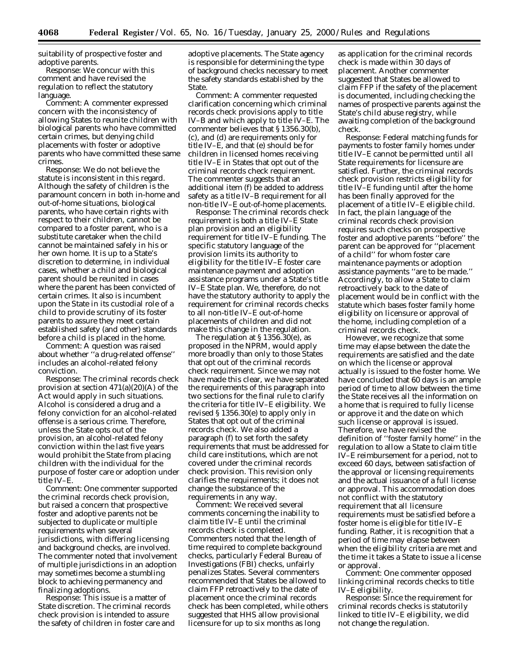suitability of prospective foster and adoptive parents.

*Response:* We concur with this comment and have revised the regulation to reflect the statutory language.

*Comment:* A commenter expressed concern with the inconsistency of allowing States to reunite children with biological parents who have committed certain crimes, but denying child placements with foster or adoptive parents who have committed these same crimes.

*Response:* We do not believe the statute is inconsistent in this regard. Although the safety of children is the paramount concern in both in-home and out-of-home situations, biological parents, who have certain rights with respect to their children, cannot be compared to a foster parent, who is a substitute caretaker when the child cannot be maintained safely in his or her own home. It is up to a State's discretion to determine, in individual cases, whether a child and biological parent should be reunited in cases where the parent has been convicted of certain crimes. It also is incumbent upon the State in its custodial role of a child to provide scrutiny of its foster parents to assure they meet certain established safety (and other) standards before a child is placed in the home.

*Comment:* A question was raised about whether ''a drug-related offense'' includes an alcohol-related felony conviction.

*Response:* The criminal records check provision at section 471(a)(20)(A) of the Act would apply in such situations. Alcohol is considered a drug and a felony conviction for an alcohol-related offense is a serious crime. Therefore, unless the State opts out of the provision, an alcohol-related felony conviction within the last five years would prohibit the State from placing children with the individual for the purpose of foster care or adoption under title IV–E.

*Comment:* One commenter supported the criminal records check provision, but raised a concern that prospective foster and adoptive parents not be subjected to duplicate or multiple requirements when several jurisdictions, with differing licensing and background checks, are involved. The commenter noted that involvement of multiple jurisdictions in an adoption may sometimes become a stumbling block to achieving permanency and finalizing adoptions.

*Response:* This issue is a matter of State discretion. The criminal records check provision is intended to assure the safety of children in foster care and adoptive placements. The State agency is responsible for determining the type of background checks necessary to meet the safety standards established by the State.

*Comment:* A commenter requested clarification concerning which criminal records check provisions apply to title IV–B and which apply to title IV–E. The commenter believes that § 1356.30(b), (c), and (d) are requirements only for title IV–E, and that (e) should be for children in licensed homes receiving title IV–E in States that opt out of the criminal records check requirement. The commenter suggests that an additional item (f) be added to address safety as a title IV–B requirement for all non-title IV–E out-of-home placements.

*Response:* The criminal records check requirement is both a title IV–E State plan provision and an eligibility requirement for title IV–E funding. The specific statutory language of the provision limits its authority to eligibility for the title IV–E foster care maintenance payment and adoption assistance programs under a State's title IV–E State plan. We, therefore, do not have the statutory authority to apply the requirement for criminal records checks to all non-title IV–E out-of-home placements of children and did not make this change in the regulation.

The regulation at § 1356.30(e), as proposed in the NPRM, would apply more broadly than only to those States that opt out of the criminal records check requirement. Since we may not have made this clear, we have separated the requirements of this paragraph into two sections for the final rule to clarify the criteria for title IV–E eligibility. We revised § 1356.30(e) to apply only in States that opt out of the criminal records check. We also added a paragraph (f) to set forth the safety requirements that must be addressed for child care institutions, which are not covered under the criminal records check provision. This revision only clarifies the requirements; it does not change the substance of the requirements in any way.

*Comment:* We received several comments concerning the inability to claim title IV–E until the criminal records check is completed. Commenters noted that the length of time required to complete background checks, particularly Federal Bureau of Investigations (FBI) checks, unfairly penalizes States. Several commenters recommended that States be allowed to claim FFP retroactively to the date of placement once the criminal records check has been completed, while others suggested that HHS allow provisional licensure for up to six months as long

as application for the criminal records check is made within 30 days of placement. Another commenter suggested that States be allowed to claim FFP if the safety of the placement is documented, including checking the names of prospective parents against the State's child abuse registry, while awaiting completion of the background check.

*Response:* Federal matching funds for payments to foster family homes under title IV–E cannot be permitted until all State requirements for licensure are satisfied. Further, the criminal records check provision restricts eligibility for title IV–E funding until after the home has been finally approved for the placement of a title IV–E eligible child. In fact, the plain language of the criminal records check provision requires such checks on prospective foster and adoptive parents ''before'' the parent can be approved for ''placement of a child'' for whom foster care maintenance payments or adoption assistance payments ''are to be made.'' Accordingly, to allow a State to claim retroactively back to the date of placement would be in conflict with the statute which bases foster family home eligibility on licensure or approval of the home, including completion of a criminal records check.

However, we recognize that some time may elapse between the date the requirements are satisfied and the date on which the license or approval actually is issued to the foster home. We have concluded that 60 days is an ample period of time to allow between the time the State receives all the information on a home that is required to fully license or approve it and the date on which such license or approval is issued. Therefore, we have revised the definition of ''foster family home'' in the regulation to allow a State to claim title IV–E reimbursement for a period, not to exceed 60 days, between satisfaction of the approval or licensing requirements and the actual issuance of a full license or approval. This accommodation does not conflict with the statutory requirement that all licensure requirements must be satisfied before a foster home is eligible for title IV–E funding. Rather, it is recognition that a period of time may elapse between when the eligibility criteria are met and the time it takes a State to issue a license or approval.

*Comment:* One commenter opposed linking criminal records checks to title IV–E eligibility.

*Response:* Since the requirement for criminal records checks is statutorily linked to title IV–E eligibility, we did not change the regulation.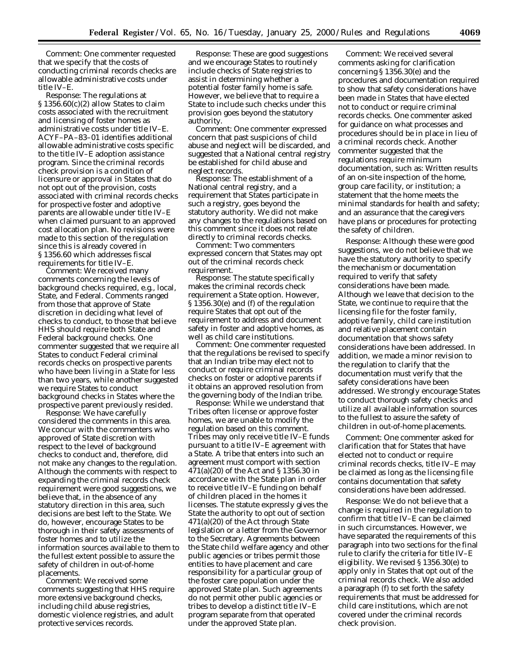*Comment:* One commenter requested that we specify that the costs of conducting criminal records checks are allowable administrative costs under title IV–E.

*Response:* The regulations at § 1356.60(c)(2) allow States to claim costs associated with the recruitment and licensing of foster homes as administrative costs under title IV–E. ACYF–PA–83–01 identifies additional allowable administrative costs specific to the title IV–E adoption assistance program. Since the criminal records check provision is a condition of licensure or approval in States that do not opt out of the provision, costs associated with criminal records checks for prospective foster and adoptive parents are allowable under title IV–E when claimed pursuant to an approved cost allocation plan. No revisions were made to this section of the regulation since this is already covered in § 1356.60 which addresses fiscal requirements for title IV–E.

*Comment:* We received many comments concerning the levels of background checks required, *e.g.,* local, State, and Federal. Comments ranged from those that approve of State discretion in deciding what level of checks to conduct, to those that believe HHS should require both State and Federal background checks. One commenter suggested that we require all States to conduct Federal criminal records checks on prospective parents who have been living in a State for less than two years, while another suggested we require States to conduct background checks in States where the prospective parent previously resided.

*Response:* We have carefully considered the comments in this area. We concur with the commenters who approved of State discretion with respect to the level of background checks to conduct and, therefore, did not make any changes to the regulation. Although the comments with respect to expanding the criminal records check requirement were good suggestions, we believe that, in the absence of any statutory direction in this area, such decisions are best left to the State. We do, however, encourage States to be thorough in their safety assessments of foster homes and to utilize the information sources available to them to the fullest extent possible to assure the safety of children in out-of-home placements.

*Comment:* We received some comments suggesting that HHS require more extensive background checks, including child abuse registries, domestic violence registries, and adult protective services records.

*Response:* These are good suggestions and we encourage States to routinely include checks of State registries to assist in determining whether a potential foster family home is safe. However, we believe that to require a State to include such checks under this provision goes beyond the statutory authority.

*Comment:* One commenter expressed concern that past suspicions of child abuse and neglect will be discarded, and suggested that a National central registry be established for child abuse and neglect records.

*Response:* The establishment of a National central registry, and a requirement that States participate in such a registry, goes beyond the statutory authority. We did not make any changes to the regulations based on this comment since it does not relate directly to criminal records checks.

*Comment:* Two commenters expressed concern that States may opt out of the criminal records check requirement.

*Response:* The statute specifically makes the criminal records check requirement a State option. However, § 1356.30(e) and (f) of the regulation require States that opt out of the requirement to address and document safety in foster and adoptive homes, as well as child care institutions.

*Comment:* One commenter requested that the regulations be revised to specify that an Indian tribe may elect not to conduct or require criminal records checks on foster or adoptive parents if it obtains an approved resolution from the governing body of the Indian tribe.

*Response:* While we understand that Tribes often license or approve foster homes, we are unable to modify the regulation based on this comment. Tribes may only receive title IV–E funds pursuant to a title IV–E agreement with a State. A tribe that enters into such an agreement must comport with section 471(a)(20) of the Act and § 1356.30 in accordance with the State plan in order to receive title IV–E funding on behalf of children placed in the homes it licenses. The statute expressly gives the State the authority to opt out of section 471(a)(20) of the Act through State legislation or a letter from the Governor to the Secretary. Agreements between the State child welfare agency and other public agencies or tribes permit those entities to have placement and care responsibility for a particular group of the foster care population under the approved State plan. Such agreements do not permit other public agencies or tribes to develop a distinct title IV–E program separate from that operated under the approved State plan.

*Comment:* We received several comments asking for clarification concerning § 1356.30(e) and the procedures and documentation required to show that safety considerations have been made in States that have elected not to conduct or require criminal records checks. One commenter asked for guidance on what processes and procedures should be in place in lieu of a criminal records check. Another commenter suggested that the regulations require minimum documentation, such as: Written results of an on-site inspection of the home, group care facility, or institution; a statement that the home meets the minimal standards for health and safety; and an assurance that the caregivers have plans or procedures for protecting the safety of children.

*Response:* Although these were good suggestions, we do not believe that we have the statutory authority to specify the mechanism or documentation required to verify that safety considerations have been made. Although we leave that decision to the State, we continue to require that the licensing file for the foster family, adoptive family, child care institution and relative placement contain documentation that shows safety considerations have been addressed. In addition, we made a minor revision to the regulation to clarify that the documentation must verify that the safety considerations have been addressed. We strongly encourage States to conduct thorough safety checks and utilize all available information sources to the fullest to assure the safety of children in out-of-home placements.

*Comment:* One commenter asked for clarification that for States that have elected not to conduct or require criminal records checks, title IV–E may be claimed as long as the licensing file contains documentation that safety considerations have been addressed.

*Response:* We do not believe that a change is required in the regulation to confirm that title IV–E can be claimed in such circumstances. However, we have separated the requirements of this paragraph into two sections for the final rule to clarify the criteria for title IV–E eligibility. We revised § 1356.30(e) to apply only in States that opt out of the criminal records check. We also added a paragraph (f) to set forth the safety requirements that must be addressed for child care institutions, which are not covered under the criminal records check provision.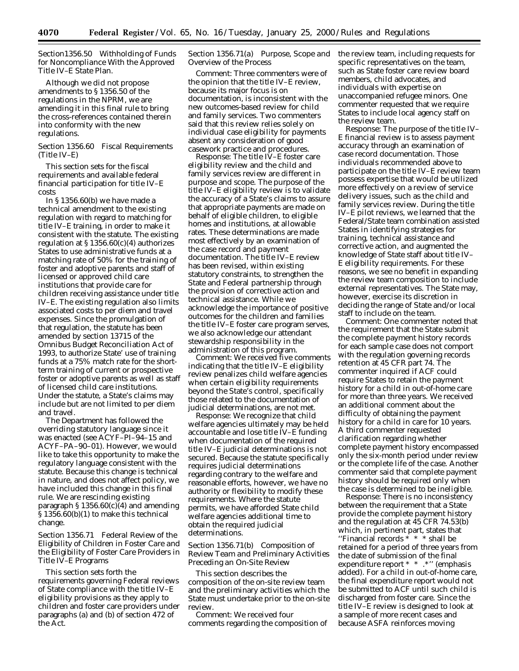*Section1356.50 Withholding of Funds for Noncompliance With the Approved Title IV–E State Plan.*

Although we did not propose amendments to § 1356.50 of the regulations in the NPRM, we are amending it in this final rule to bring the cross-references contained therein into conformity with the new regulations.

### *Section 1356.60 Fiscal Requirements (Title IV–E)*

This section sets for the fiscal requirements and available federal financial participation for title IV–E costs

In § 1356.60(b) we have made a technical amendment to the existing regulation with regard to matching for title IV–E training, in order to make it consistent with the statute. The existing regulation at  $\S 1356.60(c)(4)$  authorizes States to use administrative funds at a matching rate of 50% for the training of foster and adoptive parents and staff of licensed or approved child care institutions that provide care for children receiving assistance under title IV–E. The existing regulation also limits associated costs to per diem and travel expenses. Since the promulgation of that regulation, the statute has been amended by section 13715 of the Omnibus Budget Reconciliation Act of 1993, to authorize State' use of training funds at a 75% match rate for the shortterm training of current or prospective foster or adoptive parents as well as staff of licensed child care institutions. Under the statute, a State's claims may include but are not limited to per diem and travel.

The Department has followed the overriding statutory language since it was enacted (see ACYF–PI–94–15 and ACYF–PA–90–01). However, we would like to take this opportunity to make the regulatory language consistent with the statute. Because this change is technical in nature, and does not affect policy, we have included this change in this final rule. We are rescinding existing paragraph  $\S 1356.60(c)(4)$  and amending § 1356.60(b)(1) to make this technical change.

## *Section 1356.71 Federal Review of the Eligibility of Children in Foster Care and the Eligibility of Foster Care Providers in Title IV–E Programs*

This section sets forth the requirements governing Federal reviews of State compliance with the title IV–E eligibility provisions as they apply to children and foster care providers under paragraphs (a) and (b) of section 472 of the Act.

### *Section 1356.71(a) Purpose, Scope and Overview of the Process*

*Comment:* Three commenters were of the opinion that the title IV–E review, because its major focus is on documentation, is inconsistent with the new outcomes-based review for child and family services. Two commenters said that this review relies solely on individual case eligibility for payments absent any consideration of good casework practice and procedures.

*Response:* The title IV–E foster care eligibility review and the child and family services review are different in purpose and scope. The purpose of the title IV–E eligibility review is to validate the accuracy of a State's claims to assure that appropriate payments are made on behalf of eligible children, to eligible homes and institutions, at allowable rates. These determinations are made most effectively by an examination of the case record and payment documentation. The title IV–E review has been revised, within existing statutory constraints, to strengthen the State and Federal partnership through the provision of corrective action and technical assistance. While we acknowledge the importance of positive outcomes for the children and families the title IV–E foster care program serves, we also acknowledge our attendant stewardship responsibility in the administration of this program.

*Comment:* We received five comments indicating that the title IV–E eligibility review penalizes child welfare agencies when certain eligibility requirements beyond the State's control, specifically those related to the documentation of judicial determinations, are not met.

*Response:* We recognize that child welfare agencies ultimately may be held accountable and lose title IV–E funding when documentation of the required title IV–E judicial determinations is not secured. Because the statute specifically requires judicial determinations regarding contrary to the welfare and reasonable efforts, however, we have no authority or flexibility to modify these requirements. Where the statute permits, we have afforded State child welfare agencies additional time to obtain the required judicial determinations.

### *Section 1356.71(b) Composition of Review Team and Preliminary Activities Preceding an On-Site Review*

This section describes the composition of the on-site review team and the preliminary activities which the State must undertake prior to the on-site review.

*Comment:* We received four comments regarding the composition of the review team, including requests for specific representatives on the team, such as State foster care review board members, child advocates, and individuals with expertise on unaccompanied refugee minors. One commenter requested that we require States to include local agency staff on the review team.

*Response:* The purpose of the title IV– E financial review is to assess payment accuracy through an examination of case record documentation. Those individuals recommended above to participate on the title IV–E review team possess expertise that would be utilized more effectively on a review of service delivery issues, such as the child and family services review. During the title IV–E pilot reviews, we learned that the Federal/State team combination assisted States in identifying strategies for training, technical assistance and corrective action, and augmented the knowledge of State staff about title IV– E eligibility requirements. For these reasons, we see no benefit in expanding the review team composition to include external representatives. The State may, however, exercise its discretion in deciding the range of State and/or local staff to include on the team.

*Comment:* One commenter noted that the requirement that the State submit the complete payment history records for each sample case does not comport with the regulation governing records retention at 45 CFR part 74. The commenter inquired if ACF could require States to retain the payment history for a child in out-of-home care for more than three years. We received an additional comment about the difficulty of obtaining the payment history for a child in care for 10 years. A third commenter requested clarification regarding whether complete payment history encompassed only the six-month period under review or the complete life of the case. Another commenter said that complete payment history should be required only when the case is determined to be ineligible.

*Response:* There is no inconsistency between the requirement that a State provide the complete payment history and the regulation at 45 CFR 74.53(b) which, in pertinent part, states that ''Financial records \* \* \* shall be retained for a period of three years from the date of submission of the *final expenditure report* \* \* .\*'' (emphasis added). For a child in out-of-home care, the final expenditure report would not be submitted to ACF until such child is discharged from foster care. Since the title IV–E review is designed to look at a sample of more recent cases and because ASFA reinforces moving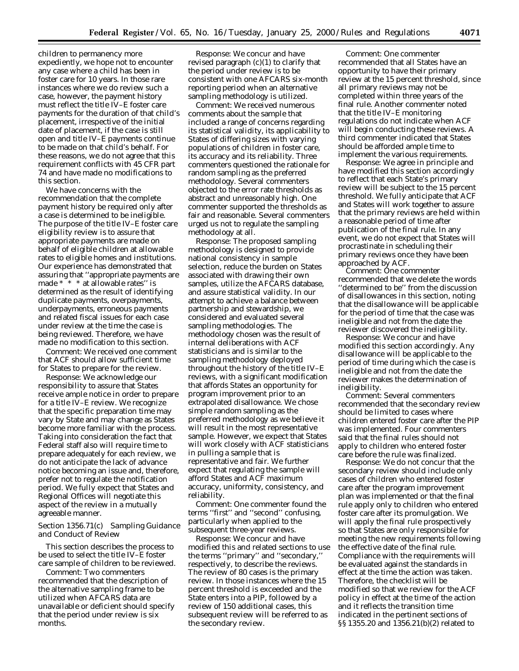children to permanency more expediently, we hope not to encounter any case where a child has been in foster care for 10 years. In those rare instances where we do review such a case, however, the payment history must reflect the title IV–E foster care payments for the duration of that child's placement, irrespective of the initial date of placement, if the case is still open and title IV–E payments continue to be made on that child's behalf. For these reasons, we do not agree that this requirement conflicts with 45 CFR part 74 and have made no modifications to this section.

We have concerns with the recommendation that the complete payment history be required only after a case is determined to be ineligible. The purpose of the title IV–E foster care eligibility review is to assure that appropriate payments are made on behalf of eligible children at allowable rates to eligible homes and institutions. Our experience has demonstrated that assuring that ''appropriate payments are made \* \* \* at allowable rates'' is determined as the result of identifying duplicate payments, overpayments, underpayments, erroneous payments and related fiscal issues for each case under review at the time the case is being reviewed. Therefore, we have made no modification to this section.

*Comment:* We received one comment that ACF should allow sufficient time for States to prepare for the review.

*Response:* We acknowledge our responsibility to assure that States receive ample notice in order to prepare for a title IV–E review. We recognize that the specific preparation time may vary by State and may change as States become more familiar with the process. Taking into consideration the fact that Federal staff also will require time to prepare adequately for each review, we do not anticipate the lack of advance notice becoming an issue and, therefore, prefer not to regulate the notification period. We fully expect that States and Regional Offices will negotiate this aspect of the review in a mutually agreeable manner.

# *Section 1356.71(c) Sampling Guidance and Conduct of Review*

This section describes the process to be used to select the title IV–E foster care sample of children to be reviewed.

*Comment:* Two commenters recommended that the description of the alternative sampling frame to be utilized when AFCARS data are unavailable or deficient should specify that the period under review is six months.

*Response:* We concur and have revised paragraph (c)(1) to clarify that the period under review is to be consistent with one AFCARS six-month reporting period when an alternative sampling methodology is utilized.

*Comment:* We received numerous comments about the sample that included a range of concerns regarding its statistical validity, its applicability to States of differing sizes with varying populations of children in foster care, its accuracy and its reliability. Three commenters questioned the rationale for random sampling as the preferred methodology. Several commenters objected to the error rate thresholds as abstract and unreasonably high. One commenter supported the thresholds as fair and reasonable. Several commenters urged us not to regulate the sampling methodology at all.

*Response:* The proposed sampling methodology is designed to provide national consistency in sample selection, reduce the burden on States associated with drawing their own samples, utilize the AFCARS database, and assure statistical validity. In our attempt to achieve a balance between partnership and stewardship, we considered and evaluated several sampling methodologies. The methodology chosen was the result of internal deliberations with ACF statisticians and is similar to the sampling methodology deployed throughout the history of the title IV–E reviews, with a significant modification that affords States an opportunity for program improvement prior to an extrapolated disallowance. We chose simple random sampling as the preferred methodology as we believe it will result in the most representative sample. However, we expect that States will work closely with ACF statisticians in pulling a sample that is representative and fair. We further expect that regulating the sample will afford States and ACF maximum accuracy, uniformity, consistency, and reliability.

*Comment:* One commenter found the terms ''first'' and ''second'' confusing, particularly when applied to the subsequent three-year reviews.

*Response:* We concur and have modified this and related sections to use the terms ''primary'' and ''secondary,'' respectively, to describe the reviews. The review of 80 cases is the primary review. In those instances where the 15 percent threshold is exceeded and the State enters into a PIP, followed by a review of 150 additional cases, this subsequent review will be referred to as the secondary review.

*Comment:* One commenter recommended that all States have an opportunity to have their primary review at the 15 percent threshold, since all primary reviews may not be completed within three years of the final rule. Another commenter noted that the title IV–E monitoring regulations do not indicate when ACF will begin conducting these reviews. A third commenter indicated that States should be afforded ample time to implement the various requirements.

*Response:* We agree in principle and have modified this section accordingly to reflect that each State's primary review will be subject to the 15 percent threshold. We fully anticipate that ACF and States will work together to assure that the primary reviews are held within a reasonable period of time after publication of the final rule. In any event, we do not expect that States will procrastinate in scheduling their primary reviews once they have been approached by ACF.

*Comment:* One commenter recommended that we delete the words ''determined to be'' from the discussion of disallowances in this section, noting that the disallowance will be applicable for the period of time that the case was ineligible and not from the date the reviewer discovered the ineligibility.

*Response:* We concur and have modified this section accordingly. Any disallowance will be applicable to the period of time during which the case is ineligible and not from the date the reviewer makes the determination of ineligibility.

*Comment:* Several commenters recommended that the secondary review should be limited to cases where children entered foster care after the PIP was implemented. Four commenters said that the final rules should not apply to children who entered foster care before the rule was finalized.

*Response:* We do not concur that the secondary review should include only cases of children who entered foster care after the program improvement plan was implemented or that the final rule apply only to children who entered foster care after its promulgation. We will apply the final rule prospectively so that States are only responsible for meeting the new requirements following the effective date of the final rule. Compliance with the requirements will be evaluated against the standards in effect at the time the action was taken. Therefore, the checklist will be modified so that we review for the ACF policy in effect at the time of the action and it reflects the transition time indicated in the pertinent sections of §§ 1355.20 and 1356.21(b)(2) related to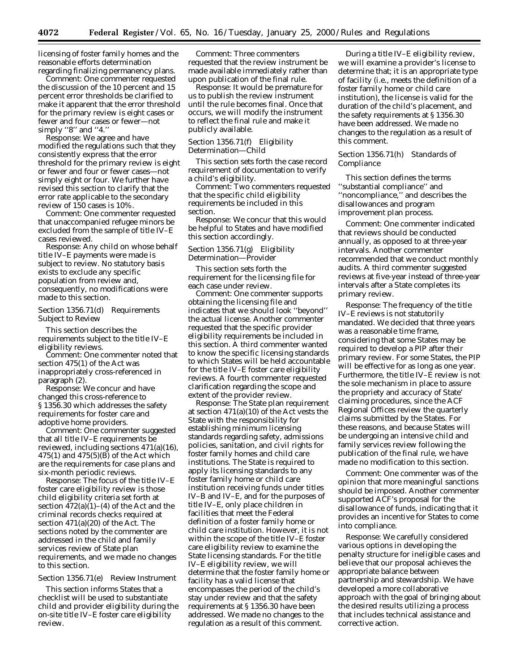licensing of foster family homes and the reasonable efforts determination regarding finalizing permanency plans.

*Comment:* One commenter requested the discussion of the 10 percent and 15 percent error thresholds be clarified to make it apparent that the error threshold for the primary review is eight cases or fewer and four cases or fewer—not simply "8" and "4."

*Response:* We agree and have modified the regulations such that they consistently express that the error threshold for the primary review is eight or fewer and four or fewer cases—not simply eight or four. We further have revised this section to clarify that the error rate applicable to the secondary review of 150 cases is 10%.

*Comment:* One commenter requested that unaccompanied refugee minors be excluded from the sample of title IV–E cases reviewed.

*Response:* Any child on whose behalf title IV–E payments were made is subject to review. No statutory basis exists to exclude any specific population from review and, consequently, no modifications were made to this section.

### *Section 1356.71(d) Requirements Subject to Review*

This section describes the requirements subject to the title IV–E eligibility reviews.

*Comment:* One commenter noted that section 475(1) of the Act was inappropriately cross-referenced in paragraph (2).

*Response:* We concur and have changed this cross-reference to § 1356.30 which addresses the safety requirements for foster care and adoptive home providers.

*Comment:* One commenter suggested that all title IV–E requirements be reviewed, including sections 471(a)(16),  $475(1)$  and  $475(5)(\overline{B})$  of the Act which are the requirements for case plans and six-month periodic reviews.

*Response:* The focus of the title IV–E foster care eligibility review is those child eligibility criteria set forth at section  $472(a)(1)-(4)$  of the Act and the criminal records checks required at section 471(a)(20) of the Act. The sections noted by the commenter are addressed in the child and family services review of State plan requirements, and we made no changes to this section.

### *Section 1356.71(e) Review Instrument*

This section informs States that a checklist will be used to substantiate child and provider eligibility during the on-site title IV–E foster care eligibility review.

*Comment:* Three commenters requested that the review instrument be made available immediately rather than upon publication of the final rule.

*Response:* It would be premature for us to publish the review instrument until the rule becomes final. Once that occurs, we will modify the instrument to reflect the final rule and make it publicly available.

#### *Section 1356.71(f) Eligibility Determination—Child*

This section sets forth the case record requirement of documentation to verify a child's eligibility.

*Comment:* Two commenters requested that the specific child eligibility requirements be included in this section.

*Response:* We concur that this would be helpful to States and have modified this section accordingly.

#### *Section 1356.71(g) Eligibility Determination—Provider*

This section sets forth the requirement for the licensing file for each case under review.

*Comment:* One commenter supports obtaining the licensing file and indicates that we should look ''beyond'' the actual license. Another commenter requested that the specific provider eligibility requirements be included in this section. A third commenter wanted to know the specific licensing standards to which States will be held accountable for the title IV–E foster care eligibility reviews. A fourth commenter requested clarification regarding the scope and extent of the provider review.

*Response:* The State plan requirement at section 471(a)(10) of the Act vests the State with the responsibility for establishing minimum licensing standards regarding safety, admissions policies, sanitation, and civil rights for foster family homes and child care institutions. The State is required to apply its licensing standards to any foster family home or child care institution receiving funds under titles IV–B and IV–E, and for the purposes of title IV–E, only place children in facilities that meet the Federal definition of a foster family home or child care institution. However, it is not within the scope of the title IV–E foster care eligibility review to examine the State licensing standards. For the title IV–E eligibility review, we will determine that the foster family home or facility has a valid license that encompasses the period of the child's stay under review and that the safety requirements at § 1356.30 have been addressed. We made no changes to the regulation as a result of this comment.

During a title IV–E eligibility review, we will examine a provider's license to determine that; it is an appropriate type of facility (*i.e.,* meets the definition of a foster family home or child care institution), the license is valid for the duration of the child's placement, and the safety requirements at § 1356.30 have been addressed. We made no changes to the regulation as a result of this comment.

### *Section 1356.71(h) Standards of Compliance*

This section defines the terms ''substantial compliance'' and ''noncompliance,'' and describes the disallowances and program improvement plan process.

*Comment:* One commenter indicated that reviews should be conducted annually, as opposed to at three-year intervals. Another commenter recommended that we conduct monthly audits. A third commenter suggested reviews at five-year instead of three-year intervals after a State completes its primary review.

*Response:* The frequency of the title IV–E reviews is not statutorily mandated. We decided that three years was a reasonable time frame, considering that some States may be required to develop a PIP after their primary review. For some States, the PIP will be effective for as long as one year. Furthermore, the title IV–E review is not the sole mechanism in place to assure the propriety and accuracy of State' claiming procedures, since the ACF Regional Offices review the quarterly claims submitted by the States. For these reasons, and because States will be undergoing an intensive child and family services review following the publication of the final rule, we have made no modification to this section.

*Comment:* One commenter was of the opinion that more meaningful sanctions should be imposed. Another commenter supported ACF's proposal for the disallowance of funds, indicating that it provides an incentive for States to come into compliance.

*Response:* We carefully considered various options in developing the penalty structure for ineligible cases and believe that our proposal achieves the appropriate balance between partnership and stewardship. We have developed a more collaborative approach with the goal of bringing about the desired results utilizing a process that includes technical assistance and corrective action.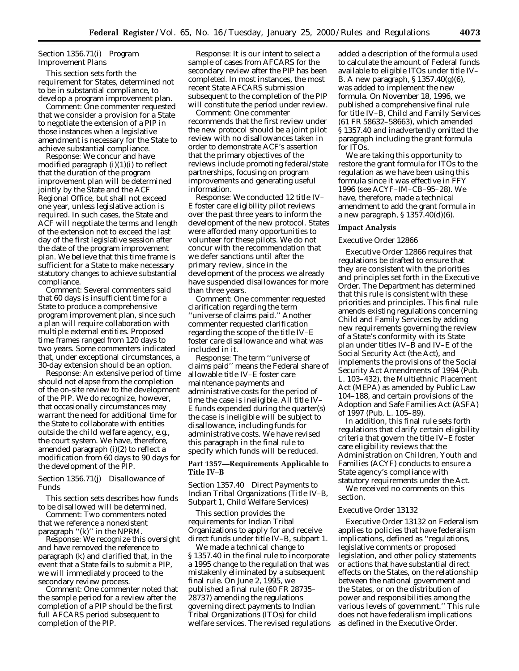### *Section 1356.71(i) Program Improvement Plans*

This section sets forth the requirement for States, determined not to be in substantial compliance, to develop a program improvement plan.

*Comment:* One commenter requested that we consider a provision for a State to negotiate the extension of a PIP in those instances when a legislative amendment is necessary for the State to achieve substantial compliance.

*Response:* We concur and have modified paragraph  $(i)(1)(i)$  to reflect that the duration of the program improvement plan will be determined jointly by the State and the ACF Regional Office, but shall not exceed one year, unless legislative action is required. In such cases, the State and ACF will negotiate the terms and length of the extension not to exceed the last day of the first legislative session after the date of the program improvement plan. We believe that this time frame is sufficient for a State to make necessary statutory changes to achieve substantial compliance.

*Comment:* Several commenters said that 60 days is insufficient time for a State to produce a comprehensive program improvement plan, since such a plan will require collaboration with multiple external entities. Proposed time frames ranged from 120 days to two years. Some commenters indicated that, under exceptional circumstances, a 30-day extension should be an option.

*Response:* An extensive period of time should not elapse from the completion of the on-site review to the development of the PIP. We do recognize, however, that occasionally circumstances may warrant the need for additional time for the State to collaborate with entities outside the child welfare agency, *e.g.,* the court system. We have, therefore, amended paragraph (i)(2) to reflect a modification from 60 days to 90 days for the development of the PIP.

### *Section 1356.71(j) Disallowance of Funds*

This section sets describes how funds to be disallowed will be determined.

*Comment:* Two commenters noted that we reference a nonexistent paragraph "(k)" in the NPRM.

*Response:* We recognize this oversight and have removed the reference to paragraph (k) and clarified that, in the event that a State fails to submit a PIP, we will immediately proceed to the secondary review process.

*Comment:* One commenter noted that the sample period for a review after the completion of a PIP should be the first full AFCARS period subsequent to completion of the PIP.

*Response:* It is our intent to select a sample of cases from AFCARS for the secondary review after the PIP has been completed. In most instances, the most recent State AFCARS submission subsequent to the completion of the PIP will constitute the period under review.

*Comment:* One commenter recommends that the first review under the new protocol should be a joint pilot review with no disallowances taken in order to demonstrate ACF's assertion that the primary objectives of the reviews include promoting federal/state partnerships, focusing on program improvements and generating useful information.

*Response:* We conducted 12 title IV– E foster care eligibility pilot reviews over the past three years to inform the development of the new protocol. States were afforded many opportunities to volunteer for these pilots. We do not concur with the recommendation that we defer sanctions until after the primary review, since in the development of the process we already have suspended disallowances for more than three years.

*Comment:* One commenter requested clarification regarding the term ''universe of claims paid.'' Another commenter requested clarification regarding the scope of the title IV–E foster care disallowance and what was included in it.

*Response:* The term ''universe of claims paid'' means the Federal share of allowable title IV–E foster care maintenance payments and administrative costs for the period of time the case is ineligible. All title IV– E funds expended during the quarter(s) the case is ineligible will be subject to disallowance, including funds for administrative costs. We have revised this paragraph in the final rule to specify which funds will be reduced.

#### **Part 1357—Requirements Applicable to Title IV–B**

*Section 1357.40 Direct Payments to Indian Tribal Organizations (Title IV–B, Subpart 1, Child Welfare Services)*

This section provides the requirements for Indian Tribal Organizations to apply for and receive direct funds under title IV–B, subpart 1.

We made a technical change to § 1357.40 in the final rule to incorporate a 1995 change to the regulation that was mistakenly eliminated by a subsequent final rule. On June 2, 1995, we published a final rule (60 FR 28735– 28737) amending the regulations governing direct payments to Indian Tribal Organizations (ITOs) for child welfare services. The revised regulations

added a description of the formula used to calculate the amount of Federal funds available to eligible ITOs under title IV– B. A new paragraph, § 1357.40(g)(6), was added to implement the new formula. On November 18, 1996, we published a comprehensive final rule for title IV–B, Child and Family Services (61 FR 58632–58663), which amended § 1357.40 and inadvertently omitted the paragraph including the grant formula for ITOs.

We are taking this opportunity to restore the grant formula for ITOs to the regulation as we have been using this formula since it was effective in FFY 1996 (see ACYF–IM–CB–95–28). We have, therefore, made a technical amendment to add the grant formula in a new paragraph, § 1357.40(d)(6).

#### **Impact Analysis**

#### *Executive Order 12866*

Executive Order 12866 requires that regulations be drafted to ensure that they are consistent with the priorities and principles set forth in the Executive Order. The Department has determined that this rule is consistent with these priorities and principles. This final rule amends existing regulations concerning Child and Family Services by adding new requirements governing the review of a State's conformity with its State plan under titles IV–B and IV–E of the Social Security Act (the Act), and implements the provisions of the Social Security Act Amendments of 1994 (Pub. L. 103–432), the Multiethnic Placement Act (MEPA) as amended by Public Law 104–188, and certain provisions of the Adoption and Safe Families Act (ASFA) of 1997 (Pub. L. 105–89).

In addition, this final rule sets forth regulations that clarify certain eligibility criteria that govern the title IV–E foster care eligibility reviews that the Administration on Children, Youth and Families (ACYF) conducts to ensure a State agency's compliance with statutory requirements under the Act.

We received no comments on this section.

### *Executive Order 13132*

Executive Order 13132 on Federalism applies to policies that have federalism implications, defined as ''regulations, legislative comments or proposed legislation, and other policy statements or actions that have substantial direct effects on the States, on the relationship between the national government and the States, or on the distribution of power and responsibilities among the various levels of government.'' This rule does not have federalism implications as defined in the Executive Order.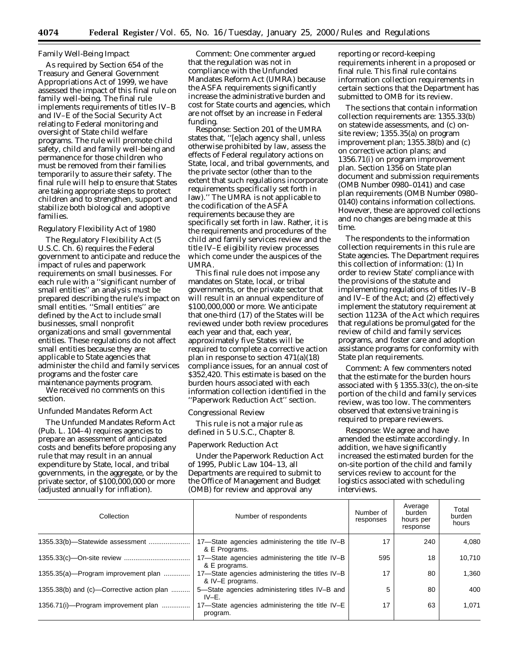#### *Family Well-Being Impact*

As required by Section 654 of the Treasury and General Government Appropriations Act of 1999, we have assessed the impact of this final rule on family well-being. The final rule implements requirements of titles IV–B and IV–E of the Social Security Act relating to Federal monitoring and oversight of State child welfare programs. The rule will promote child safety, child and family well-being and permanence for those children who must be removed from their families temporarily to assure their safety. The final rule will help to ensure that States are taking appropriate steps to protect children and to strengthen, support and stabilize both biological and adoptive families.

### *Regulatory Flexibility Act of 1980*

The Regulatory Flexibility Act (5 U.S.C. Ch. 6) requires the Federal government to anticipate and reduce the impact of rules and paperwork requirements on small businesses. For each rule with a ''significant number of small entities'' an analysis must be prepared describing the rule's impact on small entities. ''Small entities'' are defined by the Act to include small businesses, small nonprofit organizations and small governmental entities. These regulations do not affect small entities because they are applicable to State agencies that administer the child and family services programs and the foster care maintenance payments program.

We received no comments on this section.

#### *Unfunded Mandates Reform Act*

The Unfunded Mandates Reform Act (Pub. L. 104–4) requires agencies to prepare an assessment of anticipated costs and benefits before proposing any rule that may result in an annual expenditure by State, local, and tribal governments, in the aggregate, or by the private sector, of \$100,000,000 or more (adjusted annually for inflation).

*Comment:* One commenter argued that the regulation was not in compliance with the Unfunded Mandates Reform Act (UMRA) because the ASFA requirements significantly increase the administrative burden and cost for State courts and agencies, which are not offset by an increase in Federal funding.

*Response:* Section 201 of the UMRA states that, ''[e]ach agency shall, unless otherwise prohibited by law, assess the effects of Federal regulatory actions on State, local, and tribal governments, and the private sector (other than to the extent that such regulations incorporate requirements specifically set forth in law).'' The UMRA is not applicable to the codification of the ASFA requirements because they are specifically set forth in law. Rather, it is the requirements and procedures of the child and family services review and the title IV–E eligibility review processes which come under the auspices of the UMRA.

This final rule does not impose any mandates on State, local, or tribal governments, or the private sector that will result in an annual expenditure of \$100,000,000 or more. We anticipate that one-third (17) of the States will be reviewed under both review procedures each year and that, each year, approximately five States will be required to complete a corrective action plan in response to section 471(a)(18) compliance issues, for an annual cost of \$352,420. This estimate is based on the burden hours associated with each information collection identified in the ''Paperwork Reduction Act'' section.

#### *Congressional Review*

This rule is not a major rule as defined in 5 U.S.C., Chapter 8.

#### *Paperwork Reduction Act*

Under the Paperwork Reduction Act of 1995, Public Law 104–13, all Departments are required to submit to the Office of Management and Budget (OMB) for review and approval any

reporting or record-keeping requirements inherent in a proposed or final rule. This final rule contains information collection requirements in certain sections that the Department has submitted to OMB for its review.

The sections that contain information collection requirements are: 1355.33(b) on statewide assessments, and (c) onsite review; 1355.35(a) on program improvement plan; 1355.38(b) and (c) on corrective action plans; and 1356.71(i) on program improvement plan. Section 1356 on State plan document and submission requirements (OMB Number 0980–0141) and case plan requirements (OMB Number 0980– 0140) contains information collections. However, these are approved collections and no changes are being made at this time.

The respondents to the information collection requirements in this rule are State agencies. The Department requires this collection of information: (1) In order to review State' compliance with the provisions of the statute and implementing regulations of titles IV–B and IV–E of the Act; and (2) effectively implement the statutory requirement at section 1123A of the Act which requires that regulations be promulgated for the review of child and family services programs, and foster care and adoption assistance programs for conformity with State plan requirements.

*Comment:* A few commenters noted that the estimate for the burden hours associated with § 1355.33(c), the on-site portion of the child and family services review, was too low. The commenters observed that extensive training is required to prepare reviewers.

*Response:* We agree and have amended the estimate accordingly. In addition, we have significantly increased the estimated burden for the on-site portion of the child and family services review to account for the logistics associated with scheduling interviews.

| Collection                                | Number of respondents                                               | Number of<br>responses | Average<br>burden<br>hours per<br>response | Total<br>burden<br>hours |
|-------------------------------------------|---------------------------------------------------------------------|------------------------|--------------------------------------------|--------------------------|
|                                           | 17-State agencies administering the title IV-B<br>& E Programs.     | 17                     | 240                                        | 4,080                    |
|                                           | 17-State agencies administering the title IV-B<br>& E programs.     | 595                    | 18                                         | 10,710                   |
| 1355.35(a)-Program improvement plan       | 17-State agencies administering the titles IV-B<br>& IV-E programs. | 17                     | 80                                         | 1,360                    |
| 1355.38(b) and (c)—Corrective action plan | 5-State agencies administering titles IV-B and<br>$IV-E$ .          | 5                      | 80                                         | 400                      |
| 1356.71(i)-Program improvement plan       | 17-State agencies administering the title IV-E<br>program.          | 17                     | 63                                         | 1.071                    |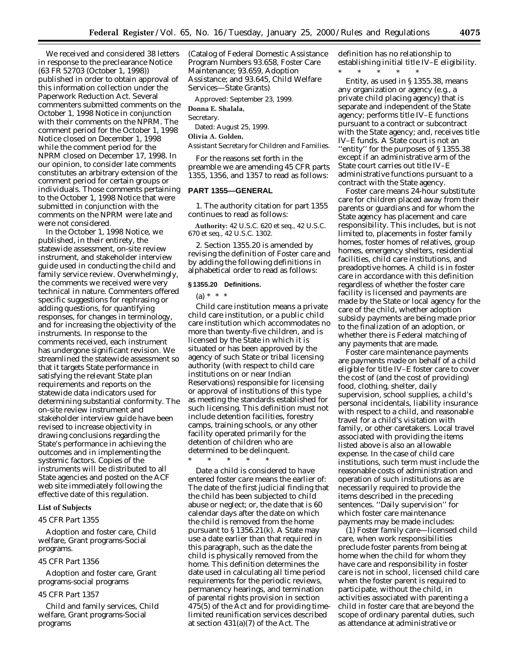We received and considered 38 letters in response to the preclearance Notice (63 FR 52703 (October 1, 1998)) published in order to obtain approval of this information collection under the Paperwork Reduction Act. Several commenters submitted comments on the October 1, 1998 Notice in conjunction with their comments on the NPRM. The comment period for the October 1, 1998 Notice closed on December 1, 1998 while the comment period for the NPRM closed on December 17, 1998. In our opinion, to consider late comments constitutes an arbitrary extension of the comment period for certain groups or individuals. Those comments pertaining to the October 1, 1998 Notice that were submitted in conjunction with the comments on the NPRM were late and were not considered.

In the October 1, 1998 Notice, we published, in their entirety, the statewide assessment, on-site review instrument, and stakeholder interview guide used in conducting the child and family service review. Overwhelmingly, the comments we received were very technical in nature. Commenters offered specific suggestions for rephrasing or adding questions, for quantifying responses, for changes in terminology, and for increasing the objectivity of the instruments. In response to the comments received, each instrument has undergone significant revision. We streamlined the statewide assessment so that it targets State performance in satisfying the relevant State plan requirements and reports on the statewide data indicators used for determining substantial conformity. The on-site review instrument and stakeholder interview guide have been revised to increase objectivity in drawing conclusions regarding the State's performance in achieving the outcomes and in implementing the systemic factors. Copies of the instruments will be distributed to all State agencies and posted on the ACF web site immediately following the effective date of this regulation.

#### **List of Subjects**

### *45 CFR Part 1355*

Adoption and foster care, Child welfare, Grant programs-Social programs.

#### *45 CFR Part 1356*

Adoption and foster care, Grant programs-social programs

#### *45 CFR Part 1357*

Child and family services, Child welfare, Grant programs-Social programs

(Catalog of Federal Domestic Assistance Program Numbers 93.658, Foster Care Maintenance; 93.659, Adoption Assistance; and 93.645, Child Welfare Services—State Grants)

Approved: September 23, 1999. **Donna E. Shalala,** *Secretary.*

Dated: August 25, 1999.

**Olivia A. Golden,**

*Assistant Secretary for Children and Families.*

For the reasons set forth in the preamble we are amending 45 CFR parts 1355, 1356, and 1357 to read as follows:

### **PART 1355—GENERAL**

1. The authority citation for part 1355 continues to read as follows:

**Authority:** 42 U.S.C. 620 *et seq.*, 42 U.S.C. 670 *et seq.*, 42 U.S.C. 1302.

2. Section 1355.20 is amended by revising the definition of *Foster care* and by adding the following definitions in alphabetical order to read as follows:

#### **§ 1355.20 Definitions.**

\* \* \* \* \*

# $(a) * * * *$

*Child care institution* means a private child care institution, or a public child care institution which accommodates no more than twenty-five children, and is licensed by the State in which it is situated or has been approved by the agency of such State or tribal licensing authority (with respect to child care institutions on or near Indian Reservations) responsible for licensing or approval of institutions of this type as meeting the standards established for such licensing. This definition must not include detention facilities, forestry camps, training schools, or any other facility operated primarily for the detention of children who are determined to be delinquent.

*Date a child is considered to have entered foster care* means the earlier of: The date of the first judicial finding that the child has been subjected to child abuse or neglect; or, the date that is 60 calendar days after the date on which the child is removed from the home pursuant to § 1356.21(k). A State may use a date earlier than that required in this paragraph, such as the date the child is physically removed from the home. This definition determines the date used in calculating all time period requirements for the periodic reviews, permanency hearings, and termination of parental rights provision in section 475(5) of the Act and for providing timelimited reunification services described at section 431(a)(7) of the Act. The

definition has no relationship to establishing initial title IV–E eligibility. \* \* \* \* \*

*Entity*, as used in § 1355.38, means any organization or agency (*e.g.*, a private child placing agency) that is separate and independent of the State agency; performs title IV–E functions pursuant to a contract or subcontract with the State agency; and, receives title IV–E funds. A State court is not an ''entity'' for the purposes of § 1355.38 except if an administrative arm of the State court carries out title IV–E administrative functions pursuant to a contract with the State agency.

*Foster care* means 24-hour substitute care for children placed away from their parents or guardians and for whom the State agency has placement and care responsibility. This includes, but is not limited to, placements in foster family homes, foster homes of relatives, group homes, emergency shelters, residential facilities, child care institutions, and preadoptive homes. A child is in foster care in accordance with this definition regardless of whether the foster care facility is licensed and payments are made by the State or local agency for the care of the child, whether adoption subsidy payments are being made prior to the finalization of an adoption, or whether there is Federal matching of any payments that are made.

*Foster care maintenance payments* are payments made on behalf of a child eligible for title IV–E foster care to cover the cost of (and the cost of providing) food, clothing, shelter, daily supervision, school supplies, a child's personal incidentals, liability insurance with respect to a child, and reasonable travel for a child's visitation with family, or other caretakers. Local travel associated with providing the items listed above is also an allowable expense. In the case of child care institutions, such term must include the reasonable costs of administration and operation of such institutions as are necessarily required to provide the items described in the preceding sentences. ''Daily supervision'' for which foster care maintenance payments may be made includes:

(1) *Foster family care*—licensed child care, when work responsibilities preclude foster parents from being at home when the child for whom they have care and responsibility in foster care is not in school, licensed child care when the foster parent is required to participate, without the child, in activities associated with parenting a child in foster care that are beyond the scope of ordinary parental duties, such as attendance at administrative or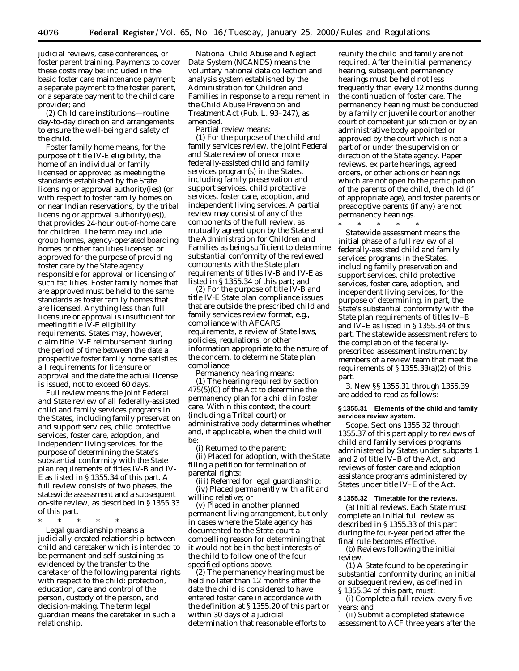judicial reviews, case conferences, or foster parent training. Payments to cover these costs may be: included in the basic foster care maintenance payment; a separate payment to the foster parent, or a separate payment to the child care provider; and

(2) *Child care institutions*—routine day-to-day direction and arrangements to ensure the well-being and safety of the child.

*Foster family home* means, for the purpose of title IV-E eligibility, the home of an individual or family licensed or approved as meeting the standards established by the State licensing or approval authority(ies) (or with respect to foster family homes on or near Indian reservations, by the tribal licensing or approval authority(ies)), that provides 24-hour out-of-home care for children. The term may include group homes, agency-operated boarding homes or other facilities licensed or approved for the purpose of providing foster care by the State agency responsible for approval or licensing of such facilities. Foster family homes that are approved must be held to the same standards as foster family homes that are licensed. Anything less than full licensure or approval is insufficient for meeting title IV-E eligibility requirements. States may, however, claim title IV-E reimbursement during the period of time between the date a prospective foster family home satisfies all requirements for licensure or approval and the date the actual license is issued, not to exceed 60 days.

*Full review* means the joint Federal and State review of all federally-assisted child and family services programs in the States, including family preservation and support services, child protective services, foster care, adoption, and independent living services, for the purpose of determining the State's substantial conformity with the State plan requirements of titles IV-B and IV-E as listed in § 1355.34 of this part. A full review consists of two phases, the statewide assessment and a subsequent on-site review, as described in § 1355.33 of this part.

\* \* \* \* \*

*Legal guardianship* means a judicially-created relationship between child and caretaker which is intended to be permanent and self-sustaining as evidenced by the transfer to the caretaker of the following parental rights with respect to the child: protection, education, care and control of the person, custody of the person, and decision-making. The term *legal guardian* means the caretaker in such a relationship.

*National Child Abuse and Neglect Data System (NCANDS)* means the voluntary national data collection and analysis system established by the Administration for Children and Families in response to a requirement in the Child Abuse Prevention and Treatment Act (Pub. L. 93–247), as amended.

*Partial review* means:

(1) For the purpose of the child and family services review, the joint Federal and State review of one or more federally-assisted child and family services program(s) in the States, including family preservation and support services, child protective services, foster care, adoption, and independent living services. A partial review may consist of any of the components of the full review, as mutually agreed upon by the State and the Administration for Children and Families as being sufficient to determine substantial conformity of the reviewed components with the State plan requirements of titles IV-B and IV-E as listed in § 1355.34 of this part; and

(2) For the purpose of title IV-B and title IV-E State plan compliance issues that are outside the prescribed child and family services review format, *e.g.*, compliance with AFCARS requirements, a review of State laws, policies, regulations, or other information appropriate to the nature of the concern, to determine State plan compliance.

*Permanency hearing* means: (1) The hearing required by section 475(5)(C) of the Act to determine the permanency plan for a child in foster care. Within this context, the court (including a Tribal court) or administrative body determines whether and, if applicable, when the child will be:

(i) Returned to the parent; (ii) Placed for adoption, with the State filing a petition for termination of

parental rights; (iii) Referred for legal guardianship; (iv) Placed permanently with a fit and willing relative; or

(v) Placed in another planned permanent living arrangement, but only in cases where the State agency has documented to the State court a compelling reason for determining that it would not be in the best interests of the child to follow one of the four specified options above.

(2) The permanency hearing must be held no later than 12 months after the date the child is considered to have entered foster care in accordance with the definition at § 1355.20 of this part or within 30 days of a judicial determination that reasonable efforts to

reunify the child and family are not required. After the initial permanency hearing, subsequent permanency hearings must be held not less frequently than every 12 months during the continuation of foster care. The permanency hearing must be conducted by a family or juvenile court or another court of competent jurisdiction or by an administrative body appointed or approved by the court which is not a part of or under the supervision or direction of the State agency. Paper reviews, *ex parte* hearings, agreed orders, or other actions or hearings which are not open to the participation of the parents of the child, the child (if of appropriate age), and foster parents or preadoptive parents (if any) are not permanency hearings.

\* \* \* \* \* *Statewide assessment* means the initial phase of a full review of all federally-assisted child and family services programs in the States, including family preservation and support services, child protective services, foster care, adoption, and independent living services, for the purpose of determining, in part, the State's substantial conformity with the State plan requirements of titles IV–B and IV–E as listed in § 1355.34 of this part. The statewide assessment refers to the completion of the federallyprescribed assessment instrument by members of a review team that meet the requirements of  $\S 1355.33(a)(2)$  of this part.

3. New §§ 1355.31 through 1355.39 are added to read as follows:

#### **§ 1355.31 Elements of the child and family services review system.**

*Scope.* Sections 1355.32 through 1355.37 of this part apply to reviews of child and family services programs administered by States under subparts 1 and 2 of title IV–B of the Act, and reviews of foster care and adoption assistance programs administered by States under title IV–E of the Act.

### **§ 1355.32 Timetable for the reviews.**

(a) *Initial reviews.* Each State must complete an initial full review as described in § 1355.33 of this part during the four-year period after the final rule becomes effective.

(b) *Reviews following the initial review.* 

(1) A State found to be operating in substantial conformity during an initial or subsequent review, as defined in § 1355.34 of this part, must:

(i) Complete a full review every five years; and

(ii) Submit a completed statewide assessment to ACF three years after the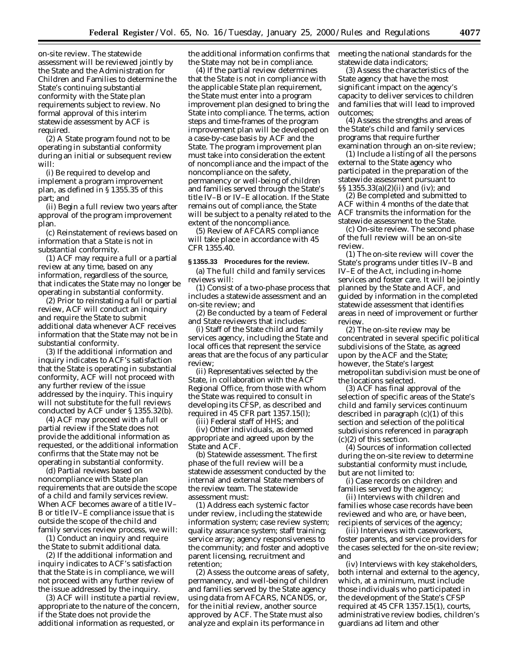on-site review. The statewide assessment will be reviewed jointly by the State and the Administration for Children and Families to determine the State's continuing substantial conformity with the State plan requirements subject to review. No formal approval of this interim statewide assessment by ACF is required.

(2) A State program found not to be operating in substantial conformity during an initial or subsequent review will:

(i) Be required to develop and implement a program improvement plan, as defined in § 1355.35 of this part; and

(ii) Begin a full review two years after approval of the program improvement plan.

(c) *Reinstatement of reviews based on information that a State is not in substantial conformity.*

(1) ACF may require a full or a partial review at any time, based on any information, regardless of the source, that indicates the State may no longer be operating in substantial conformity.

(2) Prior to reinstating a full or partial review, ACF will conduct an inquiry and require the State to submit additional data whenever ACF receives information that the State may not be in substantial conformity.

(3) If the additional information and inquiry indicates to ACF's satisfaction that the State is operating in substantial conformity, ACF will not proceed with any further review of the issue addressed by the inquiry. This inquiry will not substitute for the full reviews conducted by ACF under § 1355.32(b).

(4) ACF may proceed with a full or partial review if the State does not provide the additional information as requested, or the additional information confirms that the State may not be operating in substantial conformity.

(d) *Partial reviews based on noncompliance with State plan requirements that are outside the scope of a child and family services review.* When ACF becomes aware of a title IV– B or title IV–E compliance issue that is outside the scope of the child and family services review process, we will:

(1) Conduct an inquiry and require the State to submit additional data.

(2) If the additional information and inquiry indicates to ACF's satisfaction that the State is in compliance, we will not proceed with any further review of the issue addressed by the inquiry.

(3) ACF will institute a partial review, appropriate to the nature of the concern, if the State does not provide the additional information as requested, or

the additional information confirms that the State may not be in compliance.

(4) If the partial review determines that the State is not in compliance with the applicable State plan requirement, the State must enter into a program improvement plan designed to bring the State into compliance. The terms, action steps and time-frames of the program improvement plan will be developed on a case-by-case basis by ACF and the State. The program improvement plan must take into consideration the extent of noncompliance and the impact of the noncompliance on the safety, permanency or well-being of children and families served through the State's title IV–B or IV–E allocation. If the State remains out of compliance, the State will be subject to a penalty related to the extent of the noncompliance.

(5) Review of AFCARS compliance will take place in accordance with 45 CFR 1355.40.

#### **§ 1355.33 Procedures for the review.**

(a) The full child and family services reviews will:

(1) Consist of a two-phase process that includes a statewide assessment and an on-site review; and

(2) Be conducted by a team of Federal and State reviewers that includes:

(i) Staff of the State child and family services agency, including the State and local offices that represent the service areas that are the focus of any particular review;

(ii) Representatives selected by the State, in collaboration with the ACF Regional Office, from those with whom the State was required to consult in developing its CFSP, as described and required in 45 CFR part 1357.15(l);

(iii) Federal staff of HHS; and

(iv) Other individuals, as deemed appropriate and agreed upon by the State and ACF.

(b) *Statewide assessment.* The first phase of the full review will be a statewide assessment conducted by the internal and external State members of the review team. The statewide assessment must:

(1) Address each systemic factor under review, including the statewide information system; case review system; quality assurance system; staff training; service array; agency responsiveness to the community; and foster and adoptive parent licensing, recruitment and retention;

(2) Assess the outcome areas of safety, permanency, and well-being of children and families served by the State agency using data from AFCARS, NCANDS, or, for the initial review, another source approved by ACF. The State must also analyze and explain its performance in

meeting the national standards for the statewide data indicators;

(3) Assess the characteristics of the State agency that have the most significant impact on the agency's capacity to deliver services to children and families that will lead to improved outcomes;

(4) Assess the strengths and areas of the State's child and family services programs that require further examination through an on-site review;

(1) Include a listing of all the persons external to the State agency who participated in the preparation of the statewide assessment pursuant to §§ 1355.33(a)(2)(ii) and (iv); and

(2) Be completed and submitted to ACF within 4 months of the date that ACF transmits the information for the statewide assessment to the State.

(c) *On-site review.* The second phase of the full review will be an on-site review.

(1) The on-site review will cover the State's programs under titles IV–B and IV–E of the Act, including in-home services and foster care. It will be jointly planned by the State and ACF, and guided by information in the completed statewide assessment that identifies areas in need of improvement or further review.

(2) The on-site review may be concentrated in several specific political subdivisions of the State, as agreed upon by the ACF and the State; however, the State's largest metropolitan subdivision must be one of the locations selected.

(3) ACF has final approval of the selection of specific areas of the State's child and family services continuum described in paragraph (c)(1) of this section and selection of the political subdivisions referenced in paragraph (c)(2) of this section.

(4) Sources of information collected during the on-site review to determine substantial conformity must include, but are not limited to:

(i) Case records on children and families served by the agency;

(ii) Interviews with children and families whose case records have been reviewed and who are, or have been, recipients of services of the agency;

(iii) Interviews with caseworkers, foster parents, and service providers for the cases selected for the on-site review; and

(iv) Interviews with key stakeholders, both internal and external to the agency, which, at a minimum, must include those individuals who participated in the development of the State's CFSP required at 45 CFR 1357.15(1), courts, administrative review bodies, children's guardians ad litem and other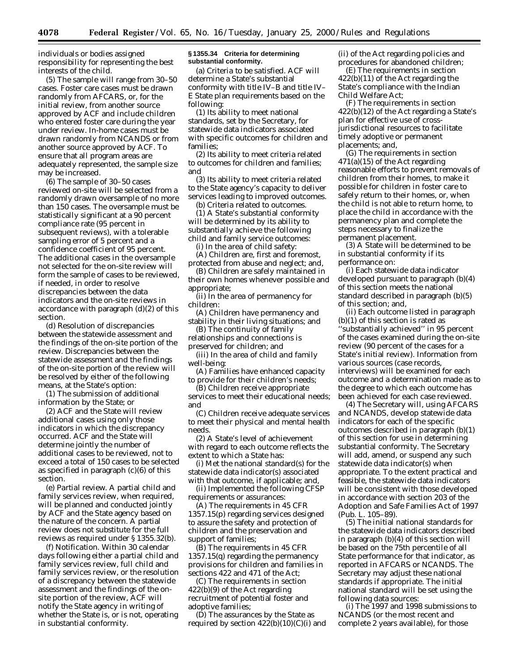individuals or bodies assigned responsibility for representing the best interests of the child.

(5) The sample will range from 30–50 cases. Foster care cases must be drawn randomly from AFCARS, or, for the initial review, from another source approved by ACF and include children who entered foster care during the year under review. In-home cases must be drawn randomly from NCANDS or from another source approved by ACF. To ensure that all program areas are adequately represented, the sample size may be increased.

(6) The sample of 30–50 cases reviewed on-site will be selected from a randomly drawn oversample of no more than 150 cases. The oversample must be statistically significant at a 90 percent compliance rate (95 percent in subsequent reviews), with a tolerable sampling error of 5 percent and a confidence coefficient of 95 percent. The additional cases in the oversample not selected for the on-site review will form the sample of cases to be reviewed, if needed, in order to resolve discrepancies between the data indicators and the on-site reviews in accordance with paragraph (d)(2) of this section.

(d) *Resolution of discrepancies between the statewide assessment and the findings of the on-site portion of the review.* Discrepancies between the statewide assessment and the findings of the on-site portion of the review will be resolved by either of the following means, at the State's option:

(1) The submission of additional information by the State; or

(2) ACF and the State will review additional cases using only those indicators in which the discrepancy occurred. ACF and the State will determine jointly the number of additional cases to be reviewed, not to exceed a total of 150 cases to be selected as specified in paragraph (c)(6) of this section.

(e) *Partial review.* A partial child and family services review, when required, will be planned and conducted jointly by ACF and the State agency based on the nature of the concern. A partial review does not substitute for the full reviews as required under § 1355.32(b).

(f) *Notification.* Within 30 calendar days following either a partial child and family services review, full child and family services review, or the resolution of a discrepancy between the statewide assessment and the findings of the onsite portion of the review, ACF will notify the State agency in writing of whether the State is, or is not, operating in substantial conformity.

#### **§ 1355.34 Criteria for determining substantial conformity.**

(a) *Criteria to be satisfied.* ACF will determine a State's substantial conformity with title IV–B and title IV– E State plan requirements based on the following:

(1) Its ability to meet national standards, set by the Secretary, for statewide data indicators associated with specific outcomes for children and families;

(2) Its ability to meet criteria related to outcomes for children and families; and

(3) Its ability to meet criteria related to the State agency's capacity to deliver services leading to improved outcomes.

(b) *Criteria related to outcomes.* (1) A State's substantial conformity will be determined by its ability to substantially achieve the following child and family service outcomes:

(i) *In the area of child safety:*

(A) Children are, first and foremost, protected from abuse and neglect; and,

(B) Children are safely maintained in their own homes whenever possible and appropriate; (ii) *In the area of permanency for*

*children:*

(A) Children have permanency and stability in their living situations; and

(B) The continuity of family relationships and connections is preserved for children; and

(iii) *In the area of child and family well-being:*

(A) Families have enhanced capacity to provide for their children's needs;

(B) Children receive appropriate services to meet their educational needs; and

(C) Children receive adequate services to meet their physical and mental health needs.

(2) A State's level of achievement with regard to each outcome reflects the extent to which a State has:

(i) Met the national standard(s) for the statewide data indicator(s) associated with that outcome, if applicable; and,

(ii) Implemented the following CFSP requirements or assurances:

(A) The requirements in 45 CFR 1357.15(p) regarding services designed to assure the safety and protection of children and the preservation and support of families;

(B) The requirements in 45 CFR 1357.15(q) regarding the permanency provisions for children and families in sections 422 and 471 of the Act;

(C) The requirements in section 422(b)(9) of the Act regarding recruitment of potential foster and adoptive families;

(D) The assurances by the State as required by section  $422(b)(10)(C)(i)$  and (ii) of the Act regarding policies and procedures for abandoned children;

(E) The requirements in section 422(b)(11) of the Act regarding the State's compliance with the Indian Child Welfare Act;

(F) The requirements in section 422(b)(12) of the Act regarding a State's plan for effective use of crossjurisdictional resources to facilitate timely adoptive or permanent placements; and,

(G) The requirements in section 471(a)(15) of the Act regarding reasonable efforts to prevent removals of children from their homes, to make it possible for children in foster care to safely return to their homes, or, when the child is not able to return home, to place the child in accordance with the permanency plan and complete the steps necessary to finalize the permanent placement.

(3) A State will be determined to be in substantial conformity if its performance on:

(i) Each statewide data indicator developed pursuant to paragraph (b)(4) of this section meets the national standard described in paragraph (b)(5) of this section; and,

(ii) Each outcome listed in paragraph (b)(1) of this section is rated as ''substantially achieved'' in 95 percent of the cases examined during the on-site review (90 percent of the cases for a State's initial review). Information from various sources (case records, interviews) will be examined for each outcome and a determination made as to the degree to which each outcome has been achieved for each case reviewed.

(4) The Secretary will, using AFCARS and NCANDS, develop statewide data indicators for each of the specific outcomes described in paragraph (b)(1) of this section for use in determining substantial conformity. The Secretary will add, amend, or suspend any such statewide data indicator(s) when appropriate. To the extent practical and feasible, the statewide data indicators will be consistent with those developed in accordance with section 203 of the Adoption and Safe Families Act of 1997 (Pub. L. 105–89).

(5) The initial national standards for the statewide data indicators described in paragraph (b)(4) of this section will be based on the 75th percentile of all State performance for that indicator, as reported in AFCARS or NCANDS. The Secretary may adjust these national standards if appropriate. The initial national standard will be set using the following data sources:

(i) The 1997 and 1998 submissions to NCANDS (or the most recent and complete 2 years available), for those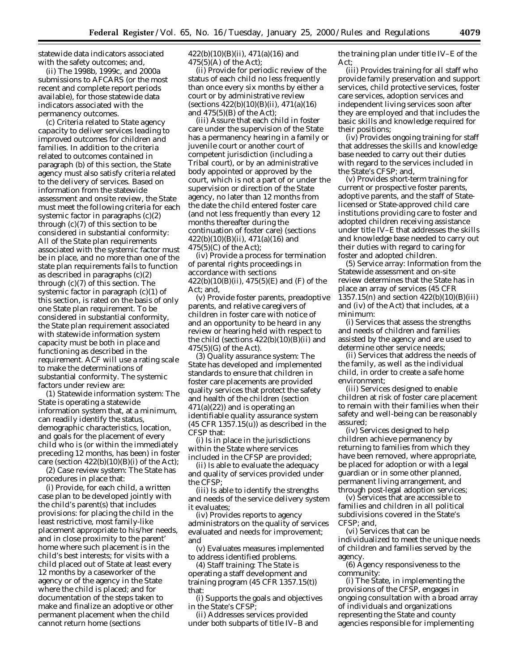statewide data indicators associated with the safety outcomes; and,

(ii) The 1998b, 1999c, and 2000a submissions to AFCARS (or the most recent and complete report periods available), for those statewide data indicators associated with the permanency outcomes.

(c) *Criteria related to State agency capacity to deliver services leading to improved outcomes for children and families.* In addition to the criteria related to outcomes contained in paragraph (b) of this section, the State agency must also satisfy criteria related to the delivery of services. Based on information from the statewide assessment and onsite review, the State must meet the following criteria for each systemic factor in paragraphs (c)(2) through (c)(7) of this section to be considered in substantial conformity: All of the State plan requirements associated with the systemic factor must be in place, and no more than one of the state plan requirements fails to function as described in paragraphs  $(c)(2)$ through (c)(7) of this section. The systemic factor in paragraph (c)(1) of this section, is rated on the basis of only one State plan requirement. To be considered in substantial conformity, the State plan requirement associated with statewide information system capacity must be both in place and functioning as described in the requirement. ACF will use a rating scale to make the determinations of substantial conformity. The systemic factors under review are:

(1) *Statewide information system:* The State is operating a statewide information system that, at a minimum, can readily identify the status, demographic characteristics, location, and goals for the placement of every child who is (or within the immediately preceding 12 months, has been) in foster care (section  $422(b)(10)(B)(i)$  of the Act);

(2) *Case review system:* The State has procedures in place that:

(i) Provide, for each child, a written case plan to be developed jointly with the child's parent(s) that includes provisions: for placing the child in the least restrictive, most family-like placement appropriate to his/her needs, and in close proximity to the parent' home where such placement is in the child's best interests; for visits with a child placed out of State at least every 12 months by a caseworker of the agency or of the agency in the State where the child is placed; and for documentation of the steps taken to make and finalize an adoptive or other permanent placement when the child cannot return home (sections

422(b)(10)(B)(ii), 471(a)(16) and 475(5)(A) of the Act);

(ii) Provide for periodic review of the status of each child no less frequently than once every six months by either a court or by administrative review (sections  $422(b)(10)(B)(ii)$ ,  $471(a)(16)$ and  $475(5)(B)$  of the Act);

(iii) Assure that each child in foster care under the supervision of the State has a permanency hearing in a family or juvenile court or another court of competent jurisdiction (including a Tribal court), or by an administrative body appointed or approved by the court, which is not a part of or under the supervision or direction of the State agency, no later than 12 months from the date the child entered foster care (and not less frequently than every 12 months thereafter during the continuation of foster care) (sections 422(b)(10)(B)(ii), 471(a)(16) and 475(5)(C) of the Act);

(iv) Provide a process for termination of parental rights proceedings in accordance with sections 422(b)(10(B)(ii), 475(5)(E) and (F) of the Act; and,

(v) Provide foster parents, preadoptive parents, and relative caregivers of children in foster care with notice of and an opportunity to be heard in any review or hearing held with respect to the child (sections  $422(b)(10)(B)(ii)$  and 475(5)(G) of the Act).

(3) *Quality assurance system:* The State has developed and implemented standards to ensure that children in foster care placements are provided quality services that protect the safety and health of the children (section  $471(a)(22)$  and is operating an identifiable quality assurance system  $(45 \text{ CFR } 1357.15(u))$  as described in the CFSP that:

(i) Is in place in the jurisdictions within the State where services included in the CFSP are provided;

(ii) Is able to evaluate the adequacy and quality of services provided under the CFSP;

(iii) Is able to identify the strengths and needs of the service delivery system it evaluates;

(iv) Provides reports to agency administrators on the quality of services evaluated and needs for improvement; and

(v) Evaluates measures implemented to address identified problems.

(4) *Staff training:* The State is operating a staff development and training program (45 CFR 1357.15(t)) that:

(i) Supports the goals and objectives in the State's CFSP;

(ii) Addresses services provided under both subparts of title IV–B and the training plan under title IV–E of the Act;

(iii) Provides training for all staff who provide family preservation and support services, child protective services, foster care services, adoption services and independent living services soon after they are employed and that includes the basic skills and knowledge required for their positions;

(iv) Provides ongoing training for staff that addresses the skills and knowledge base needed to carry out their duties with regard to the services included in the State's CFSP; and,

(v) Provides short-term training for current or prospective foster parents, adoptive parents, and the staff of Statelicensed or State-approved child care institutions providing care to foster and adopted children receiving assistance under title IV–E that addresses the skills and knowledge base needed to carry out their duties with regard to caring for foster and adopted children.

(5) *Service array:* Information from the Statewide assessment and on-site review determines that the State has in place an array of services (45 CFR 1357.15(n) and section 422(b)(10)(B)(iii) and (iv) of the Act) that includes, at a minimum:

(i) Services that assess the strengths and needs of children and families assisted by the agency and are used to determine other service needs;

(ii) Services that address the needs of the family, as well as the individual child, in order to create a safe home environment;

(iii) Services designed to enable children at risk of foster care placement to remain with their families when their safety and well-being can be reasonably assured;

(iv) Services designed to help children achieve permanency by returning to families from which they have been removed, where appropriate, be placed for adoption or with a legal guardian or in some other planned, permanent living arrangement, and through post-legal adoption services;

(v) Services that are accessible to families and children in all political subdivisions covered in the State's CFSP; and,

(vi) Services that can be individualized to meet the unique needs of children and families served by the agency.

(6) *Agency responsiveness to the community:*

(i) The State, in implementing the provisions of the CFSP, engages in ongoing consultation with a broad array of individuals and organizations representing the State and county agencies responsible for implementing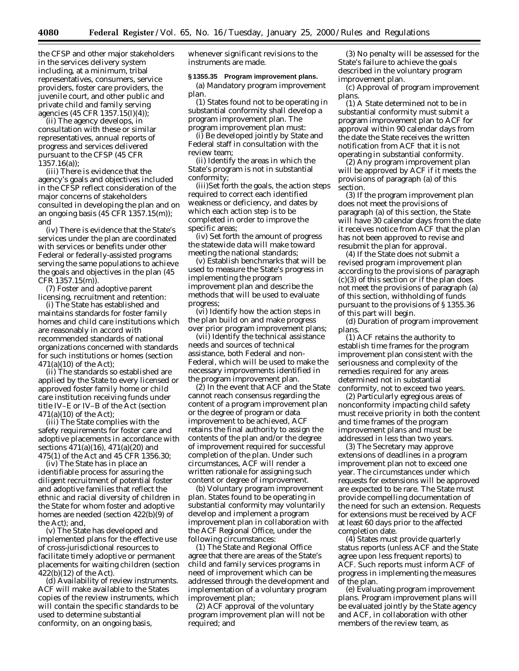the CFSP and other major stakeholders in the services delivery system including, at a minimum, tribal representatives, consumers, service providers, foster care providers, the juvenile court, and other public and private child and family serving agencies (45 CFR 1357.15(l)(4));

(ii) The agency develops, in consultation with these or similar representatives, annual reports of progress and services delivered pursuant to the CFSP (45 CFR 1357.16(a));

(iii) There is evidence that the agency's goals and objectives included in the CFSP reflect consideration of the major concerns of stakeholders consulted in developing the plan and on an ongoing basis (45 CFR 1357.15(m)); and

(iv) There is evidence that the State's services under the plan are coordinated with services or benefits under other Federal or federally-assisted programs serving the same populations to achieve the goals and objectives in the plan (45 CFR 1357.15(m)).

(7) *Foster and adoptive parent licensing, recruitment and retention:*

(i) The State has established and maintains standards for foster family homes and child care institutions which are reasonably in accord with recommended standards of national organizations concerned with standards for such institutions or homes (section 471(a)(10) of the Act);

(ii) The standards so established are applied by the State to every licensed or approved foster family home or child care institution receiving funds under title IV–E or IV–B of the Act (section 471(a)(10) of the Act);

(iii) The State complies with the safety requirements for foster care and adoptive placements in accordance with sections 471(a)(16), 471(a)(20) and 475(1) of the Act and 45 CFR 1356.30;

(iv) The State has in place an identifiable process for assuring the diligent recruitment of potential foster and adoptive families that reflect the ethnic and racial diversity of children in the State for whom foster and adoptive homes are needed (section 422(b)(9) of the Act); and,

(v) The State has developed and implemented plans for the effective use of cross-jurisdictional resources to facilitate timely adoptive or permanent placements for waiting children (section 422(b)(12) of the Act).

(d) *Availability of review instruments.* ACF will make available to the States copies of the review instruments, which will contain the specific standards to be used to determine substantial conformity, on an ongoing basis,

whenever significant revisions to the instruments are made.

### **§ 1355.35 Program improvement plans.**

(a) *Mandatory program improvement plan.*

(1) States found not to be operating in substantial conformity shall develop a program improvement plan. The program improvement plan must:

(i) Be developed jointly by State and Federal staff in consultation with the review team;

(ii) Identify the areas in which the State's program is not in substantial conformity;

(iii)Set forth the goals, the action steps required to correct each identified weakness or deficiency, and dates by which each action step is to be completed in order to improve the specific areas;

(iv) Set forth the amount of progress the statewide data will make toward meeting the national standards;

(v) Establish benchmarks that will be used to measure the State's progress in implementing the program improvement plan and describe the methods that will be used to evaluate progress;

(vi) Identify how the action steps in the plan build on and make progress over prior program improvement plans;

(vii) Identify the technical assistance needs and sources of technical assistance, both Federal and non-Federal, which will be used to make the necessary improvements identified in the program improvement plan.

(2) In the event that ACF and the State cannot reach consensus regarding the content of a program improvement plan or the degree of program or data improvement to be achieved, ACF retains the final authority to assign the contents of the plan and/or the degree of improvement required for successful completion of the plan. Under such circumstances, ACF will render a written rationale for assigning such content or degree of improvement.

(b) *Voluntary program improvement plan.* States found to be operating in substantial conformity may voluntarily develop and implement a program improvement plan in collaboration with the ACF Regional Office, under the following circumstances:

(1) The State and Regional Office agree that there are areas of the State's child and family services programs in need of improvement which can be addressed through the development and implementation of a voluntary program improvement plan;

(2) ACF approval of the voluntary program improvement plan will not be required; and

(3) No penalty will be assessed for the State's failure to achieve the goals described in the voluntary program improvement plan.

(c) *Approval of program improvement plans.*

(1) A State determined not to be in substantial conformity must submit a program improvement plan to ACF for approval within 90 calendar days from the date the State receives the written notification from ACF that it is not operating in substantial conformity.

(2) Any program improvement plan will be approved by ACF if it meets the provisions of paragraph (a) of this section.

(3) If the program improvement plan does not meet the provisions of paragraph (a) of this section, the State will have 30 calendar days from the date it receives notice from ACF that the plan has not been approved to revise and resubmit the plan for approval.

(4) If the State does not submit a revised program improvement plan according to the provisions of paragraph  $(c)(3)$  of this section or if the plan does not meet the provisions of paragraph (a) of this section, withholding of funds pursuant to the provisions of § 1355.36 of this part will begin.

(d) *Duration of program improvement plans.*

(1) ACF retains the authority to establish time frames for the program improvement plan consistent with the seriousness and complexity of the remedies required for any areas determined not in substantial conformity, not to exceed two years.

(2) Particularly egregious areas of nonconformity impacting child safety must receive priority in both the content and time frames of the program improvement plans and must be addressed in less than two years.

(3) The Secretary may approve extensions of deadlines in a program improvement plan not to exceed one year. The circumstances under which requests for extensions will be approved are expected to be rare. The State must provide compelling documentation of the need for such an extension. Requests for extensions must be received by ACF at least 60 days prior to the affected completion date.

(4) States must provide quarterly status reports (unless ACF and the State agree upon less frequent reports) to ACF. Such reports must inform ACF of progress in implementing the measures of the plan.

(e) *Evaluating program improvement plans.* Program improvement plans will be evaluated jointly by the State agency and ACF, in collaboration with other members of the review team, as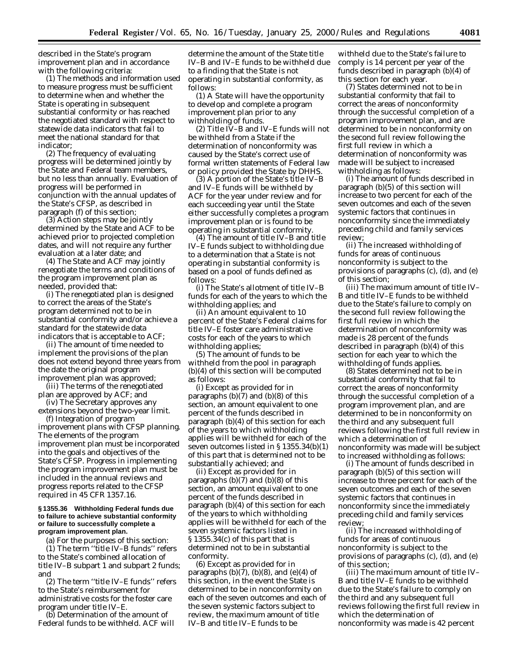described in the State's program improvement plan and in accordance with the following criteria:

(1) The methods and information used to measure progress must be sufficient to determine when and whether the State is operating in subsequent substantial conformity or has reached the negotiated standard with respect to statewide data indicators that fail to meet the national standard for that indicator;

(2) The frequency of evaluating progress will be determined jointly by the State and Federal team members, but no less than annually. Evaluation of progress will be performed in conjunction with the annual updates of the State's CFSP, as described in paragraph (f) of this section;

(3) Action steps may be jointly determined by the State and ACF to be achieved prior to projected completion dates, and will not require any further evaluation at a later date; and

(4) The State and ACF may jointly renegotiate the terms and conditions of the program improvement plan as needed, provided that:

(i) The renegotiated plan is designed to correct the areas of the State's program determined not to be in substantial conformity and/or achieve a standard for the statewide data indicators that is acceptable to ACF;

(ii) The amount of time needed to implement the provisions of the plan does not extend beyond three years from the date the original program improvement plan was approved;

(iii) The terms of the renegotiated plan are approved by ACF; and

(iv) The Secretary approves any extensions beyond the two-year limit.

(f) *Integration of program improvement plans with CFSP planning.* The elements of the program improvement plan must be incorporated into the goals and objectives of the State's CFSP. Progress in implementing the program improvement plan must be included in the annual reviews and progress reports related to the CFSP required in 45 CFR 1357.16.

#### **§ 1355.36 Withholding Federal funds due to failure to achieve substantial conformity or failure to successfully complete a program improvement plan.**

(a) *For the purposes of this section:*  $(1)$  The term "title IV–B funds" refers to the State's combined allocation of title IV–B subpart 1 and subpart 2 funds; and

(2) The term ''title IV–E funds'' refers to the State's reimbursement for administrative costs for the foster care program under title IV–E.

(b) *Determination of the amount of Federal funds to be withheld.* ACF will

determine the amount of the State title IV–B and IV–E funds to be withheld due to a finding that the State is not operating in substantial conformity, as follows:

(1) A State will have the opportunity to develop and complete a program improvement plan prior to any withholding of funds.

(2) Title IV–B and IV–E funds will not be withheld from a State if the determination of nonconformity was caused by the State's correct use of formal written statements of Federal law or policy provided the State by DHHS.

(3) A portion of the State's title IV–B and IV–E funds will be withheld by ACF for the year under review and for each succeeding year until the State either successfully completes a program improvement plan or is found to be operating in substantial conformity.

(4) The amount of title IV–B and title IV–E funds subject to withholding due to a determination that a State is not operating in substantial conformity is based on a pool of funds defined as follows:

(i) The State's allotment of title IV–B funds for each of the years to which the withholding applies; and

(ii) An amount equivalent to 10 percent of the State's Federal claims for title IV–E foster care administrative costs for each of the years to which withholding applies;

(5) The amount of funds to be withheld from the pool in paragraph (b)(4) of this section will be computed as follows:

(i) Except as provided for in paragraphs  $(b)(7)$  and  $(b)(8)$  of this section, an amount equivalent to one percent of the funds described in paragraph (b)(4) of this section for each of the years to which withholding applies will be withheld for each of the seven outcomes listed in § 1355.34(b)(1) of this part that is determined not to be substantially achieved; and

(ii) Except as provided for in paragraphs  $(b)(7)$  and  $(b)(8)$  of this section, an amount equivalent to one percent of the funds described in paragraph (b)(4) of this section for each of the years to which withholding applies will be withheld for each of the seven systemic factors listed in § 1355.34(c) of this part that is determined not to be in substantial conformity.

(6) Except as provided for in paragraphs  $(b)(7)$ ,  $(b)(8)$ , and  $(e)(4)$  of this section, in the event the State is determined to be in nonconformity on each of the seven outcomes and each of the seven systemic factors subject to review, the maximum amount of title IV–B and title IV–E funds to be

withheld due to the State's failure to comply is 14 percent per year of the funds described in paragraph (b)(4) of this section for each year.

(7) States determined not to be in substantial conformity that fail to correct the areas of nonconformity through the successful completion of a program improvement plan, and are determined to be in nonconformity on the second full review following the first full review in which a determination of nonconformity was made will be subject to increased withholding as follows:

(i) The amount of funds described in paragraph (b)(5) of this section will increase to two percent for each of the seven outcomes and each of the seven systemic factors that continues in nonconformity since the immediately preceding child and family services review;

(ii) The increased withholding of funds for areas of continuous nonconformity is subject to the provisions of paragraphs (c), (d), and (e) of this section;

(iii) The maximum amount of title IV– B and title IV–E funds to be withheld due to the State's failure to comply on the second full review following the first full review in which the determination of nonconformity was made is 28 percent of the funds described in paragraph (b)(4) of this section for each year to which the withholding of funds applies.

(8) States determined not to be in substantial conformity that fail to correct the areas of nonconformity through the successful completion of a program improvement plan, and are determined to be in nonconformity on the third and any subsequent full reviews following the first full review in which a determination of nonconformity was made will be subject to increased withholding as follows:

(i) The amount of funds described in paragraph (b)(5) of this section will increase to three percent for each of the seven outcomes and each of the seven systemic factors that continues in nonconformity since the immediately preceding child and family services review;

(ii) The increased withholding of funds for areas of continuous nonconformity is subject to the provisions of paragraphs (c), (d), and (e) of this section;

(iii) The maximum amount of title IV– B and title IV–E funds to be withheld due to the State's failure to comply on the third and any subsequent full reviews following the first full review in which the determination of nonconformity was made is 42 percent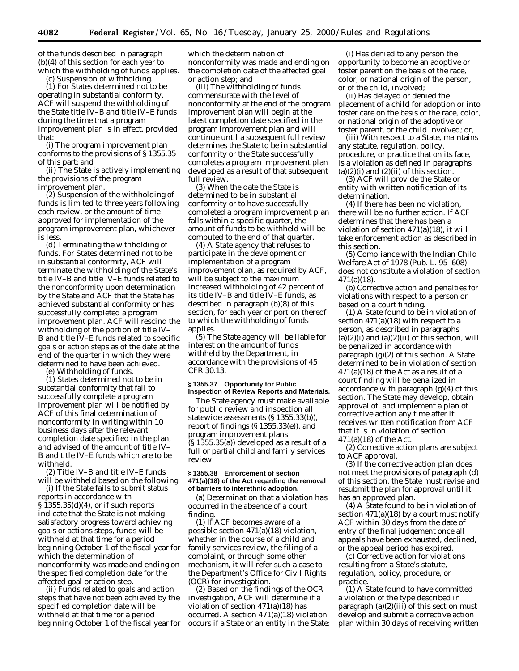of the funds described in paragraph (b)(4) of this section for each year to which the withholding of funds applies.

(c) *Suspension of withholding.*

(1) For States determined not to be operating in substantial conformity, ACF will suspend the withholding of the State title IV–B and title IV–E funds during the time that a program improvement plan is in effect, provided that:

(i) The program improvement plan conforms to the provisions of § 1355.35 of this part; and

(ii) The State is actively implementing the provisions of the program improvement plan.

(2) Suspension of the withholding of funds is limited to three years following each review, or the amount of time approved for implementation of the program improvement plan, whichever is less.

(d) *Terminating the withholding of funds.* For States determined not to be in substantial conformity, ACF will terminate the withholding of the State's title IV–B and title IV–E funds related to the nonconformity upon determination by the State and ACF that the State has achieved substantial conformity or has successfully completed a program improvement plan. ACF will rescind the withholding of the portion of title IV– B and title IV–E funds related to specific goals or action steps as of the date at the end of the quarter in which they were determined to have been achieved.

(e) *Withholding of funds.*

(1) States determined not to be in substantial conformity that fail to successfully complete a program improvement plan will be notified by ACF of this final determination of nonconformity in writing within 10 business days after the relevant completion date specified in the plan, and advised of the amount of title IV– B and title IV–E funds which are to be withheld.

(2) Title IV–B and title IV–E funds will be withheld based on the following:

(i) If the State fails to submit status reports in accordance with § 1355.35(d)(4), or if such reports indicate that the State is not making satisfactory progress toward achieving goals or actions steps, funds will be withheld at that time for a period beginning October 1 of the fiscal year for which the determination of nonconformity was made and ending on the specified completion date for the affected goal or action step.

(ii) Funds related to goals and action steps that have not been achieved by the specified completion date will be withheld at that time for a period beginning October 1 of the fiscal year for which the determination of nonconformity was made and ending on the completion date of the affected goal or action step; and

(iii) The withholding of funds commensurate with the level of nonconformity at the end of the program improvement plan will begin at the latest completion date specified in the program improvement plan and will continue until a subsequent full review determines the State to be in substantial conformity or the State successfully completes a program improvement plan developed as a result of that subsequent full review.

(3) When the date the State is determined to be in substantial conformity or to have successfully completed a program improvement plan falls within a specific quarter, the amount of funds to be withheld will be computed to the end of that quarter.

(4) A State agency that refuses to participate in the development or implementation of a program improvement plan, as required by ACF, will be subject to the maximum increased withholding of 42 percent of its title IV–B and title IV–E funds, as described in paragraph (b)(8) of this section, for each year or portion thereof to which the withholding of funds applies.

(5) The State agency will be liable for interest on the amount of funds withheld by the Department, in accordance with the provisions of 45 CFR 30.13.

### **§ 1355.37 Opportunity for Public Inspection of Review Reports and Materials.**

The State agency must make available for public review and inspection all statewide assessments (§ 1355.33(b)), report of findings (§ 1355.33(e)), and program improvement plans (§ 1355.35(a)) developed as a result of a full or partial child and family services review.

#### **§ 1355.38 Enforcement of section 471(a)(18) of the Act regarding the removal of barriers to interethnic adoption.**

(a) *Determination that a violation has occurred in the absence of a court finding.*

(1) If ACF becomes aware of a possible section 471(a)(18) violation, whether in the course of a child and family services review, the filing of a complaint, or through some other mechanism, it will refer such a case to the Department's Office for Civil Rights (OCR) for investigation.

(2) Based on the findings of the OCR investigation, ACF will determine if a violation of section 471(a)(18) has occurred. A section 471(a)(18) violation occurs if a State or an entity in the State:

(i) Has denied to any person the opportunity to become an adoptive or foster parent on the basis of the race, color, or national origin of the person, or of the child, involved;

(ii) Has delayed or denied the placement of a child for adoption or into foster care on the basis of the race, color, or national origin of the adoptive or foster parent, or the child involved; or,

(iii) With respect to a State, maintains any statute, regulation, policy, procedure, or practice that on its face, is a violation as defined in paragraphs  $(a)(2)(i)$  and  $(2)(ii)$  of this section.

(3) ACF will provide the State or entity with written notification of its determination.

(4) If there has been no violation, there will be no further action. If ACF determines that there has been a violation of section 471(a)(18), it will take enforcement action as described in this section.

(5) Compliance with the Indian Child Welfare Act of 1978 (Pub. L. 95–608) does not constitute a violation of section 471(a)(18).

(b) *Corrective action and penalties for violations with respect to a person or based on a court finding.*

(1) A State found to be in violation of section 471(a)(18) with respect to a person, as described in paragraphs  $(a)(2)(i)$  and  $(a)(2)(ii)$  of this section, will be penalized in accordance with paragraph (g)(2) of this section. A State determined to be in violation of section  $471(a)(18)$  of the Act as a result of a court finding will be penalized in accordance with paragraph  $(g)(4)$  of this section. The State may develop, obtain approval of, and implement a plan of corrective action any time after it receives written notification from ACF that it is in violation of section 471(a)(18) of the Act.

(2) Corrective action plans are subject to ACF approval.

(3) If the corrective action plan does not meet the provisions of paragraph (d) of this section, the State must revise and resubmit the plan for approval until it has an approved plan.

(4) A State found to be in violation of section  $471(a)(18)$  by a court must notify ACF within 30 days from the date of entry of the final judgement once all appeals have been exhausted, declined, or the appeal period has expired.

(c) *Corrective action for violations resulting from a State's statute, regulation, policy, procedure, or practice.*

(1) A State found to have committed a violation of the type described in paragraph (a)(2)(iii) of this section must develop and submit a corrective action plan within 30 days of receiving written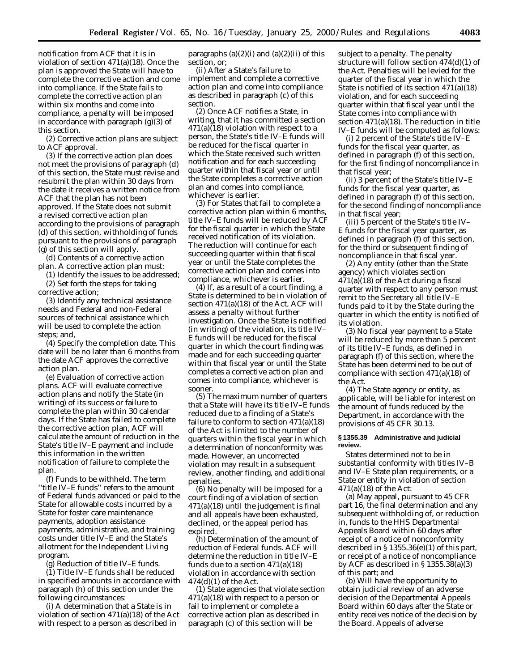notification from ACF that it is in violation of section 471(a)(18). Once the plan is approved the State will have to complete the corrective action and come into compliance. If the State fails to complete the corrective action plan within six months and come into compliance, a penalty will be imposed in accordance with paragraph (g)(3) of this section.

(2) Corrective action plans are subject to ACF approval.

(3) If the corrective action plan does not meet the provisions of paragraph (d) of this section, the State must revise and resubmit the plan within 30 days from the date it receives a written notice from ACF that the plan has not been approved. If the State does not submit a revised corrective action plan according to the provisions of paragraph (d) of this section, withholding of funds pursuant to the provisions of paragraph (g) of this section will apply.

(d) *Contents of a corrective action plan.* A corrective action plan must:

(1) Identify the issues to be addressed; (2) Set forth the steps for taking corrective action;

(3) Identify any technical assistance needs and Federal and non-Federal sources of technical assistance which will be used to complete the action steps; and,

(4) Specify the completion date. This date will be no later than 6 months from the date ACF approves the corrective action plan.

(e) *Evaluation of corrective action plans.* ACF will evaluate corrective action plans and notify the State (in writing) of its success or failure to complete the plan within 30 calendar days. If the State has failed to complete the corrective action plan, ACF will calculate the amount of reduction in the State's title IV–E payment and include this information in the written notification of failure to complete the plan.

(f) *Funds to be withheld.* The term ''title IV–E funds'' refers to the amount of Federal funds advanced or paid to the State for allowable costs incurred by a State for foster care maintenance payments, adoption assistance payments, administrative, and training costs under title IV–E and the State's allotment for the Independent Living program.

(g) *Reduction of title IV–E funds.*

(1) Title IV–E funds shall be reduced in specified amounts in accordance with paragraph (h) of this section under the following circumstances:

(i) A determination that a State is in violation of section 471(a)(18) of the Act with respect to a person as described in

paragraphs  $(a)(2)(i)$  and  $(a)(2)(ii)$  of this section, or;

(ii) After a State's failure to implement and complete a corrective action plan and come into compliance as described in paragraph (c) of this section.

(2) Once ACF notifies a State, in writing, that it has committed a section  $471(a)(18)$  violation with respect to a person, the State's title IV–E funds will be reduced for the fiscal quarter in which the State received such written notification and for each succeeding quarter within that fiscal year or until the State completes a corrective action plan and comes into compliance, whichever is earlier.

(3) For States that fail to complete a corrective action plan within 6 months, title IV–E funds will be reduced by ACF for the fiscal quarter in which the State received notification of its violation. The reduction will continue for each succeeding quarter within that fiscal year or until the State completes the corrective action plan and comes into compliance, whichever is earlier.

(4) If, as a result of a court finding, a State is determined to be in violation of section 471(a)(18) of the Act, ACF will assess a penalty without further investigation. Once the State is notified (in writing) of the violation, its title IV– E funds will be reduced for the fiscal quarter in which the court finding was made and for each succeeding quarter within that fiscal year or until the State completes a corrective action plan and comes into compliance, whichever is sooner.

(5) The maximum number of quarters that a State will have its title IV–E funds reduced due to a finding of a State's failure to conform to section  $471(a)(18)$ of the Act is limited to the number of quarters within the fiscal year in which a determination of nonconformity was made. However, an uncorrected violation may result in a subsequent review, another finding, and additional penalties.

(6) No penalty will be imposed for a court finding of a violation of section 471(a)(18) until the judgement is final and all appeals have been exhausted, declined, or the appeal period has expired.

(h) *Determination of the amount of reduction of Federal funds.* ACF will determine the reduction in title IV–E funds due to a section 471(a)(18) violation in accordance with section 474(d)(1) of the Act.

(1) State agencies that violate section 471(a)(18) with respect to a person or fail to implement or complete a corrective action plan as described in paragraph (c) of this section will be

subject to a penalty. The penalty structure will follow section 474(d)(1) of the Act. Penalties will be levied for the quarter of the fiscal year in which the State is notified of its section 471(a)(18) violation, and for each succeeding quarter within that fiscal year until the State comes into compliance with section 471(a)(18). The reduction in title IV–E funds will be computed as follows:

(i) 2 percent of the State's title IV–E funds for the fiscal year quarter, as defined in paragraph (f) of this section, for the first finding of noncompliance in that fiscal year;

(ii) 3 percent of the State's title IV–E funds for the fiscal year quarter, as defined in paragraph (f) of this section, for the second finding of noncompliance in that fiscal year;

(iii) 5 percent of the State's title IV– E funds for the fiscal year quarter, as defined in paragraph (f) of this section, for the third or subsequent finding of noncompliance in that fiscal year.

(2) Any entity (other than the State agency) which violates section  $471(a)(18)$  of the Act during a fiscal quarter with respect to any person must remit to the Secretary all title IV–E funds paid to it by the State during the quarter in which the entity is notified of its violation.

(3) No fiscal year payment to a State will be reduced by more than 5 percent of its title IV–E funds, as defined in paragraph (f) of this section, where the State has been determined to be out of compliance with section 471(a)(18) of the Act.

(4) The State agency or entity, as applicable, will be liable for interest on the amount of funds reduced by the Department, in accordance with the provisions of 45 CFR 30.13.

#### **§ 1355.39 Administrative and judicial review.**

States determined not to be in substantial conformity with titles IV–B and IV–E State plan requirements, or a State or entity in violation of section 471(a)(18) of the Act:

(a) May appeal, pursuant to 45 CFR part 16, the final determination and any subsequent withholding of, or reduction in, funds to the HHS Departmental Appeals Board within 60 days after receipt of a notice of nonconformity described in § 1355.36(e)(1) of this part, or receipt of a notice of noncompliance by ACF as described in § 1355.38(a)(3) of this part; and

(b) Will have the opportunity to obtain judicial review of an adverse decision of the Departmental Appeals Board within 60 days after the State or entity receives notice of the decision by the Board. Appeals of adverse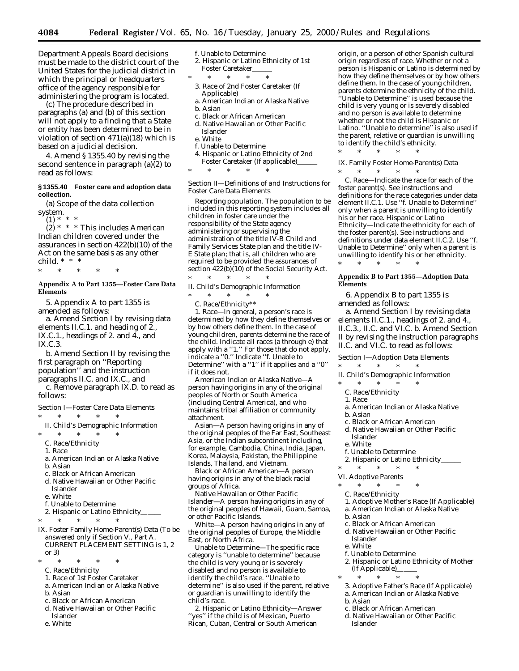Department Appeals Board decisions must be made to the district court of the United States for the judicial district in which the principal or headquarters office of the agency responsible for administering the program is located.

(c) The procedure described in paragraphs (a) and (b) of this section will not apply to a finding that a State or entity has been determined to be in violation of section 471(a)(18) which is based on a judicial decision.

4. Amend § 1355.40 by revising the second sentence in paragraph (a)(2) to read as follows:

#### **§ 1355.40 Foster care and adoption data collection.**

(a) *Scope of the data collection system.*

 $(1)$  \*

 $\ddot{2}$  \* \* \* This includes American Indian children covered under the assurances in section 422(b)(10) of the Act on the same basis as any other child. \* \* \*

\* \* \* \* \*

### **Appendix A to Part 1355—Foster Care Data Elements**

5. Appendix A to part 1355 is amended as follows:

a. Amend Section I by revising data elements II.C.1. and heading of 2., IX.C.1., headings of 2. and 4., and IX.C.3.

b. Amend Section II by revising the first paragraph on ''Reporting population'' and the instruction paragraphs II.C. and IX.C., and

c. Remove paragraph IX.D. to read as follows:

*Section I—Foster Care Data Elements*

- \* \* \* \* \*
- II. Child's Demographic Information \* \* \* \* \*
- C. Race/Ethnicity
- 1. Race
- a. American Indian or Alaska Native
- b. Asian
- c. Black or African American
- d. Native Hawaiian or Other Pacific Islander
- e. White
- f. Unable to Determine
- 2. Hispanic or Latino Ethnicity\_
- \* \* \* \* \*
- IX. Foster Family Home-Parent(s) Data (To be answered only if Section V., Part A. CURRENT PLACEMENT SETTING is 1, 2 or 3)
- \* \* \* \* \*
	- C. Race/Ethnicity
	- 1. Race of 1st Foster Caretaker
	- a. American Indian or Alaska Native
	- b. Asian
	- c. Black or African American
	- d. Native Hawaiian or Other Pacific
	- Islander e. White

### f. Unable to Determine

- 2. Hispanic or Latino Ethnicity of 1st Foster Caretaker\_
- \* \* \* \* \*
- 3. Race of 2nd Foster Caretaker (If Applicable)
- a. American Indian or Alaska Native
- b. Asian
- c. Black or African American
- d. Native Hawaiian or Other Pacific Islander
- e. White
- f. Unable to Determine
- 4. Hispanic or Latino Ethnicity of 2nd Foster Caretaker (If applicable)\_
- \* \* \* \* \*

#### *Section II—Definitions of and Instructions for Foster Care Data Elements*

*Reporting population.* The population to be included in this reporting system includes all children in foster care under the responsibility of the State agency administering or supervising the administration of the title IV-B Child and Family Services State plan and the title IV-E State plan; that is, all children who are required to be provided the assurances of section  $422(b)(10)$  of the Social Security Act.

\* \* \* \* \* II. Child's Demographic Information

- \* \* \* \* \*
	- C. Race/Ethnicity\*\*

1. Race—In general, a person's race is determined by how they define themselves or by how others define them. In the case of young children, parents determine the race of the child. Indicate all races (a through e) that apply with a ''1.'' For those that do not apply, indicate a ''0.'' Indicate ''f. Unable to Determine'' with a ''1'' if it applies and a ''0'' if it does not.

American Indian or Alaska Native—A person having origins in any of the original peoples of North or South America (including Central America), and who maintains tribal affiliation or community attachment.

Asian—A person having origins in any of the original peoples of the Far East, Southeast Asia, or the Indian subcontinent including, for example, Cambodia, China, India, Japan, Korea, Malaysia, Pakistan, the Philippine Islands, Thailand, and Vietnam.

Black or African American—A person having origins in any of the black racial groups of Africa.

Native Hawaiian or Other Pacific Islander—A person having origins in any of the original peoples of Hawaii, Guam, Samoa, or other Pacific Islands.

White—A person having origins in any of the original peoples of Europe, the Middle East, or North Africa.

Unable to Determine—The specific race category is ''unable to determine'' because the child is very young or is severely disabled and no person is available to identify the child's race. ''Unable to determine'' is also used if the parent, relative or guardian is unwilling to identify the child's race.

2. Hispanic or Latino Ethnicity—Answer ''yes'' if the child is of Mexican, Puerto Rican, Cuban, Central or South American

origin, or a person of other Spanish cultural origin regardless of race. Whether or not a person is Hispanic or Latino is determined by how they define themselves or by how others define them. In the case of young children, parents determine the ethnicity of the child. 'Unable to Determine'' is used because the child is very young or is severely disabled and no person is available to determine whether or not the child is Hispanic or Latino. ''Unable to determine'' is also used if the parent, relative or guardian is unwilling to identify the child's ethnicity.

\* \* \* \* \*

IX. Family Foster Home-Parent(s) Data

\* \* \* \* \*

\* \* \* \* \*

C. Race—Indicate the race for each of the foster parent(s). See instructions and definitions for the race categories under data element II.C.1. Use ''f. Unable to Determine'' only when a parent is unwilling to identify his or her race. Hispanic or Latino Ethnicity—Indicate the ethnicity for each of the foster parent(s). See instructions and definitions under data element II.C.2. Use ''f. Unable to Determine'' only when a parent is unwilling to identify his or her ethnicity.

#### **Appendix B to Part 1355—Adoption Data Elements**

6. Appendix B to part 1355 is amended as follows:

a. Amend Section I by revising data elements II.C.1., headings of 2. and 4., II.C.3., II.C. and VI.C. b. Amend Section II by revising the instruction paragraphs II.C. and VI.C. to read as follows:

### *Section I—Adoption Data Elements*

II. Child's Demographic Information

\* \* \* \* \*

\* \* \* \* \*

- C. Race/Ethnicity
- 1. Race
- a. American Indian or Alaska Native
- b. Asian
- c. Black or African American
- d. Native Hawaiian or Other Pacific Islander
- e. White
- f. Unable to Determine
- 2. Hispanic or Latino Ethnicity\_
- \* \* \* \* \*
- VI. Adoptive Parents
- \* \* \* \* \*
- C. Race/Ethnicity
- 1. Adoptive Mother's Race (If Applicable)
- a. American Indian or Alaska Native
- b. Asian
- c. Black or African American d. Native Hawaiian or Other Pacific Islander
- e. White
- f. Unable to Determine
- 2. Hispanic or Latino Ethnicity of Mother (If Applicable) $\frac{1}{\ast}$

 $*$  \*

- 3. Adoptive Father's Race (If Applicable)
- a. American Indian or Alaska Native
- b. Asian
- c. Black or African American
- d. Native Hawaiian or Other Pacific Islander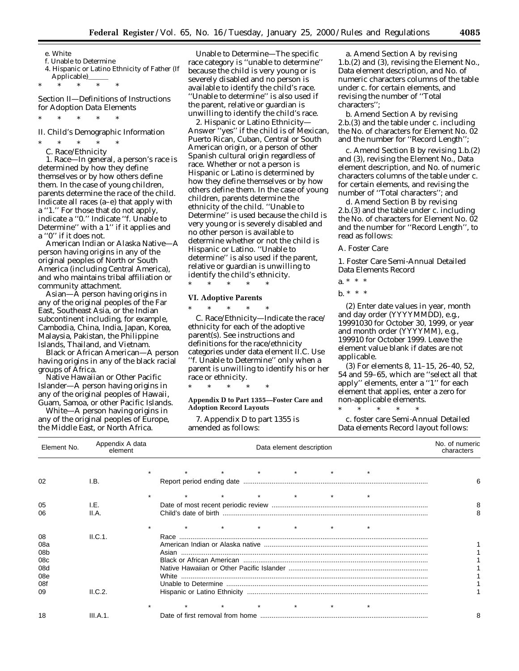- f. Unable to Determine
- 4. Hispanic or Latino Ethnicity of Father (If Applicable)

\* \* \* \* \*

### *Section II—Definitions of Instructions for Adoption Data Elements*

\* \* \* \* \*

### II. Child's Demographic Information

\* \* \* \* \* C. Race/Ethnicity

1. Race—In general, a person's race is determined by how they define themselves or by how others define them. In the case of young children, parents determine the race of the child. Indicate all races (a–e) that apply with a ''1.'' For those that do not apply, indicate a ''0.'' Indicate ''f. Unable to Determine'' with a 1'' if it applies and a ''0'' if it does not.

American Indian or Alaska Native—A person having origins in any of the original peoples of North or South America (including Central America), and who maintains tribal affiliation or community attachment.

Asian—A person having origins in any of the original peoples of the Far East, Southeast Asia, or the Indian subcontinent including, for example, Cambodia, China, India, Japan, Korea, Malaysia, Pakistan, the Philippine Islands, Thailand, and Vietnam.

Black or African American—A person having origins in any of the black racial groups of Africa.

Native Hawaiian or Other Pacific Islander—A person having origins in any of the original peoples of Hawaii, Guam, Samoa, or other Pacific Islands.

White—A person having origins in any of the original peoples of Europe, the Middle East, or North Africa.

Unable to Determine—The specific race category is ''unable to determine'' because the child is very young or is severely disabled and no person is available to identify the child's race. ''Unable to determine'' is also used if the parent, relative or guardian is unwilling to identify the child's race.

2. Hispanic or Latino Ethnicity— Answer ''yes'' if the child is of Mexican, Puerto Rican, Cuban, Central or South American origin, or a person of other Spanish cultural origin regardless of race. Whether or not a person is Hispanic or Latino is determined by how they define themselves or by how others define them. In the case of young children, parents determine the ethnicity of the child. ''Unable to Determine'' is used because the child is very young or is severely disabled and no other person is available to determine whether or not the child is Hispanic or Latino. ''Unable to determine'' is also used if the parent, relative or guardian is unwilling to identify the child's ethnicity.

\* \* \* \* \*

# **VI. Adoptive Parents**

\* \* \* \* \*

\* \* \* \* \* C. Race/Ethnicity—Indicate the race/ ethnicity for each of the adoptive parent(s). See instructions and definitions for the race/ethnicity categories under data element II.C. Use ''f. Unable to Determine'' only when a parent is unwilling to identify his or her race or ethnicity.

### **Appendix D to Part 1355—Foster Care and Adoption Record Layouts**

7. Appendix D to part 1355 is amended as follows:

a. Amend Section A by revising 1.b.(2) and (3), revising the Element No., Data element description, and No. of numeric characters columns of the table under c. for certain elements, and revising the number of ''Total characters'';

b. Amend Section A by revising 2.b.(3) and the table under c. including the No. of characters for Element No. 02 and the number for ''Record Length'';

c. Amend Section B by revising 1.b.(2) and (3), revising the Element No., Data element description, and No. of numeric characters columns of the table under c. for certain elements, and revising the number of ''Total characters''; and

d. Amend Section B by revising 2.b.(3) and the table under c. including the No. of characters for Element No. 02 and the number for ''Record Length'', to read as follows:

*A. Foster Care*

1. Foster Care Semi-Annual Detailed Data Elements Record

a. \* \* \*

b. \* \* \*

(2) Enter date values in year, month and day order (YYYYMMDD), *e.g.,* 19991030 for October 30, 1999, or year and month order (YYYYMM), *e.g.,* 199910 for October 1999. Leave the element value blank if dates are not applicable.

(3) For elements 8, 11–15, 26–40, 52, 54 and 59–65, which are ''select all that apply'' elements, enter a ''1'' for each element that applies, enter a zero for non-applicable elements.

\* \* \* \* \* c. foster care Semi-Annual Detailed Data elements Record layout follows:

| Element No.                                        | Appendix A data<br>element | Data element description |  |  |  |  |  | No. of numeric<br>characters |   |
|----------------------------------------------------|----------------------------|--------------------------|--|--|--|--|--|------------------------------|---|
|                                                    |                            |                          |  |  |  |  |  |                              |   |
| 02                                                 | I.B.                       |                          |  |  |  |  |  |                              |   |
|                                                    |                            |                          |  |  |  |  |  |                              |   |
| 05<br>06                                           | I.E.<br>II.A.              |                          |  |  |  |  |  |                              | 8 |
|                                                    |                            |                          |  |  |  |  |  |                              |   |
| 08<br>08a<br>08b<br>08c<br>08d<br>08e<br>08f<br>09 | II.C.1.<br>ILC.2.          |                          |  |  |  |  |  |                              |   |
|                                                    |                            |                          |  |  |  |  |  |                              |   |
| 18                                                 | III.A.1.                   |                          |  |  |  |  |  |                              |   |

e. White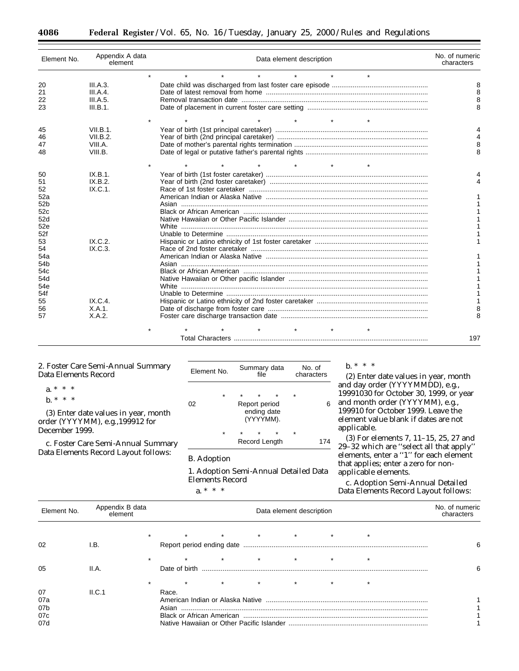| Element No.     | Appendix A data<br>element | Data element description                            |     |  |  |  |  |
|-----------------|----------------------------|-----------------------------------------------------|-----|--|--|--|--|
|                 |                            | $\star$<br>$\star$<br>$\star$<br>$\star$<br>$\star$ |     |  |  |  |  |
| 20              | III.A.3.                   |                                                     |     |  |  |  |  |
| 21              | III.A.4.                   |                                                     |     |  |  |  |  |
| 22              | III.A.5.                   |                                                     |     |  |  |  |  |
| 23              | III.B.1.                   |                                                     |     |  |  |  |  |
|                 |                            |                                                     |     |  |  |  |  |
| 45              | VII.B.1.                   |                                                     |     |  |  |  |  |
| 46              | VII.B.2.                   |                                                     |     |  |  |  |  |
| 47              | VIII.A.                    |                                                     |     |  |  |  |  |
| 48              | VIII.B.                    |                                                     |     |  |  |  |  |
|                 |                            | $\star$<br>$\star$                                  |     |  |  |  |  |
| 50              | IX.B.1.                    |                                                     |     |  |  |  |  |
| 51              | IX.B.2.                    |                                                     |     |  |  |  |  |
| 52              | IX.C.1.                    |                                                     |     |  |  |  |  |
| 52a             |                            |                                                     |     |  |  |  |  |
| 52 <sub>b</sub> |                            |                                                     |     |  |  |  |  |
| 52c             |                            |                                                     |     |  |  |  |  |
| 52d             |                            |                                                     |     |  |  |  |  |
| 52e             |                            |                                                     |     |  |  |  |  |
| 52f             |                            |                                                     |     |  |  |  |  |
| 53              | IX.C.2.                    |                                                     |     |  |  |  |  |
| 54              | IX.C.3.                    |                                                     |     |  |  |  |  |
| 54a             |                            |                                                     |     |  |  |  |  |
| 54b             |                            |                                                     |     |  |  |  |  |
| 54c             |                            |                                                     |     |  |  |  |  |
| 54d             |                            |                                                     |     |  |  |  |  |
| 54e             |                            |                                                     |     |  |  |  |  |
| 54f             |                            |                                                     |     |  |  |  |  |
| 55              | IX.C.4.                    |                                                     |     |  |  |  |  |
| 56              | X.A.1.                     |                                                     |     |  |  |  |  |
| 57              | X.A.2.                     |                                                     |     |  |  |  |  |
|                 |                            |                                                     |     |  |  |  |  |
|                 |                            |                                                     | 197 |  |  |  |  |

### 2. Foster Care Semi-Annual Summary Data Elements Record

a. \* \* \*

b. \* \* \*

(3) Enter date values in year, month order (YYYYMM), *e.g.,*199912 for December 1999.

c. Foster Care Semi-Annual Summary Data Elements Record Layout follows:

| Element No. |         |   | Summary data<br>file                                 | No. of<br>characters |     |
|-------------|---------|---|------------------------------------------------------|----------------------|-----|
| 02          | $\star$ | ÷ | $\star$<br>Report period<br>ending date<br>(YYYYMM). | $\star$              |     |
|             | $\star$ | ÷ |                                                      | $\star$              | 174 |
|             |         |   | Record Length                                        |                      |     |

*B. Adoption*

1. Adoption Semi-Annual Detailed Data Elements Record a. \* \* \*

b. \* \* \*

(2) Enter date values in year, month and day order (YYYYMMDD), *e.g.,* 19991030 for October 30, 1999, or year and month order (YYYYMM), *e.g.,* 199910 for October 1999. Leave the element value blank if dates are not applicable.

(3) For elements 7, 11–15, 25, 27 and 29–32 which are ''select all that apply'' elements, enter a ''1'' for each element that applies; enter a zero for nonapplicable elements.

c. Adoption Semi-Annual Detailed Data Elements Record Layout follows:

| Element No. | Appendix B data<br>element |         | Data element description |         |                     |         |  |  | No. of numeric<br>characters |
|-------------|----------------------------|---------|--------------------------|---------|---------------------|---------|--|--|------------------------------|
|             |                            | $\star$ | $\star$                  | $\star$ | $\star$             | $\star$ |  |  |                              |
| 02          | I.B.                       |         |                          |         |                     |         |  |  |                              |
|             |                            | $\star$ |                          |         | $\star$ and $\star$ | $\star$ |  |  |                              |
| 05          | II.A.                      |         |                          |         |                     |         |  |  |                              |
|             |                            | $\star$ |                          |         | $\star$             |         |  |  |                              |
| 07          | ILC.1                      | Race.   |                          |         |                     |         |  |  |                              |
| 07a         |                            |         |                          |         |                     |         |  |  |                              |
| 07b         |                            |         |                          |         |                     |         |  |  |                              |
| 07c         |                            |         |                          |         |                     |         |  |  |                              |
| 07d         |                            |         |                          |         |                     |         |  |  |                              |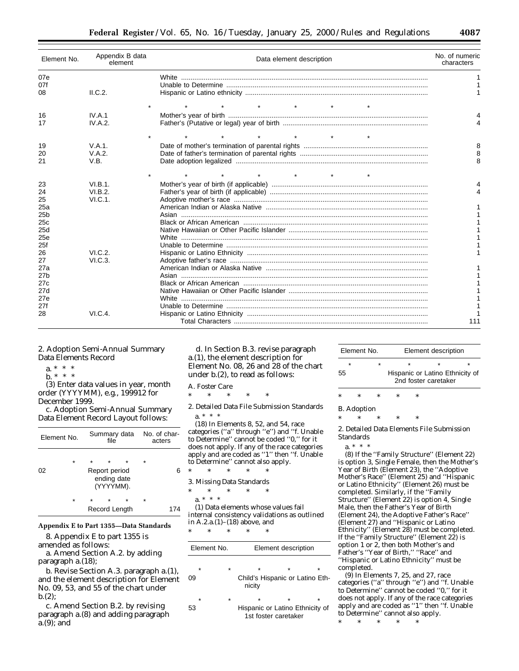| Element No.                                              | Appendix B data<br>element    | Data element description |     |  |  |  |  |
|----------------------------------------------------------|-------------------------------|--------------------------|-----|--|--|--|--|
| 07e<br>07f<br>08                                         | II.C.2.                       |                          |     |  |  |  |  |
| 16<br>17                                                 | IV.A.1<br>IV.A.2.             | $\star$                  |     |  |  |  |  |
| 19<br>20<br>21                                           | V.A.1.<br>V.A.2.<br>V.B.      | $\star$                  | 8   |  |  |  |  |
| 23<br>24<br>25                                           | VI.B.1.<br>VI.B.2.<br>VI.C.1. |                          |     |  |  |  |  |
| 25a<br>25 <sub>b</sub><br>25c<br>25d<br>25e<br>25f<br>26 | VI.C.2.                       |                          |     |  |  |  |  |
| 27<br>27a<br>27 <sub>b</sub><br>27c<br>27d<br>27e<br>27f | VI.C.3.                       |                          |     |  |  |  |  |
| 28                                                       | VI.C.4.                       |                          | 111 |  |  |  |  |

2. Adoption Semi-Annual Summary Data Elements Record

a. \* \* \* b. \* \* \*

(3) Enter data values in year, month order (YYYYMM), *e.g.,* 199912 for

December 1999. c. Adoption Semi-Annual Summary Data Element Record Layout follows:

| Element No. |         |         | file                                                      | Summary data | No. of char-<br>acters |  |
|-------------|---------|---------|-----------------------------------------------------------|--------------|------------------------|--|
| 02          | $\star$ | $\star$ | $\star$<br>÷<br>Report period<br>ending date<br>(YYYYMM). |              | ÷                      |  |
|             | $\star$ | ÷       | $\star$<br>Record Length                                  | $\star$      | ÷                      |  |

#### **Appendix E to Part 1355—Data Standards**

8. Appendix E to part 1355 is amended as follows:

a. Amend Section A.2. by adding paragraph a.(18);

b. Revise Section A.3. paragraph a.(1), and the element description for Element No. 09, 53, and 55 of the chart under  $b(2);$ 

c. Amend Section B.2. by revising paragraph a.(8) and adding paragraph a.(9); and

d. In Section B.3. revise paragraph a.(1), the element description for Element No. 08, 26 and 28 of the chart under b.(2), to read as follows:

*A. Foster Care*

2. Detailed Data File Submission Standards a. \* \* \*

(18) In Elements 8, 52, and 54, race categories (''a'' through ''e'') and ''f. Unable to Determine'' cannot be coded ''0,'' for it does not apply. If any of the race categories apply and are coded as ''1'' then ''f. Unable to Determine'' cannot also apply.

\* \* \* \* \* 3. Missing Data Standards

\* \* \* \* \*

\* \* \* \* \*

a. \* \* \* (1) Data elements whose values fail internal consistency validations as outlined

in A.2.a.(1)–(18) above, and

\* \* \* \* \*

| Element No.   |   | Element description                                                |         |   |  |  |
|---------------|---|--------------------------------------------------------------------|---------|---|--|--|
| $\star$       | ÷ | $\star$                                                            | $\star$ | ÷ |  |  |
| 09            |   | Child's Hispanic or Latino Eth-<br>nicity                          |         |   |  |  |
| $\star$<br>53 | ÷ | $\star$<br>Hispanic or Latino Ethnicity of<br>1st foster caretaker | $\star$ | ÷ |  |  |

|                    | Element No. |   | Element description                                     |   |         |   |  |  |  |
|--------------------|-------------|---|---------------------------------------------------------|---|---------|---|--|--|--|
| $\star$            |             | ÷ | ÷                                                       |   | $\star$ | ÷ |  |  |  |
| 55                 |             |   | Hispanic or Latino Ethnicity of<br>2nd foster caretaker |   |         |   |  |  |  |
| ж                  | ж           | ж | $\ast$                                                  | ж |         |   |  |  |  |
| <b>B.</b> Adoption |             |   |                                                         |   |         |   |  |  |  |
| ж                  | ж           | ж | ж                                                       | ж |         |   |  |  |  |

2. Detailed Data Elements File Submission **Standards** 

a. \* \* \*

(8) If the ''Family Structure'' (Element 22) is option 3, Single Female, then the Mother's Year of Birth (Element 23), the ''Adoptive Mother's Race'' (Element 25) and ''Hispanic or Latino Ethnicity'' (Element 26) must be completed. Similarly, if the ''Family Structure'' (Element 22) is option 4, Single Male, then the Father's Year of Birth (Element 24), the Adoptive Father's Race'' (Element 27) and ''Hispanic or Latino Ethnicity'' (Element 28) must be completed. If the ''Family Structure'' (Element 22) is option 1 or 2, then both Mother's and Father's ''Year of Birth,'' ''Race'' and ''Hispanic or Latino Ethnicity'' must be completed.

(9) In Elements 7, 25, and 27, race categories (''a'' through ''e'') and ''f. Unable to Determine'' cannot be coded ''0,'' for it does not apply. If any of the race categories apply and are coded as ''1'' then ''f. Unable to Determine'' cannot also apply.

\* \* \* \* \*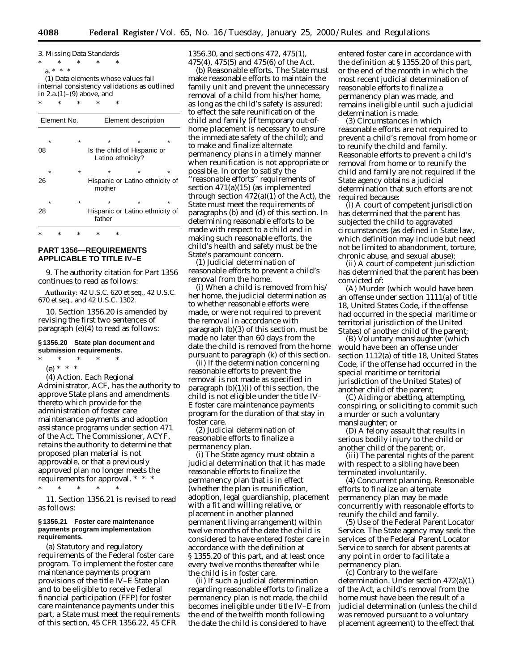3. Missing Data Standards \* \* \* \* \* a. \* \* \* (1) Data elements whose values fail internal consistency validations as outlined in 2.a.(1)–(9) above, and

\* \* \* \* \*

|         | Element No. |         | Element description                              |   |                                 |         |  |  |
|---------|-------------|---------|--------------------------------------------------|---|---------------------------------|---------|--|--|
| $\star$ |             | $\star$ | ÷                                                |   | $\star$                         | *       |  |  |
| 08      |             |         | Is the child of Hispanic or<br>Latino ethnicity? |   |                                 |         |  |  |
| ÷       |             | $\star$ | $\star$                                          |   | ÷                               | *       |  |  |
| 26      |             |         | mother                                           |   | Hispanic or Latino ethnicity of |         |  |  |
| $\star$ |             | $\star$ | $\star$                                          |   | $\star$                         | $\star$ |  |  |
| 28      |             |         | father                                           |   | Hispanic or Latino ethnicity of |         |  |  |
| ж       | ж           | *       | ж                                                | * |                                 |         |  |  |

# **PART 1356—REQUIREMENTS APPLICABLE TO TITLE IV–E**

9. The authority citation for Part 1356 continues to read as follows:

**Authority:** 42 U.S.C. 620 *et seq.*, 42 U.S.C. 670 *et seq.*, and 42 U.S.C. 1302.

10. Section 1356.20 is amended by revising the first two sentences of paragraph (e)(4) to read as follows:

### **§ 1356.20 State plan document and submission requirements.**

- \* \* \* \* \*
- (e) \* \* \*

(4) *Action.* Each Regional Administrator, ACF, has the authority to approve State plans and amendments thereto which provide for the administration of foster care maintenance payments and adoption assistance programs under section 471 of the Act. The Commissioner, ACYF, retains the authority to determine that proposed plan material is not approvable, or that a previously approved plan no longer meets the requirements for approval. \* \* \* \* \* \* \* \*

11. Section 1356.21 is revised to read as follows:

#### **§ 1356.21 Foster care maintenance payments program implementation requirements.**

(a) *Statutory and regulatory requirements of the Federal foster care program.* To implement the foster care maintenance payments program provisions of the title IV–E State plan and to be eligible to receive Federal financial participation (FFP) for foster care maintenance payments under this part, a State must meet the requirements of this section, 45 CFR 1356.22, 45 CFR

1356.30, and sections 472, 475(1), 475(4), 475(5) and 475(6) of the Act.

(b) *Reasonable efforts.* The State must make reasonable efforts to maintain the family unit and prevent the unnecessary removal of a child from his/her home, as long as the child's safety is assured; to effect the safe reunification of the child and family (if temporary out-ofhome placement is necessary to ensure the immediate safety of the child); and to make and finalize alternate permanency plans in a timely manner when reunification is not appropriate or possible. In order to satisfy the

''reasonable efforts'' requirements of section 471(a)(15) (as implemented through section 472(a)(1) of the Act), the State must meet the requirements of paragraphs (b) and (d) of this section. In determining reasonable efforts to be made with respect to a child and in making such reasonable efforts, the child's health and safety must be the State's paramount concern.

(1) *Judicial determination of reasonable efforts to prevent a child's removal from the home.*

(i) When a child is removed from his/ her home, the judicial determination as to whether reasonable efforts were made, or were not required to prevent the removal in accordance with paragraph (b)(3) of this section, must be made no later than 60 days from the date the child is removed from the home pursuant to paragraph (k) of this section.

(ii) If the determination concerning reasonable efforts to prevent the removal is not made as specified in paragraph  $(b)(1)(i)$  of this section, the child is not eligible under the title IV– E foster care maintenance payments program for the duration of that stay in foster care.

(2) *Judicial determination of reasonable efforts to finalize a permanency plan.*

(i) The State agency must obtain a judicial determination that it has made reasonable efforts to finalize the permanency plan that is in effect (whether the plan is reunification, adoption, legal guardianship, placement with a fit and willing relative, or placement in another planned permanent living arrangement) within twelve months of the date the child is considered to have entered foster care in accordance with the definition at § 1355.20 of this part, and at least once every twelve months thereafter while the child is in foster care.

(ii) If such a judicial determination regarding reasonable efforts to finalize a permanency plan is not made, the child becomes ineligible under title IV–E from the end of the twelfth month following the date the child is considered to have

entered foster care in accordance with the definition at § 1355.20 of this part, or the end of the month in which the most recent judicial determination of reasonable efforts to finalize a permanency plan was made, and remains ineligible until such a judicial determination is made.

(3) *Circumstances in which reasonable efforts are not required to prevent a child's removal from home or to reunify the child and family.* Reasonable efforts to prevent a child's removal from home or to reunify the child and family are not required if the State agency obtains a judicial determination that such efforts are not required because:

(i) A court of competent jurisdiction has determined that the parent has subjected the child to aggravated circumstances (as defined in State law, which definition may include but need not be limited to abandonment, torture, chronic abuse, and sexual abuse);

(ii) A court of competent jurisdiction has determined that the parent has been convicted of:

(A) Murder (which would have been an offense under section 1111(a) of title 18, United States Code, if the offense had occurred in the special maritime or territorial jurisdiction of the United States) of another child of the parent;

(B) Voluntary manslaughter (which would have been an offense under section 1112(a) of title 18, United States Code, if the offense had occurred in the special maritime or territorial jurisdiction of the United States) of another child of the parent;

(C) Aiding or abetting, attempting, conspiring, or soliciting to commit such a murder or such a voluntary manslaughter; or

(D) A felony assault that results in serious bodily injury to the child or another child of the parent; or,

(iii) The parental rights of the parent with respect to a sibling have been terminated involuntarily.

(4) *Concurrent planning.* Reasonable efforts to finalize an alternate permanency plan may be made concurrently with reasonable efforts to reunify the child and family.

(5) *Use of the Federal Parent Locator Service.* The State agency may seek the services of the Federal Parent Locator Service to search for absent parents at any point in order to facilitate a permanency plan.

(c) *Contrary to the welfare determination.* Under section 472(a)(1) of the Act, a child's removal from the home must have been the result of a judicial determination (unless the child was removed pursuant to a voluntary placement agreement) to the effect that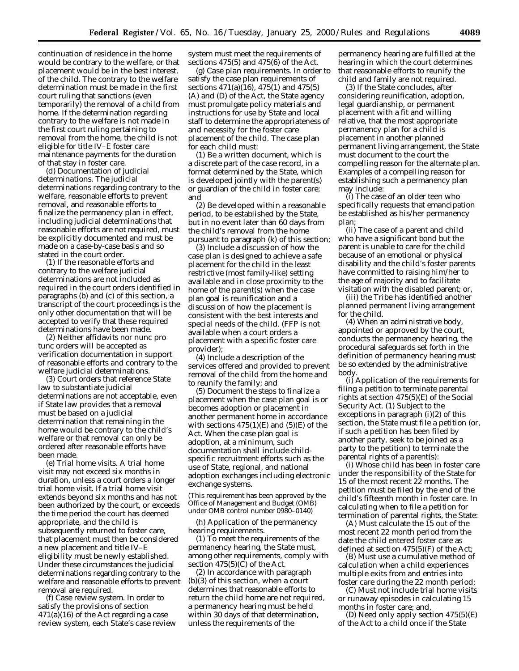continuation of residence in the home would be contrary to the welfare, or that placement would be in the best interest, of the child. The contrary to the welfare determination must be made in the first court ruling that sanctions (even temporarily) the removal of a child from home. If the determination regarding contrary to the welfare is not made in the first court ruling pertaining to removal from the home, the child is not eligible for title IV–E foster care maintenance payments for the duration of that stay in foster care.

(d) *Documentation of judicial determinations.* The judicial determinations regarding contrary to the welfare, reasonable efforts to prevent removal, and reasonable efforts to finalize the permanency plan in effect, including judicial determinations that reasonable efforts are not required, must be explicitly documented and must be made on a case-by-case basis and so stated in the court order.

(1) If the reasonable efforts and contrary to the welfare judicial determinations are not included as required in the court orders identified in paragraphs (b) and (c) of this section, a transcript of the court proceedings is the only other documentation that will be accepted to verify that these required determinations have been made.

(2) Neither affidavits nor nunc pro tunc orders will be accepted as verification documentation in support of reasonable efforts and contrary to the welfare judicial determinations.

(3) Court orders that reference State law to substantiate judicial determinations are not acceptable, even if State law provides that a removal must be based on a judicial determination that remaining in the home would be contrary to the child's welfare or that removal can only be ordered after reasonable efforts have been made.

(e) *Trial home visits.* A trial home visit may not exceed six months in duration, unless a court orders a longer trial home visit. If a trial home visit extends beyond six months and has not been authorized by the court, or exceeds the time period the court has deemed appropriate, and the child is subsequently returned to foster care, that placement must then be considered a new placement and title IV–E eligibility must be newly established. Under these circumstances the judicial determinations regarding contrary to the welfare and reasonable efforts to prevent removal are required.

(f) *Case review system.* In order to satisfy the provisions of section  $471(a)(16)$  of the Act regarding a case review system, each State's case review

system must meet the requirements of sections 475(5) and 475(6) of the Act.

(g) *Case plan requirements.* In order to satisfy the case plan requirements of sections  $471(a)(16)$ ,  $475(1)$  and  $475(5)$ (A) and (D) of the Act, the State agency must promulgate policy materials and instructions for use by State and local staff to determine the appropriateness of and necessity for the foster care placement of the child. The case plan for each child must:

(1) Be a written document, which is a discrete part of the case record, in a format determined by the State, which is developed jointly with the parent(s) or guardian of the child in foster care; and

(2) Be developed within a reasonable period, to be established by the State, but in no event later than 60 days from the child's removal from the home pursuant to paragraph (k) of this section;

(3) Include a discussion of how the case plan is designed to achieve a safe placement for the child in the least restrictive (most family-like) setting available and in close proximity to the home of the parent(s) when the case plan goal is reunification and a discussion of how the placement is consistent with the best interests and special needs of the child. (FFP is not available when a court orders a placement with a specific foster care provider);

(4) Include a description of the services offered and provided to prevent removal of the child from the home and to reunify the family; and

(5) Document the steps to finalize a placement when the case plan goal is or becomes adoption or placement in another permanent home in accordance with sections  $475(1)$ (E) and  $(5)$ (E) of the Act. When the case plan goal is adoption, at a minimum, such documentation shall include childspecific recruitment efforts such as the use of State, regional, and national adoption exchanges including electronic exchange systems.

(This requirement has been approved by the Office of Management and Budget (OMB) under OMB control number 0980–0140)

(h) *Application of the permanency hearing requirements.* 

(1) To meet the requirements of the permanency hearing, the State must, among other requirements, comply with section 475(5)(C) of the Act.

(2) In accordance with paragraph (b)(3) of this section, when a court determines that reasonable efforts to return the child home are not required, a permanency hearing must be held within 30 days of that determination, unless the requirements of the

permanency hearing are fulfilled at the hearing in which the court determines that reasonable efforts to reunify the child and family are not required.

(3) If the State concludes, after considering reunification, adoption, legal guardianship, or permanent placement with a fit and willing relative, that the most appropriate permanency plan for a child is placement in another planned permanent living arrangement, the State must document to the court the compelling reason for the alternate plan. Examples of a compelling reason for establishing such a permanency plan may include:

(i) The case of an older teen who specifically requests that emancipation be established as his/her permanency plan;

(ii) The case of a parent and child who have a significant bond but the parent is unable to care for the child because of an emotional or physical disability and the child's foster parents have committed to raising him/her to the age of majority and to facilitate visitation with the disabled parent; or,

(iii) the Tribe has identified another planned permanent living arrangement for the child.

(4) When an administrative body, appointed or approved by the court, conducts the permanency hearing, the procedural safeguards set forth in the definition of *permanency hearing* must be so extended by the administrative body.

(i) *Application of the requirements for filing a petition to terminate parental rights at section 475(5)(E) of the Social Security Act.* (1) Subject to the exceptions in paragraph (i)(2) of this section, the State must file a petition (or, if such a petition has been filed by another party, seek to be joined as a party to the petition) to terminate the parental rights of a parent(s):

(i) Whose child has been in foster care under the responsibility of the State for 15 of the most recent 22 months. The petition must be filed by the end of the child's fifteenth month in foster care. In calculating when to file a petition for termination of parental rights, the State:

(A) Must calculate the 15 out of the most recent 22 month period from the date the child entered foster care as defined at section 475(5)(F) of the Act;

(B) Must use a cumulative method of calculation when a child experiences multiple exits from and entries into foster care during the 22 month period;

(C) Must not include trial home visits or runaway episodes in calculating 15 months in foster care; and,

(D) Need only apply section 475(5)(E) of the Act to a child once if the State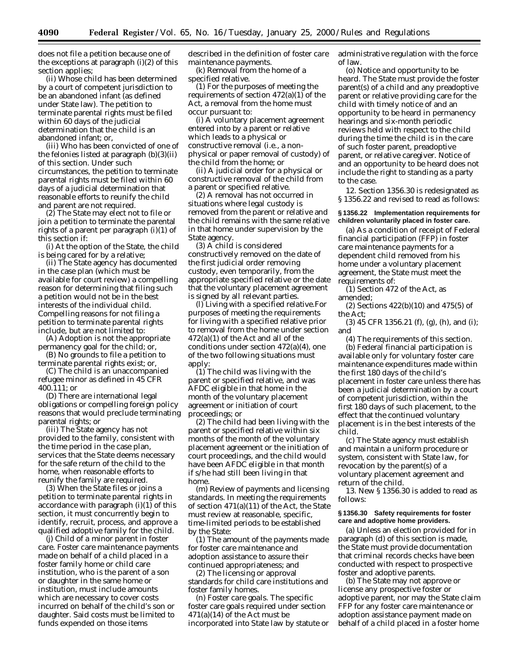does not file a petition because one of the exceptions at paragraph (i)(2) of this section applies;

(ii) Whose child has been determined by a court of competent jurisdiction to be an abandoned infant (as defined under State law). The petition to terminate parental rights must be filed within 60 days of the judicial determination that the child is an abandoned infant; or,

(iii) Who has been convicted of one of the felonies listed at paragraph (b)(3)(ii) of this section. Under such circumstances, the petition to terminate parental rights must be filed within 60 days of a judicial determination that reasonable efforts to reunify the child and parent are not required.

(2) The State may elect not to file or join a petition to terminate the parental rights of a parent per paragraph (i)(1) of this section if:

(i) At the option of the State, the child is being cared for by a relative;

(ii) The State agency has documented in the case plan (which must be available for court review) a compelling reason for determining that filing such a petition would not be in the best interests of the individual child. Compelling reasons for not filing a petition to terminate parental rights include, but are not limited to:

(A) Adoption is not the appropriate permanency goal for the child; or,

(B) No grounds to file a petition to terminate parental rights exist; or,

(C) The child is an unaccompanied refugee minor as defined in 45 CFR 400.111; or

(D) There are international legal obligations or compelling foreign policy reasons that would preclude terminating parental rights; or

(iii) The State agency has not provided to the family, consistent with the time period in the case plan, services that the State deems necessary for the safe return of the child to the home, when reasonable efforts to reunify the family are required.

(3) When the State files or joins a petition to terminate parental rights in accordance with paragraph (i)(1) of this section, it must concurrently begin to identify, recruit, process, and approve a qualified adoptive family for the child.

(j) *Child of a minor parent in foster care.* Foster care maintenance payments made on behalf of a child placed in a foster family home or child care institution, who is the parent of a son or daughter in the same home or institution, must include amounts which are necessary to cover costs incurred on behalf of the child's son or daughter. Said costs must be limited to funds expended on those items

described in the definition of *foster care maintenance payments*.

(k) *Removal from the home of a specified relative.*

(1) For the purposes of meeting the requirements of section 472(a)(1) of the Act, a removal from the home must occur pursuant to:

(i) A voluntary placement agreement entered into by a parent or relative which leads to a physical or constructive removal (i.e., a nonphysical or paper removal of custody) of the child from the home; or

(ii) A judicial order for a physical or constructive removal of the child from a parent or specified relative.

(2) A removal has not occurred in situations where legal custody is removed from the parent or relative and the child remains with the same relative in that home under supervision by the State agency.

(3) A child is considered constructively removed on the date of the first judicial order removing custody, even temporarily, from the appropriate specified relative or the date that the voluntary placement agreement is signed by all relevant parties.

(l) *Living with a specified relative.*For purposes of meeting the requirements for living with a specified relative prior to removal from the home under section 472(a)(1) of the Act and all of the conditions under section 472(a)(4), one of the two following situations must apply:

(1) The child was living with the parent or specified relative, and was AFDC eligible in that home in the month of the voluntary placement agreement or initiation of court proceedings; or

(2) The child had been living with the parent or specified relative within six months of the month of the voluntary placement agreement or the initiation of court proceedings, and the child would have been AFDC eligible in that month if s/he had still been living in that home.

(m) *Review of payments and licensing standards.* In meeting the requirements of section 471(a)(11) of the Act, the State must review at reasonable, specific, time-limited periods to be established by the State:

(1) The amount of the payments made for foster care maintenance and adoption assistance to assure their continued appropriateness; and

(2) The licensing or approval standards for child care institutions and foster family homes.

(n) *Foster care goals.* The specific foster care goals required under section 471(a)(14) of the Act must be incorporated into State law by statute or administrative regulation with the force of law.

(o) *Notice and opportunity to be heard.* The State must provide the foster parent(s) of a child and any preadoptive parent or relative providing care for the child with timely notice of and an opportunity to be heard in permanency hearings and six-month periodic reviews held with respect to the child during the time the child is in the care of such foster parent, preadoptive parent, or relative caregiver. Notice of and an opportunity to be heard does not include the right to standing as a party to the case.

12. Section 1356.30 is redesignated as § 1356.22 and revised to read as follows:

### **§ 1356.22 Implementation requirements for children voluntarily placed in foster care.**

(a) As a condition of receipt of Federal financial participation (FFP) in foster care maintenance payments for a dependent child removed from his home under a voluntary placement agreement, the State must meet the requirements of:

 $(1)$  Section 472 of the Act, as amended;

(2) Sections 422(b)(10) and 475(5) of the Act;

(3) 45 CFR 1356.21 (f), (g), (h), and (i); and

(4) The requirements of this section. (b) Federal financial participation is available only for voluntary foster care maintenance expenditures made within the first 180 days of the child's placement in foster care unless there has been a judicial determination by a court of competent jurisdiction, within the first 180 days of such placement, to the effect that the continued voluntary placement is in the best interests of the child.

(c) The State agency must establish and maintain a uniform procedure or system, consistent with State law, for revocation by the parent(s) of a voluntary placement agreement and return of the child.

13. New § 1356.30 is added to read as follows:

#### **§ 1356.30 Safety requirements for foster care and adoptive home providers.**

(a) Unless an election provided for in paragraph (d) of this section is made, the State must provide documentation that criminal records checks have been conducted with respect to prospective foster and adoptive parents.

(b) The State may not approve or license any prospective foster or adoptive parent, nor may the State claim FFP for any foster care maintenance or adoption assistance payment made on behalf of a child placed in a foster home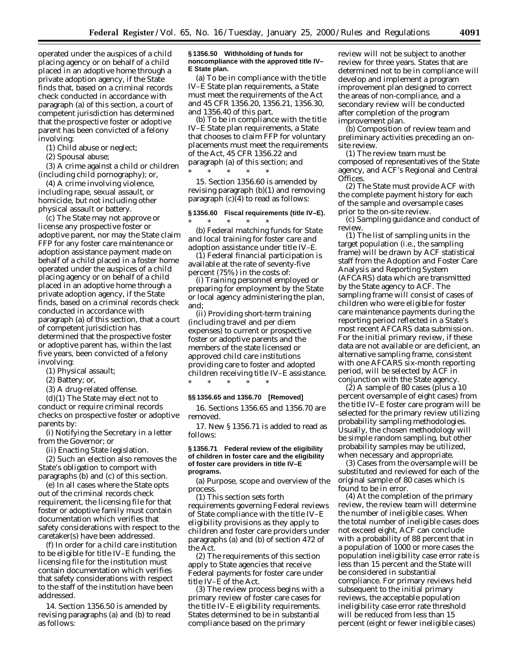operated under the auspices of a child placing agency or on behalf of a child placed in an adoptive home through a private adoption agency, if the State finds that, based on a criminal records check conducted in accordance with paragraph (a) of this section, a court of competent jurisdiction has determined that the prospective foster or adoptive parent has been convicted of a felony involving:

(1) Child abuse or neglect;

(2) Spousal abuse;

(3) A crime against a child or children (including child pornography); or,

(4) A crime involving violence, including rape, sexual assault, or homicide, but not including other physical assault or battery.

(c) The State may not approve or license any prospective foster or adoptive parent, nor may the State claim FFP for any foster care maintenance or adoption assistance payment made on behalf of a child placed in a foster home operated under the auspices of a child placing agency or on behalf of a child placed in an adoptive home through a private adoption agency, if the State finds, based on a criminal records check conducted in accordance with paragraph (a) of this section, that a court of competent jurisdiction has determined that the prospective foster or adoptive parent has, within the last five years, been convicted of a felony involving:

(1) Physical assault;

(2) Battery; or,

(3) A drug-related offense.

(d)(1) The State may elect not to conduct or require criminal records checks on prospective foster or adoptive parents by:

(i) Notifying the Secretary in a letter from the Governor; or

(ii) Enacting State legislation.

(2) Such an election also removes the State's obligation to comport with paragraphs (b) and (c) of this section.

(e) In all cases where the State opts out of the criminal records check requirement, the licensing file for that foster or adoptive family must contain documentation which verifies that safety considerations with respect to the caretaker(s) have been addressed.

(f) In order for a child care institution to be eligible for title IV–E funding, the licensing file for the institution must contain documentation which verifies that safety considerations with respect to the staff of the institution have been addressed.

14. Section 1356.50 is amended by revising paragraphs (a) and (b) to read as follows:

**§ 1356.50 Withholding of funds for noncompliance with the approved title IV– E State plan.**

(a) To be in compliance with the title IV–E State plan requirements, a State must meet the requirements of the Act and 45 CFR 1356.20, 1356.21, 1356.30, and 1356.40 of this part.

(b) To be in compliance with the title IV–E State plan requirements, a State that chooses to claim FFP for voluntary placements must meet the requirements of the Act, 45 CFR 1356.22 and paragraph (a) of this section; and

15. Section 1356.60 is amended by revising paragraph (b)(1) and removing paragraph  $(c)(4)$  to read as follows:

\* \* \* \* \*

# **§ 1356.60 Fiscal requirements (title IV–E).** \* \* \* \* \*

(b) *Federal matching funds for State and local training for foster care and adoption assistance under title IV–E.*

(1) Federal financial participation is available at the rate of seventy-five percent (75%) in the costs of:

(i) Training personnel employed or preparing for employment by the State or local agency administering the plan, and;

(ii) Providing short-term training (including travel and per diem expenses) to current or prospective foster or adoptive parents and the members of the state licensed or approved child care institutions providing care to foster and adopted children receiving title IV–E assistance.

\* \* \* \* \*

#### **§§ 1356.65 and 1356.70 [Removed]**

16. Sections 1356.65 and 1356.70 are removed.

17. New § 1356.71 is added to read as follows:

#### **§ 1356.71 Federal review of the eligibility of children in foster care and the eligibility of foster care providers in title IV–E programs.**

(a) *Purpose, scope and overview of the process.*

(1) This section sets forth requirements governing Federal reviews of State compliance with the title IV–E eligibility provisions as they apply to children and foster care providers under paragraphs (a) and (b) of section 472 of the Act.

(2) The requirements of this section apply to State agencies that receive Federal payments for foster care under title IV–E of the Act.

(3) The review process begins with a primary review of foster care cases for the title IV–E eligibility requirements. States determined to be in substantial compliance based on the primary

review will not be subject to another review for three years. States that are determined not to be in compliance will develop and implement a program improvement plan designed to correct the areas of non-compliance, and a secondary review will be conducted after completion of the program improvement plan.

(b) *Composition of review team and preliminary activities preceding an onsite review.*

(1) The review team must be composed of representatives of the State agency, and ACF's Regional and Central Offices.

(2) The State must provide ACF with the complete payment history for each of the sample and oversample cases prior to the on-site review.

(c) *Sampling guidance and conduct of review.*

(1) The list of sampling units in the target population (*i.e.,* the sampling frame) will be drawn by ACF statistical staff from the Adoption and Foster Care Analysis and Reporting System (AFCARS) data which are transmitted by the State agency to ACF. The sampling frame will consist of cases of children who were eligible for foster care maintenance payments during the reporting period reflected in a State's most recent AFCARS data submission. For the initial primary review, if these data are not available or are deficient, an alternative sampling frame, consistent with one AFCARS six-month reporting period, will be selected by ACF in conjunction with the State agency.

(2) A sample of 80 cases (plus a 10 percent oversample of eight cases) from the title IV–E foster care program will be selected for the primary review utilizing probability sampling methodologies. Usually, the chosen methodology will be simple random sampling, but other probability samples may be utilized, when necessary and appropriate.

(3) Cases from the oversample will be substituted and reviewed for each of the original sample of 80 cases which is found to be in error.

(4) At the completion of the primary review, the review team will determine the number of ineligible cases. When the total number of ineligible cases does not exceed eight, ACF can conclude with a probability of 88 percent that in a population of 1000 or more cases the population ineligibility case error rate is less than 15 percent and the State will be considered in substantial compliance. For primary reviews held subsequent to the initial primary reviews, the acceptable population ineligibility case error rate threshold will be reduced from less than 15 percent (eight or fewer ineligible cases)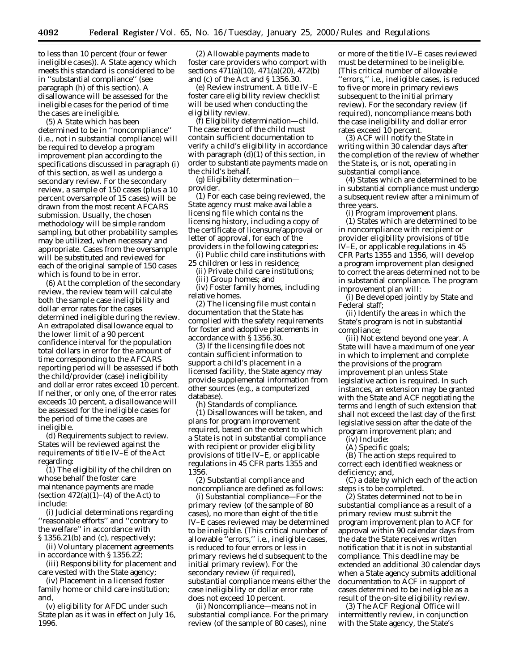to less than 10 percent (four or fewer ineligible cases)). A State agency which meets this standard is considered to be in ''substantial compliance'' (see paragraph (h) of this section). A disallowance will be assessed for the ineligible cases for the period of time the cases are ineligible.

(5) A State which has been determined to be in ''noncompliance'' (*i.e.,* not in substantial compliance) will be required to develop a program improvement plan according to the specifications discussed in paragraph (i) of this section, as well as undergo a secondary review. For the secondary review, a sample of 150 cases (plus a 10 percent oversample of 15 cases) will be drawn from the most recent AFCARS submission. Usually, the chosen methodology will be simple random sampling, but other probability samples may be utilized, when necessary and appropriate. Cases from the oversample will be substituted and reviewed for each of the original sample of 150 cases which is found to be in error.

(6) At the completion of the secondary review, the review team will calculate both the sample case ineligibility and dollar error rates for the cases determined ineligible during the review. An extrapolated disallowance equal to the lower limit of a 90 percent confidence interval for the population total dollars in error for the amount of time corresponding to the AFCARS reporting period will be assessed if both the child/provider (case) ineligibility and dollar error rates exceed 10 percent. If neither, or only one, of the error rates exceeds 10 percent, a disallowance will be assessed for the ineligible cases for the period of time the cases are ineligible.

(d) *Requirements subject to review.* States will be reviewed against the requirements of title IV–E of the Act regarding:

(1) The eligibility of the children on whose behalf the foster care maintenance payments are made (section  $472(a)(1)-(4)$  of the Act) to include:

(i) Judicial determinations regarding ''reasonable efforts'' and ''contrary to the welfare'' in accordance with § 1356.21(b) and (c), respectively;

(ii) Voluntary placement agreements in accordance with § 1356.22;

(iii) Responsibility for placement and care vested with the State agency;

(iv) Placement in a licensed foster family home or child care institution; and,

(v) eligibility for AFDC under such State plan as it was in effect on July 16, 1996.

(2) Allowable payments made to foster care providers who comport with sections 471(a)(10), 471(a)(20), 472(b) and (c) of the Act and § 1356.30.

(e) *Review instrument.* A title IV–E foster care eligibility review checklist will be used when conducting the eligibility review.

(f) *Eligibility determination—child.* The case record of the child must contain sufficient documentation to verify a child's eligibility in accordance with paragraph (d)(1) of this section, in order to substantiate payments made on the child's behalf.

(g) *Eligibility determination provider.* 

(1) For each case being reviewed, the State agency must make available a licensing file which contains the licensing history, including a copy of the certificate of licensure/approval or letter of approval, for each of the providers in the following categories:

(i) Public child care institutions with 25 children or less in residence;

(ii) Private child care institutions; (iii) Group homes; and

(iv) Foster family homes, including relative homes.

(2) The licensing file must contain documentation that the State has complied with the safety requirements for foster and adoptive placements in accordance with § 1356.30.

(3) If the licensing file does not contain sufficient information to support a child's placement in a licensed facility, the State agency may provide supplemental information from other sources (*e.g.,* a computerized database).

(h) *Standards of compliance.*  (1) Disallowances will be taken, and plans for program improvement required, based on the extent to which a State is not in substantial compliance with recipient or provider eligibility provisions of title IV–E, or applicable regulations in 45 CFR parts 1355 and 1356.

(2) Substantial compliance and noncompliance are defined as follows:

(i) *Substantial compliance—*For the primary review (of the sample of 80 cases), no more than eight of the title IV–E cases reviewed may be determined to be ineligible. (This critical number of allowable ''errors,'' *i.e.,* ineligible cases, is reduced to four errors or less in primary reviews held subsequent to the initial primary review). For the secondary review (if required), *substantial compliance* means either the case ineligibility or dollar error rate does not exceed 10 percent.

(ii) *Noncompliance—*means not in substantial compliance. For the primary review (of the sample of 80 cases), nine

or more of the title IV–E cases reviewed must be determined to be ineligible. (This critical number of allowable 'errors," *i.e.*, ineligible cases, is reduced to five or more in primary reviews subsequent to the initial primary review). For the secondary review (if required), *noncompliance* means both the case ineligibility and dollar error rates exceed 10 percent.

(3) ACF will notify the State in writing within 30 calendar days after the completion of the review of whether the State is, or is not, operating in substantial compliance.

(4) States which are determined to be in substantial compliance must undergo a subsequent review after a minimum of three years.

(i) *Program improvement plans.* (1) States which are determined to be in noncompliance with recipient or provider eligibility provisions of title IV–E, or applicable regulations in 45 CFR Parts 1355 and 1356, will develop a program improvement plan designed to correct the areas determined not to be in substantial compliance. The program improvement plan will:

(i) Be developed jointly by State and Federal staff;

(ii) Identify the areas in which the State's program is not in substantial compliance;

(iii) Not extend beyond one year. A State will have a maximum of one year in which to implement and complete the provisions of the program improvement plan unless State legislative action is required. In such instances, an extension may be granted with the State and ACF negotiating the terms and length of such extension that shall not exceed the last day of the first legislative session after the date of the program improvement plan; and

(iv) Include:

(A) Specific goals;

(B) The action steps required to correct each identified weakness or deficiency; and,

(C) a date by which each of the action steps is to be completed.

(2) States determined not to be in substantial compliance as a result of a primary review must submit the program improvement plan to ACF for approval within 90 calendar days from the date the State receives written notification that it is not in substantial compliance. This deadline may be extended an additional 30 calendar days when a State agency submits additional documentation to ACF in support of cases determined to be ineligible as a result of the on-site eligibility review.

(3) The ACF Regional Office will intermittently review, in conjunction with the State agency, the State's